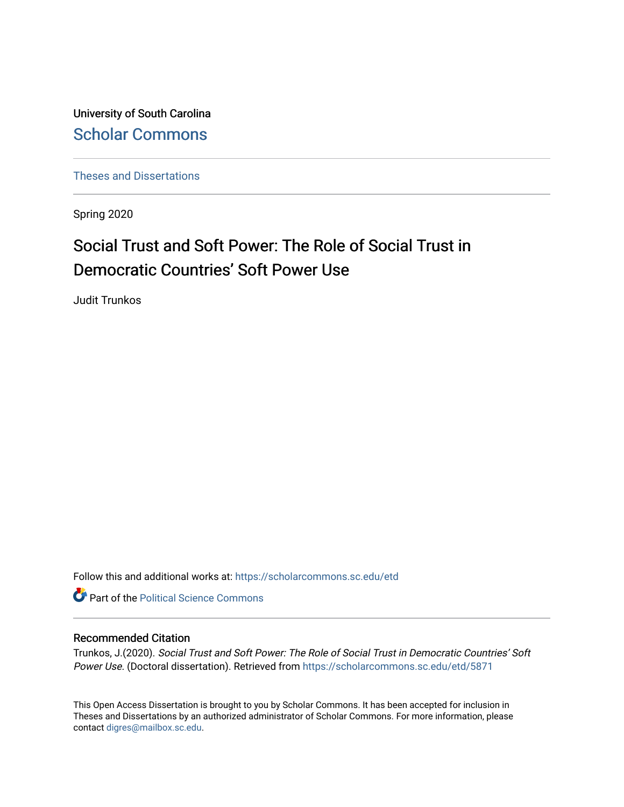University of South Carolina [Scholar Commons](https://scholarcommons.sc.edu/) 

[Theses and Dissertations](https://scholarcommons.sc.edu/etd)

Spring 2020

# Social Trust and Soft Power: The Role of Social Trust in Democratic Countries' Soft Power Use

Judit Trunkos

Follow this and additional works at: [https://scholarcommons.sc.edu/etd](https://scholarcommons.sc.edu/etd?utm_source=scholarcommons.sc.edu%2Fetd%2F5871&utm_medium=PDF&utm_campaign=PDFCoverPages)

**Part of the Political Science Commons** 

#### Recommended Citation

Trunkos, J.(2020). Social Trust and Soft Power: The Role of Social Trust in Democratic Countries' Soft Power Use. (Doctoral dissertation). Retrieved from [https://scholarcommons.sc.edu/etd/5871](https://scholarcommons.sc.edu/etd/5871?utm_source=scholarcommons.sc.edu%2Fetd%2F5871&utm_medium=PDF&utm_campaign=PDFCoverPages)

This Open Access Dissertation is brought to you by Scholar Commons. It has been accepted for inclusion in Theses and Dissertations by an authorized administrator of Scholar Commons. For more information, please contact [digres@mailbox.sc.edu.](mailto:digres@mailbox.sc.edu)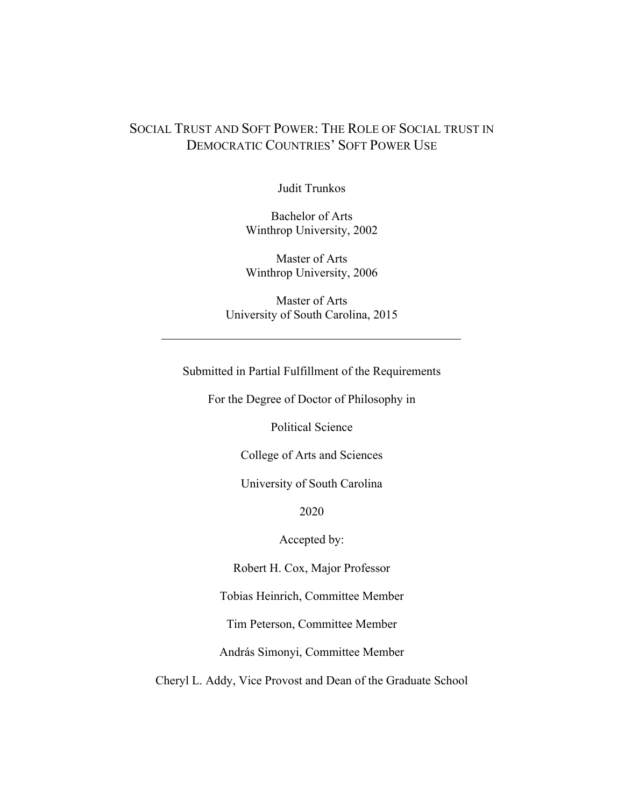### SOCIAL TRUST AND SOFT POWER: THE ROLE OF SOCIAL TRUST IN DEMOCRATIC COUNTRIES' SOFT POWER USE

Judit Trunkos

Bachelor of Arts Winthrop University, 2002

Master of Arts Winthrop University, 2006

Master of Arts University of South Carolina, 2015

Submitted in Partial Fulfillment of the Requirements

For the Degree of Doctor of Philosophy in

Political Science

College of Arts and Sciences

University of South Carolina

2020

Accepted by:

Robert H. Cox, Major Professor

Tobias Heinrich, Committee Member

Tim Peterson, Committee Member

András Simonyi, Committee Member

Cheryl L. Addy, Vice Provost and Dean of the Graduate School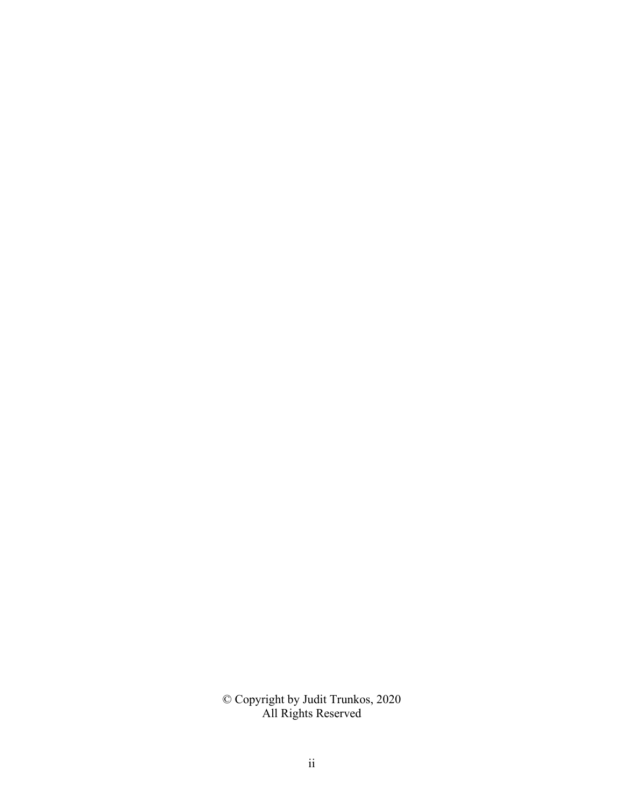© Copyright by Judit Trunkos, 2020 All Rights Reserved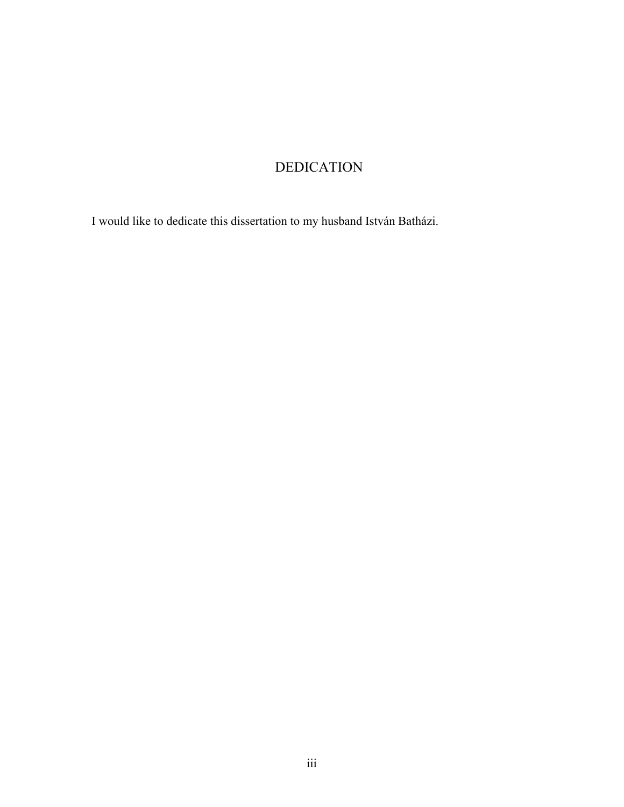## DEDICATION

I would like to dedicate this dissertation to my husband István Batházi.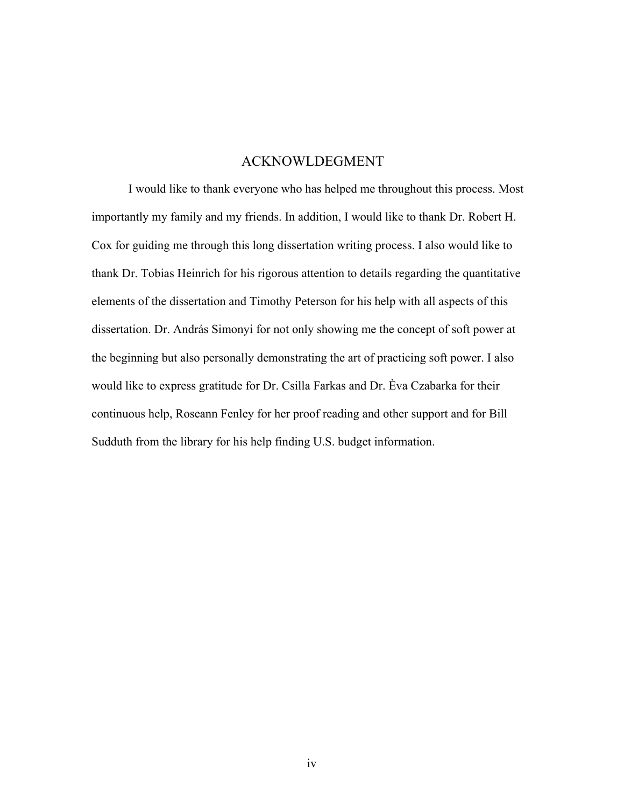#### ACKNOWLDEGMENT

I would like to thank everyone who has helped me throughout this process. Most importantly my family and my friends. In addition, I would like to thank Dr. Robert H. Cox for guiding me through this long dissertation writing process. I also would like to thank Dr. Tobias Heinrich for his rigorous attention to details regarding the quantitative elements of the dissertation and Timothy Peterson for his help with all aspects of this dissertation. Dr. András Simonyi for not only showing me the concept of soft power at the beginning but also personally demonstrating the art of practicing soft power. I also would like to express gratitude for Dr. Csilla Farkas and Dr. Èva Czabarka for their continuous help, Roseann Fenley for her proof reading and other support and for Bill Sudduth from the library for his help finding U.S. budget information.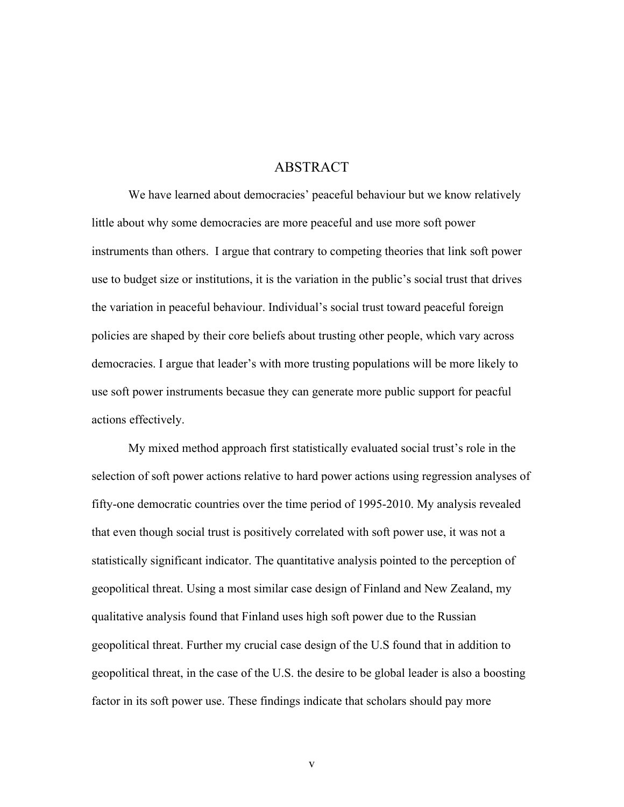#### ABSTRACT

We have learned about democracies' peaceful behaviour but we know relatively little about why some democracies are more peaceful and use more soft power instruments than others. I argue that contrary to competing theories that link soft power use to budget size or institutions, it is the variation in the public's social trust that drives the variation in peaceful behaviour. Individual's social trust toward peaceful foreign policies are shaped by their core beliefs about trusting other people, which vary across democracies. I argue that leader's with more trusting populations will be more likely to use soft power instruments becasue they can generate more public support for peacful actions effectively.

My mixed method approach first statistically evaluated social trust's role in the selection of soft power actions relative to hard power actions using regression analyses of fifty-one democratic countries over the time period of 1995-2010. My analysis revealed that even though social trust is positively correlated with soft power use, it was not a statistically significant indicator. The quantitative analysis pointed to the perception of geopolitical threat. Using a most similar case design of Finland and New Zealand, my qualitative analysis found that Finland uses high soft power due to the Russian geopolitical threat. Further my crucial case design of the U.S found that in addition to geopolitical threat, in the case of the U.S. the desire to be global leader is also a boosting factor in its soft power use. These findings indicate that scholars should pay more

v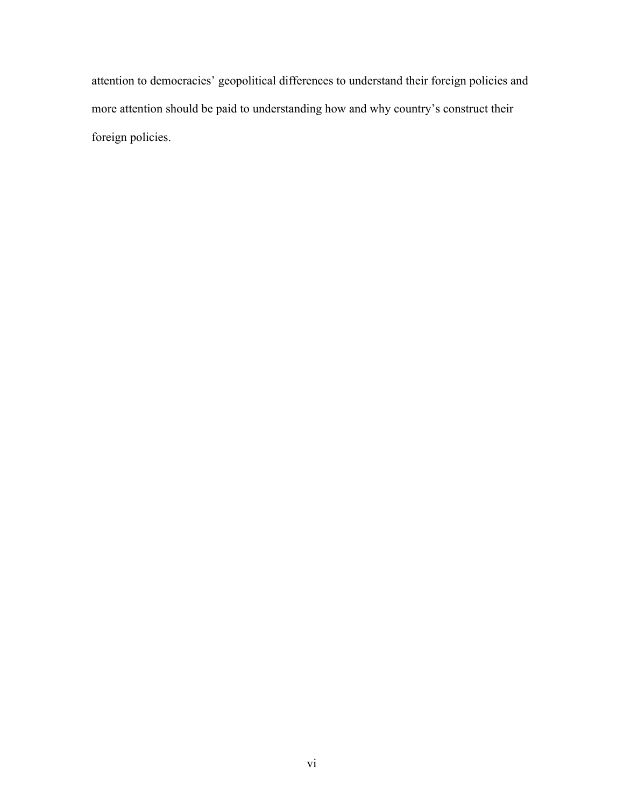attention to democracies' geopolitical differences to understand their foreign policies and more attention should be paid to understanding how and why country's construct their foreign policies.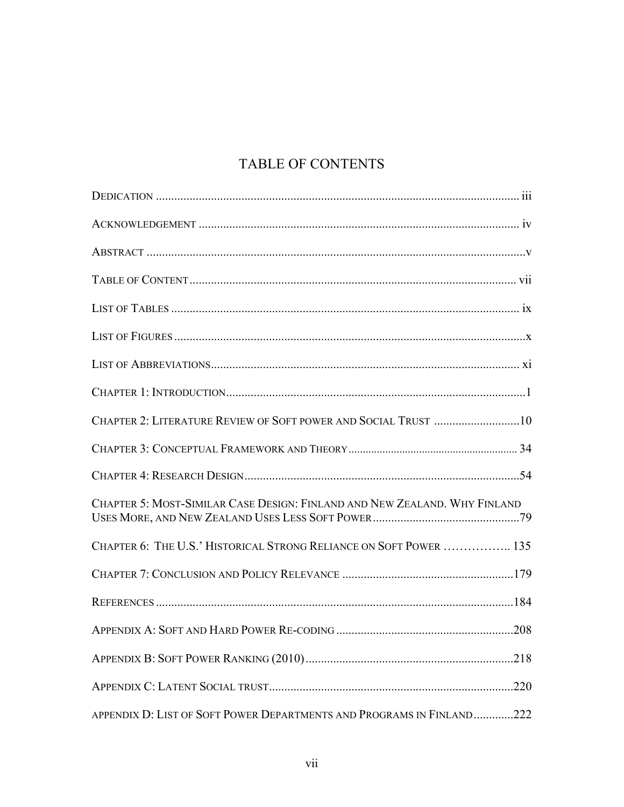### **TABLE OF CONTENTS**

| CHAPTER 2: LITERATURE REVIEW OF SOFT POWER AND SOCIAL TRUST 10            |
|---------------------------------------------------------------------------|
|                                                                           |
|                                                                           |
| CHAPTER 5: MOST-SIMILAR CASE DESIGN: FINLAND AND NEW ZEALAND. WHY FINLAND |
| CHAPTER 6: THE U.S.' HISTORICAL STRONG RELIANCE ON SOFT POWER  135        |
|                                                                           |
|                                                                           |
|                                                                           |
|                                                                           |
|                                                                           |
|                                                                           |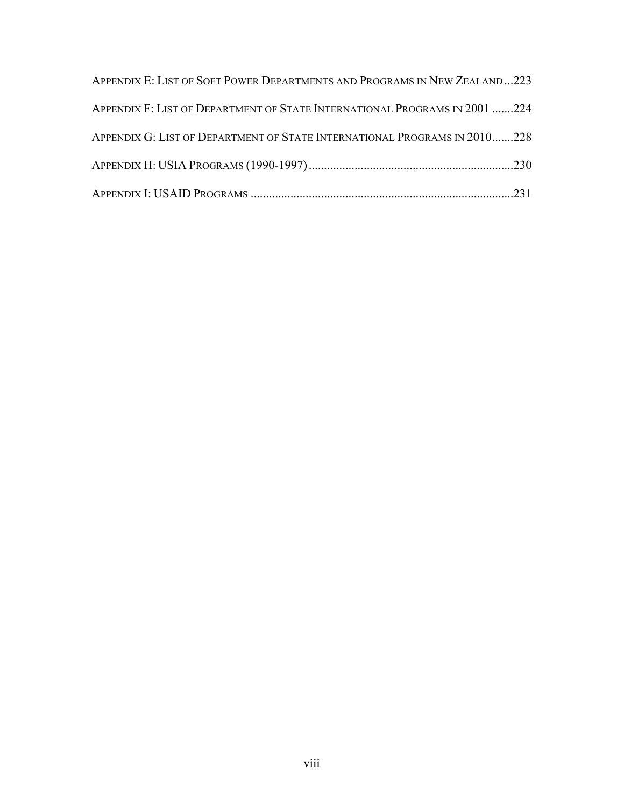| APPENDIX E: LIST OF SOFT POWER DEPARTMENTS AND PROGRAMS IN NEW ZEALAND223  |
|----------------------------------------------------------------------------|
| APPENDIX F: LIST OF DEPARTMENT OF STATE INTERNATIONAL PROGRAMS IN 2001 224 |
| APPENDIX G: LIST OF DEPARTMENT OF STATE INTERNATIONAL PROGRAMS IN 2010228  |
|                                                                            |
|                                                                            |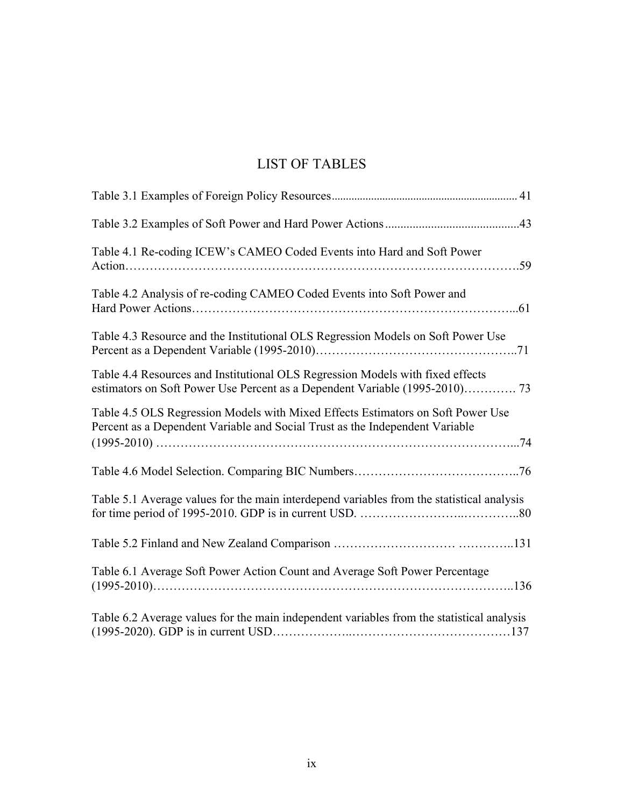### LIST OF TABLES

| Table 4.1 Re-coding ICEW's CAMEO Coded Events into Hard and Soft Power                                                                                          |
|-----------------------------------------------------------------------------------------------------------------------------------------------------------------|
| Table 4.2 Analysis of re-coding CAMEO Coded Events into Soft Power and                                                                                          |
| Table 4.3 Resource and the Institutional OLS Regression Models on Soft Power Use                                                                                |
| Table 4.4 Resources and Institutional OLS Regression Models with fixed effects                                                                                  |
| Table 4.5 OLS Regression Models with Mixed Effects Estimators on Soft Power Use<br>Percent as a Dependent Variable and Social Trust as the Independent Variable |
|                                                                                                                                                                 |
| Table 5.1 Average values for the main interdepend variables from the statistical analysis                                                                       |
|                                                                                                                                                                 |
| Table 6.1 Average Soft Power Action Count and Average Soft Power Percentage                                                                                     |
| Table 6.2 Average values for the main independent variables from the statistical analysis                                                                       |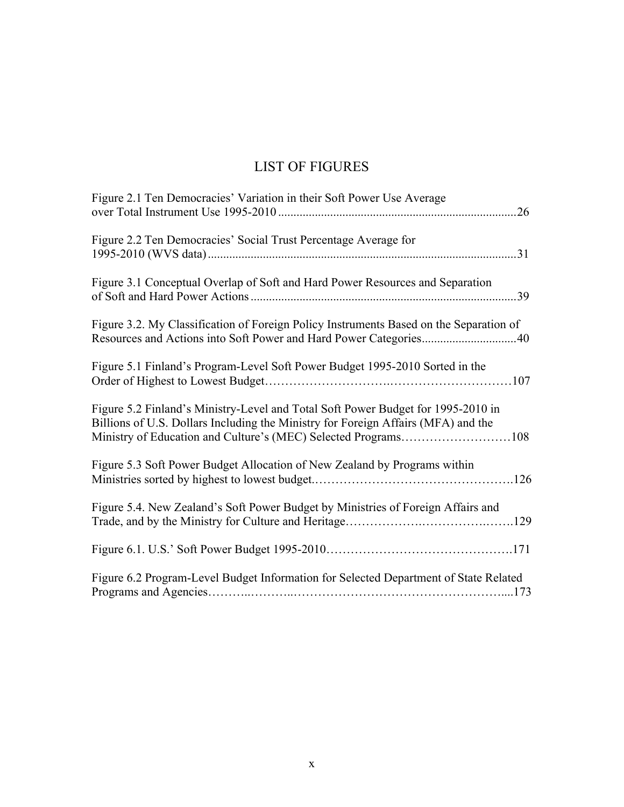### LIST OF FIGURES

| Figure 2.1 Ten Democracies' Variation in their Soft Power Use Average                                                                                                                                                                   |
|-----------------------------------------------------------------------------------------------------------------------------------------------------------------------------------------------------------------------------------------|
| Figure 2.2 Ten Democracies' Social Trust Percentage Average for                                                                                                                                                                         |
| Figure 3.1 Conceptual Overlap of Soft and Hard Power Resources and Separation                                                                                                                                                           |
| Figure 3.2. My Classification of Foreign Policy Instruments Based on the Separation of<br>Resources and Actions into Soft Power and Hard Power Categories40                                                                             |
| Figure 5.1 Finland's Program-Level Soft Power Budget 1995-2010 Sorted in the                                                                                                                                                            |
| Figure 5.2 Finland's Ministry-Level and Total Soft Power Budget for 1995-2010 in<br>Billions of U.S. Dollars Including the Ministry for Foreign Affairs (MFA) and the<br>Ministry of Education and Culture's (MEC) Selected Programs108 |
| Figure 5.3 Soft Power Budget Allocation of New Zealand by Programs within                                                                                                                                                               |
| Figure 5.4. New Zealand's Soft Power Budget by Ministries of Foreign Affairs and                                                                                                                                                        |
|                                                                                                                                                                                                                                         |
| Figure 6.2 Program-Level Budget Information for Selected Department of State Related                                                                                                                                                    |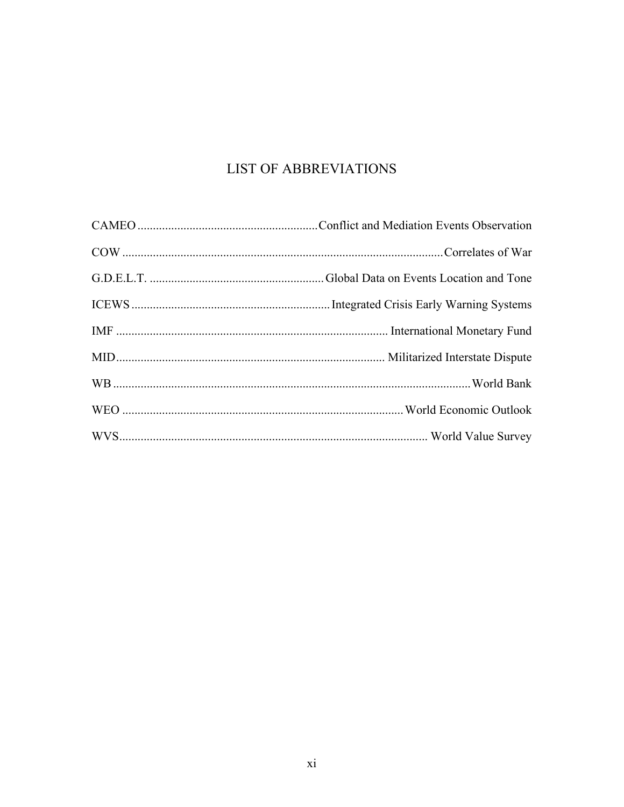### **LIST OF ABBREVIATIONS**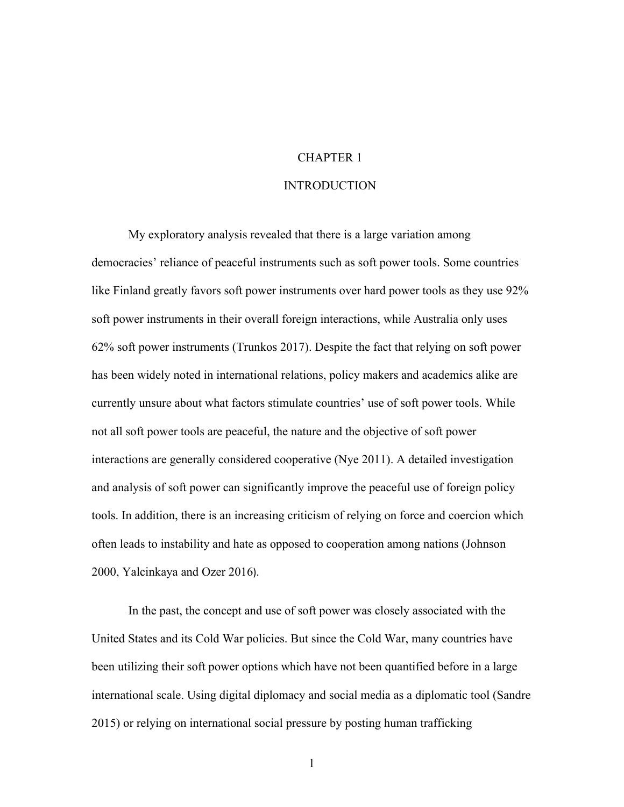#### CHAPTER 1

#### INTRODUCTION

My exploratory analysis revealed that there is a large variation among democracies' reliance of peaceful instruments such as soft power tools. Some countries like Finland greatly favors soft power instruments over hard power tools as they use 92% soft power instruments in their overall foreign interactions, while Australia only uses 62% soft power instruments (Trunkos 2017). Despite the fact that relying on soft power has been widely noted in international relations, policy makers and academics alike are currently unsure about what factors stimulate countries' use of soft power tools. While not all soft power tools are peaceful, the nature and the objective of soft power interactions are generally considered cooperative (Nye 2011). A detailed investigation and analysis of soft power can significantly improve the peaceful use of foreign policy tools. In addition, there is an increasing criticism of relying on force and coercion which often leads to instability and hate as opposed to cooperation among nations (Johnson 2000, Yalcinkaya and Ozer 2016).

In the past, the concept and use of soft power was closely associated with the United States and its Cold War policies. But since the Cold War, many countries have been utilizing their soft power options which have not been quantified before in a large international scale. Using digital diplomacy and social media as a diplomatic tool (Sandre 2015) or relying on international social pressure by posting human trafficking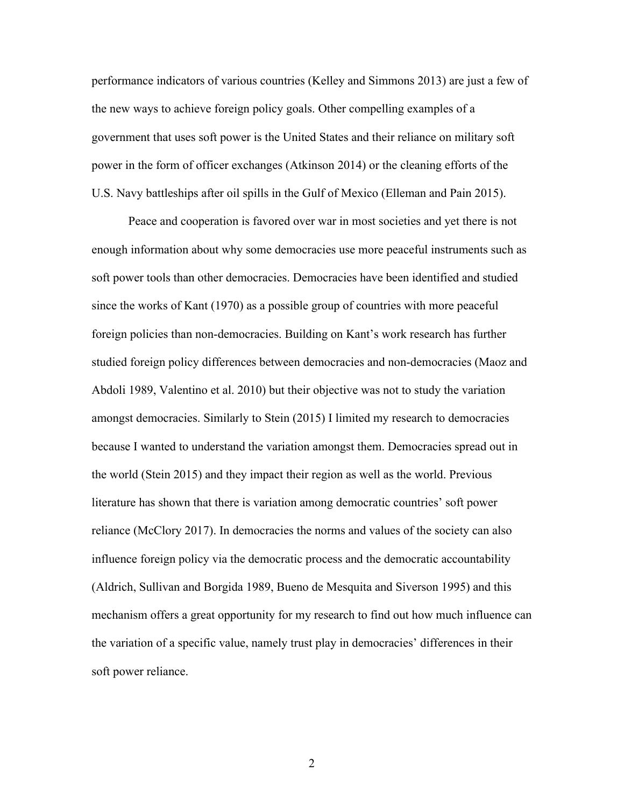performance indicators of various countries (Kelley and Simmons 2013) are just a few of the new ways to achieve foreign policy goals. Other compelling examples of a government that uses soft power is the United States and their reliance on military soft power in the form of officer exchanges (Atkinson 2014) or the cleaning efforts of the U.S. Navy battleships after oil spills in the Gulf of Mexico (Elleman and Pain 2015).

 Peace and cooperation is favored over war in most societies and yet there is not enough information about why some democracies use more peaceful instruments such as soft power tools than other democracies. Democracies have been identified and studied since the works of Kant (1970) as a possible group of countries with more peaceful foreign policies than non-democracies. Building on Kant's work research has further studied foreign policy differences between democracies and non-democracies (Maoz and Abdoli 1989, Valentino et al. 2010) but their objective was not to study the variation amongst democracies. Similarly to Stein (2015) I limited my research to democracies because I wanted to understand the variation amongst them. Democracies spread out in the world (Stein 2015) and they impact their region as well as the world. Previous literature has shown that there is variation among democratic countries' soft power reliance (McClory 2017). In democracies the norms and values of the society can also influence foreign policy via the democratic process and the democratic accountability (Aldrich, Sullivan and Borgida 1989, Bueno de Mesquita and Siverson 1995) and this mechanism offers a great opportunity for my research to find out how much influence can the variation of a specific value, namely trust play in democracies' differences in their soft power reliance.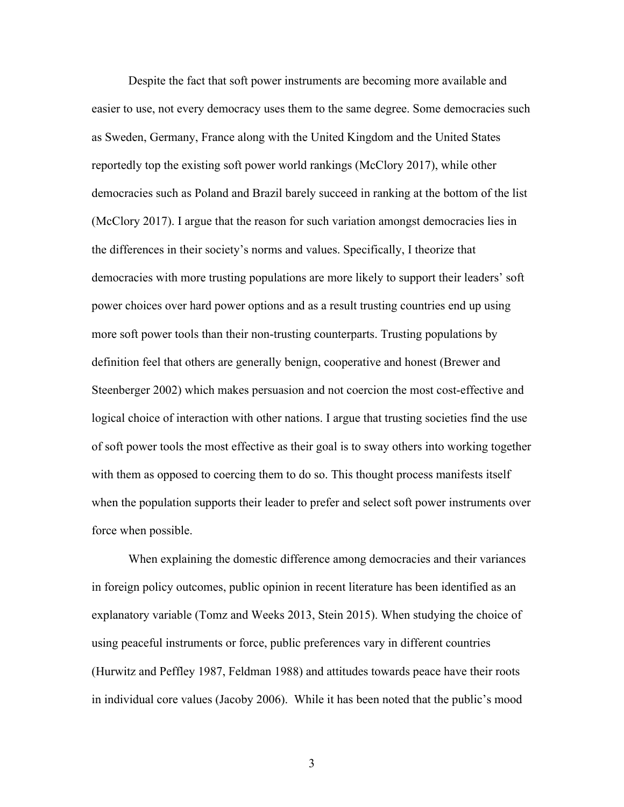Despite the fact that soft power instruments are becoming more available and easier to use, not every democracy uses them to the same degree. Some democracies such as Sweden, Germany, France along with the United Kingdom and the United States reportedly top the existing soft power world rankings (McClory 2017), while other democracies such as Poland and Brazil barely succeed in ranking at the bottom of the list (McClory 2017). I argue that the reason for such variation amongst democracies lies in the differences in their society's norms and values. Specifically, I theorize that democracies with more trusting populations are more likely to support their leaders' soft power choices over hard power options and as a result trusting countries end up using more soft power tools than their non-trusting counterparts. Trusting populations by definition feel that others are generally benign, cooperative and honest (Brewer and Steenberger 2002) which makes persuasion and not coercion the most cost-effective and logical choice of interaction with other nations. I argue that trusting societies find the use of soft power tools the most effective as their goal is to sway others into working together with them as opposed to coercing them to do so. This thought process manifests itself when the population supports their leader to prefer and select soft power instruments over force when possible.

When explaining the domestic difference among democracies and their variances in foreign policy outcomes, public opinion in recent literature has been identified as an explanatory variable (Tomz and Weeks 2013, Stein 2015). When studying the choice of using peaceful instruments or force, public preferences vary in different countries (Hurwitz and Peffley 1987, Feldman 1988) and attitudes towards peace have their roots in individual core values (Jacoby 2006). While it has been noted that the public's mood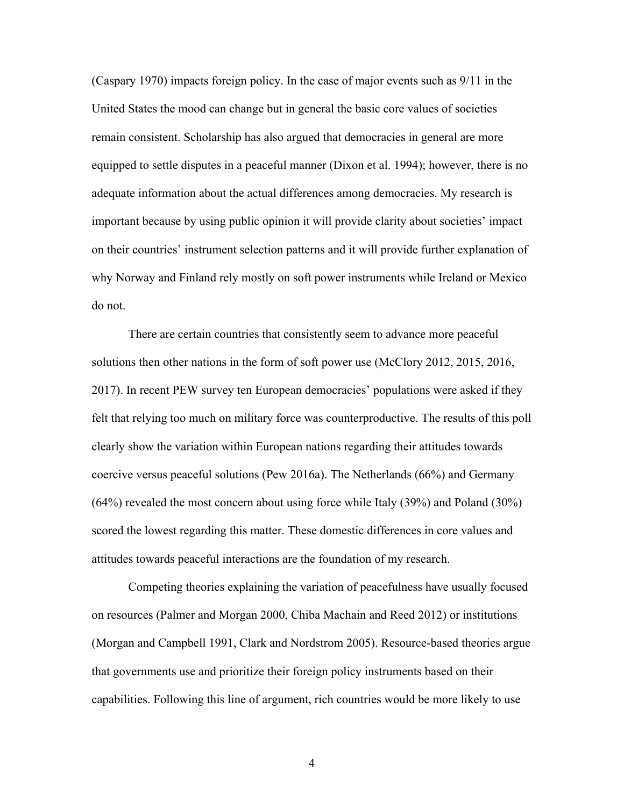(Caspary 1970) impacts foreign policy. In the case of major events such as 9/11 in the United States the mood can change but in general the basic core values of societies remain consistent. Scholarship has also argued that democracies in general are more equipped to settle disputes in a peaceful manner (Dixon et al. 1994); however, there is no adequate information about the actual differences among democracies. My research is important because by using public opinion it will provide clarity about societies' impact on their countries' instrument selection patterns and it will provide further explanation of why Norway and Finland rely mostly on soft power instruments while Ireland or Mexico do not.

There are certain countries that consistently seem to advance more peaceful solutions then other nations in the form of soft power use (McClory 2012, 2015, 2016, 2017). In recent PEW survey ten European democracies' populations were asked if they felt that relying too much on military force was counterproductive. The results of this poll clearly show the variation within European nations regarding their attitudes towards coercive versus peaceful solutions (Pew 2016a). The Netherlands (66%) and Germany (64%) revealed the most concern about using force while Italy (39%) and Poland (30%) scored the lowest regarding this matter. These domestic differences in core values and attitudes towards peaceful interactions are the foundation of my research.

Competing theories explaining the variation of peacefulness have usually focused on resources (Palmer and Morgan 2000, Chiba Machain and Reed 2012) or institutions (Morgan and Campbell 1991, Clark and Nordstrom 2005). Resource-based theories argue that governments use and prioritize their foreign policy instruments based on their capabilities. Following this line of argument, rich countries would be more likely to use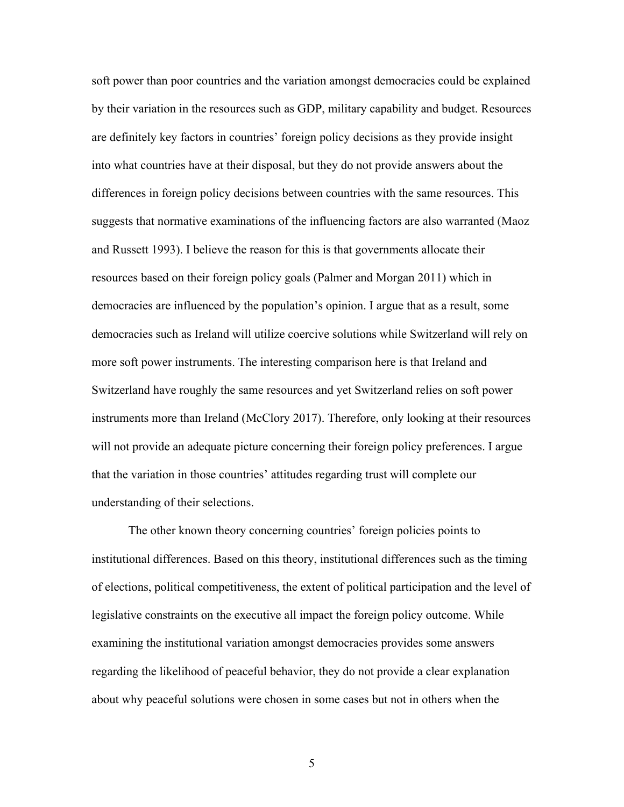soft power than poor countries and the variation amongst democracies could be explained by their variation in the resources such as GDP, military capability and budget. Resources are definitely key factors in countries' foreign policy decisions as they provide insight into what countries have at their disposal, but they do not provide answers about the differences in foreign policy decisions between countries with the same resources. This suggests that normative examinations of the influencing factors are also warranted (Maoz and Russett 1993). I believe the reason for this is that governments allocate their resources based on their foreign policy goals (Palmer and Morgan 2011) which in democracies are influenced by the population's opinion. I argue that as a result, some democracies such as Ireland will utilize coercive solutions while Switzerland will rely on more soft power instruments. The interesting comparison here is that Ireland and Switzerland have roughly the same resources and yet Switzerland relies on soft power instruments more than Ireland (McClory 2017). Therefore, only looking at their resources will not provide an adequate picture concerning their foreign policy preferences. I argue that the variation in those countries' attitudes regarding trust will complete our understanding of their selections.

The other known theory concerning countries' foreign policies points to institutional differences. Based on this theory, institutional differences such as the timing of elections, political competitiveness, the extent of political participation and the level of legislative constraints on the executive all impact the foreign policy outcome. While examining the institutional variation amongst democracies provides some answers regarding the likelihood of peaceful behavior, they do not provide a clear explanation about why peaceful solutions were chosen in some cases but not in others when the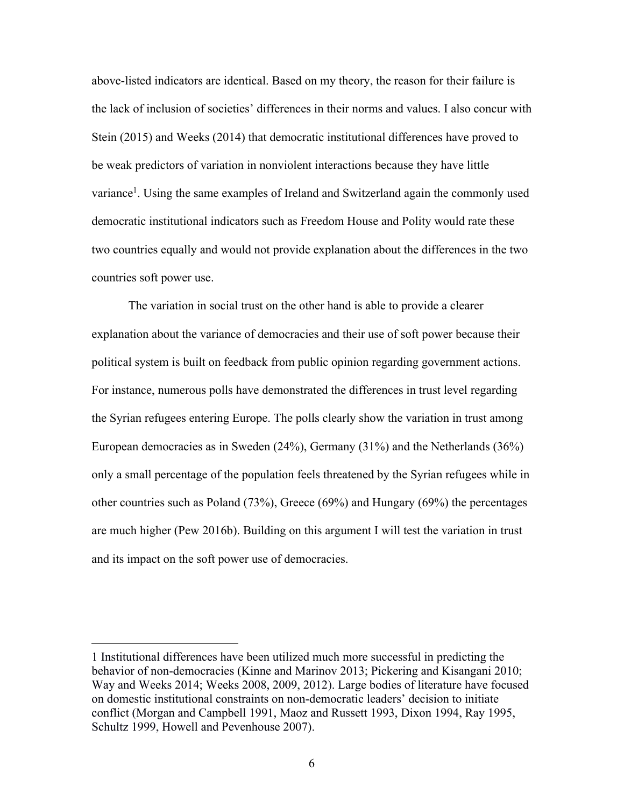above-listed indicators are identical. Based on my theory, the reason for their failure is the lack of inclusion of societies' differences in their norms and values. I also concur with Stein (2015) and Weeks (2014) that democratic institutional differences have proved to be weak predictors of variation in nonviolent interactions because they have little variance<sup>1</sup>. Using the same examples of Ireland and Switzerland again the commonly used democratic institutional indicators such as Freedom House and Polity would rate these two countries equally and would not provide explanation about the differences in the two countries soft power use.

The variation in social trust on the other hand is able to provide a clearer explanation about the variance of democracies and their use of soft power because their political system is built on feedback from public opinion regarding government actions. For instance, numerous polls have demonstrated the differences in trust level regarding the Syrian refugees entering Europe. The polls clearly show the variation in trust among European democracies as in Sweden (24%), Germany (31%) and the Netherlands (36%) only a small percentage of the population feels threatened by the Syrian refugees while in other countries such as Poland (73%), Greece (69%) and Hungary (69%) the percentages are much higher (Pew 2016b). Building on this argument I will test the variation in trust and its impact on the soft power use of democracies.

<sup>1</sup> Institutional differences have been utilized much more successful in predicting the behavior of non-democracies (Kinne and Marinov 2013; Pickering and Kisangani 2010; Way and Weeks 2014; Weeks 2008, 2009, 2012). Large bodies of literature have focused on domestic institutional constraints on non-democratic leaders' decision to initiate conflict (Morgan and Campbell 1991, Maoz and Russett 1993, Dixon 1994, Ray 1995, Schultz 1999, Howell and Pevenhouse 2007).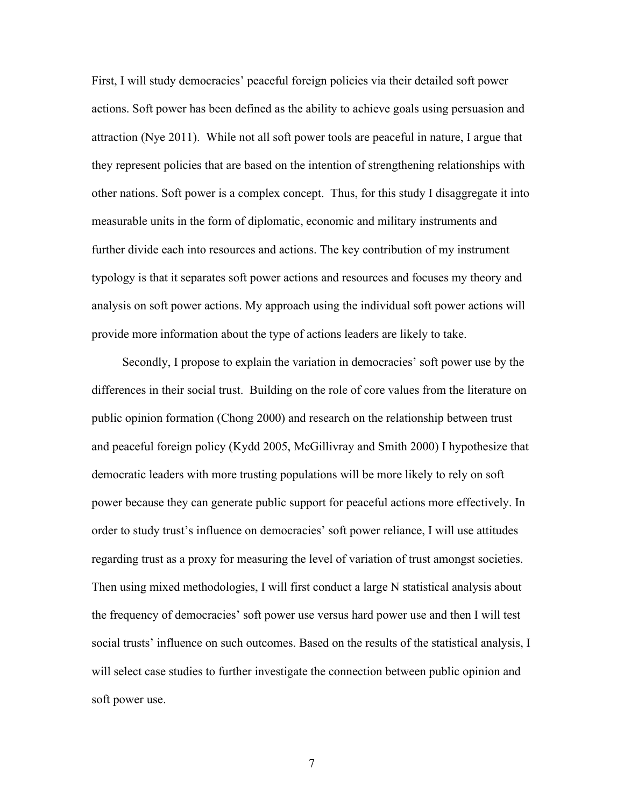First, I will study democracies' peaceful foreign policies via their detailed soft power actions. Soft power has been defined as the ability to achieve goals using persuasion and attraction (Nye 2011). While not all soft power tools are peaceful in nature, I argue that they represent policies that are based on the intention of strengthening relationships with other nations. Soft power is a complex concept. Thus, for this study I disaggregate it into measurable units in the form of diplomatic, economic and military instruments and further divide each into resources and actions. The key contribution of my instrument typology is that it separates soft power actions and resources and focuses my theory and analysis on soft power actions. My approach using the individual soft power actions will provide more information about the type of actions leaders are likely to take.

 Secondly, I propose to explain the variation in democracies' soft power use by the differences in their social trust. Building on the role of core values from the literature on public opinion formation (Chong 2000) and research on the relationship between trust and peaceful foreign policy (Kydd 2005, McGillivray and Smith 2000) I hypothesize that democratic leaders with more trusting populations will be more likely to rely on soft power because they can generate public support for peaceful actions more effectively. In order to study trust's influence on democracies' soft power reliance, I will use attitudes regarding trust as a proxy for measuring the level of variation of trust amongst societies. Then using mixed methodologies, I will first conduct a large N statistical analysis about the frequency of democracies' soft power use versus hard power use and then I will test social trusts' influence on such outcomes. Based on the results of the statistical analysis, I will select case studies to further investigate the connection between public opinion and soft power use.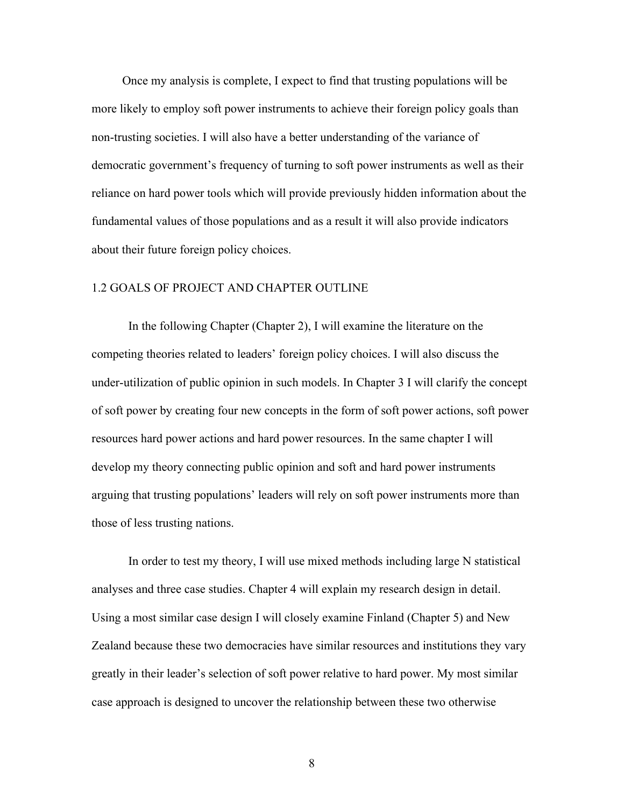Once my analysis is complete, I expect to find that trusting populations will be more likely to employ soft power instruments to achieve their foreign policy goals than non-trusting societies. I will also have a better understanding of the variance of democratic government's frequency of turning to soft power instruments as well as their reliance on hard power tools which will provide previously hidden information about the fundamental values of those populations and as a result it will also provide indicators about their future foreign policy choices.

#### 1.2 GOALS OF PROJECT AND CHAPTER OUTLINE

In the following Chapter (Chapter 2), I will examine the literature on the competing theories related to leaders' foreign policy choices. I will also discuss the under-utilization of public opinion in such models. In Chapter 3 I will clarify the concept of soft power by creating four new concepts in the form of soft power actions, soft power resources hard power actions and hard power resources. In the same chapter I will develop my theory connecting public opinion and soft and hard power instruments arguing that trusting populations' leaders will rely on soft power instruments more than those of less trusting nations.

In order to test my theory, I will use mixed methods including large N statistical analyses and three case studies. Chapter 4 will explain my research design in detail. Using a most similar case design I will closely examine Finland (Chapter 5) and New Zealand because these two democracies have similar resources and institutions they vary greatly in their leader's selection of soft power relative to hard power. My most similar case approach is designed to uncover the relationship between these two otherwise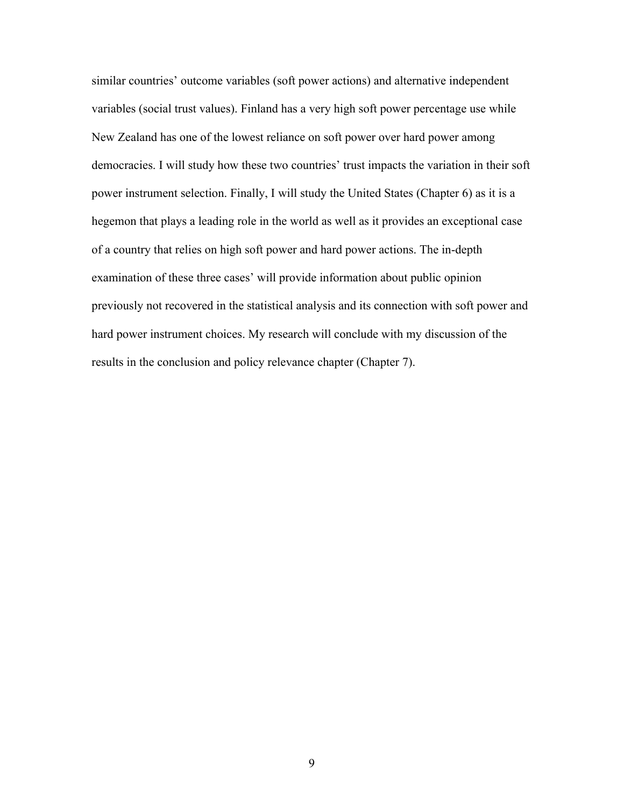similar countries' outcome variables (soft power actions) and alternative independent variables (social trust values). Finland has a very high soft power percentage use while New Zealand has one of the lowest reliance on soft power over hard power among democracies. I will study how these two countries' trust impacts the variation in their soft power instrument selection. Finally, I will study the United States (Chapter 6) as it is a hegemon that plays a leading role in the world as well as it provides an exceptional case of a country that relies on high soft power and hard power actions. The in-depth examination of these three cases' will provide information about public opinion previously not recovered in the statistical analysis and its connection with soft power and hard power instrument choices. My research will conclude with my discussion of the results in the conclusion and policy relevance chapter (Chapter 7).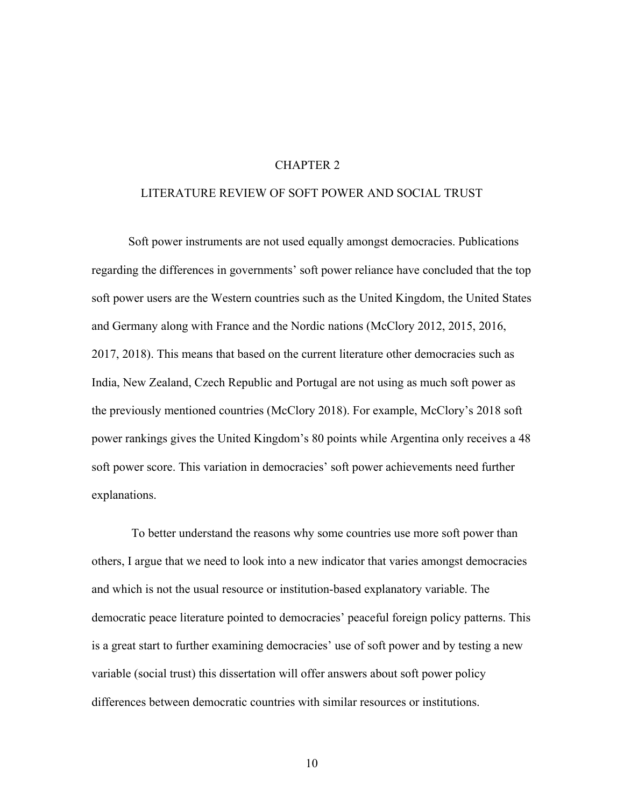#### CHAPTER 2

#### LITERATURE REVIEW OF SOFT POWER AND SOCIAL TRUST

Soft power instruments are not used equally amongst democracies. Publications regarding the differences in governments' soft power reliance have concluded that the top soft power users are the Western countries such as the United Kingdom, the United States and Germany along with France and the Nordic nations (McClory 2012, 2015, 2016, 2017, 2018). This means that based on the current literature other democracies such as India, New Zealand, Czech Republic and Portugal are not using as much soft power as the previously mentioned countries (McClory 2018). For example, McClory's 2018 soft power rankings gives the United Kingdom's 80 points while Argentina only receives a 48 soft power score. This variation in democracies' soft power achievements need further explanations.

 To better understand the reasons why some countries use more soft power than others, I argue that we need to look into a new indicator that varies amongst democracies and which is not the usual resource or institution-based explanatory variable. The democratic peace literature pointed to democracies' peaceful foreign policy patterns. This is a great start to further examining democracies' use of soft power and by testing a new variable (social trust) this dissertation will offer answers about soft power policy differences between democratic countries with similar resources or institutions.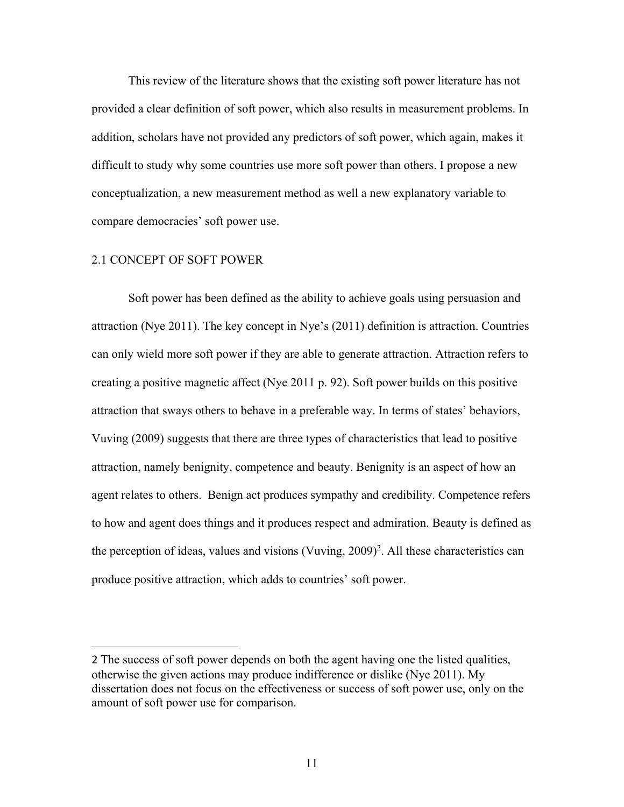This review of the literature shows that the existing soft power literature has not provided a clear definition of soft power, which also results in measurement problems. In addition, scholars have not provided any predictors of soft power, which again, makes it difficult to study why some countries use more soft power than others. I propose a new conceptualization, a new measurement method as well a new explanatory variable to compare democracies' soft power use.

#### 2.1 CONCEPT OF SOFT POWER

Soft power has been defined as the ability to achieve goals using persuasion and attraction (Nye 2011). The key concept in Nye's (2011) definition is attraction. Countries can only wield more soft power if they are able to generate attraction. Attraction refers to creating a positive magnetic affect (Nye 2011 p. 92). Soft power builds on this positive attraction that sways others to behave in a preferable way. In terms of states' behaviors, Vuving (2009) suggests that there are three types of characteristics that lead to positive attraction, namely benignity, competence and beauty. Benignity is an aspect of how an agent relates to others. Benign act produces sympathy and credibility. Competence refers to how and agent does things and it produces respect and admiration. Beauty is defined as the perception of ideas, values and visions (Vuving,  $2009$ )<sup>2</sup>. All these characteristics can produce positive attraction, which adds to countries' soft power.

<sup>2</sup> The success of soft power depends on both the agent having one the listed qualities, otherwise the given actions may produce indifference or dislike (Nye 2011). My dissertation does not focus on the effectiveness or success of soft power use, only on the amount of soft power use for comparison.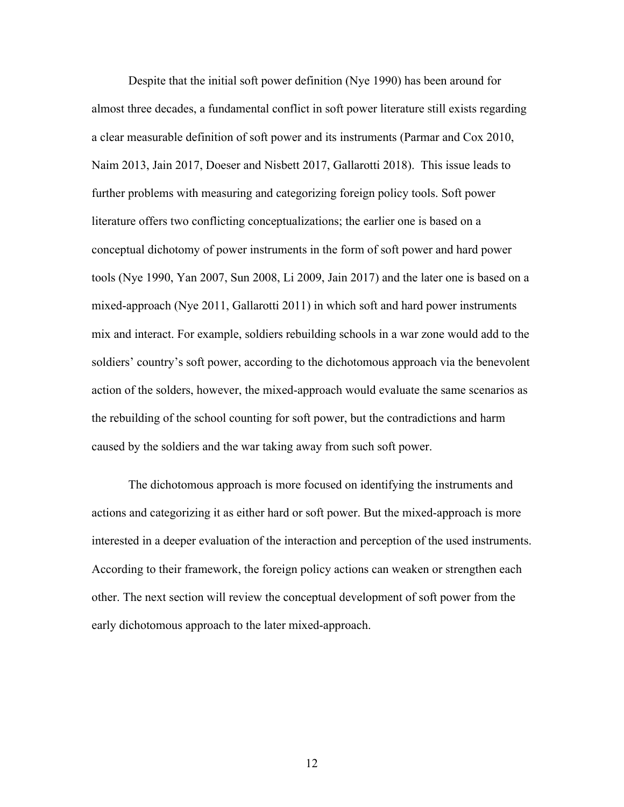Despite that the initial soft power definition (Nye 1990) has been around for almost three decades, a fundamental conflict in soft power literature still exists regarding a clear measurable definition of soft power and its instruments (Parmar and Cox 2010, Naim 2013, Jain 2017, Doeser and Nisbett 2017, Gallarotti 2018). This issue leads to further problems with measuring and categorizing foreign policy tools. Soft power literature offers two conflicting conceptualizations; the earlier one is based on a conceptual dichotomy of power instruments in the form of soft power and hard power tools (Nye 1990, Yan 2007, Sun 2008, Li 2009, Jain 2017) and the later one is based on a mixed-approach (Nye 2011, Gallarotti 2011) in which soft and hard power instruments mix and interact. For example, soldiers rebuilding schools in a war zone would add to the soldiers' country's soft power, according to the dichotomous approach via the benevolent action of the solders, however, the mixed-approach would evaluate the same scenarios as the rebuilding of the school counting for soft power, but the contradictions and harm caused by the soldiers and the war taking away from such soft power.

The dichotomous approach is more focused on identifying the instruments and actions and categorizing it as either hard or soft power. But the mixed-approach is more interested in a deeper evaluation of the interaction and perception of the used instruments. According to their framework, the foreign policy actions can weaken or strengthen each other. The next section will review the conceptual development of soft power from the early dichotomous approach to the later mixed-approach.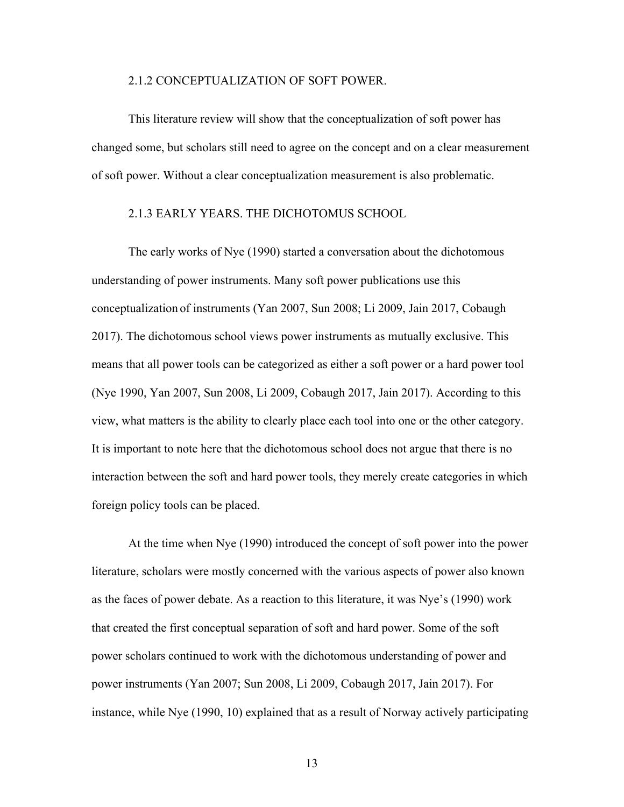#### 2.1.2 CONCEPTUALIZATION OF SOFT POWER.

This literature review will show that the conceptualization of soft power has changed some, but scholars still need to agree on the concept and on a clear measurement of soft power. Without a clear conceptualization measurement is also problematic.

#### 2.1.3 EARLY YEARS. THE DICHOTOMUS SCHOOL

The early works of Nye (1990) started a conversation about the dichotomous understanding of power instruments. Many soft power publications use this conceptualization of instruments (Yan 2007, Sun 2008; Li 2009, Jain 2017, Cobaugh 2017). The dichotomous school views power instruments as mutually exclusive. This means that all power tools can be categorized as either a soft power or a hard power tool (Nye 1990, Yan 2007, Sun 2008, Li 2009, Cobaugh 2017, Jain 2017). According to this view, what matters is the ability to clearly place each tool into one or the other category. It is important to note here that the dichotomous school does not argue that there is no interaction between the soft and hard power tools, they merely create categories in which foreign policy tools can be placed.

At the time when Nye (1990) introduced the concept of soft power into the power literature, scholars were mostly concerned with the various aspects of power also known as the faces of power debate. As a reaction to this literature, it was Nye's (1990) work that created the first conceptual separation of soft and hard power. Some of the soft power scholars continued to work with the dichotomous understanding of power and power instruments (Yan 2007; Sun 2008, Li 2009, Cobaugh 2017, Jain 2017). For instance, while Nye (1990, 10) explained that as a result of Norway actively participating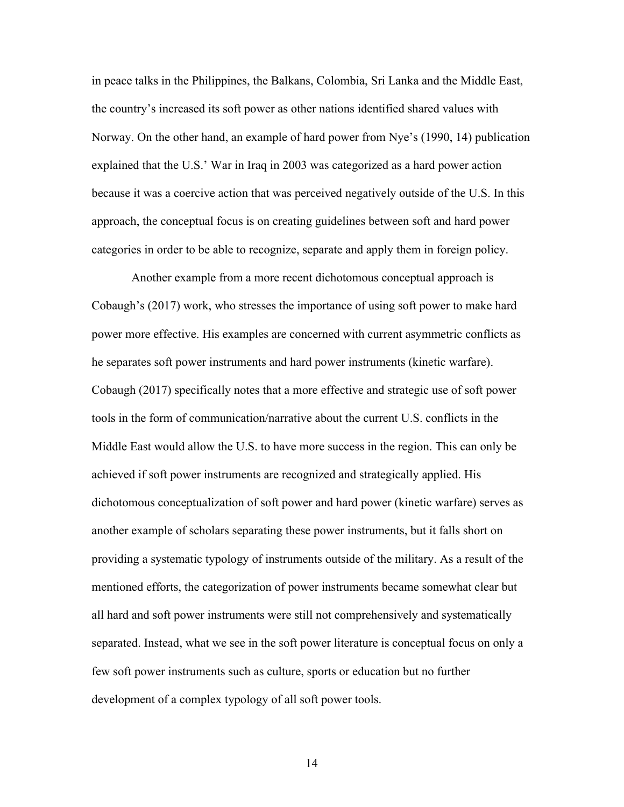in peace talks in the Philippines, the Balkans, Colombia, Sri Lanka and the Middle East, the country's increased its soft power as other nations identified shared values with Norway. On the other hand, an example of hard power from Nye's (1990, 14) publication explained that the U.S.' War in Iraq in 2003 was categorized as a hard power action because it was a coercive action that was perceived negatively outside of the U.S. In this approach, the conceptual focus is on creating guidelines between soft and hard power categories in order to be able to recognize, separate and apply them in foreign policy.

 Another example from a more recent dichotomous conceptual approach is Cobaugh's (2017) work, who stresses the importance of using soft power to make hard power more effective. His examples are concerned with current asymmetric conflicts as he separates soft power instruments and hard power instruments (kinetic warfare). Cobaugh (2017) specifically notes that a more effective and strategic use of soft power tools in the form of communication/narrative about the current U.S. conflicts in the Middle East would allow the U.S. to have more success in the region. This can only be achieved if soft power instruments are recognized and strategically applied. His dichotomous conceptualization of soft power and hard power (kinetic warfare) serves as another example of scholars separating these power instruments, but it falls short on providing a systematic typology of instruments outside of the military. As a result of the mentioned efforts, the categorization of power instruments became somewhat clear but all hard and soft power instruments were still not comprehensively and systematically separated. Instead, what we see in the soft power literature is conceptual focus on only a few soft power instruments such as culture, sports or education but no further development of a complex typology of all soft power tools.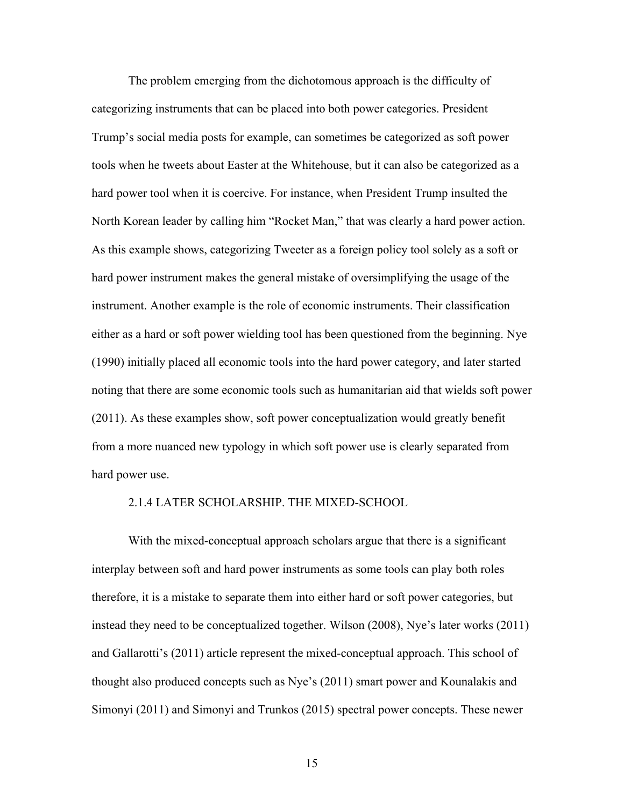The problem emerging from the dichotomous approach is the difficulty of categorizing instruments that can be placed into both power categories. President Trump's social media posts for example, can sometimes be categorized as soft power tools when he tweets about Easter at the Whitehouse, but it can also be categorized as a hard power tool when it is coercive. For instance, when President Trump insulted the North Korean leader by calling him "Rocket Man," that was clearly a hard power action. As this example shows, categorizing Tweeter as a foreign policy tool solely as a soft or hard power instrument makes the general mistake of oversimplifying the usage of the instrument. Another example is the role of economic instruments. Their classification either as a hard or soft power wielding tool has been questioned from the beginning. Nye (1990) initially placed all economic tools into the hard power category, and later started noting that there are some economic tools such as humanitarian aid that wields soft power (2011). As these examples show, soft power conceptualization would greatly benefit from a more nuanced new typology in which soft power use is clearly separated from hard power use.

#### 2.1.4 LATER SCHOLARSHIP. THE MIXED-SCHOOL

With the mixed-conceptual approach scholars argue that there is a significant interplay between soft and hard power instruments as some tools can play both roles therefore, it is a mistake to separate them into either hard or soft power categories, but instead they need to be conceptualized together. Wilson (2008), Nye's later works (2011) and Gallarotti's (2011) article represent the mixed-conceptual approach. This school of thought also produced concepts such as Nye's (2011) smart power and Kounalakis and Simonyi (2011) and Simonyi and Trunkos (2015) spectral power concepts. These newer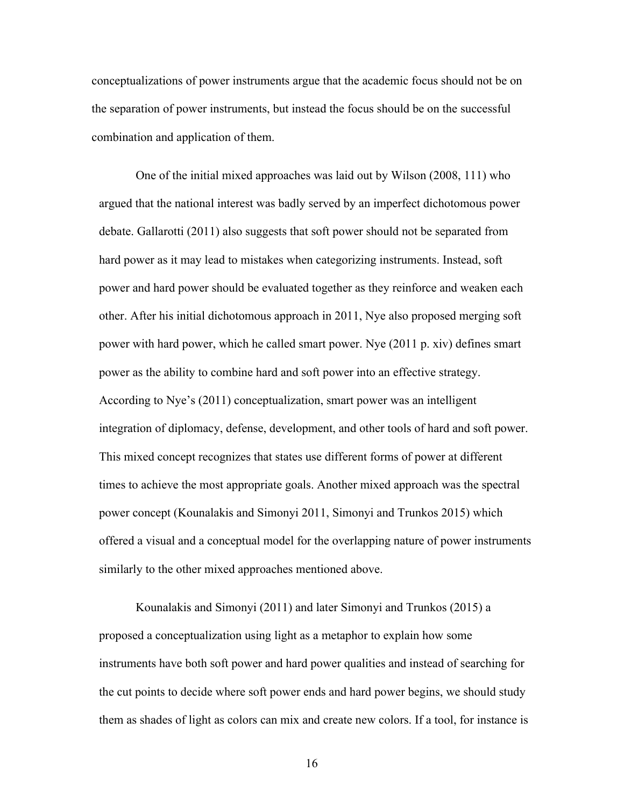conceptualizations of power instruments argue that the academic focus should not be on the separation of power instruments, but instead the focus should be on the successful combination and application of them.

One of the initial mixed approaches was laid out by Wilson (2008, 111) who argued that the national interest was badly served by an imperfect dichotomous power debate. Gallarotti (2011) also suggests that soft power should not be separated from hard power as it may lead to mistakes when categorizing instruments. Instead, soft power and hard power should be evaluated together as they reinforce and weaken each other. After his initial dichotomous approach in 2011, Nye also proposed merging soft power with hard power, which he called smart power. Nye (2011 p. xiv) defines smart power as the ability to combine hard and soft power into an effective strategy. According to Nye's (2011) conceptualization, smart power was an intelligent integration of diplomacy, defense, development, and other tools of hard and soft power. This mixed concept recognizes that states use different forms of power at different times to achieve the most appropriate goals. Another mixed approach was the spectral power concept (Kounalakis and Simonyi 2011, Simonyi and Trunkos 2015) which offered a visual and a conceptual model for the overlapping nature of power instruments similarly to the other mixed approaches mentioned above.

Kounalakis and Simonyi (2011) and later Simonyi and Trunkos (2015) a proposed a conceptualization using light as a metaphor to explain how some instruments have both soft power and hard power qualities and instead of searching for the cut points to decide where soft power ends and hard power begins, we should study them as shades of light as colors can mix and create new colors. If a tool, for instance is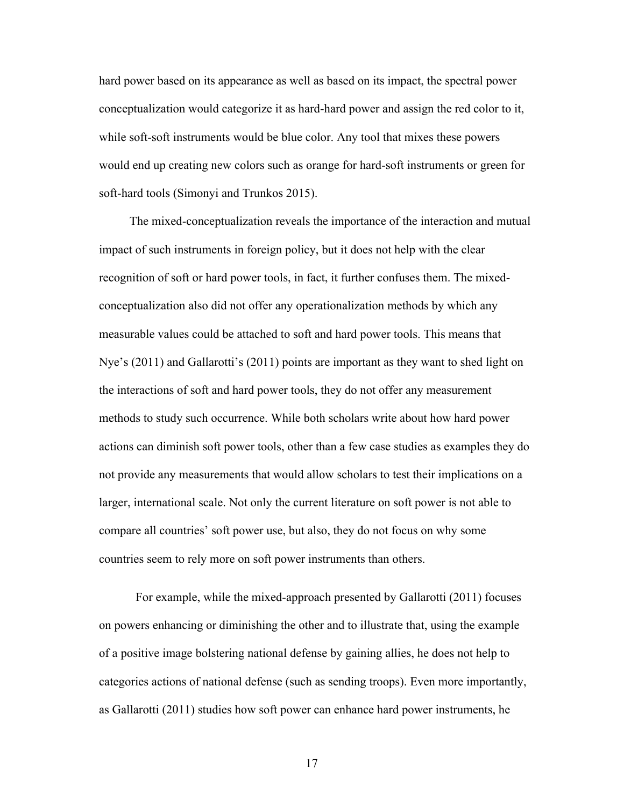hard power based on its appearance as well as based on its impact, the spectral power conceptualization would categorize it as hard-hard power and assign the red color to it, while soft-soft instruments would be blue color. Any tool that mixes these powers would end up creating new colors such as orange for hard-soft instruments or green for soft-hard tools (Simonyi and Trunkos 2015).

 The mixed-conceptualization reveals the importance of the interaction and mutual impact of such instruments in foreign policy, but it does not help with the clear recognition of soft or hard power tools, in fact, it further confuses them. The mixedconceptualization also did not offer any operationalization methods by which any measurable values could be attached to soft and hard power tools. This means that Nye's (2011) and Gallarotti's (2011) points are important as they want to shed light on the interactions of soft and hard power tools, they do not offer any measurement methods to study such occurrence. While both scholars write about how hard power actions can diminish soft power tools, other than a few case studies as examples they do not provide any measurements that would allow scholars to test their implications on a larger, international scale. Not only the current literature on soft power is not able to compare all countries' soft power use, but also, they do not focus on why some countries seem to rely more on soft power instruments than others.

For example, while the mixed-approach presented by Gallarotti (2011) focuses on powers enhancing or diminishing the other and to illustrate that, using the example of a positive image bolstering national defense by gaining allies, he does not help to categories actions of national defense (such as sending troops). Even more importantly, as Gallarotti (2011) studies how soft power can enhance hard power instruments, he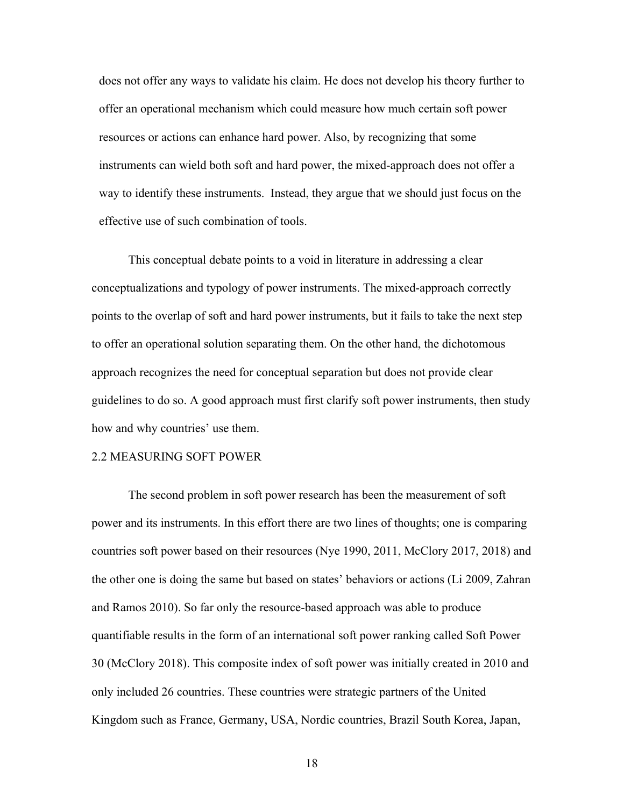does not offer any ways to validate his claim. He does not develop his theory further to offer an operational mechanism which could measure how much certain soft power resources or actions can enhance hard power. Also, by recognizing that some instruments can wield both soft and hard power, the mixed-approach does not offer a way to identify these instruments. Instead, they argue that we should just focus on the effective use of such combination of tools.

This conceptual debate points to a void in literature in addressing a clear conceptualizations and typology of power instruments. The mixed-approach correctly points to the overlap of soft and hard power instruments, but it fails to take the next step to offer an operational solution separating them. On the other hand, the dichotomous approach recognizes the need for conceptual separation but does not provide clear guidelines to do so. A good approach must first clarify soft power instruments, then study how and why countries' use them.

#### 2.2 MEASURING SOFT POWER

The second problem in soft power research has been the measurement of soft power and its instruments. In this effort there are two lines of thoughts; one is comparing countries soft power based on their resources (Nye 1990, 2011, McClory 2017, 2018) and the other one is doing the same but based on states' behaviors or actions (Li 2009, Zahran and Ramos 2010). So far only the resource-based approach was able to produce quantifiable results in the form of an international soft power ranking called Soft Power 30 (McClory 2018). This composite index of soft power was initially created in 2010 and only included 26 countries. These countries were strategic partners of the United Kingdom such as France, Germany, USA, Nordic countries, Brazil South Korea, Japan,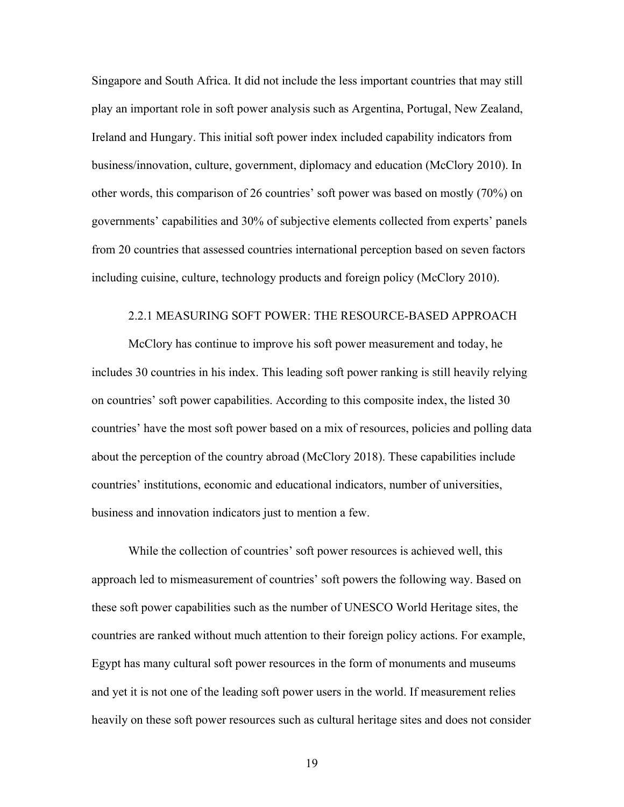Singapore and South Africa. It did not include the less important countries that may still play an important role in soft power analysis such as Argentina, Portugal, New Zealand, Ireland and Hungary. This initial soft power index included capability indicators from business/innovation, culture, government, diplomacy and education (McClory 2010). In other words, this comparison of 26 countries' soft power was based on mostly (70%) on governments' capabilities and 30% of subjective elements collected from experts' panels from 20 countries that assessed countries international perception based on seven factors including cuisine, culture, technology products and foreign policy (McClory 2010).

#### 2.2.1 MEASURING SOFT POWER: THE RESOURCE-BASED APPROACH

McClory has continue to improve his soft power measurement and today, he includes 30 countries in his index. This leading soft power ranking is still heavily relying on countries' soft power capabilities. According to this composite index, the listed 30 countries' have the most soft power based on a mix of resources, policies and polling data about the perception of the country abroad (McClory 2018). These capabilities include countries' institutions, economic and educational indicators, number of universities, business and innovation indicators just to mention a few.

While the collection of countries' soft power resources is achieved well, this approach led to mismeasurement of countries' soft powers the following way. Based on these soft power capabilities such as the number of UNESCO World Heritage sites, the countries are ranked without much attention to their foreign policy actions. For example, Egypt has many cultural soft power resources in the form of monuments and museums and yet it is not one of the leading soft power users in the world. If measurement relies heavily on these soft power resources such as cultural heritage sites and does not consider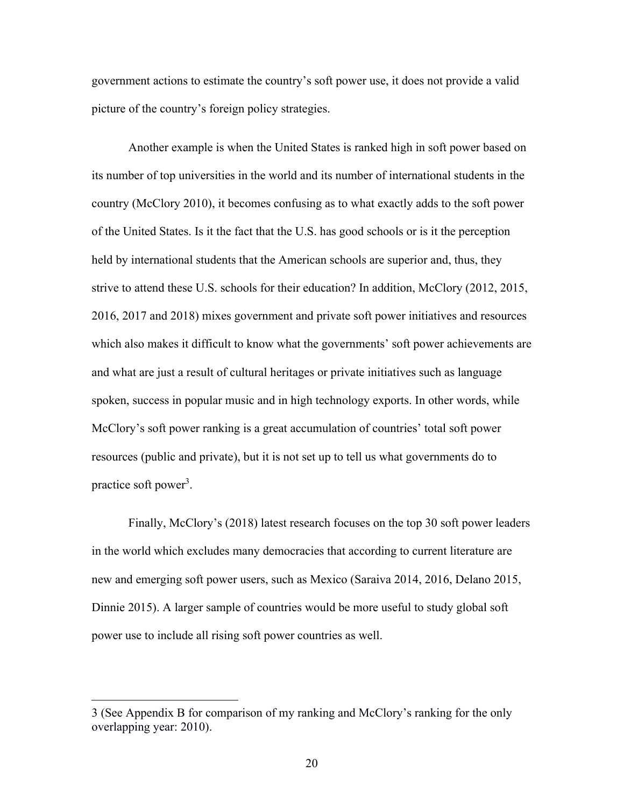government actions to estimate the country's soft power use, it does not provide a valid picture of the country's foreign policy strategies.

Another example is when the United States is ranked high in soft power based on its number of top universities in the world and its number of international students in the country (McClory 2010), it becomes confusing as to what exactly adds to the soft power of the United States. Is it the fact that the U.S. has good schools or is it the perception held by international students that the American schools are superior and, thus, they strive to attend these U.S. schools for their education? In addition, McClory (2012, 2015, 2016, 2017 and 2018) mixes government and private soft power initiatives and resources which also makes it difficult to know what the governments' soft power achievements are and what are just a result of cultural heritages or private initiatives such as language spoken, success in popular music and in high technology exports. In other words, while McClory's soft power ranking is a great accumulation of countries' total soft power resources (public and private), but it is not set up to tell us what governments do to practice soft power<sup>3</sup>.

Finally, McClory's (2018) latest research focuses on the top 30 soft power leaders in the world which excludes many democracies that according to current literature are new and emerging soft power users, such as Mexico (Saraiva 2014, 2016, Delano 2015, Dinnie 2015). A larger sample of countries would be more useful to study global soft power use to include all rising soft power countries as well.

<sup>3 (</sup>See Appendix B for comparison of my ranking and McClory's ranking for the only overlapping year: 2010).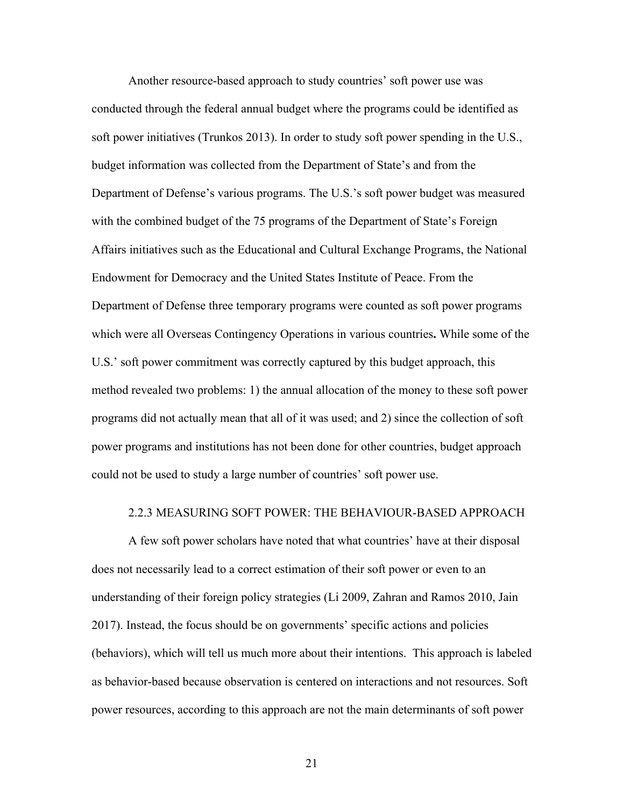Another resource-based approach to study countries' soft power use was conducted through the federal annual budget where the programs could be identified as soft power initiatives (Trunkos 2013). In order to study soft power spending in the U.S., budget information was collected from the Department of State's and from the Department of Defense's various programs. The U.S.'s soft power budget was measured with the combined budget of the 75 programs of the Department of State's Foreign Affairs initiatives such as the Educational and Cultural Exchange Programs, the National Endowment for Democracy and the United States Institute of Peace. From the Department of Defense three temporary programs were counted as soft power programs which were all Overseas Contingency Operations in various countries**.** While some of the U.S.' soft power commitment was correctly captured by this budget approach, this method revealed two problems: 1) the annual allocation of the money to these soft power programs did not actually mean that all of it was used; and 2) since the collection of soft power programs and institutions has not been done for other countries, budget approach could not be used to study a large number of countries' soft power use.

#### 2.2.3 MEASURING SOFT POWER: THE BEHAVIOUR-BASED APPROACH

A few soft power scholars have noted that what countries' have at their disposal does not necessarily lead to a correct estimation of their soft power or even to an understanding of their foreign policy strategies (Li 2009, Zahran and Ramos 2010, Jain 2017). Instead, the focus should be on governments' specific actions and policies (behaviors), which will tell us much more about their intentions. This approach is labeled as behavior-based because observation is centered on interactions and not resources. Soft power resources, according to this approach are not the main determinants of soft power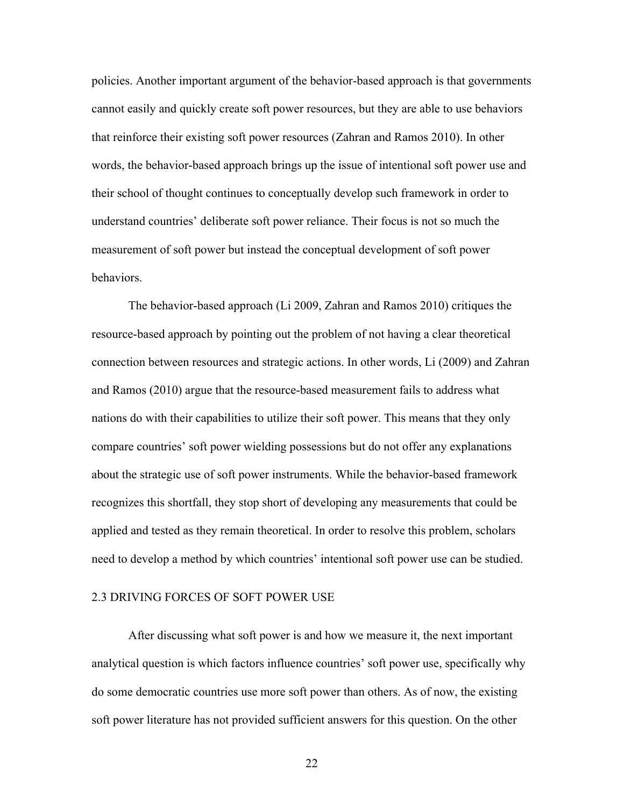policies. Another important argument of the behavior-based approach is that governments cannot easily and quickly create soft power resources, but they are able to use behaviors that reinforce their existing soft power resources (Zahran and Ramos 2010). In other words, the behavior-based approach brings up the issue of intentional soft power use and their school of thought continues to conceptually develop such framework in order to understand countries' deliberate soft power reliance. Their focus is not so much the measurement of soft power but instead the conceptual development of soft power behaviors.

The behavior-based approach (Li 2009, Zahran and Ramos 2010) critiques the resource-based approach by pointing out the problem of not having a clear theoretical connection between resources and strategic actions. In other words, Li (2009) and Zahran and Ramos (2010) argue that the resource-based measurement fails to address what nations do with their capabilities to utilize their soft power. This means that they only compare countries' soft power wielding possessions but do not offer any explanations about the strategic use of soft power instruments. While the behavior-based framework recognizes this shortfall, they stop short of developing any measurements that could be applied and tested as they remain theoretical. In order to resolve this problem, scholars need to develop a method by which countries' intentional soft power use can be studied.

#### 2.3 DRIVING FORCES OF SOFT POWER USE

After discussing what soft power is and how we measure it, the next important analytical question is which factors influence countries' soft power use, specifically why do some democratic countries use more soft power than others. As of now, the existing soft power literature has not provided sufficient answers for this question. On the other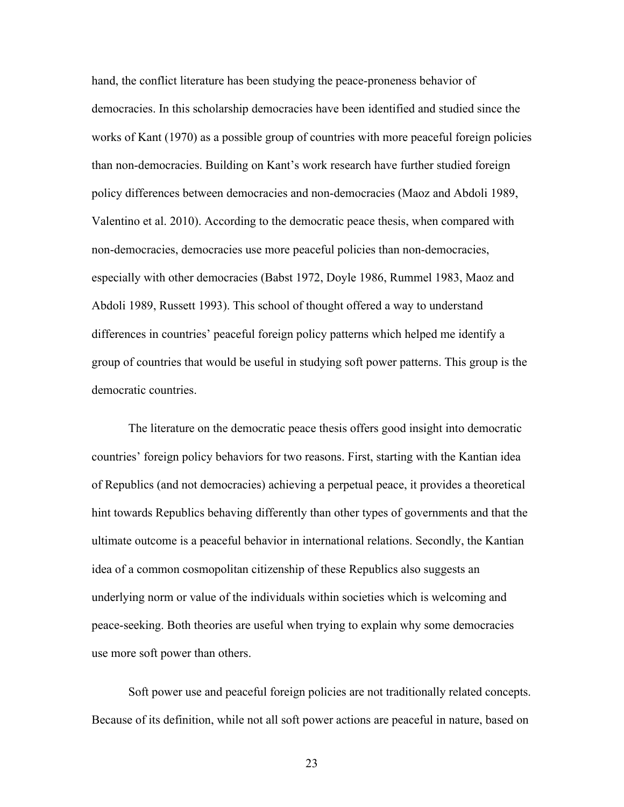hand, the conflict literature has been studying the peace-proneness behavior of democracies. In this scholarship democracies have been identified and studied since the works of Kant (1970) as a possible group of countries with more peaceful foreign policies than non-democracies. Building on Kant's work research have further studied foreign policy differences between democracies and non-democracies (Maoz and Abdoli 1989, Valentino et al. 2010). According to the democratic peace thesis, when compared with non-democracies, democracies use more peaceful policies than non-democracies, especially with other democracies (Babst 1972, Doyle 1986, Rummel 1983, Maoz and Abdoli 1989, Russett 1993). This school of thought offered a way to understand differences in countries' peaceful foreign policy patterns which helped me identify a group of countries that would be useful in studying soft power patterns. This group is the democratic countries.

The literature on the democratic peace thesis offers good insight into democratic countries' foreign policy behaviors for two reasons. First, starting with the Kantian idea of Republics (and not democracies) achieving a perpetual peace, it provides a theoretical hint towards Republics behaving differently than other types of governments and that the ultimate outcome is a peaceful behavior in international relations. Secondly, the Kantian idea of a common cosmopolitan citizenship of these Republics also suggests an underlying norm or value of the individuals within societies which is welcoming and peace-seeking. Both theories are useful when trying to explain why some democracies use more soft power than others.

Soft power use and peaceful foreign policies are not traditionally related concepts. Because of its definition, while not all soft power actions are peaceful in nature, based on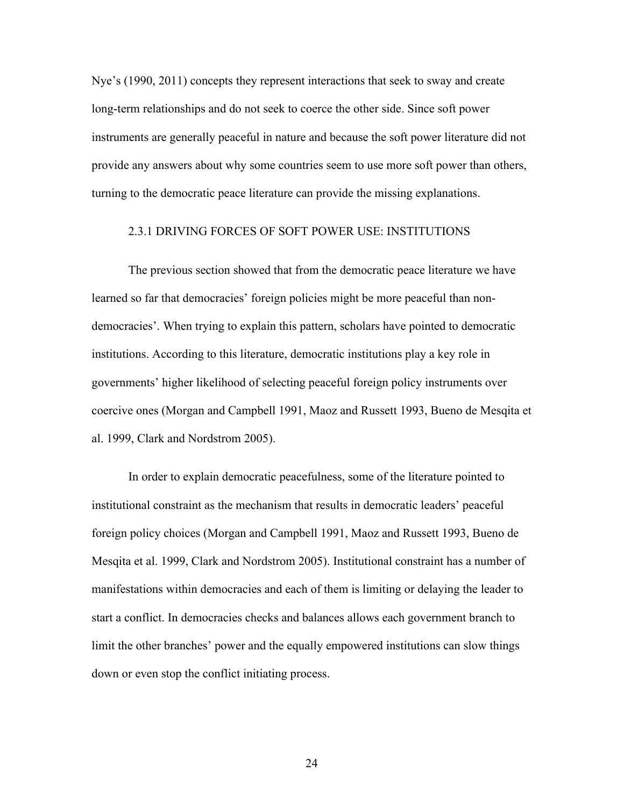Nye's (1990, 2011) concepts they represent interactions that seek to sway and create long-term relationships and do not seek to coerce the other side. Since soft power instruments are generally peaceful in nature and because the soft power literature did not provide any answers about why some countries seem to use more soft power than others, turning to the democratic peace literature can provide the missing explanations.

#### 2.3.1 DRIVING FORCES OF SOFT POWER USE: INSTITUTIONS

The previous section showed that from the democratic peace literature we have learned so far that democracies' foreign policies might be more peaceful than nondemocracies'. When trying to explain this pattern, scholars have pointed to democratic institutions. According to this literature, democratic institutions play a key role in governments' higher likelihood of selecting peaceful foreign policy instruments over coercive ones (Morgan and Campbell 1991, Maoz and Russett 1993, Bueno de Mesqita et al. 1999, Clark and Nordstrom 2005).

In order to explain democratic peacefulness, some of the literature pointed to institutional constraint as the mechanism that results in democratic leaders' peaceful foreign policy choices (Morgan and Campbell 1991, Maoz and Russett 1993, Bueno de Mesqita et al. 1999, Clark and Nordstrom 2005). Institutional constraint has a number of manifestations within democracies and each of them is limiting or delaying the leader to start a conflict. In democracies checks and balances allows each government branch to limit the other branches' power and the equally empowered institutions can slow things down or even stop the conflict initiating process.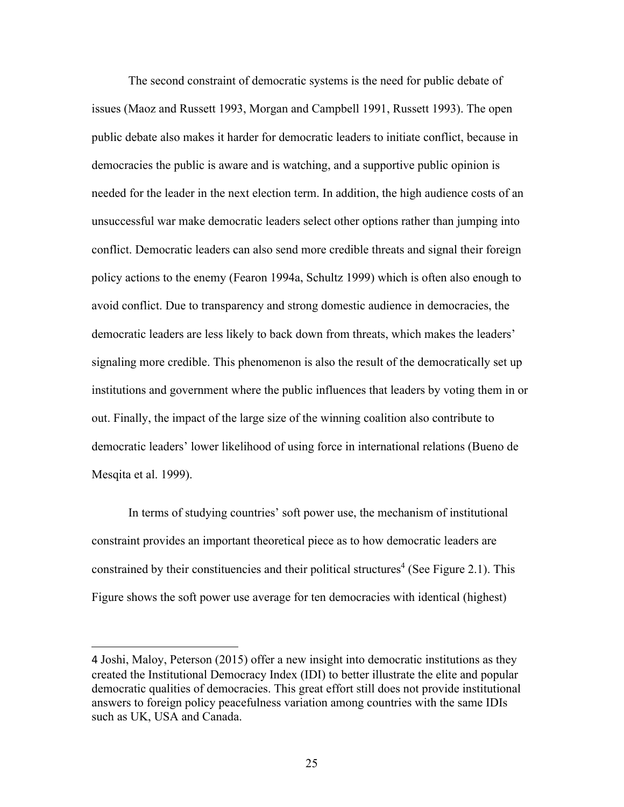The second constraint of democratic systems is the need for public debate of issues (Maoz and Russett 1993, Morgan and Campbell 1991, Russett 1993). The open public debate also makes it harder for democratic leaders to initiate conflict, because in democracies the public is aware and is watching, and a supportive public opinion is needed for the leader in the next election term. In addition, the high audience costs of an unsuccessful war make democratic leaders select other options rather than jumping into conflict. Democratic leaders can also send more credible threats and signal their foreign policy actions to the enemy (Fearon 1994a, Schultz 1999) which is often also enough to avoid conflict. Due to transparency and strong domestic audience in democracies, the democratic leaders are less likely to back down from threats, which makes the leaders' signaling more credible. This phenomenon is also the result of the democratically set up institutions and government where the public influences that leaders by voting them in or out. Finally, the impact of the large size of the winning coalition also contribute to democratic leaders' lower likelihood of using force in international relations (Bueno de Mesqita et al. 1999).

In terms of studying countries' soft power use, the mechanism of institutional constraint provides an important theoretical piece as to how democratic leaders are constrained by their constituencies and their political structures<sup>4</sup> (See Figure 2.1). This Figure shows the soft power use average for ten democracies with identical (highest)

<sup>4</sup> Joshi, Maloy, Peterson (2015) offer a new insight into democratic institutions as they created the Institutional Democracy Index (IDI) to better illustrate the elite and popular democratic qualities of democracies. This great effort still does not provide institutional answers to foreign policy peacefulness variation among countries with the same IDIs such as UK, USA and Canada.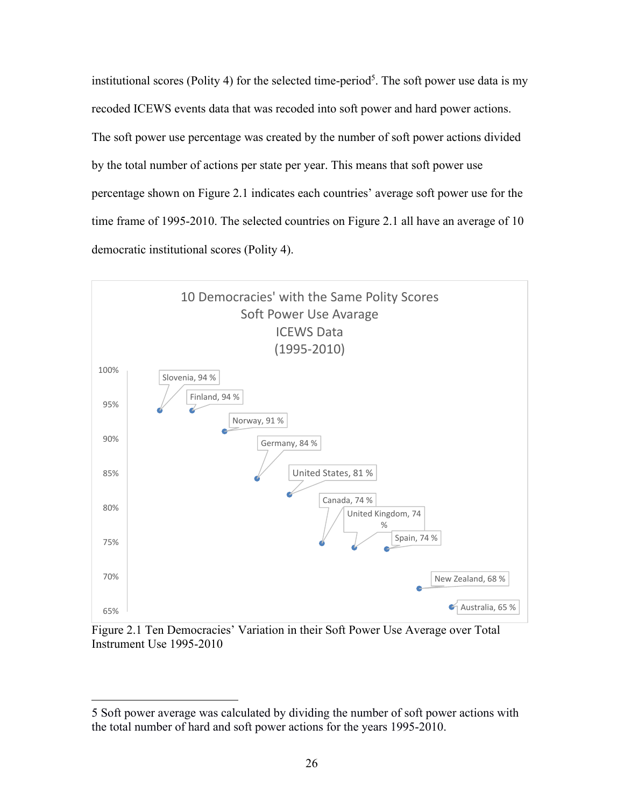institutional scores (Polity 4) for the selected time-period<sup>5</sup>. The soft power use data is my recoded ICEWS events data that was recoded into soft power and hard power actions. The soft power use percentage was created by the number of soft power actions divided by the total number of actions per state per year. This means that soft power use percentage shown on Figure 2.1 indicates each countries' average soft power use for the time frame of 1995-2010. The selected countries on Figure 2.1 all have an average of 10 democratic institutional scores (Polity 4).



Figure 2.1 Ten Democracies' Variation in their Soft Power Use Average over Total Instrument Use 1995-2010

<sup>5</sup> Soft power average was calculated by dividing the number of soft power actions with the total number of hard and soft power actions for the years 1995-2010.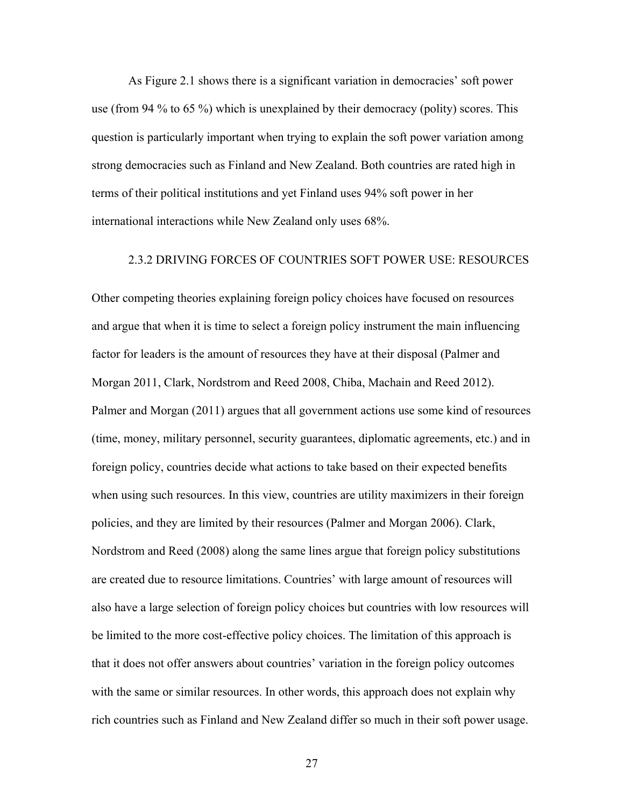As Figure 2.1 shows there is a significant variation in democracies' soft power use (from 94 % to 65 %) which is unexplained by their democracy (polity) scores. This question is particularly important when trying to explain the soft power variation among strong democracies such as Finland and New Zealand. Both countries are rated high in terms of their political institutions and yet Finland uses 94% soft power in her international interactions while New Zealand only uses 68%.

# 2.3.2 DRIVING FORCES OF COUNTRIES SOFT POWER USE: RESOURCES

Other competing theories explaining foreign policy choices have focused on resources and argue that when it is time to select a foreign policy instrument the main influencing factor for leaders is the amount of resources they have at their disposal (Palmer and Morgan 2011, Clark, Nordstrom and Reed 2008, Chiba, Machain and Reed 2012). Palmer and Morgan (2011) argues that all government actions use some kind of resources (time, money, military personnel, security guarantees, diplomatic agreements, etc.) and in foreign policy, countries decide what actions to take based on their expected benefits when using such resources. In this view, countries are utility maximizers in their foreign policies, and they are limited by their resources (Palmer and Morgan 2006). Clark, Nordstrom and Reed (2008) along the same lines argue that foreign policy substitutions are created due to resource limitations. Countries' with large amount of resources will also have a large selection of foreign policy choices but countries with low resources will be limited to the more cost-effective policy choices. The limitation of this approach is that it does not offer answers about countries' variation in the foreign policy outcomes with the same or similar resources. In other words, this approach does not explain why rich countries such as Finland and New Zealand differ so much in their soft power usage.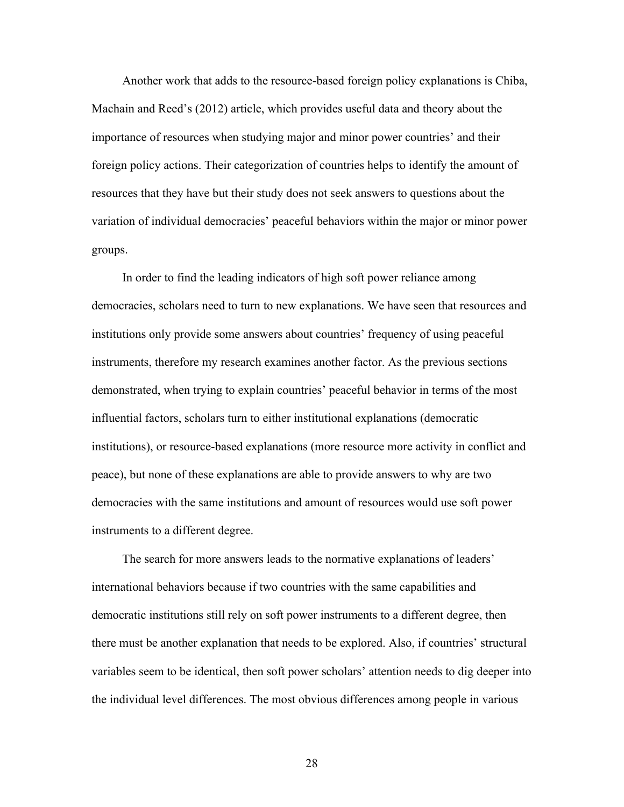Another work that adds to the resource-based foreign policy explanations is Chiba, Machain and Reed's (2012) article, which provides useful data and theory about the importance of resources when studying major and minor power countries' and their foreign policy actions. Their categorization of countries helps to identify the amount of resources that they have but their study does not seek answers to questions about the variation of individual democracies' peaceful behaviors within the major or minor power groups.

 In order to find the leading indicators of high soft power reliance among democracies, scholars need to turn to new explanations. We have seen that resources and institutions only provide some answers about countries' frequency of using peaceful instruments, therefore my research examines another factor. As the previous sections demonstrated, when trying to explain countries' peaceful behavior in terms of the most influential factors, scholars turn to either institutional explanations (democratic institutions), or resource-based explanations (more resource more activity in conflict and peace), but none of these explanations are able to provide answers to why are two democracies with the same institutions and amount of resources would use soft power instruments to a different degree.

 The search for more answers leads to the normative explanations of leaders' international behaviors because if two countries with the same capabilities and democratic institutions still rely on soft power instruments to a different degree, then there must be another explanation that needs to be explored. Also, if countries' structural variables seem to be identical, then soft power scholars' attention needs to dig deeper into the individual level differences. The most obvious differences among people in various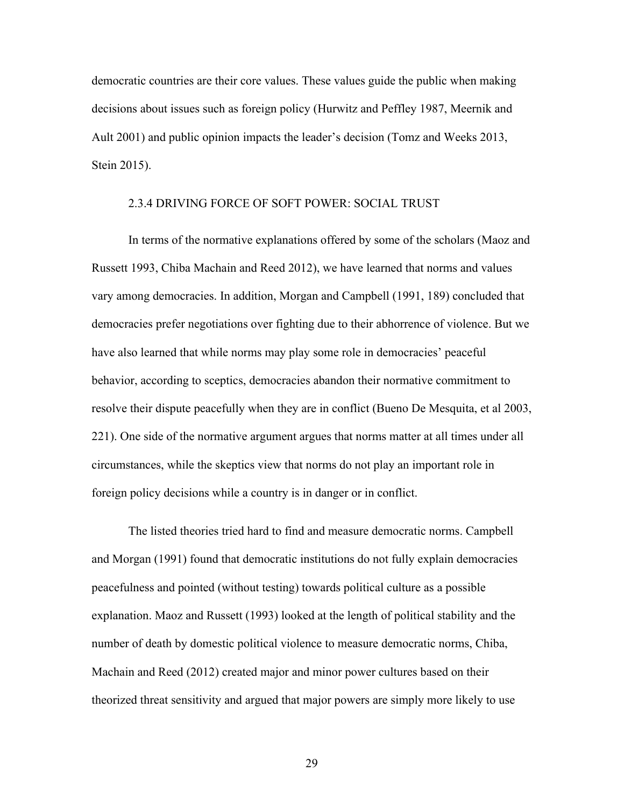democratic countries are their core values. These values guide the public when making decisions about issues such as foreign policy (Hurwitz and Peffley 1987, Meernik and Ault 2001) and public opinion impacts the leader's decision (Tomz and Weeks 2013, Stein 2015).

#### 2.3.4 DRIVING FORCE OF SOFT POWER: SOCIAL TRUST

In terms of the normative explanations offered by some of the scholars (Maoz and Russett 1993, Chiba Machain and Reed 2012), we have learned that norms and values vary among democracies. In addition, Morgan and Campbell (1991, 189) concluded that democracies prefer negotiations over fighting due to their abhorrence of violence. But we have also learned that while norms may play some role in democracies' peaceful behavior, according to sceptics, democracies abandon their normative commitment to resolve their dispute peacefully when they are in conflict (Bueno De Mesquita, et al 2003, 221). One side of the normative argument argues that norms matter at all times under all circumstances, while the skeptics view that norms do not play an important role in foreign policy decisions while a country is in danger or in conflict.

The listed theories tried hard to find and measure democratic norms. Campbell and Morgan (1991) found that democratic institutions do not fully explain democracies peacefulness and pointed (without testing) towards political culture as a possible explanation. Maoz and Russett (1993) looked at the length of political stability and the number of death by domestic political violence to measure democratic norms, Chiba, Machain and Reed (2012) created major and minor power cultures based on their theorized threat sensitivity and argued that major powers are simply more likely to use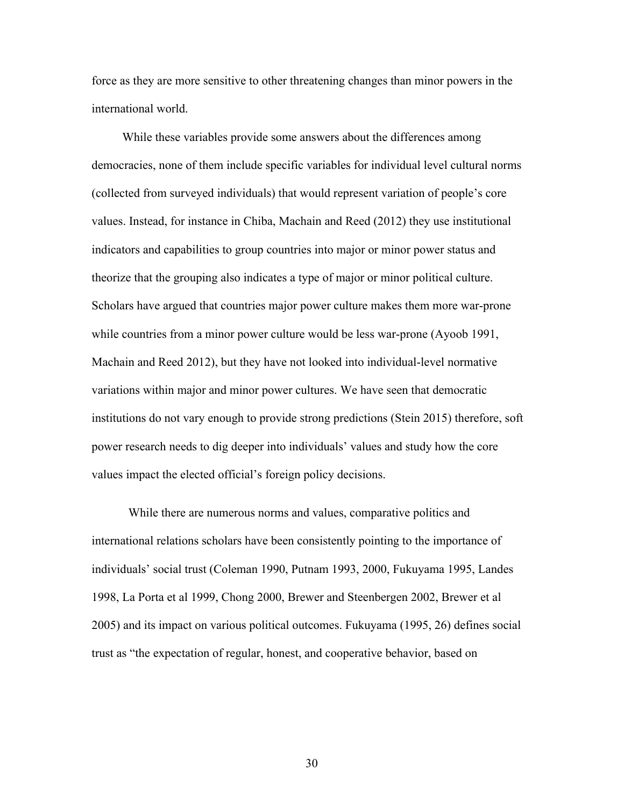force as they are more sensitive to other threatening changes than minor powers in the international world.

 While these variables provide some answers about the differences among democracies, none of them include specific variables for individual level cultural norms (collected from surveyed individuals) that would represent variation of people's core values. Instead, for instance in Chiba, Machain and Reed (2012) they use institutional indicators and capabilities to group countries into major or minor power status and theorize that the grouping also indicates a type of major or minor political culture. Scholars have argued that countries major power culture makes them more war-prone while countries from a minor power culture would be less war-prone (Ayoob 1991, Machain and Reed 2012), but they have not looked into individual-level normative variations within major and minor power cultures. We have seen that democratic institutions do not vary enough to provide strong predictions (Stein 2015) therefore, soft power research needs to dig deeper into individuals' values and study how the core values impact the elected official's foreign policy decisions.

While there are numerous norms and values, comparative politics and international relations scholars have been consistently pointing to the importance of individuals' social trust (Coleman 1990, Putnam 1993, 2000, Fukuyama 1995, Landes 1998, La Porta et al 1999, Chong 2000, Brewer and Steenbergen 2002, Brewer et al 2005) and its impact on various political outcomes. Fukuyama (1995, 26) defines social trust as "the expectation of regular, honest, and cooperative behavior, based on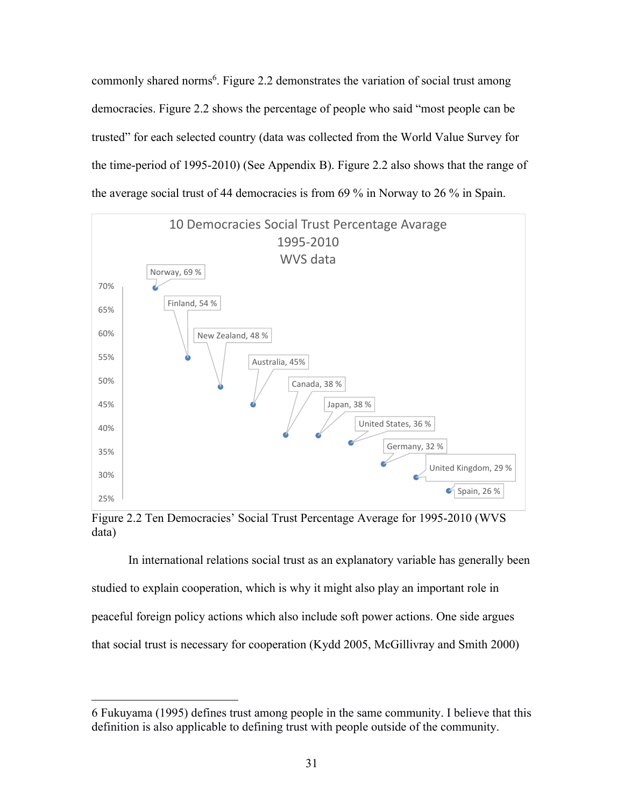commonly shared norms<sup>6</sup>. Figure 2.2 demonstrates the variation of social trust among democracies. Figure 2.2 shows the percentage of people who said "most people can be trusted" for each selected country (data was collected from the World Value Survey for the time-period of 1995-2010) (See Appendix B). Figure 2.2 also shows that the range of the average social trust of 44 democracies is from 69 % in Norway to 26 % in Spain.



Figure 2.2 Ten Democracies' Social Trust Percentage Average for 1995-2010 (WVS data)

In international relations social trust as an explanatory variable has generally been studied to explain cooperation, which is why it might also play an important role in peaceful foreign policy actions which also include soft power actions. One side argues that social trust is necessary for cooperation (Kydd 2005, McGillivray and Smith 2000)

<sup>6</sup> Fukuyama (1995) defines trust among people in the same community. I believe that this definition is also applicable to defining trust with people outside of the community.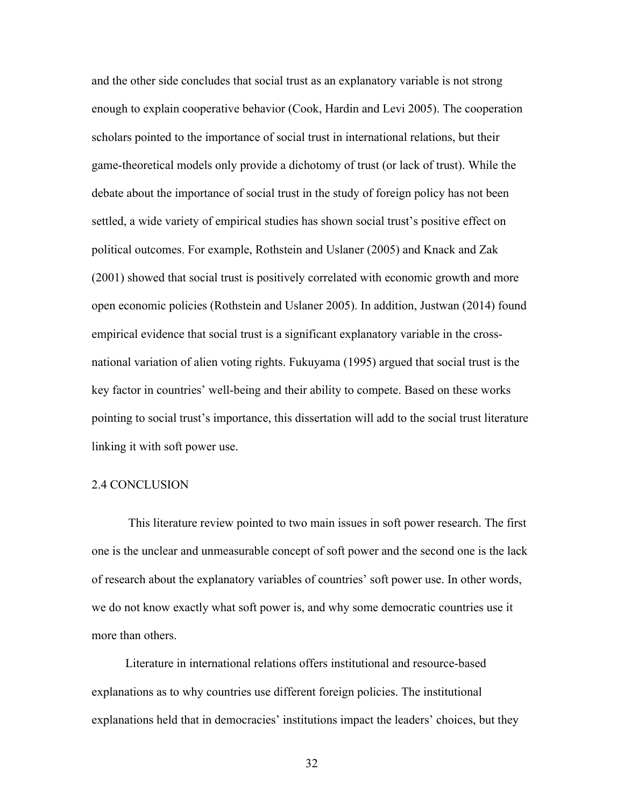and the other side concludes that social trust as an explanatory variable is not strong enough to explain cooperative behavior (Cook, Hardin and Levi 2005). The cooperation scholars pointed to the importance of social trust in international relations, but their game-theoretical models only provide a dichotomy of trust (or lack of trust). While the debate about the importance of social trust in the study of foreign policy has not been settled, a wide variety of empirical studies has shown social trust's positive effect on political outcomes. For example, Rothstein and Uslaner (2005) and Knack and Zak (2001) showed that social trust is positively correlated with economic growth and more open economic policies (Rothstein and Uslaner 2005). In addition, Justwan (2014) found empirical evidence that social trust is a significant explanatory variable in the crossnational variation of alien voting rights. Fukuyama (1995) argued that social trust is the key factor in countries' well-being and their ability to compete. Based on these works pointing to social trust's importance, this dissertation will add to the social trust literature linking it with soft power use.

### 2.4 CONCLUSION

This literature review pointed to two main issues in soft power research. The first one is the unclear and unmeasurable concept of soft power and the second one is the lack of research about the explanatory variables of countries' soft power use. In other words, we do not know exactly what soft power is, and why some democratic countries use it more than others.

 Literature in international relations offers institutional and resource-based explanations as to why countries use different foreign policies. The institutional explanations held that in democracies' institutions impact the leaders' choices, but they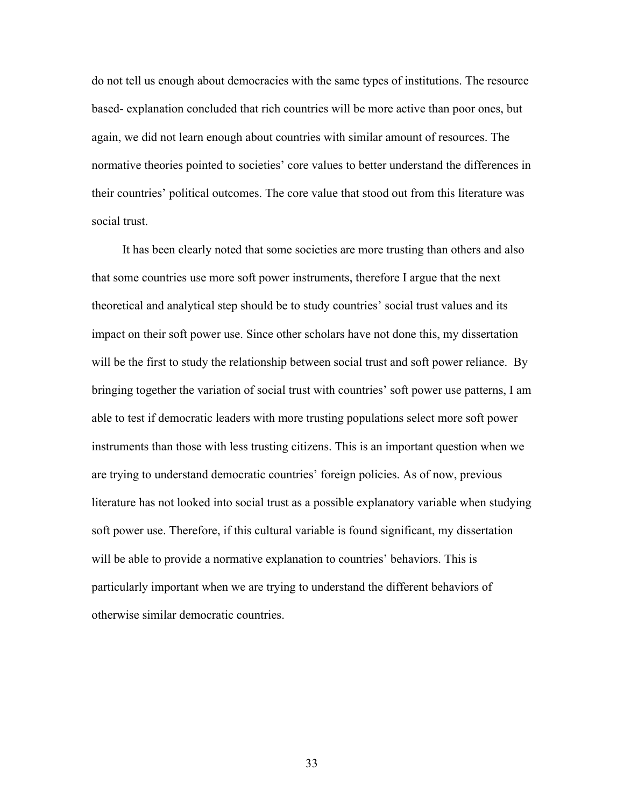do not tell us enough about democracies with the same types of institutions. The resource based- explanation concluded that rich countries will be more active than poor ones, but again, we did not learn enough about countries with similar amount of resources. The normative theories pointed to societies' core values to better understand the differences in their countries' political outcomes. The core value that stood out from this literature was social trust.

 It has been clearly noted that some societies are more trusting than others and also that some countries use more soft power instruments, therefore I argue that the next theoretical and analytical step should be to study countries' social trust values and its impact on their soft power use. Since other scholars have not done this, my dissertation will be the first to study the relationship between social trust and soft power reliance. By bringing together the variation of social trust with countries' soft power use patterns, I am able to test if democratic leaders with more trusting populations select more soft power instruments than those with less trusting citizens. This is an important question when we are trying to understand democratic countries' foreign policies. As of now, previous literature has not looked into social trust as a possible explanatory variable when studying soft power use. Therefore, if this cultural variable is found significant, my dissertation will be able to provide a normative explanation to countries' behaviors. This is particularly important when we are trying to understand the different behaviors of otherwise similar democratic countries.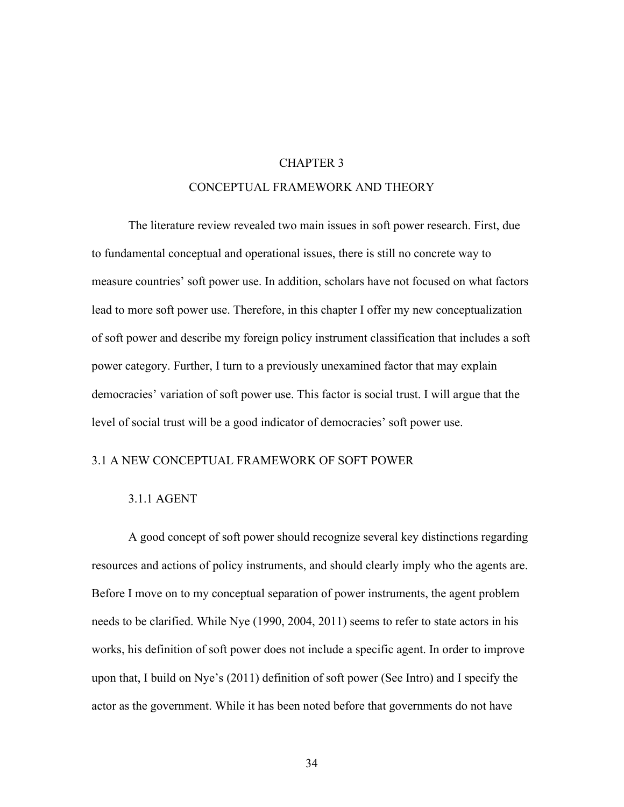# CHAPTER 3

# CONCEPTUAL FRAMEWORK AND THEORY

The literature review revealed two main issues in soft power research. First, due to fundamental conceptual and operational issues, there is still no concrete way to measure countries' soft power use. In addition, scholars have not focused on what factors lead to more soft power use. Therefore, in this chapter I offer my new conceptualization of soft power and describe my foreign policy instrument classification that includes a soft power category. Further, I turn to a previously unexamined factor that may explain democracies' variation of soft power use. This factor is social trust. I will argue that the level of social trust will be a good indicator of democracies' soft power use.

# 3.1 A NEW CONCEPTUAL FRAMEWORK OF SOFT POWER

### 3.1.1 AGENT

A good concept of soft power should recognize several key distinctions regarding resources and actions of policy instruments, and should clearly imply who the agents are. Before I move on to my conceptual separation of power instruments, the agent problem needs to be clarified. While Nye (1990, 2004, 2011) seems to refer to state actors in his works, his definition of soft power does not include a specific agent. In order to improve upon that, I build on Nye's (2011) definition of soft power (See Intro) and I specify the actor as the government. While it has been noted before that governments do not have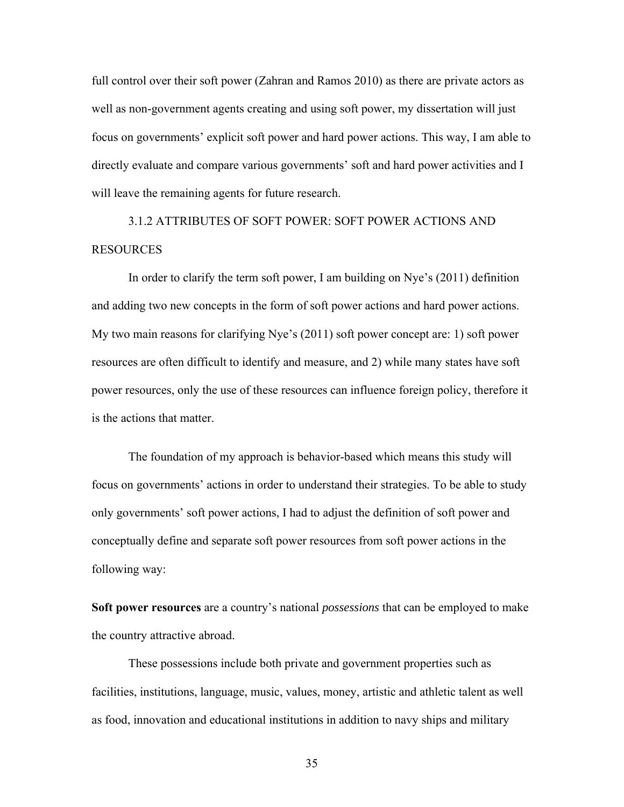full control over their soft power (Zahran and Ramos 2010) as there are private actors as well as non-government agents creating and using soft power, my dissertation will just focus on governments' explicit soft power and hard power actions. This way, I am able to directly evaluate and compare various governments' soft and hard power activities and I will leave the remaining agents for future research.

3.1.2 ATTRIBUTES OF SOFT POWER: SOFT POWER ACTIONS AND **RESOURCES** 

In order to clarify the term soft power, I am building on Nye's (2011) definition and adding two new concepts in the form of soft power actions and hard power actions. My two main reasons for clarifying Nye's (2011) soft power concept are: 1) soft power resources are often difficult to identify and measure, and 2) while many states have soft power resources, only the use of these resources can influence foreign policy, therefore it is the actions that matter.

The foundation of my approach is behavior-based which means this study will focus on governments' actions in order to understand their strategies. To be able to study only governments' soft power actions, I had to adjust the definition of soft power and conceptually define and separate soft power resources from soft power actions in the following way:

**Soft power resources** are a country's national *possessions* that can be employed to make the country attractive abroad.

These possessions include both private and government properties such as facilities, institutions, language, music, values, money, artistic and athletic talent as well as food, innovation and educational institutions in addition to navy ships and military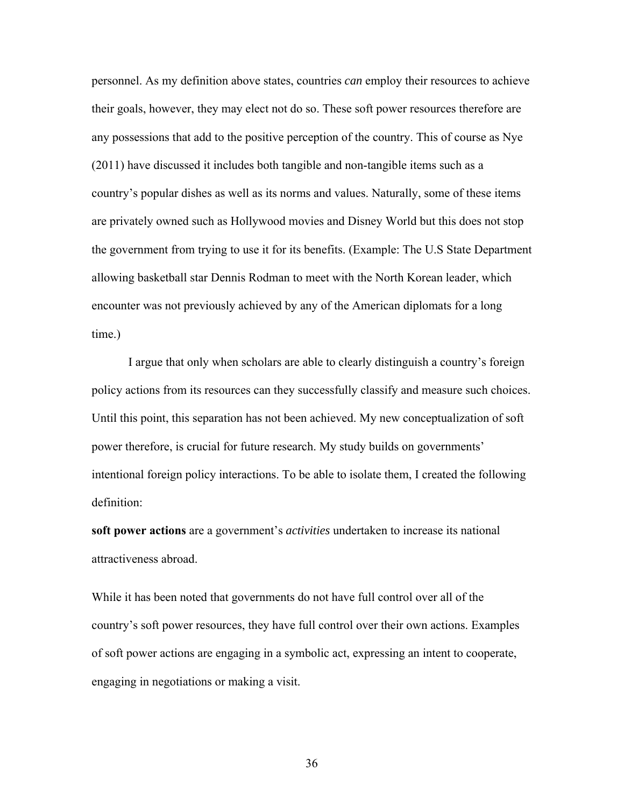personnel. As my definition above states, countries *can* employ their resources to achieve their goals, however, they may elect not do so. These soft power resources therefore are any possessions that add to the positive perception of the country. This of course as Nye (2011) have discussed it includes both tangible and non-tangible items such as a country's popular dishes as well as its norms and values. Naturally, some of these items are privately owned such as Hollywood movies and Disney World but this does not stop the government from trying to use it for its benefits. (Example: The U.S State Department allowing basketball star Dennis Rodman to meet with the North Korean leader, which encounter was not previously achieved by any of the American diplomats for a long time.)

I argue that only when scholars are able to clearly distinguish a country's foreign policy actions from its resources can they successfully classify and measure such choices. Until this point, this separation has not been achieved. My new conceptualization of soft power therefore, is crucial for future research. My study builds on governments' intentional foreign policy interactions. To be able to isolate them, I created the following definition:

**soft power actions** are a government's *activities* undertaken to increase its national attractiveness abroad.

While it has been noted that governments do not have full control over all of the country's soft power resources, they have full control over their own actions. Examples of soft power actions are engaging in a symbolic act, expressing an intent to cooperate, engaging in negotiations or making a visit.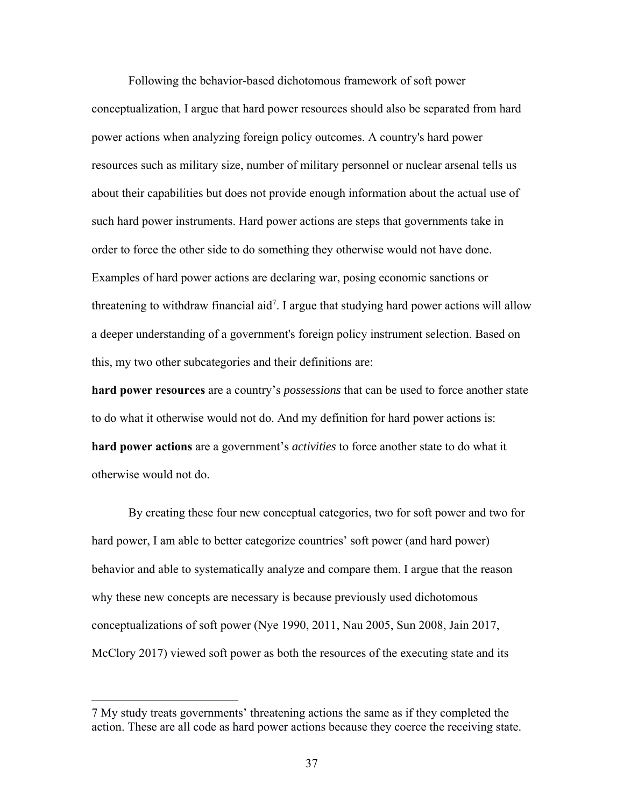Following the behavior-based dichotomous framework of soft power conceptualization, I argue that hard power resources should also be separated from hard power actions when analyzing foreign policy outcomes. A country's hard power resources such as military size, number of military personnel or nuclear arsenal tells us about their capabilities but does not provide enough information about the actual use of such hard power instruments. Hard power actions are steps that governments take in order to force the other side to do something they otherwise would not have done. Examples of hard power actions are declaring war, posing economic sanctions or threatening to withdraw financial aid<sup>7</sup>. I argue that studying hard power actions will allow a deeper understanding of a government's foreign policy instrument selection. Based on this, my two other subcategories and their definitions are:

**hard power resources** are a country's *possessions* that can be used to force another state to do what it otherwise would not do. And my definition for hard power actions is: **hard power actions** are a government's *activities* to force another state to do what it otherwise would not do.

By creating these four new conceptual categories, two for soft power and two for hard power, I am able to better categorize countries' soft power (and hard power) behavior and able to systematically analyze and compare them. I argue that the reason why these new concepts are necessary is because previously used dichotomous conceptualizations of soft power (Nye 1990, 2011, Nau 2005, Sun 2008, Jain 2017, McClory 2017) viewed soft power as both the resources of the executing state and its

<sup>7</sup> My study treats governments' threatening actions the same as if they completed the action. These are all code as hard power actions because they coerce the receiving state.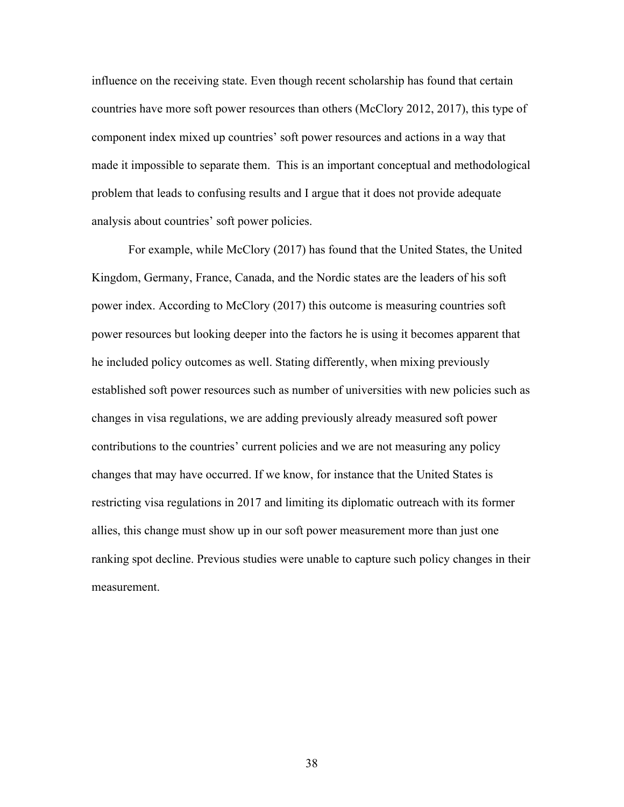influence on the receiving state. Even though recent scholarship has found that certain countries have more soft power resources than others (McClory 2012, 2017), this type of component index mixed up countries' soft power resources and actions in a way that made it impossible to separate them. This is an important conceptual and methodological problem that leads to confusing results and I argue that it does not provide adequate analysis about countries' soft power policies.

For example, while McClory (2017) has found that the United States, the United Kingdom, Germany, France, Canada, and the Nordic states are the leaders of his soft power index. According to McClory (2017) this outcome is measuring countries soft power resources but looking deeper into the factors he is using it becomes apparent that he included policy outcomes as well. Stating differently, when mixing previously established soft power resources such as number of universities with new policies such as changes in visa regulations, we are adding previously already measured soft power contributions to the countries' current policies and we are not measuring any policy changes that may have occurred. If we know, for instance that the United States is restricting visa regulations in 2017 and limiting its diplomatic outreach with its former allies, this change must show up in our soft power measurement more than just one ranking spot decline. Previous studies were unable to capture such policy changes in their measurement.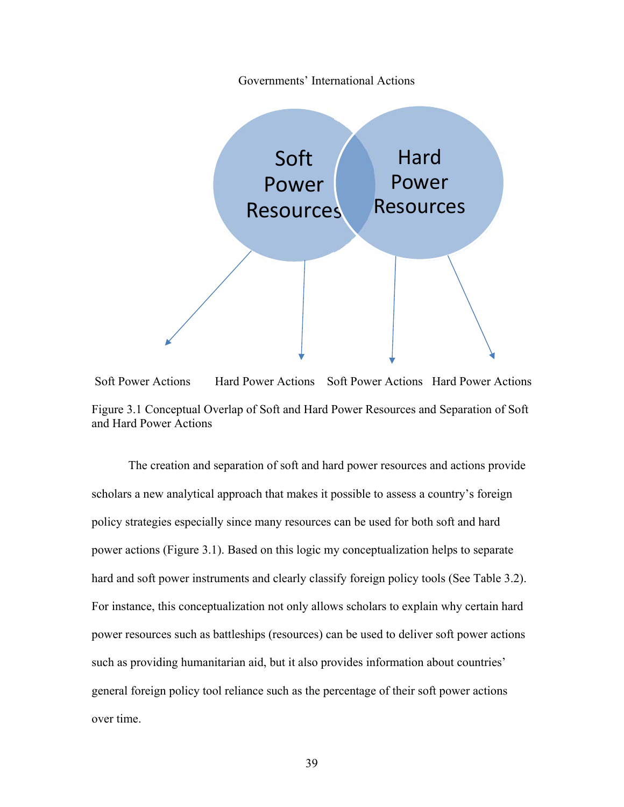Governments' International Actions



Soft Power Actions Hard Power Actions Soft Power Actions Hard Power Actions Figure 3.1 Conceptual Overlap of Soft and Hard Power Resources and Separation of Soft and Hard Power Actions

The creation and separation of soft and hard power resources and actions provide scholars a new analytical approach that makes it possible to assess a country's foreign policy strategies especially since many resources can be used for both soft and hard power actions (Figure 3.1). Based on this logic my conceptualization helps to separate hard and soft power instruments and clearly classify foreign policy tools (See Table 3.2). For instance, this conceptualization not only allows scholars to explain why certain hard power resources such as battleships (resources) can be used to deliver soft power actions such as providing humanitarian aid, but it also provides information about countries' general foreign policy tool reliance such as the percentage of their soft power actions over time.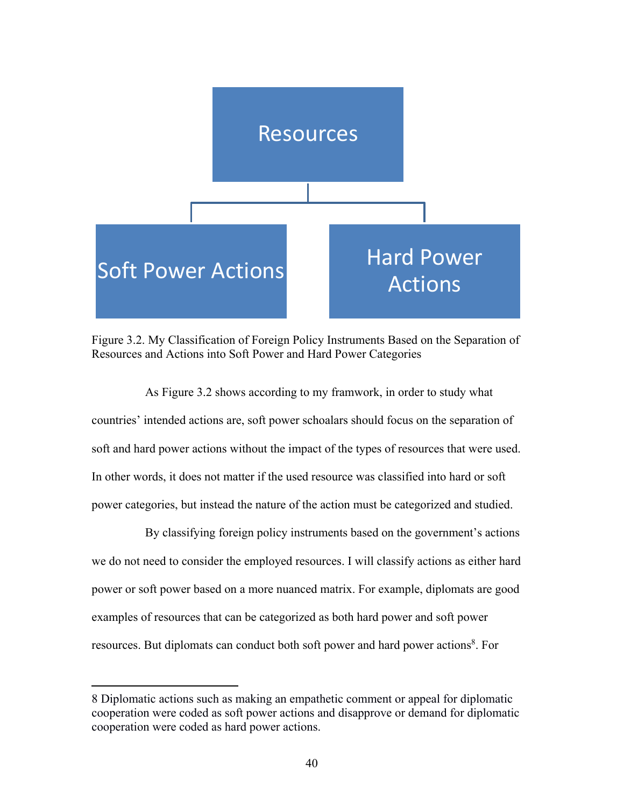

Figure 3.2. My Classification of Foreign Policy Instruments Based on the Separation of Resources and Actions into Soft Power and Hard Power Categories

 As Figure 3.2 shows according to my framwork, in order to study what countries' intended actions are, soft power schoalars should focus on the separation of soft and hard power actions without the impact of the types of resources that were used. In other words, it does not matter if the used resource was classified into hard or soft power categories, but instead the nature of the action must be categorized and studied.

 By classifying foreign policy instruments based on the government's actions we do not need to consider the employed resources. I will classify actions as either hard power or soft power based on a more nuanced matrix. For example, diplomats are good examples of resources that can be categorized as both hard power and soft power resources. But diplomats can conduct both soft power and hard power actions<sup>8</sup>. For

<sup>8</sup> Diplomatic actions such as making an empathetic comment or appeal for diplomatic cooperation were coded as soft power actions and disapprove or demand for diplomatic cooperation were coded as hard power actions.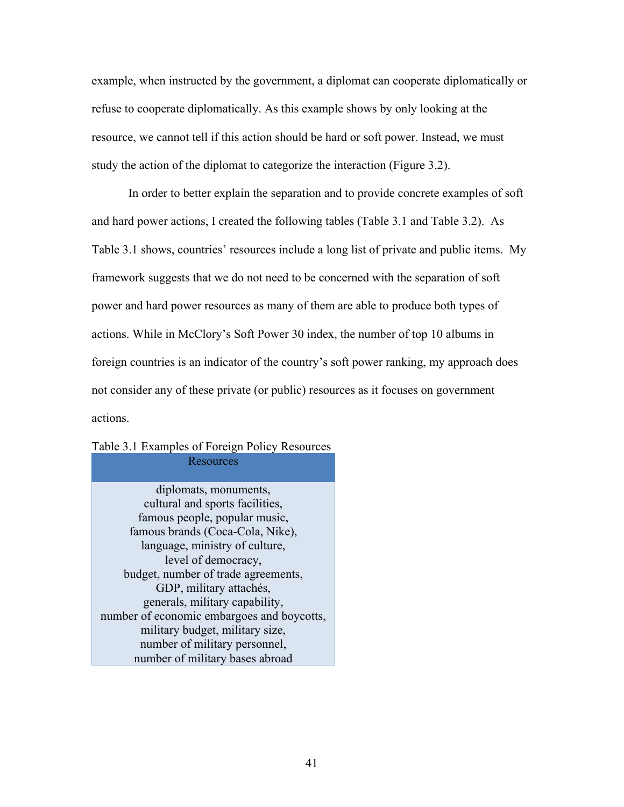example, when instructed by the government, a diplomat can cooperate diplomatically or refuse to cooperate diplomatically. As this example shows by only looking at the resource, we cannot tell if this action should be hard or soft power. Instead, we must study the action of the diplomat to categorize the interaction (Figure 3.2).

In order to better explain the separation and to provide concrete examples of soft and hard power actions, I created the following tables (Table 3.1 and Table 3.2). As Table 3.1 shows, countries' resources include a long list of private and public items. My framework suggests that we do not need to be concerned with the separation of soft power and hard power resources as many of them are able to produce both types of actions. While in McClory's Soft Power 30 index, the number of top 10 albums in foreign countries is an indicator of the country's soft power ranking, my approach does not consider any of these private (or public) resources as it focuses on government actions.

# Table 3.1 Examples of Foreign Policy Resources

Resources

diplomats, monuments, cultural and sports facilities, famous people, popular music, famous brands (Coca-Cola, Nike), language, ministry of culture, level of democracy, budget, number of trade agreements, GDP, military attachés, generals, military capability, number of economic embargoes and boycotts, military budget, military size, number of military personnel, number of military bases abroad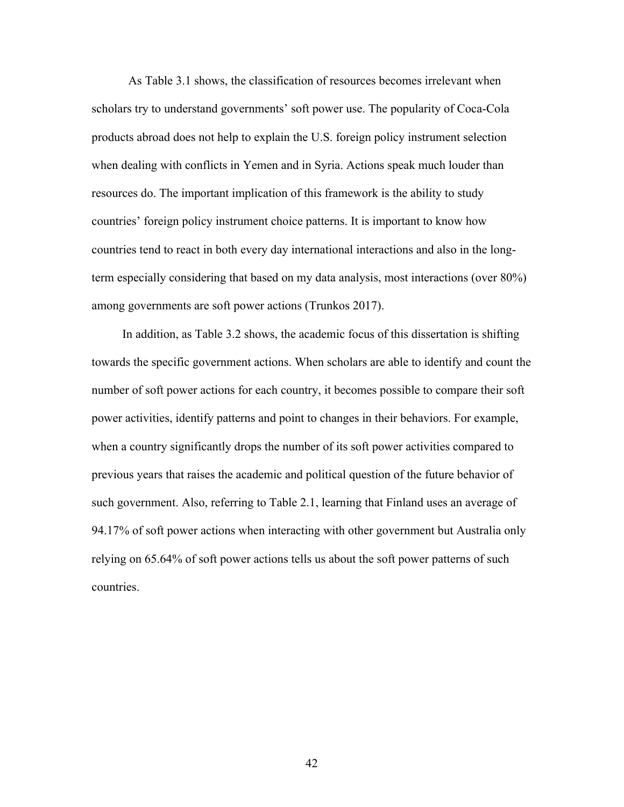As Table 3.1 shows, the classification of resources becomes irrelevant when scholars try to understand governments' soft power use. The popularity of Coca-Cola products abroad does not help to explain the U.S. foreign policy instrument selection when dealing with conflicts in Yemen and in Syria. Actions speak much louder than resources do. The important implication of this framework is the ability to study countries' foreign policy instrument choice patterns. It is important to know how countries tend to react in both every day international interactions and also in the longterm especially considering that based on my data analysis, most interactions (over 80%) among governments are soft power actions (Trunkos 2017).

 In addition, as Table 3.2 shows, the academic focus of this dissertation is shifting towards the specific government actions. When scholars are able to identify and count the number of soft power actions for each country, it becomes possible to compare their soft power activities, identify patterns and point to changes in their behaviors. For example, when a country significantly drops the number of its soft power activities compared to previous years that raises the academic and political question of the future behavior of such government. Also, referring to Table 2.1, learning that Finland uses an average of 94.17% of soft power actions when interacting with other government but Australia only relying on 65.64% of soft power actions tells us about the soft power patterns of such countries.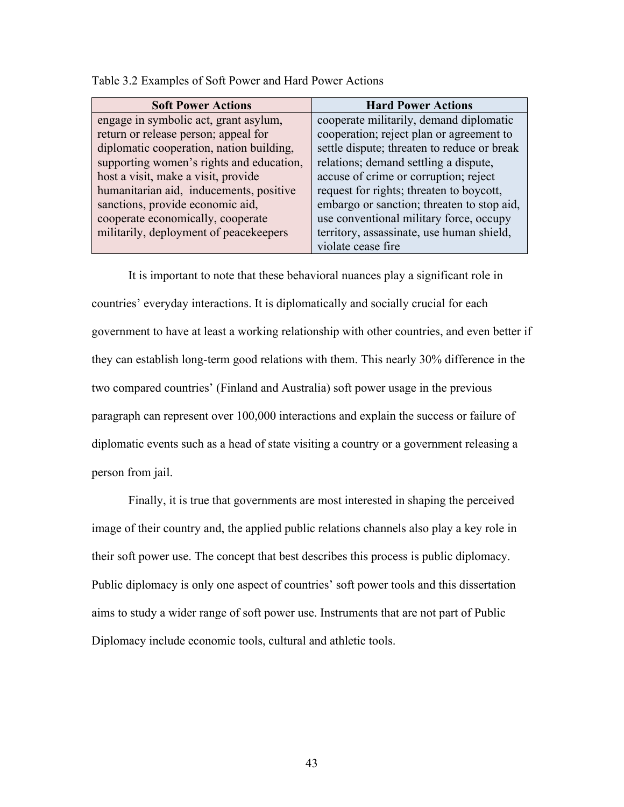| <b>Soft Power Actions</b>                | <b>Hard Power Actions</b>                   |  |
|------------------------------------------|---------------------------------------------|--|
| engage in symbolic act, grant asylum,    | cooperate militarily, demand diplomatic     |  |
| return or release person; appeal for     | cooperation; reject plan or agreement to    |  |
| diplomatic cooperation, nation building, | settle dispute; threaten to reduce or break |  |
| supporting women's rights and education, | relations; demand settling a dispute,       |  |
| host a visit, make a visit, provide      | accuse of crime or corruption; reject       |  |
| humanitarian aid, inducements, positive  | request for rights; threaten to boycott,    |  |
| sanctions, provide economic aid,         | embargo or sanction; threaten to stop aid,  |  |
| cooperate economically, cooperate        | use conventional military force, occupy     |  |
| militarily, deployment of peacekeepers   | territory, assassinate, use human shield,   |  |
|                                          | violate cease fire                          |  |

Table 3.2 Examples of Soft Power and Hard Power Actions

It is important to note that these behavioral nuances play a significant role in countries' everyday interactions. It is diplomatically and socially crucial for each government to have at least a working relationship with other countries, and even better if they can establish long-term good relations with them. This nearly 30% difference in the two compared countries' (Finland and Australia) soft power usage in the previous paragraph can represent over 100,000 interactions and explain the success or failure of diplomatic events such as a head of state visiting a country or a government releasing a person from jail.

Finally, it is true that governments are most interested in shaping the perceived image of their country and, the applied public relations channels also play a key role in their soft power use. The concept that best describes this process is public diplomacy. Public diplomacy is only one aspect of countries' soft power tools and this dissertation aims to study a wider range of soft power use. Instruments that are not part of Public Diplomacy include economic tools, cultural and athletic tools.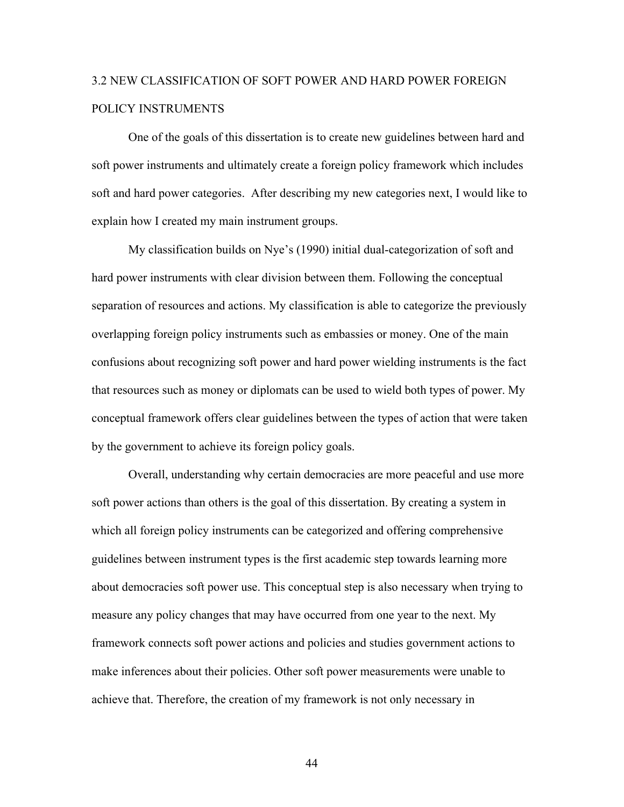# 3.2 NEW CLASSIFICATION OF SOFT POWER AND HARD POWER FOREIGN POLICY INSTRUMENTS

One of the goals of this dissertation is to create new guidelines between hard and soft power instruments and ultimately create a foreign policy framework which includes soft and hard power categories. After describing my new categories next, I would like to explain how I created my main instrument groups.

My classification builds on Nye's (1990) initial dual-categorization of soft and hard power instruments with clear division between them. Following the conceptual separation of resources and actions. My classification is able to categorize the previously overlapping foreign policy instruments such as embassies or money. One of the main confusions about recognizing soft power and hard power wielding instruments is the fact that resources such as money or diplomats can be used to wield both types of power. My conceptual framework offers clear guidelines between the types of action that were taken by the government to achieve its foreign policy goals.

Overall, understanding why certain democracies are more peaceful and use more soft power actions than others is the goal of this dissertation. By creating a system in which all foreign policy instruments can be categorized and offering comprehensive guidelines between instrument types is the first academic step towards learning more about democracies soft power use. This conceptual step is also necessary when trying to measure any policy changes that may have occurred from one year to the next. My framework connects soft power actions and policies and studies government actions to make inferences about their policies. Other soft power measurements were unable to achieve that. Therefore, the creation of my framework is not only necessary in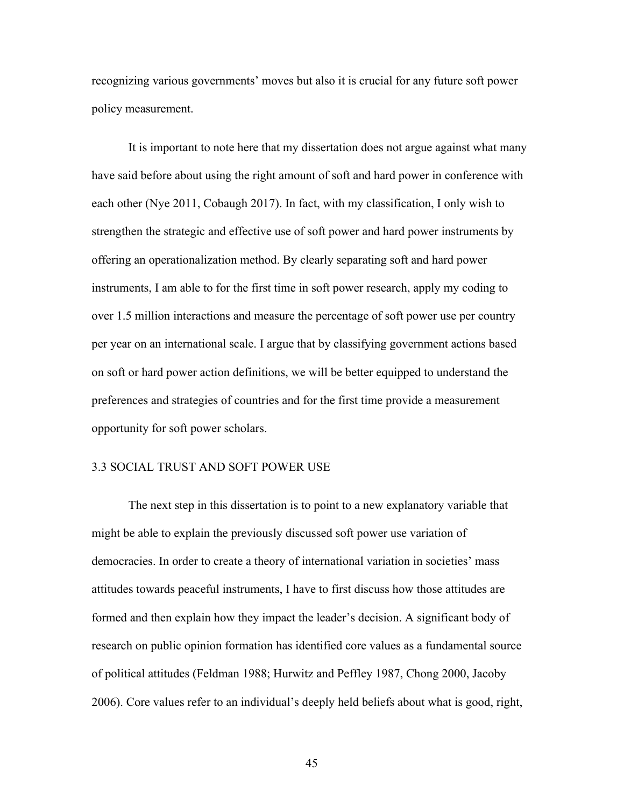recognizing various governments' moves but also it is crucial for any future soft power policy measurement.

It is important to note here that my dissertation does not argue against what many have said before about using the right amount of soft and hard power in conference with each other (Nye 2011, Cobaugh 2017). In fact, with my classification, I only wish to strengthen the strategic and effective use of soft power and hard power instruments by offering an operationalization method. By clearly separating soft and hard power instruments, I am able to for the first time in soft power research, apply my coding to over 1.5 million interactions and measure the percentage of soft power use per country per year on an international scale. I argue that by classifying government actions based on soft or hard power action definitions, we will be better equipped to understand the preferences and strategies of countries and for the first time provide a measurement opportunity for soft power scholars.

## 3.3 SOCIAL TRUST AND SOFT POWER USE

The next step in this dissertation is to point to a new explanatory variable that might be able to explain the previously discussed soft power use variation of democracies. In order to create a theory of international variation in societies' mass attitudes towards peaceful instruments, I have to first discuss how those attitudes are formed and then explain how they impact the leader's decision. A significant body of research on public opinion formation has identified core values as a fundamental source of political attitudes (Feldman 1988; Hurwitz and Peffley 1987, Chong 2000, Jacoby 2006). Core values refer to an individual's deeply held beliefs about what is good, right,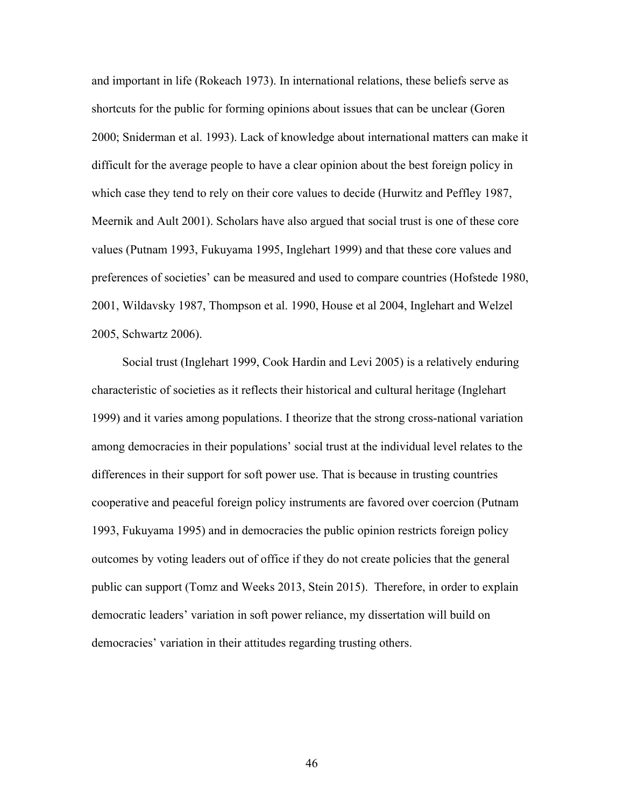and important in life (Rokeach 1973). In international relations, these beliefs serve as shortcuts for the public for forming opinions about issues that can be unclear (Goren 2000; Sniderman et al. 1993). Lack of knowledge about international matters can make it difficult for the average people to have a clear opinion about the best foreign policy in which case they tend to rely on their core values to decide (Hurwitz and Peffley 1987, Meernik and Ault 2001). Scholars have also argued that social trust is one of these core values (Putnam 1993, Fukuyama 1995, Inglehart 1999) and that these core values and preferences of societies' can be measured and used to compare countries (Hofstede 1980, 2001, Wildavsky 1987, Thompson et al. 1990, House et al 2004, Inglehart and Welzel 2005, Schwartz 2006).

 Social trust (Inglehart 1999, Cook Hardin and Levi 2005) is a relatively enduring characteristic of societies as it reflects their historical and cultural heritage (Inglehart 1999) and it varies among populations. I theorize that the strong cross-national variation among democracies in their populations' social trust at the individual level relates to the differences in their support for soft power use. That is because in trusting countries cooperative and peaceful foreign policy instruments are favored over coercion (Putnam 1993, Fukuyama 1995) and in democracies the public opinion restricts foreign policy outcomes by voting leaders out of office if they do not create policies that the general public can support (Tomz and Weeks 2013, Stein 2015). Therefore, in order to explain democratic leaders' variation in soft power reliance, my dissertation will build on democracies' variation in their attitudes regarding trusting others.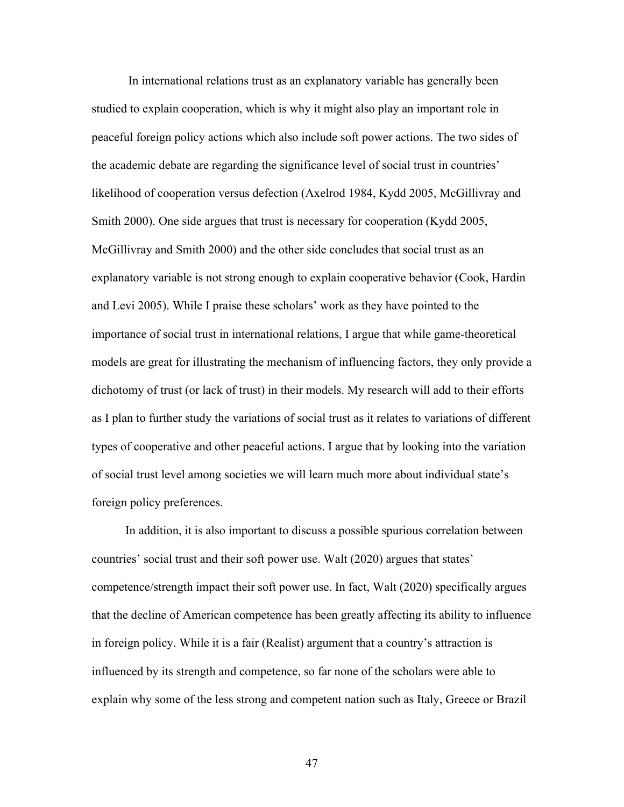In international relations trust as an explanatory variable has generally been studied to explain cooperation, which is why it might also play an important role in peaceful foreign policy actions which also include soft power actions. The two sides of the academic debate are regarding the significance level of social trust in countries' likelihood of cooperation versus defection (Axelrod 1984, Kydd 2005, McGillivray and Smith 2000). One side argues that trust is necessary for cooperation (Kydd 2005, McGillivray and Smith 2000) and the other side concludes that social trust as an explanatory variable is not strong enough to explain cooperative behavior (Cook, Hardin and Levi 2005). While I praise these scholars' work as they have pointed to the importance of social trust in international relations, I argue that while game-theoretical models are great for illustrating the mechanism of influencing factors, they only provide a dichotomy of trust (or lack of trust) in their models. My research will add to their efforts as I plan to further study the variations of social trust as it relates to variations of different types of cooperative and other peaceful actions. I argue that by looking into the variation of social trust level among societies we will learn much more about individual state's foreign policy preferences.

 In addition, it is also important to discuss a possible spurious correlation between countries' social trust and their soft power use. Walt (2020) argues that states' competence/strength impact their soft power use. In fact, Walt (2020) specifically argues that the decline of American competence has been greatly affecting its ability to influence in foreign policy. While it is a fair (Realist) argument that a country's attraction is influenced by its strength and competence, so far none of the scholars were able to explain why some of the less strong and competent nation such as Italy, Greece or Brazil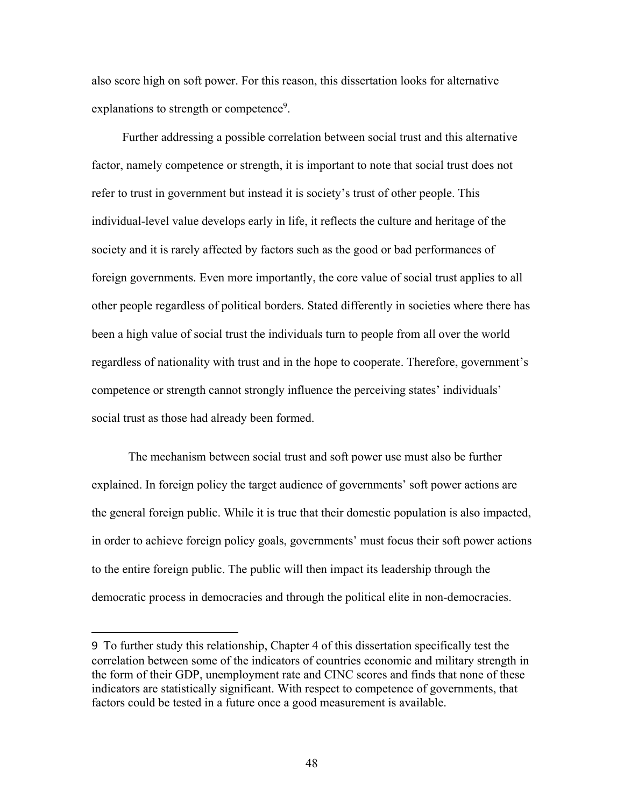also score high on soft power. For this reason, this dissertation looks for alternative explanations to strength or competence<sup>9</sup>.

 Further addressing a possible correlation between social trust and this alternative factor, namely competence or strength, it is important to note that social trust does not refer to trust in government but instead it is society's trust of other people. This individual-level value develops early in life, it reflects the culture and heritage of the society and it is rarely affected by factors such as the good or bad performances of foreign governments. Even more importantly, the core value of social trust applies to all other people regardless of political borders. Stated differently in societies where there has been a high value of social trust the individuals turn to people from all over the world regardless of nationality with trust and in the hope to cooperate. Therefore, government's competence or strength cannot strongly influence the perceiving states' individuals' social trust as those had already been formed.

The mechanism between social trust and soft power use must also be further explained. In foreign policy the target audience of governments' soft power actions are the general foreign public. While it is true that their domestic population is also impacted, in order to achieve foreign policy goals, governments' must focus their soft power actions to the entire foreign public. The public will then impact its leadership through the democratic process in democracies and through the political elite in non-democracies.

<sup>9</sup> To further study this relationship, Chapter 4 of this dissertation specifically test the correlation between some of the indicators of countries economic and military strength in the form of their GDP, unemployment rate and CINC scores and finds that none of these indicators are statistically significant. With respect to competence of governments, that factors could be tested in a future once a good measurement is available.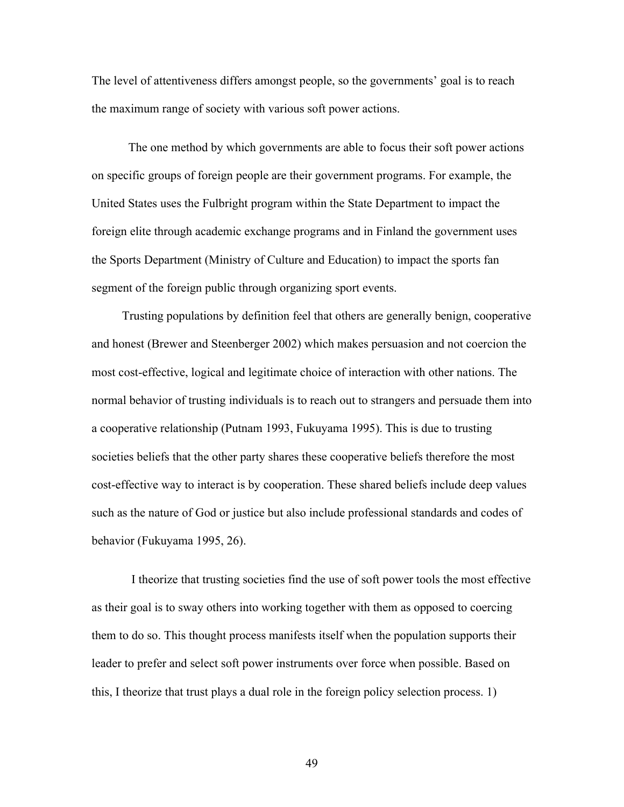The level of attentiveness differs amongst people, so the governments' goal is to reach the maximum range of society with various soft power actions.

The one method by which governments are able to focus their soft power actions on specific groups of foreign people are their government programs. For example, the United States uses the Fulbright program within the State Department to impact the foreign elite through academic exchange programs and in Finland the government uses the Sports Department (Ministry of Culture and Education) to impact the sports fan segment of the foreign public through organizing sport events.

 Trusting populations by definition feel that others are generally benign, cooperative and honest (Brewer and Steenberger 2002) which makes persuasion and not coercion the most cost-effective, logical and legitimate choice of interaction with other nations. The normal behavior of trusting individuals is to reach out to strangers and persuade them into a cooperative relationship (Putnam 1993, Fukuyama 1995). This is due to trusting societies beliefs that the other party shares these cooperative beliefs therefore the most cost-effective way to interact is by cooperation. These shared beliefs include deep values such as the nature of God or justice but also include professional standards and codes of behavior (Fukuyama 1995, 26).

 I theorize that trusting societies find the use of soft power tools the most effective as their goal is to sway others into working together with them as opposed to coercing them to do so. This thought process manifests itself when the population supports their leader to prefer and select soft power instruments over force when possible. Based on this, I theorize that trust plays a dual role in the foreign policy selection process. 1)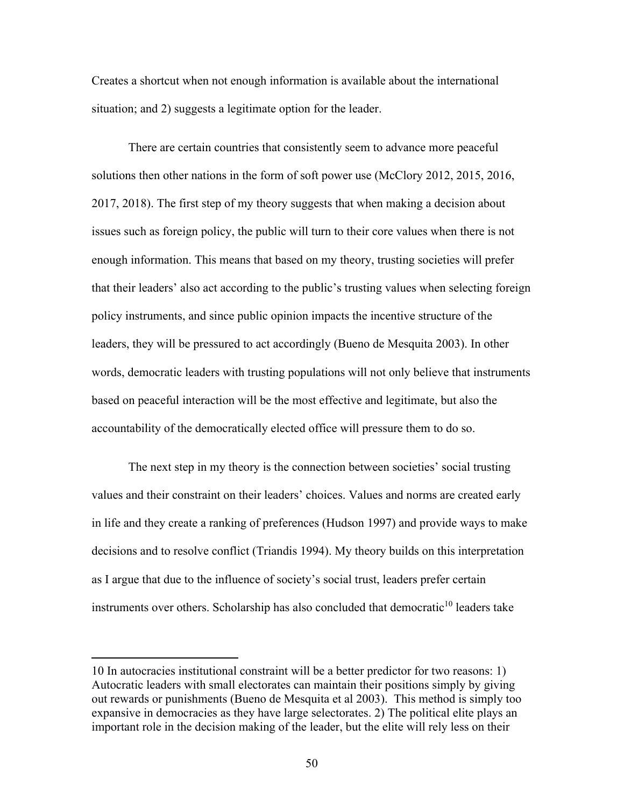Creates a shortcut when not enough information is available about the international situation; and 2) suggests a legitimate option for the leader.

There are certain countries that consistently seem to advance more peaceful solutions then other nations in the form of soft power use (McClory 2012, 2015, 2016, 2017, 2018). The first step of my theory suggests that when making a decision about issues such as foreign policy, the public will turn to their core values when there is not enough information. This means that based on my theory, trusting societies will prefer that their leaders' also act according to the public's trusting values when selecting foreign policy instruments, and since public opinion impacts the incentive structure of the leaders, they will be pressured to act accordingly (Bueno de Mesquita 2003). In other words, democratic leaders with trusting populations will not only believe that instruments based on peaceful interaction will be the most effective and legitimate, but also the accountability of the democratically elected office will pressure them to do so.

The next step in my theory is the connection between societies' social trusting values and their constraint on their leaders' choices. Values and norms are created early in life and they create a ranking of preferences (Hudson 1997) and provide ways to make decisions and to resolve conflict (Triandis 1994). My theory builds on this interpretation as I argue that due to the influence of society's social trust, leaders prefer certain instruments over others. Scholarship has also concluded that democratic $10$  leaders take

<sup>10</sup> In autocracies institutional constraint will be a better predictor for two reasons: 1) Autocratic leaders with small electorates can maintain their positions simply by giving out rewards or punishments (Bueno de Mesquita et al 2003). This method is simply too expansive in democracies as they have large selectorates. 2) The political elite plays an important role in the decision making of the leader, but the elite will rely less on their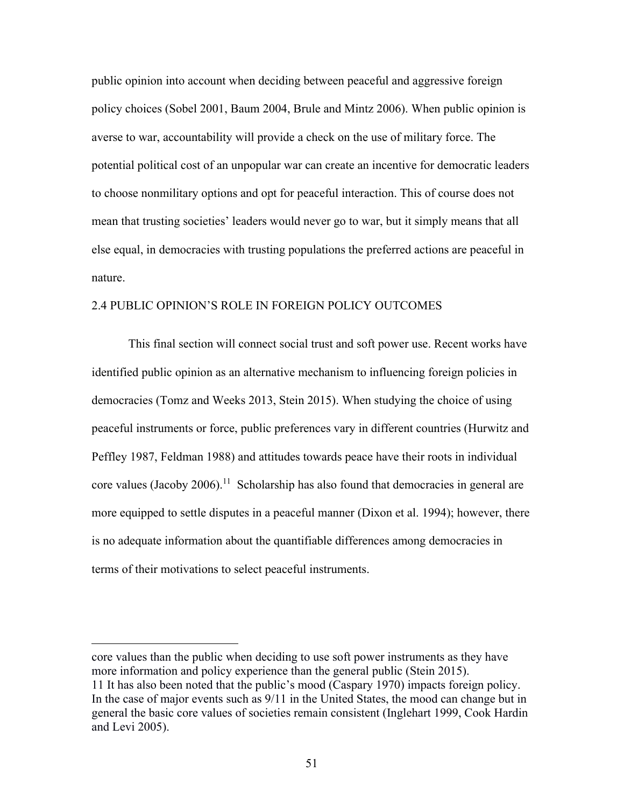public opinion into account when deciding between peaceful and aggressive foreign policy choices (Sobel 2001, Baum 2004, Brule and Mintz 2006). When public opinion is averse to war, accountability will provide a check on the use of military force. The potential political cost of an unpopular war can create an incentive for democratic leaders to choose nonmilitary options and opt for peaceful interaction. This of course does not mean that trusting societies' leaders would never go to war, but it simply means that all else equal, in democracies with trusting populations the preferred actions are peaceful in nature.

# 2.4 PUBLIC OPINION'S ROLE IN FOREIGN POLICY OUTCOMES

This final section will connect social trust and soft power use. Recent works have identified public opinion as an alternative mechanism to influencing foreign policies in democracies (Tomz and Weeks 2013, Stein 2015). When studying the choice of using peaceful instruments or force, public preferences vary in different countries (Hurwitz and Peffley 1987, Feldman 1988) and attitudes towards peace have their roots in individual core values (Jacoby 2006).<sup>11</sup> Scholarship has also found that democracies in general are more equipped to settle disputes in a peaceful manner (Dixon et al. 1994); however, there is no adequate information about the quantifiable differences among democracies in terms of their motivations to select peaceful instruments.

core values than the public when deciding to use soft power instruments as they have more information and policy experience than the general public (Stein 2015). 11 It has also been noted that the public's mood (Caspary 1970) impacts foreign policy.

In the case of major events such as 9/11 in the United States, the mood can change but in general the basic core values of societies remain consistent (Inglehart 1999, Cook Hardin and Levi 2005).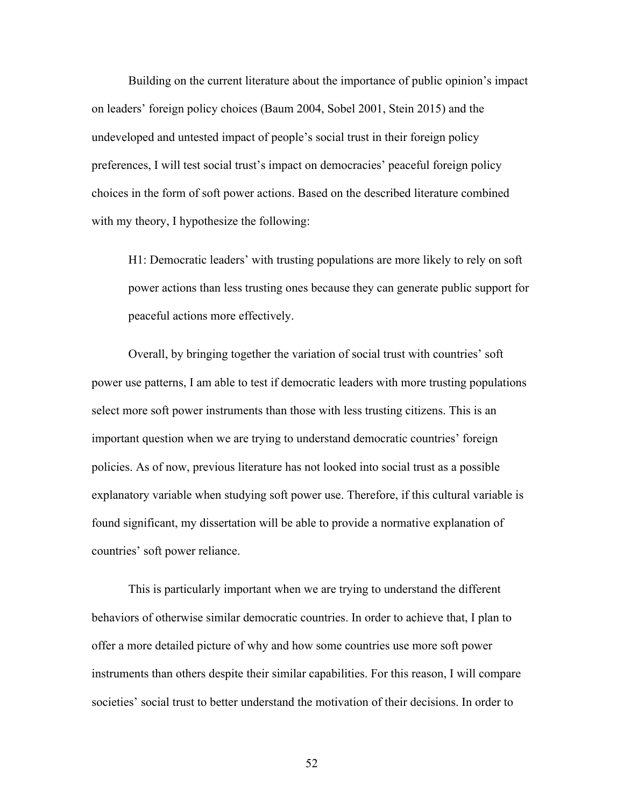Building on the current literature about the importance of public opinion's impact on leaders' foreign policy choices (Baum 2004, Sobel 2001, Stein 2015) and the undeveloped and untested impact of people's social trust in their foreign policy preferences, I will test social trust's impact on democracies' peaceful foreign policy choices in the form of soft power actions. Based on the described literature combined with my theory, I hypothesize the following:

H1: Democratic leaders' with trusting populations are more likely to rely on soft power actions than less trusting ones because they can generate public support for peaceful actions more effectively.

Overall, by bringing together the variation of social trust with countries' soft power use patterns, I am able to test if democratic leaders with more trusting populations select more soft power instruments than those with less trusting citizens. This is an important question when we are trying to understand democratic countries' foreign policies. As of now, previous literature has not looked into social trust as a possible explanatory variable when studying soft power use. Therefore, if this cultural variable is found significant, my dissertation will be able to provide a normative explanation of countries' soft power reliance.

This is particularly important when we are trying to understand the different behaviors of otherwise similar democratic countries. In order to achieve that, I plan to offer a more detailed picture of why and how some countries use more soft power instruments than others despite their similar capabilities. For this reason, I will compare societies' social trust to better understand the motivation of their decisions. In order to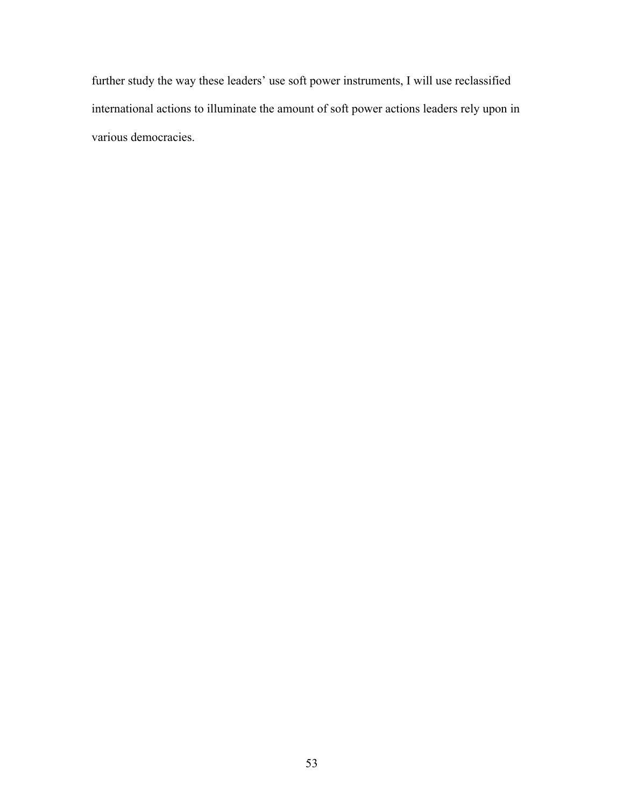further study the way these leaders' use soft power instruments, I will use reclassified international actions to illuminate the amount of soft power actions leaders rely upon in various democracies.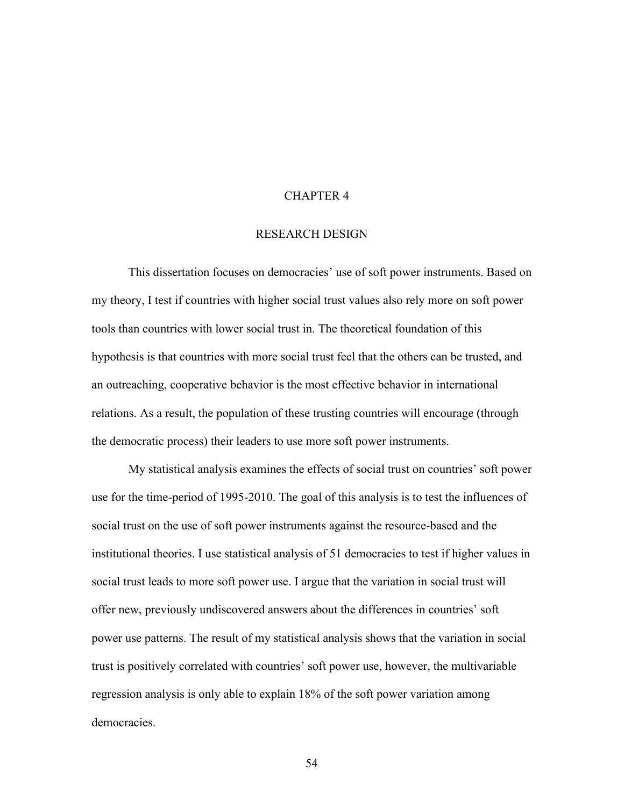#### CHAPTER 4

#### RESEARCH DESIGN

This dissertation focuses on democracies' use of soft power instruments. Based on my theory, I test if countries with higher social trust values also rely more on soft power tools than countries with lower social trust in. The theoretical foundation of this hypothesis is that countries with more social trust feel that the others can be trusted, and an outreaching, cooperative behavior is the most effective behavior in international relations. As a result, the population of these trusting countries will encourage (through the democratic process) their leaders to use more soft power instruments.

My statistical analysis examines the effects of social trust on countries' soft power use for the time-period of 1995-2010. The goal of this analysis is to test the influences of social trust on the use of soft power instruments against the resource-based and the institutional theories. I use statistical analysis of 51 democracies to test if higher values in social trust leads to more soft power use. I argue that the variation in social trust will offer new, previously undiscovered answers about the differences in countries' soft power use patterns. The result of my statistical analysis shows that the variation in social trust is positively correlated with countries' soft power use, however, the multivariable regression analysis is only able to explain 18% of the soft power variation among democracies.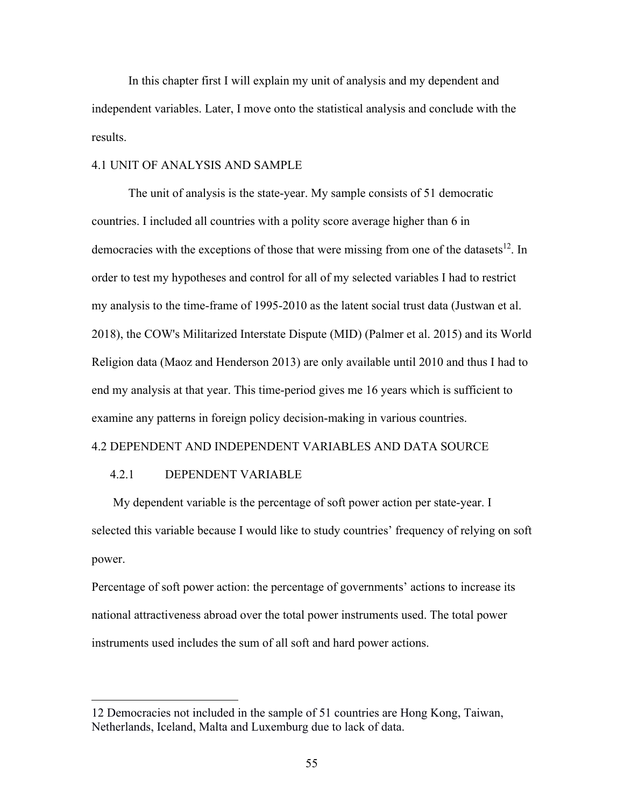In this chapter first I will explain my unit of analysis and my dependent and independent variables. Later, I move onto the statistical analysis and conclude with the results.

#### 4.1 UNIT OF ANALYSIS AND SAMPLE

The unit of analysis is the state-year. My sample consists of 51 democratic countries. I included all countries with a polity score average higher than 6 in democracies with the exceptions of those that were missing from one of the datasets<sup>12</sup>. In order to test my hypotheses and control for all of my selected variables I had to restrict my analysis to the time-frame of 1995-2010 as the latent social trust data (Justwan et al. 2018), the COW's Militarized Interstate Dispute (MID) (Palmer et al. 2015) and its World Religion data (Maoz and Henderson 2013) are only available until 2010 and thus I had to end my analysis at that year. This time-period gives me 16 years which is sufficient to examine any patterns in foreign policy decision-making in various countries.

### 4.2 DEPENDENT AND INDEPENDENT VARIABLES AND DATA SOURCE

### 4.2.1 DEPENDENT VARIABLE

 My dependent variable is the percentage of soft power action per state-year. I selected this variable because I would like to study countries' frequency of relying on soft power.

Percentage of soft power action: the percentage of governments' actions to increase its national attractiveness abroad over the total power instruments used. The total power instruments used includes the sum of all soft and hard power actions.

<sup>12</sup> Democracies not included in the sample of 51 countries are Hong Kong, Taiwan, Netherlands, Iceland, Malta and Luxemburg due to lack of data.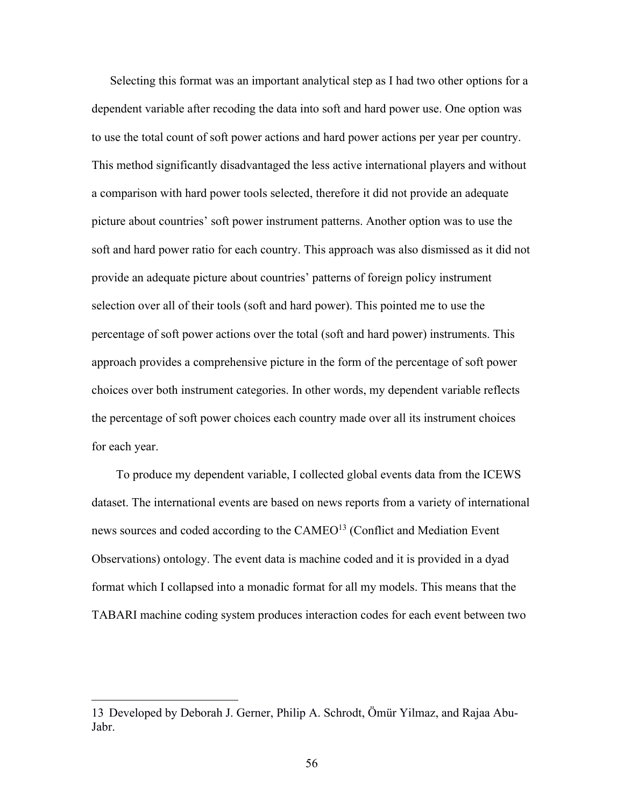Selecting this format was an important analytical step as I had two other options for a dependent variable after recoding the data into soft and hard power use. One option was to use the total count of soft power actions and hard power actions per year per country. This method significantly disadvantaged the less active international players and without a comparison with hard power tools selected, therefore it did not provide an adequate picture about countries' soft power instrument patterns. Another option was to use the soft and hard power ratio for each country. This approach was also dismissed as it did not provide an adequate picture about countries' patterns of foreign policy instrument selection over all of their tools (soft and hard power). This pointed me to use the percentage of soft power actions over the total (soft and hard power) instruments. This approach provides a comprehensive picture in the form of the percentage of soft power choices over both instrument categories. In other words, my dependent variable reflects the percentage of soft power choices each country made over all its instrument choices for each year.

 To produce my dependent variable, I collected global events data from the ICEWS dataset. The international events are based on news reports from a variety of international news sources and coded according to the CAMEO<sup>13</sup> (Conflict and Mediation Event Observations) ontology. The event data is machine coded and it is provided in a dyad format which I collapsed into a monadic format for all my models. This means that the TABARI machine coding system produces interaction codes for each event between two

<sup>13</sup> Developed by Deborah J. Gerner, Philip A. Schrodt, Ömür Yilmaz, and Rajaa Abu-Jabr.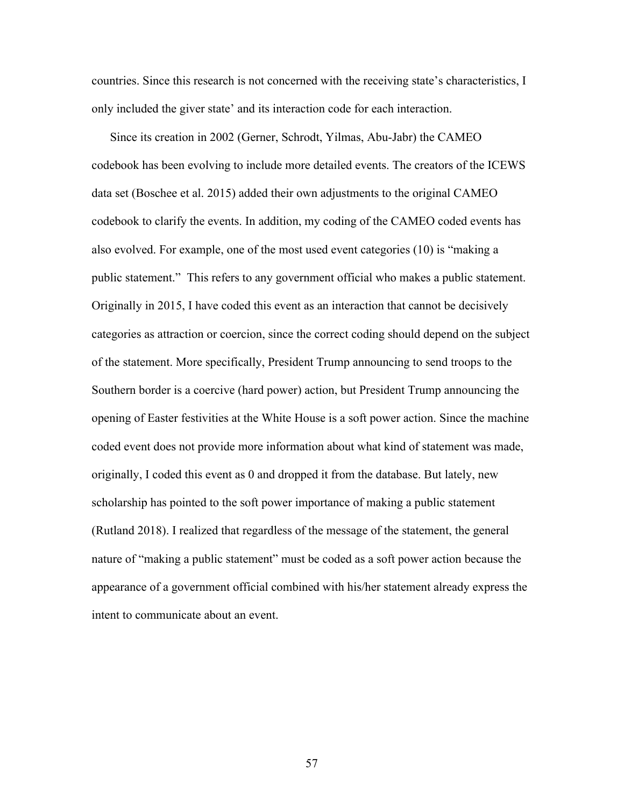countries. Since this research is not concerned with the receiving state's characteristics, I only included the giver state' and its interaction code for each interaction.

Since its creation in 2002 (Gerner, Schrodt, Yilmas, Abu-Jabr) the CAMEO codebook has been evolving to include more detailed events. The creators of the ICEWS data set (Boschee et al. 2015) added their own adjustments to the original CAMEO codebook to clarify the events. In addition, my coding of the CAMEO coded events has also evolved. For example, one of the most used event categories (10) is "making a public statement." This refers to any government official who makes a public statement. Originally in 2015, I have coded this event as an interaction that cannot be decisively categories as attraction or coercion, since the correct coding should depend on the subject of the statement. More specifically, President Trump announcing to send troops to the Southern border is a coercive (hard power) action, but President Trump announcing the opening of Easter festivities at the White House is a soft power action. Since the machine coded event does not provide more information about what kind of statement was made, originally, I coded this event as 0 and dropped it from the database. But lately, new scholarship has pointed to the soft power importance of making a public statement (Rutland 2018). I realized that regardless of the message of the statement, the general nature of "making a public statement" must be coded as a soft power action because the appearance of a government official combined with his/her statement already express the intent to communicate about an event.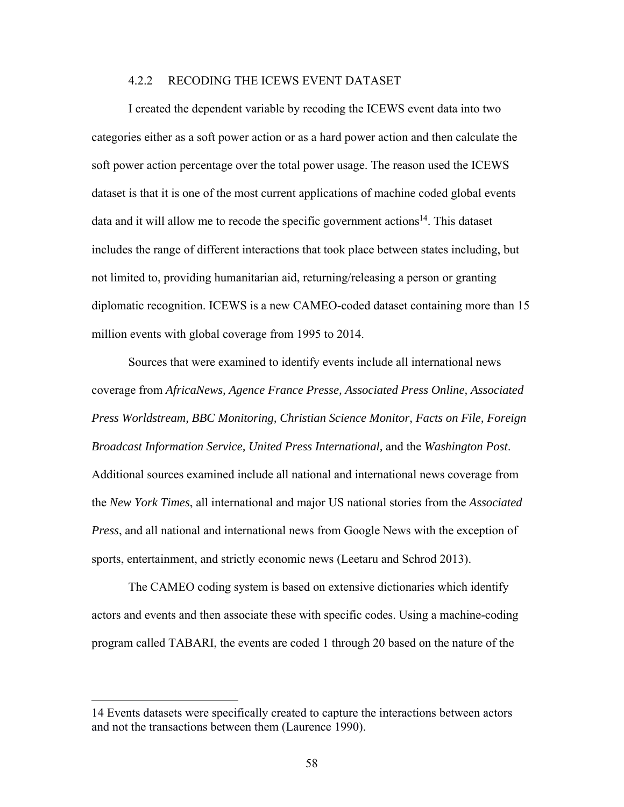# 4.2.2 RECODING THE ICEWS EVENT DATASET

I created the dependent variable by recoding the ICEWS event data into two categories either as a soft power action or as a hard power action and then calculate the soft power action percentage over the total power usage. The reason used the ICEWS dataset is that it is one of the most current applications of machine coded global events data and it will allow me to recode the specific government actions<sup>14</sup>. This dataset includes the range of different interactions that took place between states including, but not limited to, providing humanitarian aid, returning/releasing a person or granting diplomatic recognition. ICEWS is a new CAMEO-coded dataset containing more than 15 million events with global coverage from 1995 to 2014.

Sources that were examined to identify events include all international news coverage from *AfricaNews, Agence France Presse, Associated Press Online, Associated Press Worldstream, BBC Monitoring, Christian Science Monitor, Facts on File, Foreign Broadcast Information Service, United Press International,* and the *Washington Post*. Additional sources examined include all national and international news coverage from the *New York Times*, all international and major US national stories from the *Associated Press*, and all national and international news from Google News with the exception of sports, entertainment, and strictly economic news (Leetaru and Schrod 2013).

The CAMEO coding system is based on extensive dictionaries which identify actors and events and then associate these with specific codes. Using a machine-coding program called TABARI, the events are coded 1 through 20 based on the nature of the

<sup>14</sup> Events datasets were specifically created to capture the interactions between actors and not the transactions between them (Laurence 1990).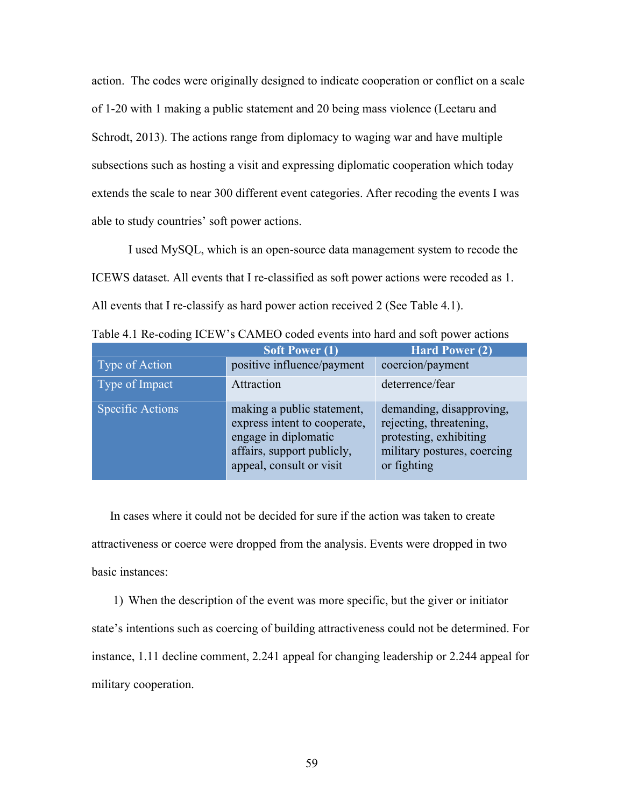action. The codes were originally designed to indicate cooperation or conflict on a scale of 1-20 with 1 making a public statement and 20 being mass violence (Leetaru and Schrodt, 2013). The actions range from diplomacy to waging war and have multiple subsections such as hosting a visit and expressing diplomatic cooperation which today extends the scale to near 300 different event categories. After recoding the events I was able to study countries' soft power actions.

I used MySQL, which is an open-source data management system to recode the ICEWS dataset. All events that I re-classified as soft power actions were recoded as 1. All events that I re-classify as hard power action received 2 (See Table 4.1).

|                         | <b>Soft Power (1)</b>                                                                                                                        | <b>Hard Power (2)</b>                                                                                                       |
|-------------------------|----------------------------------------------------------------------------------------------------------------------------------------------|-----------------------------------------------------------------------------------------------------------------------------|
| Type of Action          | positive influence/payment                                                                                                                   | coercion/payment                                                                                                            |
| Type of Impact          | Attraction                                                                                                                                   | deterrence/fear                                                                                                             |
| <b>Specific Actions</b> | making a public statement,<br>express intent to cooperate,<br>engage in diplomatic<br>affairs, support publicly,<br>appeal, consult or visit | demanding, disapproving,<br>rejecting, threatening,<br>protesting, exhibiting<br>military postures, coercing<br>or fighting |

Table 4.1 Re-coding ICEW's CAMEO coded events into hard and soft power actions

In cases where it could not be decided for sure if the action was taken to create attractiveness or coerce were dropped from the analysis. Events were dropped in two basic instances:

 1) When the description of the event was more specific, but the giver or initiator state's intentions such as coercing of building attractiveness could not be determined. For instance, 1.11 decline comment, 2.241 appeal for changing leadership or 2.244 appeal for military cooperation.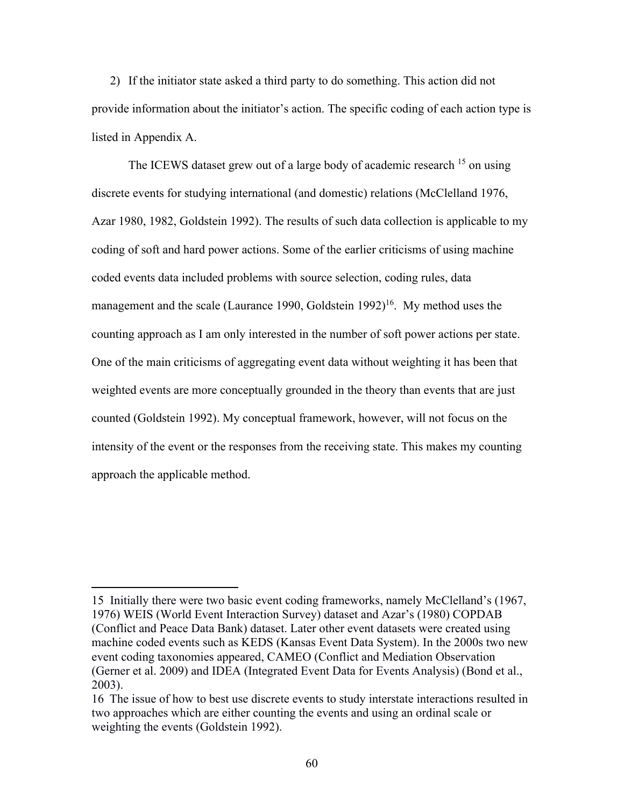2) If the initiator state asked a third party to do something. This action did not provide information about the initiator's action. The specific coding of each action type is listed in Appendix A.

The ICEWS dataset grew out of a large body of academic research <sup>15</sup> on using discrete events for studying international (and domestic) relations (McClelland 1976, Azar 1980, 1982, Goldstein 1992). The results of such data collection is applicable to my coding of soft and hard power actions. Some of the earlier criticisms of using machine coded events data included problems with source selection, coding rules, data management and the scale (Laurance 1990, Goldstein  $1992$ )<sup>16</sup>. My method uses the counting approach as I am only interested in the number of soft power actions per state. One of the main criticisms of aggregating event data without weighting it has been that weighted events are more conceptually grounded in the theory than events that are just counted (Goldstein 1992). My conceptual framework, however, will not focus on the intensity of the event or the responses from the receiving state. This makes my counting approach the applicable method.

<sup>15</sup> Initially there were two basic event coding frameworks, namely McClelland's (1967, 1976) WEIS (World Event Interaction Survey) dataset and Azar's (1980) COPDAB (Conflict and Peace Data Bank) dataset. Later other event datasets were created using machine coded events such as KEDS (Kansas Event Data System). In the 2000s two new event coding taxonomies appeared, CAMEO (Conflict and Mediation Observation (Gerner et al. 2009) and IDEA (Integrated Event Data for Events Analysis) (Bond et al., 2003).

<sup>16</sup> The issue of how to best use discrete events to study interstate interactions resulted in two approaches which are either counting the events and using an ordinal scale or weighting the events (Goldstein 1992).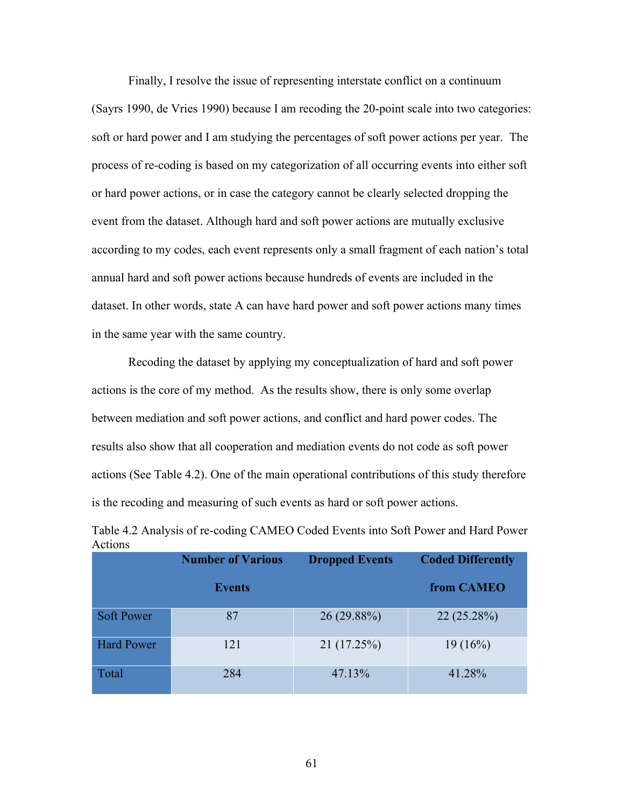Finally, I resolve the issue of representing interstate conflict on a continuum (Sayrs 1990, de Vries 1990) because I am recoding the 20-point scale into two categories: soft or hard power and I am studying the percentages of soft power actions per year. The process of re-coding is based on my categorization of all occurring events into either soft or hard power actions, or in case the category cannot be clearly selected dropping the event from the dataset. Although hard and soft power actions are mutually exclusive according to my codes, each event represents only a small fragment of each nation's total annual hard and soft power actions because hundreds of events are included in the dataset. In other words, state A can have hard power and soft power actions many times in the same year with the same country.

Recoding the dataset by applying my conceptualization of hard and soft power actions is the core of my method. As the results show, there is only some overlap between mediation and soft power actions, and conflict and hard power codes. The results also show that all cooperation and mediation events do not code as soft power actions (See Table 4.2). One of the main operational contributions of this study therefore is the recoding and measuring of such events as hard or soft power actions.

|                   | <b>Number of Various</b> | <b>Dropped Events</b> | <b>Coded Differently</b> |
|-------------------|--------------------------|-----------------------|--------------------------|
|                   | <b>Events</b>            |                       | from CAMEO               |
| <b>Soft Power</b> | 87                       | 26 (29.88%)           | 22(25.28%)               |
| <b>Hard Power</b> | 121                      | 21 (17.25%)           | 19(16%)                  |
| Total             | 284                      | 47.13%                | 41.28%                   |

Table 4.2 Analysis of re-coding CAMEO Coded Events into Soft Power and Hard Power Actions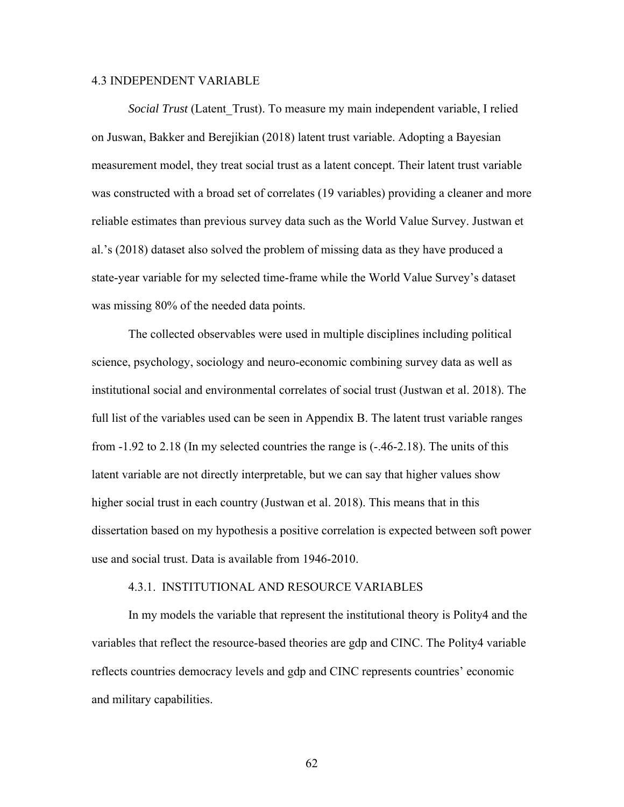### 4.3 INDEPENDENT VARIABLE

*Social Trust* (Latent Trust). To measure my main independent variable, I relied on Juswan, Bakker and Berejikian (2018) latent trust variable. Adopting a Bayesian measurement model, they treat social trust as a latent concept. Their latent trust variable was constructed with a broad set of correlates (19 variables) providing a cleaner and more reliable estimates than previous survey data such as the World Value Survey. Justwan et al.'s (2018) dataset also solved the problem of missing data as they have produced a state-year variable for my selected time-frame while the World Value Survey's dataset was missing 80% of the needed data points.

The collected observables were used in multiple disciplines including political science, psychology, sociology and neuro-economic combining survey data as well as institutional social and environmental correlates of social trust (Justwan et al. 2018). The full list of the variables used can be seen in Appendix B. The latent trust variable ranges from -1.92 to 2.18 (In my selected countries the range is (-.46-2.18). The units of this latent variable are not directly interpretable, but we can say that higher values show higher social trust in each country (Justwan et al. 2018). This means that in this dissertation based on my hypothesis a positive correlation is expected between soft power use and social trust. Data is available from 1946-2010.

#### 4.3.1. INSTITUTIONAL AND RESOURCE VARIABLES

In my models the variable that represent the institutional theory is Polity4 and the variables that reflect the resource-based theories are gdp and CINC. The Polity4 variable reflects countries democracy levels and gdp and CINC represents countries' economic and military capabilities.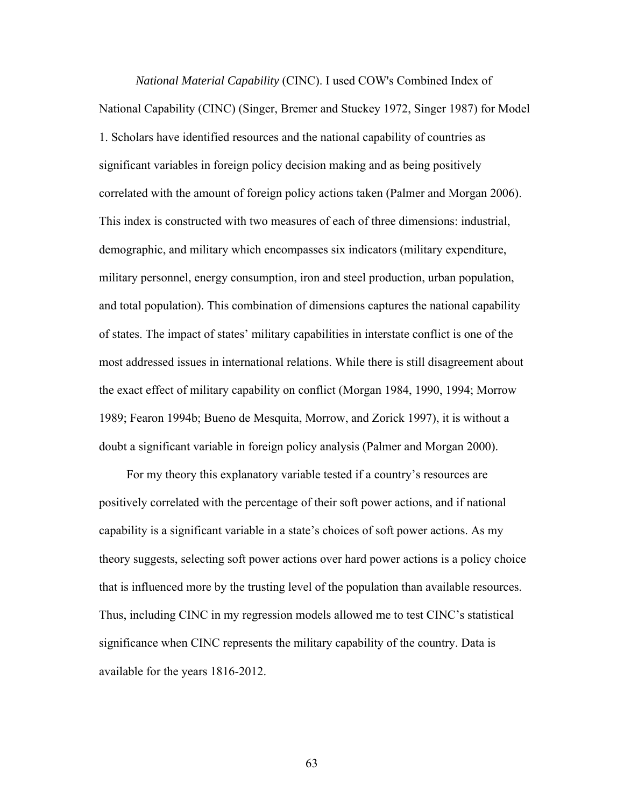*National Material Capability* (CINC). I used COW's Combined Index of National Capability (CINC) (Singer, Bremer and Stuckey 1972, Singer 1987) for Model 1. Scholars have identified resources and the national capability of countries as significant variables in foreign policy decision making and as being positively correlated with the amount of foreign policy actions taken (Palmer and Morgan 2006). This index is constructed with two measures of each of three dimensions: industrial, demographic, and military which encompasses six indicators (military expenditure, military personnel, energy consumption, iron and steel production, urban population, and total population). This combination of dimensions captures the national capability of states. The impact of states' military capabilities in interstate conflict is one of the most addressed issues in international relations. While there is still disagreement about the exact effect of military capability on conflict (Morgan 1984, 1990, 1994; Morrow 1989; Fearon 1994b; Bueno de Mesquita, Morrow, and Zorick 1997), it is without a doubt a significant variable in foreign policy analysis (Palmer and Morgan 2000).

 For my theory this explanatory variable tested if a country's resources are positively correlated with the percentage of their soft power actions, and if national capability is a significant variable in a state's choices of soft power actions. As my theory suggests, selecting soft power actions over hard power actions is a policy choice that is influenced more by the trusting level of the population than available resources. Thus, including CINC in my regression models allowed me to test CINC's statistical significance when CINC represents the military capability of the country. Data is available for the years 1816-2012.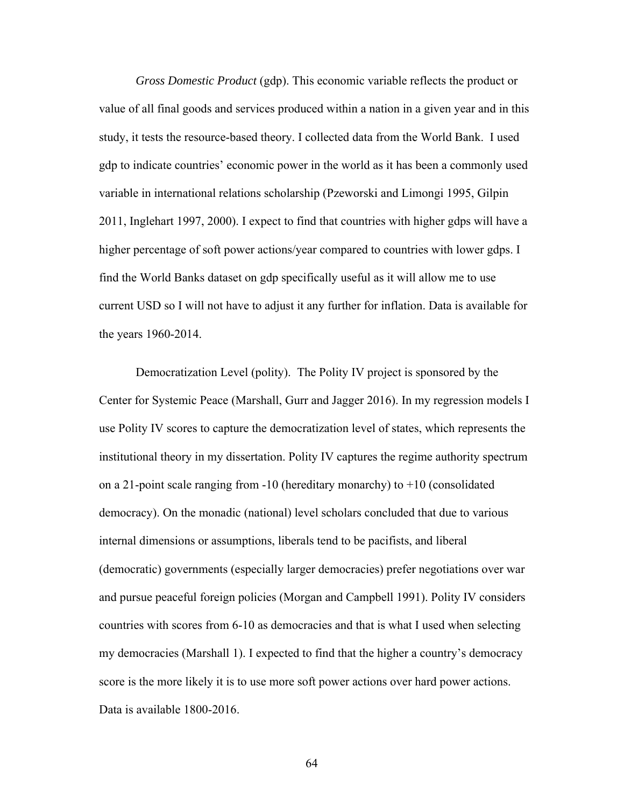*Gross Domestic Product* (gdp). This economic variable reflects the product or value of all final goods and services produced within a nation in a given year and in this study, it tests the resource-based theory. I collected data from the World Bank. I used gdp to indicate countries' economic power in the world as it has been a commonly used variable in international relations scholarship (Pzeworski and Limongi 1995, Gilpin 2011, Inglehart 1997, 2000). I expect to find that countries with higher gdps will have a higher percentage of soft power actions/year compared to countries with lower gdps. I find the World Banks dataset on gdp specifically useful as it will allow me to use current USD so I will not have to adjust it any further for inflation. Data is available for the years 1960-2014.

Democratization Level (polity). The Polity IV project is sponsored by the Center for Systemic Peace (Marshall, Gurr and Jagger 2016). In my regression models I use Polity IV scores to capture the democratization level of states, which represents the institutional theory in my dissertation. Polity IV captures the regime authority spectrum on a 21-point scale ranging from  $-10$  (hereditary monarchy) to  $+10$  (consolidated democracy). On the monadic (national) level scholars concluded that due to various internal dimensions or assumptions, liberals tend to be pacifists, and liberal (democratic) governments (especially larger democracies) prefer negotiations over war and pursue peaceful foreign policies (Morgan and Campbell 1991). Polity IV considers countries with scores from 6-10 as democracies and that is what I used when selecting my democracies (Marshall 1). I expected to find that the higher a country's democracy score is the more likely it is to use more soft power actions over hard power actions. Data is available 1800-2016.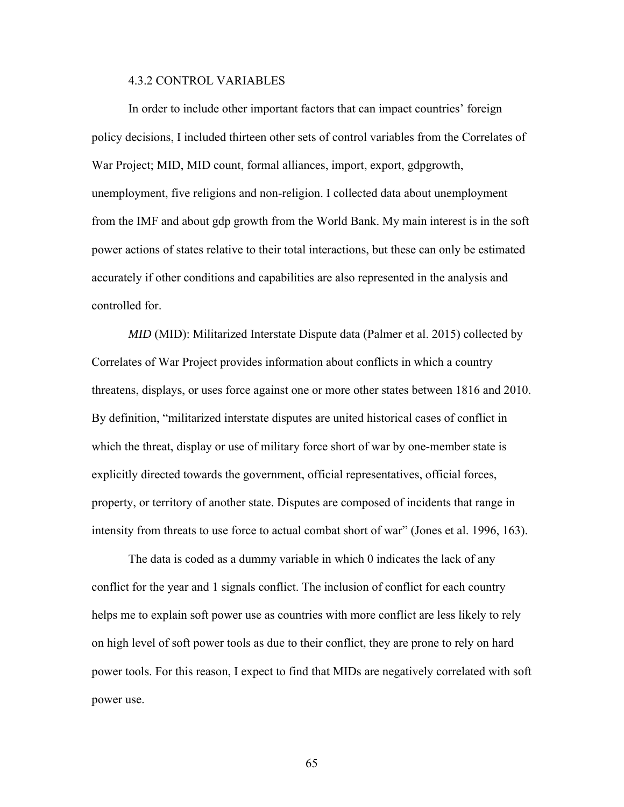### 4.3.2 CONTROL VARIABLES

In order to include other important factors that can impact countries' foreign policy decisions, I included thirteen other sets of control variables from the Correlates of War Project; MID, MID count, formal alliances, import, export, gdpgrowth, unemployment, five religions and non-religion. I collected data about unemployment from the IMF and about gdp growth from the World Bank. My main interest is in the soft power actions of states relative to their total interactions, but these can only be estimated accurately if other conditions and capabilities are also represented in the analysis and controlled for.

*MID* (MID): Militarized Interstate Dispute data (Palmer et al. 2015) collected by Correlates of War Project provides information about conflicts in which a country threatens, displays, or uses force against one or more other states between 1816 and 2010. By definition, "militarized interstate disputes are united historical cases of conflict in which the threat, display or use of military force short of war by one-member state is explicitly directed towards the government, official representatives, official forces, property, or territory of another state. Disputes are composed of incidents that range in intensity from threats to use force to actual combat short of war" (Jones et al. 1996, 163).

The data is coded as a dummy variable in which 0 indicates the lack of any conflict for the year and 1 signals conflict. The inclusion of conflict for each country helps me to explain soft power use as countries with more conflict are less likely to rely on high level of soft power tools as due to their conflict, they are prone to rely on hard power tools. For this reason, I expect to find that MIDs are negatively correlated with soft power use.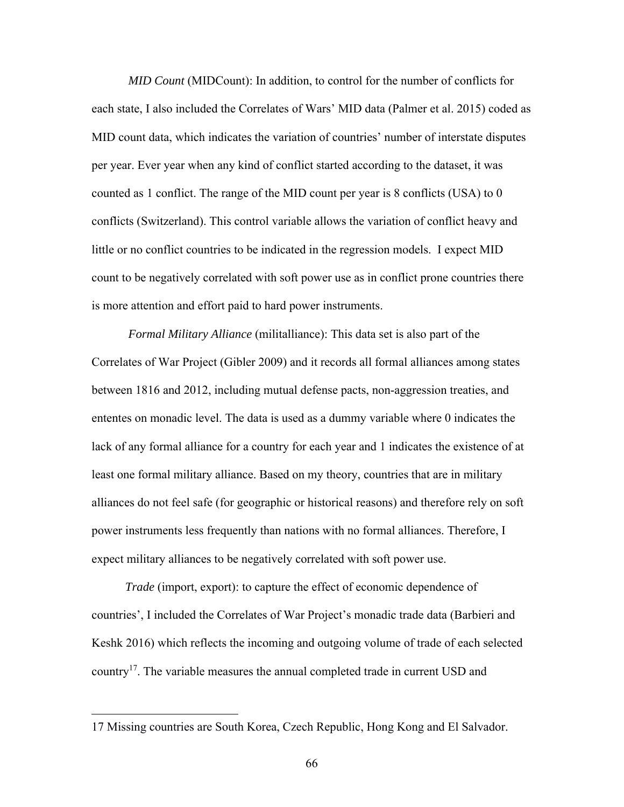*MID Count* (MIDCount): In addition, to control for the number of conflicts for each state, I also included the Correlates of Wars' MID data (Palmer et al. 2015) coded as MID count data, which indicates the variation of countries' number of interstate disputes per year. Ever year when any kind of conflict started according to the dataset, it was counted as 1 conflict. The range of the MID count per year is 8 conflicts (USA) to 0 conflicts (Switzerland). This control variable allows the variation of conflict heavy and little or no conflict countries to be indicated in the regression models. I expect MID count to be negatively correlated with soft power use as in conflict prone countries there is more attention and effort paid to hard power instruments.

*Formal Military Alliance* (militalliance): This data set is also part of the Correlates of War Project (Gibler 2009) and it records all formal alliances among states between 1816 and 2012, including mutual defense pacts, non-aggression treaties, and ententes on monadic level. The data is used as a dummy variable where 0 indicates the lack of any formal alliance for a country for each year and 1 indicates the existence of at least one formal military alliance. Based on my theory, countries that are in military alliances do not feel safe (for geographic or historical reasons) and therefore rely on soft power instruments less frequently than nations with no formal alliances. Therefore, I expect military alliances to be negatively correlated with soft power use.

*Trade* (import, export): to capture the effect of economic dependence of countries', I included the Correlates of War Project's monadic trade data (Barbieri and Keshk 2016) which reflects the incoming and outgoing volume of trade of each selected country<sup>17</sup>. The variable measures the annual completed trade in current USD and

<sup>17</sup> Missing countries are South Korea, Czech Republic, Hong Kong and El Salvador.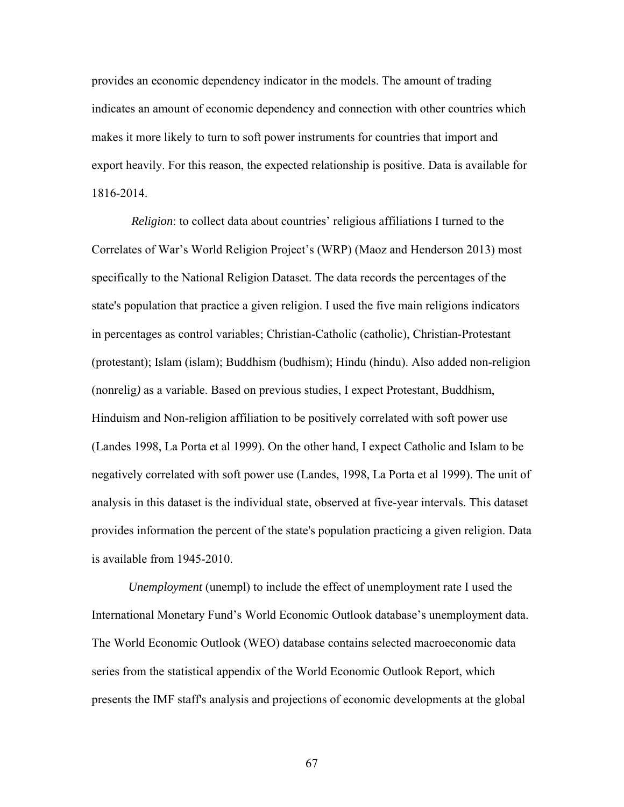provides an economic dependency indicator in the models. The amount of trading indicates an amount of economic dependency and connection with other countries which makes it more likely to turn to soft power instruments for countries that import and export heavily. For this reason, the expected relationship is positive. Data is available for 1816-2014.

 *Religion*: to collect data about countries' religious affiliations I turned to the Correlates of War's World Religion Project's (WRP) (Maoz and Henderson 2013) most specifically to the National Religion Dataset. The data records the percentages of the state's population that practice a given religion. I used the five main religions indicators in percentages as control variables; Christian-Catholic (catholic), Christian-Protestant (protestant); Islam (islam); Buddhism (budhism); Hindu (hindu). Also added non-religion (nonrelig*)* as a variable. Based on previous studies, I expect Protestant, Buddhism, Hinduism and Non-religion affiliation to be positively correlated with soft power use (Landes 1998, La Porta et al 1999). On the other hand, I expect Catholic and Islam to be negatively correlated with soft power use (Landes, 1998, La Porta et al 1999). The unit of analysis in this dataset is the individual state, observed at five-year intervals. This dataset provides information the percent of the state's population practicing a given religion. Data is available from 1945-2010.

*Unemployment* (unempl) to include the effect of unemployment rate I used the International Monetary Fund's World Economic Outlook database's unemployment data. The World Economic Outlook (WEO) database contains selected macroeconomic data series from the statistical appendix of the World Economic Outlook Report, which presents the IMF staff's analysis and projections of economic developments at the global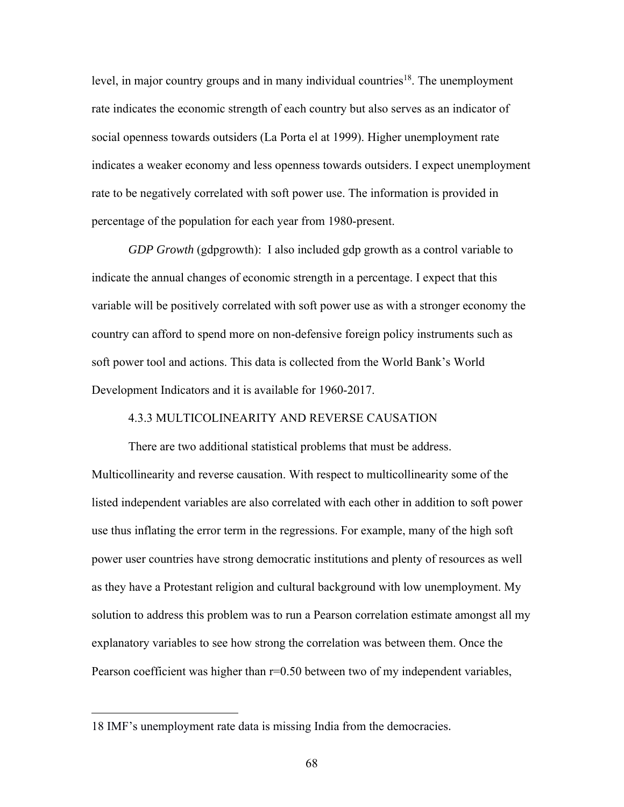level, in major country groups and in many individual countries<sup>18</sup>. The unemployment rate indicates the economic strength of each country but also serves as an indicator of social openness towards outsiders (La Porta el at 1999). Higher unemployment rate indicates a weaker economy and less openness towards outsiders. I expect unemployment rate to be negatively correlated with soft power use. The information is provided in percentage of the population for each year from 1980-present.

*GDP Growth* (gdpgrowth): I also included gdp growth as a control variable to indicate the annual changes of economic strength in a percentage. I expect that this variable will be positively correlated with soft power use as with a stronger economy the country can afford to spend more on non-defensive foreign policy instruments such as soft power tool and actions. This data is collected from the World Bank's World Development Indicators and it is available for 1960-2017.

### 4.3.3 MULTICOLINEARITY AND REVERSE CAUSATION

 There are two additional statistical problems that must be address. Multicollinearity and reverse causation. With respect to multicollinearity some of the listed independent variables are also correlated with each other in addition to soft power use thus inflating the error term in the regressions. For example, many of the high soft power user countries have strong democratic institutions and plenty of resources as well as they have a Protestant religion and cultural background with low unemployment. My solution to address this problem was to run a Pearson correlation estimate amongst all my explanatory variables to see how strong the correlation was between them. Once the Pearson coefficient was higher than  $r=0.50$  between two of my independent variables,

<sup>18</sup> IMF's unemployment rate data is missing India from the democracies.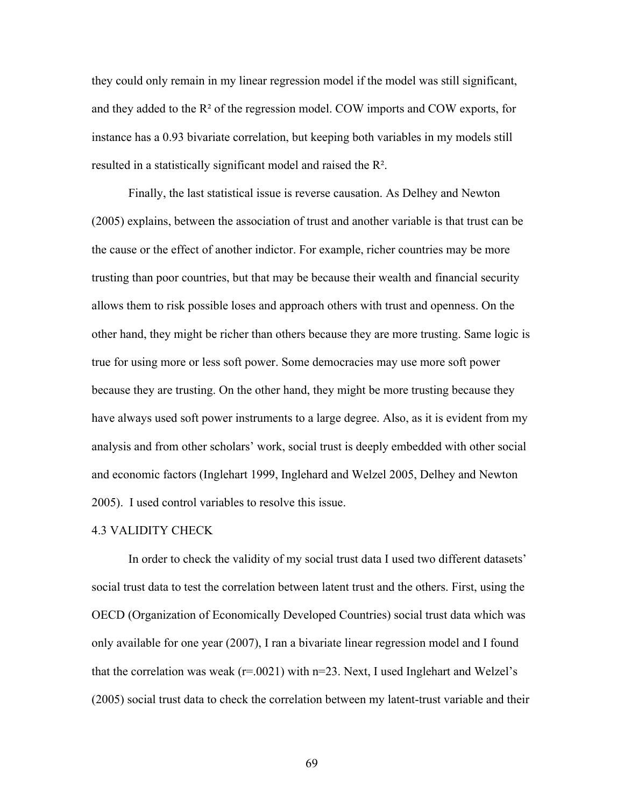they could only remain in my linear regression model if the model was still significant, and they added to the  $\mathbb{R}^2$  of the regression model. COW imports and COW exports, for instance has a 0.93 bivariate correlation, but keeping both variables in my models still resulted in a statistically significant model and raised the R².

 Finally, the last statistical issue is reverse causation. As Delhey and Newton (2005) explains, between the association of trust and another variable is that trust can be the cause or the effect of another indictor. For example, richer countries may be more trusting than poor countries, but that may be because their wealth and financial security allows them to risk possible loses and approach others with trust and openness. On the other hand, they might be richer than others because they are more trusting. Same logic is true for using more or less soft power. Some democracies may use more soft power because they are trusting. On the other hand, they might be more trusting because they have always used soft power instruments to a large degree. Also, as it is evident from my analysis and from other scholars' work, social trust is deeply embedded with other social and economic factors (Inglehart 1999, Inglehard and Welzel 2005, Delhey and Newton 2005). I used control variables to resolve this issue.

### 4.3 VALIDITY CHECK

 In order to check the validity of my social trust data I used two different datasets' social trust data to test the correlation between latent trust and the others. First, using the OECD (Organization of Economically Developed Countries) social trust data which was only available for one year (2007), I ran a bivariate linear regression model and I found that the correlation was weak  $(r=.0021)$  with n=23. Next, I used Inglehart and Welzel's (2005) social trust data to check the correlation between my latent-trust variable and their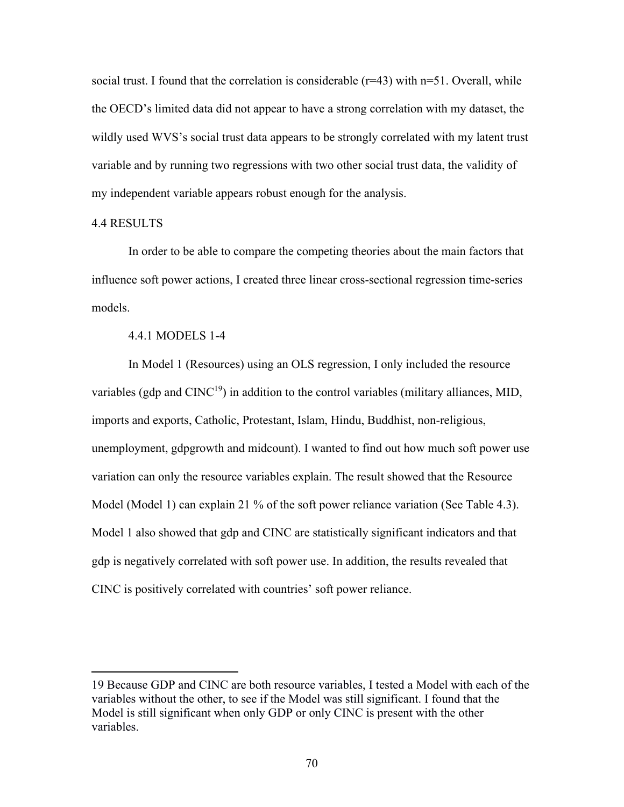social trust. I found that the correlation is considerable  $(r=43)$  with n=51. Overall, while the OECD's limited data did not appear to have a strong correlation with my dataset, the wildly used WVS's social trust data appears to be strongly correlated with my latent trust variable and by running two regressions with two other social trust data, the validity of my independent variable appears robust enough for the analysis.

### 4.4 RESULTS

In order to be able to compare the competing theories about the main factors that influence soft power actions, I created three linear cross-sectional regression time-series models.

## 4.4.1 MODELS 1-4

In Model 1 (Resources) using an OLS regression, I only included the resource variables (gdp and  $CINC<sup>19</sup>$ ) in addition to the control variables (military alliances, MID, imports and exports, Catholic, Protestant, Islam, Hindu, Buddhist, non-religious, unemployment, gdpgrowth and midcount). I wanted to find out how much soft power use variation can only the resource variables explain. The result showed that the Resource Model (Model 1) can explain 21 % of the soft power reliance variation (See Table 4.3). Model 1 also showed that gdp and CINC are statistically significant indicators and that gdp is negatively correlated with soft power use. In addition, the results revealed that CINC is positively correlated with countries' soft power reliance.

<sup>19</sup> Because GDP and CINC are both resource variables, I tested a Model with each of the variables without the other, to see if the Model was still significant. I found that the Model is still significant when only GDP or only CINC is present with the other variables.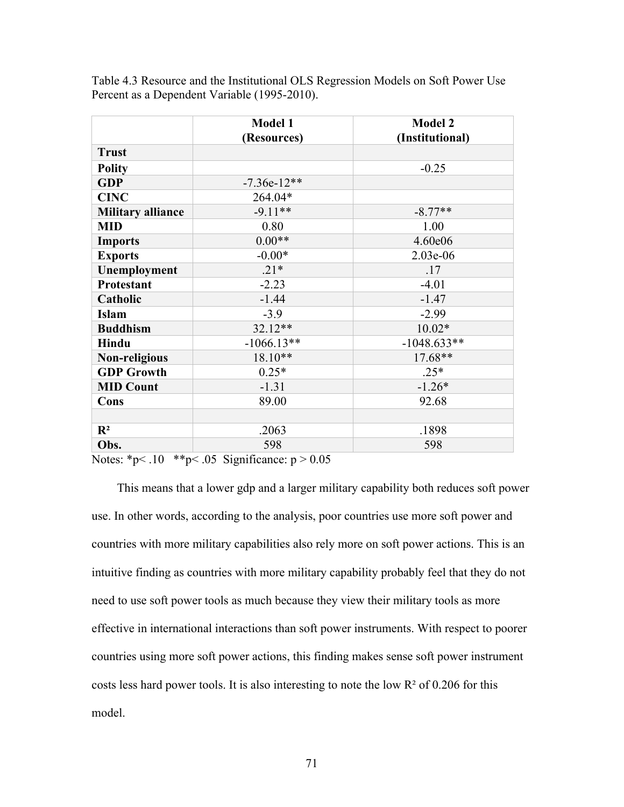|                          | <b>Model 1</b> | <b>Model 2</b>  |  |
|--------------------------|----------------|-----------------|--|
|                          | (Resources)    | (Institutional) |  |
| <b>Trust</b>             |                |                 |  |
| <b>Polity</b>            |                | $-0.25$         |  |
| <b>GDP</b>               | $-7.36e-12**$  |                 |  |
| <b>CINC</b>              | 264.04*        |                 |  |
| <b>Military alliance</b> | $-9.11**$      | $-8.77**$       |  |
| <b>MID</b>               | 0.80           | 1.00            |  |
| <b>Imports</b>           | $0.00**$       | 4.60e06         |  |
| <b>Exports</b>           | $-0.00*$       | $2.03e-06$      |  |
| Unemployment             | $.21*$         | .17             |  |
| <b>Protestant</b>        | $-2.23$        | $-4.01$         |  |
| Catholic                 | $-1.44$        | $-1.47$         |  |
| Islam                    | $-3.9$         | $-2.99$         |  |
| <b>Buddhism</b>          | $32.12**$      | $10.02*$        |  |
| Hindu                    | $-1066.13**$   | $-1048.633**$   |  |
| <b>Non-religious</b>     | 18.10**        | 17.68**         |  |
| <b>GDP Growth</b>        | $0.25*$        | $.25*$          |  |
| <b>MID Count</b>         | $-1.31$        | $-1.26*$        |  |
| Cons                     | 89.00          | 92.68           |  |
|                          |                |                 |  |
| $\mathbf{R}^2$           | .2063          | .1898           |  |
| Obs.                     | 598            | 598             |  |

Table 4.3 Resource and the Institutional OLS Regression Models on Soft Power Use Percent as a Dependent Variable (1995-2010).

Notes: \*p< .10 \*\*p< .05 Significance:  $p > 0.05$ 

 This means that a lower gdp and a larger military capability both reduces soft power use. In other words, according to the analysis, poor countries use more soft power and countries with more military capabilities also rely more on soft power actions. This is an intuitive finding as countries with more military capability probably feel that they do not need to use soft power tools as much because they view their military tools as more effective in international interactions than soft power instruments. With respect to poorer countries using more soft power actions, this finding makes sense soft power instrument costs less hard power tools. It is also interesting to note the low  $R<sup>2</sup>$  of 0.206 for this model.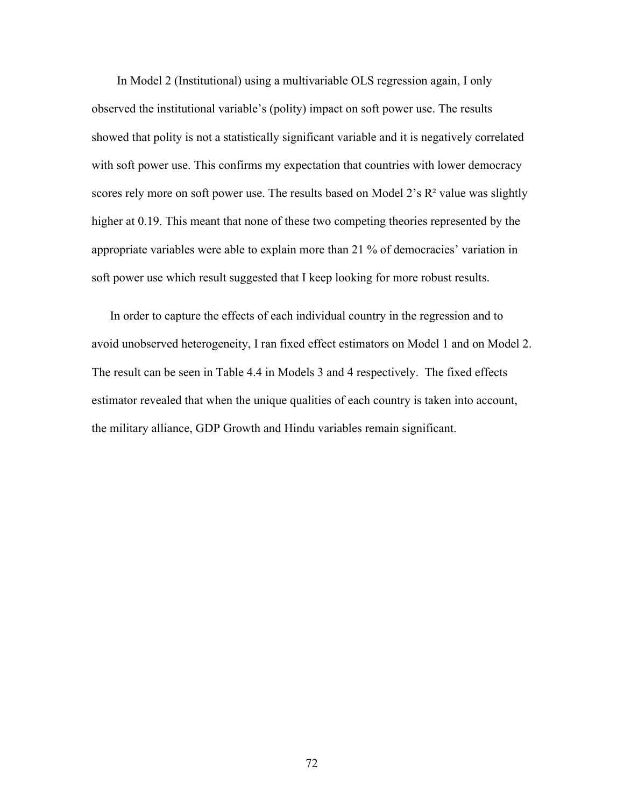In Model 2 (Institutional) using a multivariable OLS regression again, I only observed the institutional variable's (polity) impact on soft power use. The results showed that polity is not a statistically significant variable and it is negatively correlated with soft power use. This confirms my expectation that countries with lower democracy scores rely more on soft power use. The results based on Model  $2$ 's  $R<sup>2</sup>$  value was slightly higher at 0.19. This meant that none of these two competing theories represented by the appropriate variables were able to explain more than 21 % of democracies' variation in soft power use which result suggested that I keep looking for more robust results.

In order to capture the effects of each individual country in the regression and to avoid unobserved heterogeneity, I ran fixed effect estimators on Model 1 and on Model 2. The result can be seen in Table 4.4 in Models 3 and 4 respectively. The fixed effects estimator revealed that when the unique qualities of each country is taken into account, the military alliance, GDP Growth and Hindu variables remain significant.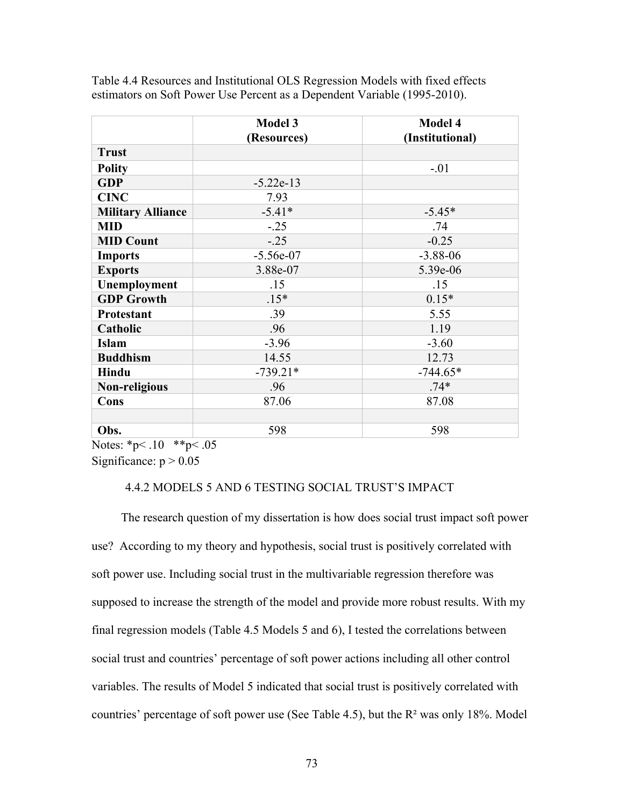|                                                                                                                                                                                                                                                                                                          | <b>Model 3</b><br>(Resources) | <b>Model 4</b><br>(Institutional) |
|----------------------------------------------------------------------------------------------------------------------------------------------------------------------------------------------------------------------------------------------------------------------------------------------------------|-------------------------------|-----------------------------------|
| <b>Trust</b>                                                                                                                                                                                                                                                                                             |                               |                                   |
| <b>Polity</b>                                                                                                                                                                                                                                                                                            |                               | $-.01$                            |
| <b>GDP</b>                                                                                                                                                                                                                                                                                               | $-5.22e-13$                   |                                   |
| <b>CINC</b>                                                                                                                                                                                                                                                                                              | 7.93                          |                                   |
| <b>Military Alliance</b>                                                                                                                                                                                                                                                                                 | $-5.41*$                      | $-5.45*$                          |
| <b>MID</b>                                                                                                                                                                                                                                                                                               | $-.25$                        | .74                               |
| <b>MID Count</b>                                                                                                                                                                                                                                                                                         | $-.25$                        | $-0.25$                           |
| <b>Imports</b>                                                                                                                                                                                                                                                                                           | $-5.56e-07$                   | $-3.88 - 06$                      |
| <b>Exports</b>                                                                                                                                                                                                                                                                                           | 3.88e-07                      | 5.39e-06                          |
| Unemployment                                                                                                                                                                                                                                                                                             | .15                           | .15                               |
| <b>GDP Growth</b>                                                                                                                                                                                                                                                                                        | $.15*$                        | $0.15*$                           |
| <b>Protestant</b>                                                                                                                                                                                                                                                                                        | .39                           | 5.55                              |
| Catholic                                                                                                                                                                                                                                                                                                 | .96                           | 1.19                              |
| Islam                                                                                                                                                                                                                                                                                                    | $-3.96$                       | $-3.60$                           |
| <b>Buddhism</b>                                                                                                                                                                                                                                                                                          | 14.55                         | 12.73                             |
| Hindu                                                                                                                                                                                                                                                                                                    | $-739.21*$                    | $-744.65*$                        |
| Non-religious                                                                                                                                                                                                                                                                                            | .96                           | $.74*$                            |
| Cons                                                                                                                                                                                                                                                                                                     | 87.06                         | 87.08                             |
|                                                                                                                                                                                                                                                                                                          |                               |                                   |
| Obs.<br>$\mathbf{a}$ and $\mathbf{a}$ and $\mathbf{a}$ and $\mathbf{a}$ and $\mathbf{a}$ and $\mathbf{a}$ and $\mathbf{a}$ and $\mathbf{a}$ and $\mathbf{a}$ and $\mathbf{a}$ and $\mathbf{a}$ and $\mathbf{a}$ and $\mathbf{a}$ and $\mathbf{a}$ and $\mathbf{a}$ and $\mathbf{a}$ and $\mathbf{a}$ and | 598                           | 598                               |

Table 4.4 Resources and Institutional OLS Regression Models with fixed effects estimators on Soft Power Use Percent as a Dependent Variable (1995-2010).

Notes:  $*_{p}$  < .10  $*_{p}$  < .05 Significance:  $p > 0.05$ 

## 4.4.2 MODELS 5 AND 6 TESTING SOCIAL TRUST'S IMPACT

 The research question of my dissertation is how does social trust impact soft power use? According to my theory and hypothesis, social trust is positively correlated with soft power use. Including social trust in the multivariable regression therefore was supposed to increase the strength of the model and provide more robust results. With my final regression models (Table 4.5 Models 5 and 6), I tested the correlations between social trust and countries' percentage of soft power actions including all other control variables. The results of Model 5 indicated that social trust is positively correlated with countries' percentage of soft power use (See Table 4.5), but the  $R<sup>2</sup>$  was only 18%. Model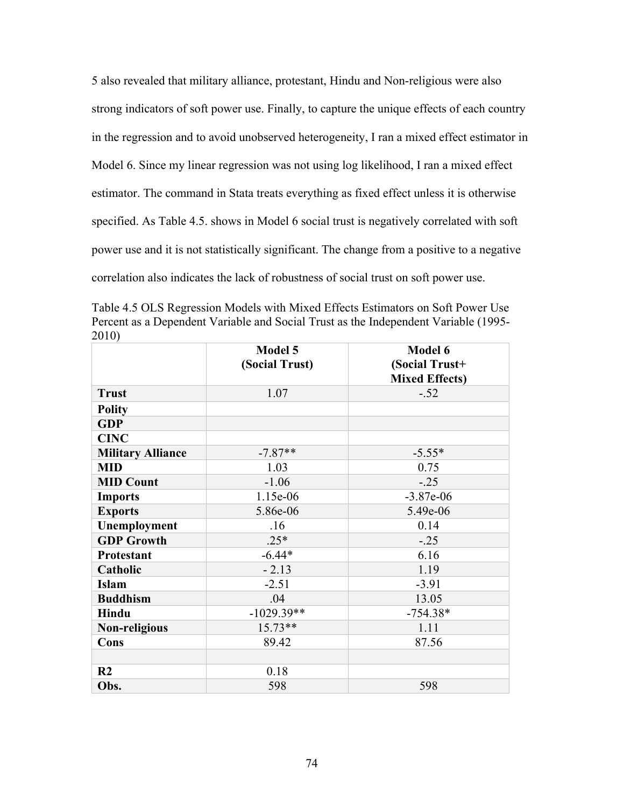5 also revealed that military alliance, protestant, Hindu and Non-religious were also strong indicators of soft power use. Finally, to capture the unique effects of each country in the regression and to avoid unobserved heterogeneity, I ran a mixed effect estimator in Model 6. Since my linear regression was not using log likelihood, I ran a mixed effect estimator. The command in Stata treats everything as fixed effect unless it is otherwise specified. As Table 4.5. shows in Model 6 social trust is negatively correlated with soft power use and it is not statistically significant. The change from a positive to a negative correlation also indicates the lack of robustness of social trust on soft power use.

| 20101                    | <b>Model 5</b><br>(Social Trust) | Model 6<br>(Social Trust+<br><b>Mixed Effects)</b> |
|--------------------------|----------------------------------|----------------------------------------------------|
| <b>Trust</b>             | 1.07                             | $-.52$                                             |
| <b>Polity</b>            |                                  |                                                    |
| <b>GDP</b>               |                                  |                                                    |
| <b>CINC</b>              |                                  |                                                    |
| <b>Military Alliance</b> | $-7.87**$                        | $-5.55*$                                           |
| <b>MID</b>               | 1.03                             | 0.75                                               |
| <b>MID Count</b>         | $-1.06$                          | $-.25$                                             |
| <b>Imports</b>           | 1.15e-06                         | $-3.87e-06$                                        |
| <b>Exports</b>           | 5.86e-06                         | 5.49e-06                                           |
| Unemployment             | .16                              | 0.14                                               |
| <b>GDP Growth</b>        | $.25*$                           | $-.25$                                             |
| <b>Protestant</b>        | $-6.44*$                         | 6.16                                               |
| Catholic                 | $-2.13$                          | 1.19                                               |
| Islam                    | $-2.51$                          | $-3.91$                                            |
| <b>Buddhism</b>          | .04                              | 13.05                                              |
| Hindu                    | $-1029.39**$                     | $-754.38*$                                         |
| <b>Non-religious</b>     | $15.73**$                        | 1.11                                               |
| Cons                     | 89.42                            | 87.56                                              |
|                          |                                  |                                                    |
| R <sub>2</sub>           | 0.18                             |                                                    |
| Obs.                     | 598                              | 598                                                |

Table 4.5 OLS Regression Models with Mixed Effects Estimators on Soft Power Use Percent as a Dependent Variable and Social Trust as the Independent Variable (1995-  $2010$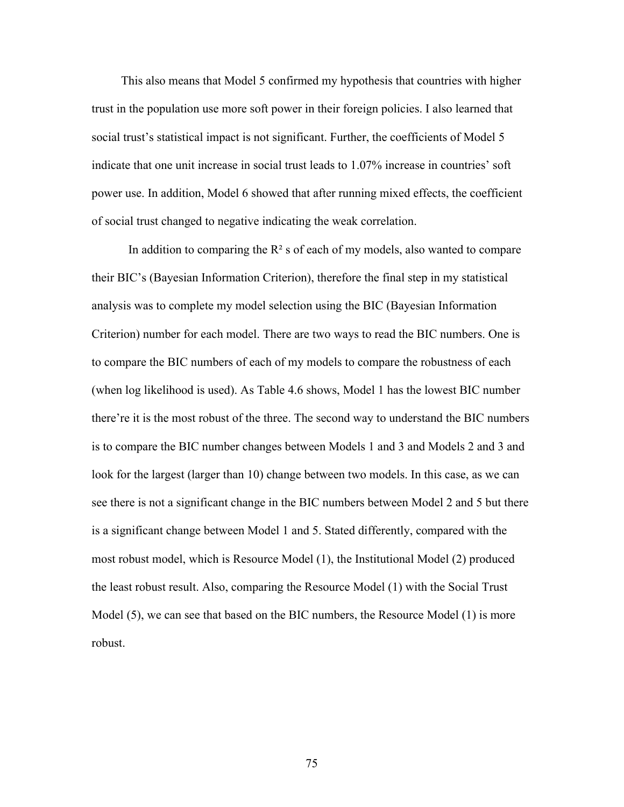This also means that Model 5 confirmed my hypothesis that countries with higher trust in the population use more soft power in their foreign policies. I also learned that social trust's statistical impact is not significant. Further, the coefficients of Model 5 indicate that one unit increase in social trust leads to 1.07% increase in countries' soft power use. In addition, Model 6 showed that after running mixed effects, the coefficient of social trust changed to negative indicating the weak correlation.

In addition to comparing the  $\mathbb{R}^2$  s of each of my models, also wanted to compare their BIC's (Bayesian Information Criterion), therefore the final step in my statistical analysis was to complete my model selection using the BIC (Bayesian Information Criterion) number for each model. There are two ways to read the BIC numbers. One is to compare the BIC numbers of each of my models to compare the robustness of each (when log likelihood is used). As Table 4.6 shows, Model 1 has the lowest BIC number there're it is the most robust of the three. The second way to understand the BIC numbers is to compare the BIC number changes between Models 1 and 3 and Models 2 and 3 and look for the largest (larger than 10) change between two models. In this case, as we can see there is not a significant change in the BIC numbers between Model 2 and 5 but there is a significant change between Model 1 and 5. Stated differently, compared with the most robust model, which is Resource Model (1), the Institutional Model (2) produced the least robust result. Also, comparing the Resource Model (1) with the Social Trust Model (5), we can see that based on the BIC numbers, the Resource Model (1) is more robust.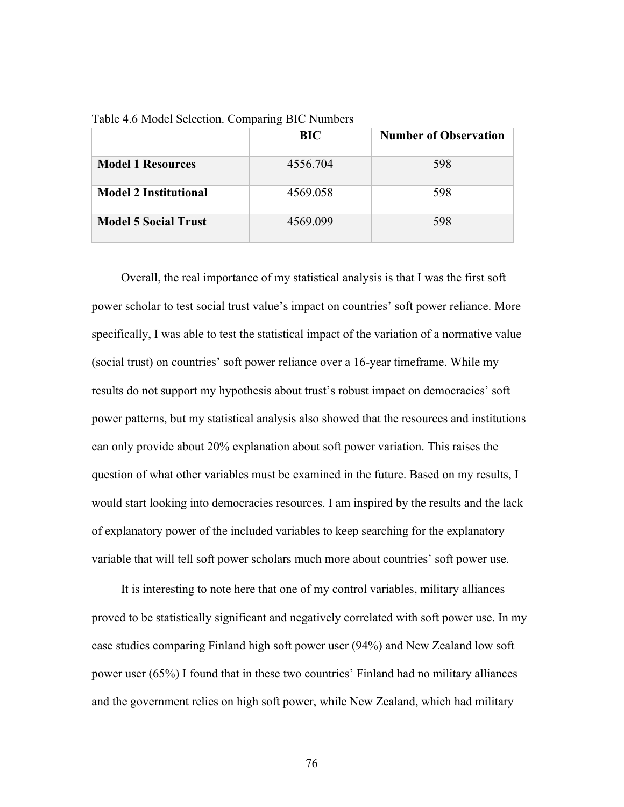|                              | <b>BIC</b> | <b>Number of Observation</b> |
|------------------------------|------------|------------------------------|
| <b>Model 1 Resources</b>     | 4556.704   | 598                          |
| <b>Model 2 Institutional</b> | 4569.058   | 598                          |
| <b>Model 5 Social Trust</b>  | 4569.099   | 598                          |

Table 4.6 Model Selection. Comparing BIC Numbers

Overall, the real importance of my statistical analysis is that I was the first soft power scholar to test social trust value's impact on countries' soft power reliance. More specifically, I was able to test the statistical impact of the variation of a normative value (social trust) on countries' soft power reliance over a 16-year timeframe. While my results do not support my hypothesis about trust's robust impact on democracies' soft power patterns, but my statistical analysis also showed that the resources and institutions can only provide about 20% explanation about soft power variation. This raises the question of what other variables must be examined in the future. Based on my results, I would start looking into democracies resources. I am inspired by the results and the lack of explanatory power of the included variables to keep searching for the explanatory variable that will tell soft power scholars much more about countries' soft power use.

 It is interesting to note here that one of my control variables, military alliances proved to be statistically significant and negatively correlated with soft power use. In my case studies comparing Finland high soft power user (94%) and New Zealand low soft power user (65%) I found that in these two countries' Finland had no military alliances and the government relies on high soft power, while New Zealand, which had military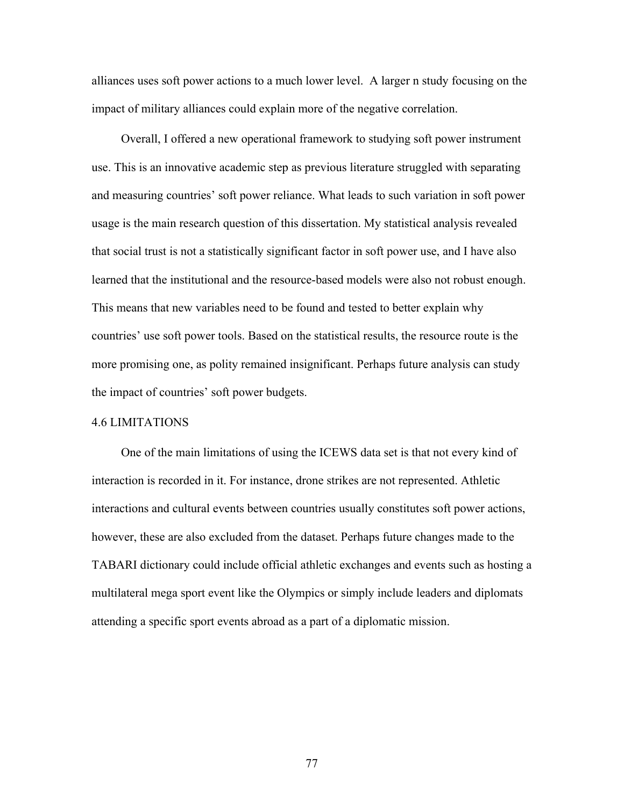alliances uses soft power actions to a much lower level. A larger n study focusing on the impact of military alliances could explain more of the negative correlation.

 Overall, I offered a new operational framework to studying soft power instrument use. This is an innovative academic step as previous literature struggled with separating and measuring countries' soft power reliance. What leads to such variation in soft power usage is the main research question of this dissertation. My statistical analysis revealed that social trust is not a statistically significant factor in soft power use, and I have also learned that the institutional and the resource-based models were also not robust enough. This means that new variables need to be found and tested to better explain why countries' use soft power tools. Based on the statistical results, the resource route is the more promising one, as polity remained insignificant. Perhaps future analysis can study the impact of countries' soft power budgets.

### 4.6 LIMITATIONS

 One of the main limitations of using the ICEWS data set is that not every kind of interaction is recorded in it. For instance, drone strikes are not represented. Athletic interactions and cultural events between countries usually constitutes soft power actions, however, these are also excluded from the dataset. Perhaps future changes made to the TABARI dictionary could include official athletic exchanges and events such as hosting a multilateral mega sport event like the Olympics or simply include leaders and diplomats attending a specific sport events abroad as a part of a diplomatic mission.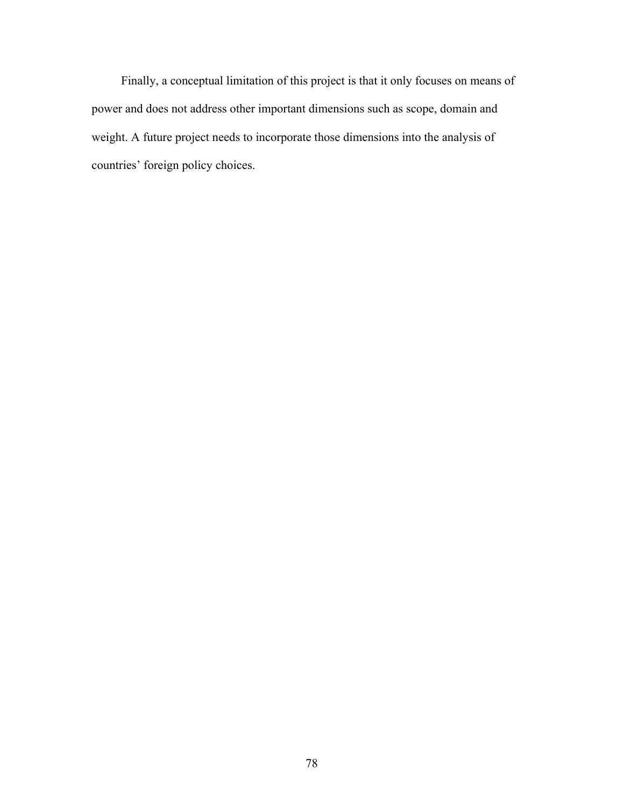Finally, a conceptual limitation of this project is that it only focuses on means of power and does not address other important dimensions such as scope, domain and weight. A future project needs to incorporate those dimensions into the analysis of countries' foreign policy choices.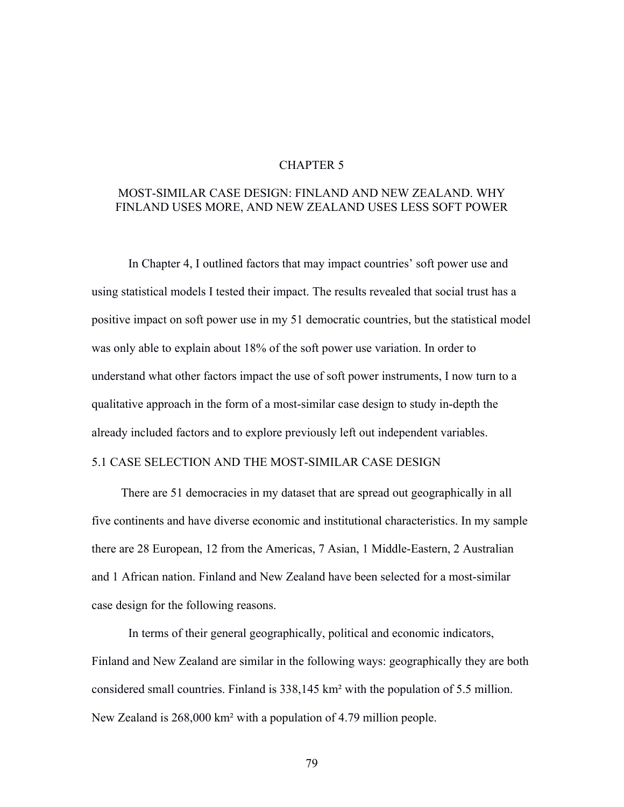### CHAPTER 5

## MOST-SIMILAR CASE DESIGN: FINLAND AND NEW ZEALAND. WHY FINLAND USES MORE, AND NEW ZEALAND USES LESS SOFT POWER

In Chapter 4, I outlined factors that may impact countries' soft power use and using statistical models I tested their impact. The results revealed that social trust has a positive impact on soft power use in my 51 democratic countries, but the statistical model was only able to explain about 18% of the soft power use variation. In order to understand what other factors impact the use of soft power instruments, I now turn to a qualitative approach in the form of a most-similar case design to study in-depth the already included factors and to explore previously left out independent variables.

## 5.1 CASE SELECTION AND THE MOST-SIMILAR CASE DESIGN

 There are 51 democracies in my dataset that are spread out geographically in all five continents and have diverse economic and institutional characteristics. In my sample there are 28 European, 12 from the Americas, 7 Asian, 1 Middle-Eastern, 2 Australian and 1 African nation. Finland and New Zealand have been selected for a most-similar case design for the following reasons.

In terms of their general geographically, political and economic indicators, Finland and New Zealand are similar in the following ways: geographically they are both considered small countries. Finland is 338,145 km² with the population of 5.5 million. New Zealand is 268,000 km² with a population of 4.79 million people.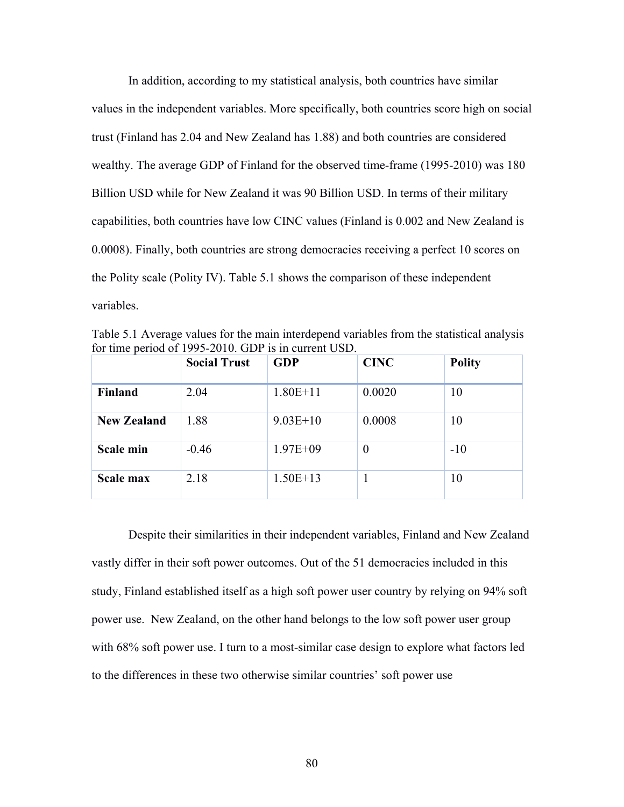In addition, according to my statistical analysis, both countries have similar values in the independent variables. More specifically, both countries score high on social trust (Finland has 2.04 and New Zealand has 1.88) and both countries are considered wealthy. The average GDP of Finland for the observed time-frame (1995-2010) was 180 Billion USD while for New Zealand it was 90 Billion USD. In terms of their military capabilities, both countries have low CINC values (Finland is 0.002 and New Zealand is 0.0008). Finally, both countries are strong democracies receiving a perfect 10 scores on the Polity scale (Polity IV). Table 5.1 shows the comparison of these independent variables.

Table 5.1 Average values for the main interdepend variables from the statistical analysis for time period of 1995-2010. GDP is in current USD.

|                    | <b>Social Trust</b> | <b>GDP</b>   | <b>CINC</b> | <b>Polity</b> |
|--------------------|---------------------|--------------|-------------|---------------|
| <b>Finland</b>     | 2.04                | $1.80E+11$   | 0.0020      | 10            |
| <b>New Zealand</b> | 1.88                | $9.03E+10$   | 0.0008      | 10            |
| Scale min          | $-0.46$             | $1.97E + 09$ | $\theta$    | $-10$         |
| Scale max          | 2.18                | $1.50E+13$   |             | 10            |

Despite their similarities in their independent variables, Finland and New Zealand vastly differ in their soft power outcomes. Out of the 51 democracies included in this study, Finland established itself as a high soft power user country by relying on 94% soft power use. New Zealand, on the other hand belongs to the low soft power user group with 68% soft power use. I turn to a most-similar case design to explore what factors led to the differences in these two otherwise similar countries' soft power use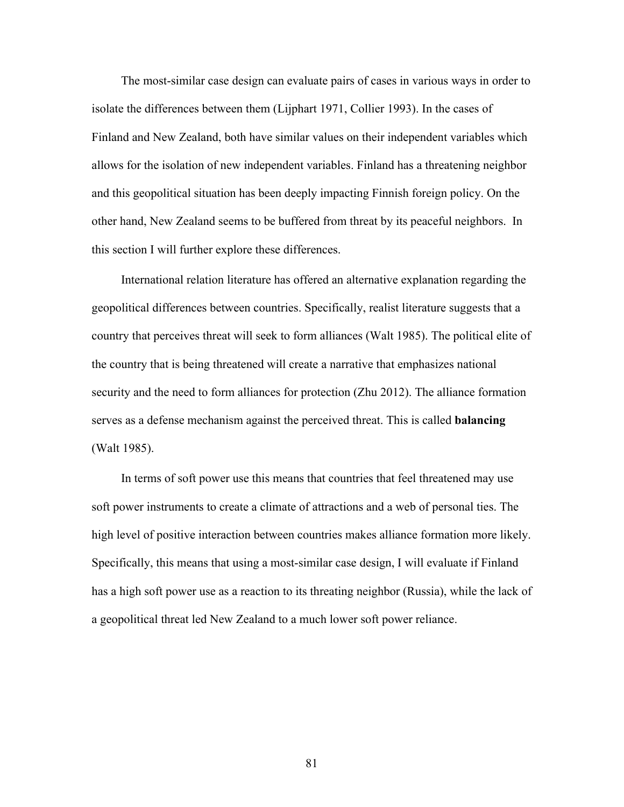The most-similar case design can evaluate pairs of cases in various ways in order to isolate the differences between them (Lijphart 1971, Collier 1993). In the cases of Finland and New Zealand, both have similar values on their independent variables which allows for the isolation of new independent variables. Finland has a threatening neighbor and this geopolitical situation has been deeply impacting Finnish foreign policy. On the other hand, New Zealand seems to be buffered from threat by its peaceful neighbors. In this section I will further explore these differences.

 International relation literature has offered an alternative explanation regarding the geopolitical differences between countries. Specifically, realist literature suggests that a country that perceives threat will seek to form alliances (Walt 1985). The political elite of the country that is being threatened will create a narrative that emphasizes national security and the need to form alliances for protection (Zhu 2012). The alliance formation serves as a defense mechanism against the perceived threat. This is called **balancing**  (Walt 1985).

 In terms of soft power use this means that countries that feel threatened may use soft power instruments to create a climate of attractions and a web of personal ties. The high level of positive interaction between countries makes alliance formation more likely. Specifically, this means that using a most-similar case design, I will evaluate if Finland has a high soft power use as a reaction to its threating neighbor (Russia), while the lack of a geopolitical threat led New Zealand to a much lower soft power reliance.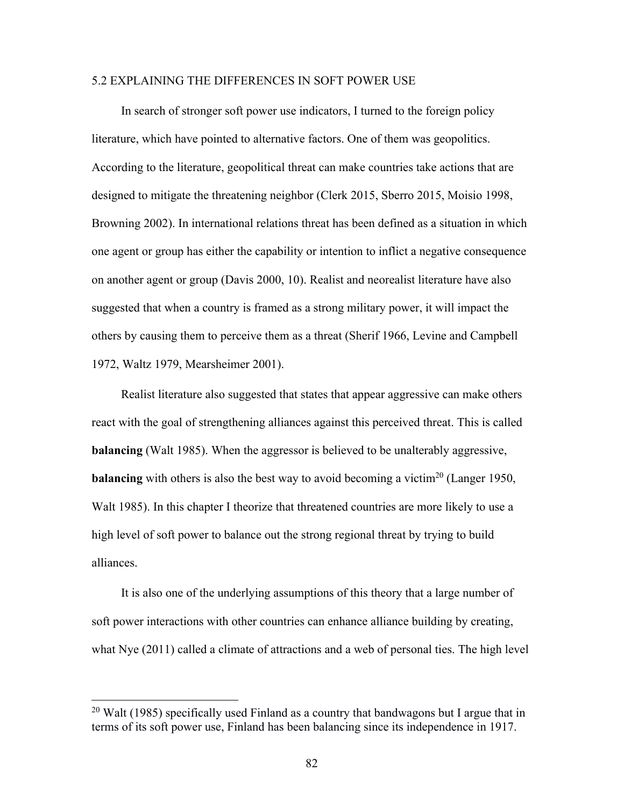## 5.2 EXPLAINING THE DIFFERENCES IN SOFT POWER USE

In search of stronger soft power use indicators, I turned to the foreign policy literature, which have pointed to alternative factors. One of them was geopolitics. According to the literature, geopolitical threat can make countries take actions that are designed to mitigate the threatening neighbor (Clerk 2015, Sberro 2015, Moisio 1998, Browning 2002). In international relations threat has been defined as a situation in which one agent or group has either the capability or intention to inflict a negative consequence on another agent or group (Davis 2000, 10). Realist and neorealist literature have also suggested that when a country is framed as a strong military power, it will impact the others by causing them to perceive them as a threat (Sherif 1966, Levine and Campbell 1972, Waltz 1979, Mearsheimer 2001).

 Realist literature also suggested that states that appear aggressive can make others react with the goal of strengthening alliances against this perceived threat. This is called **balancing** (Walt 1985). When the aggressor is believed to be unalterably aggressive, **balancing** with others is also the best way to avoid becoming a victim<sup>20</sup> (Langer 1950, Walt 1985). In this chapter I theorize that threatened countries are more likely to use a high level of soft power to balance out the strong regional threat by trying to build alliances.

 It is also one of the underlying assumptions of this theory that a large number of soft power interactions with other countries can enhance alliance building by creating, what Nye (2011) called a climate of attractions and a web of personal ties. The high level

<sup>&</sup>lt;sup>20</sup> Walt (1985) specifically used Finland as a country that bandwagons but I argue that in terms of its soft power use, Finland has been balancing since its independence in 1917.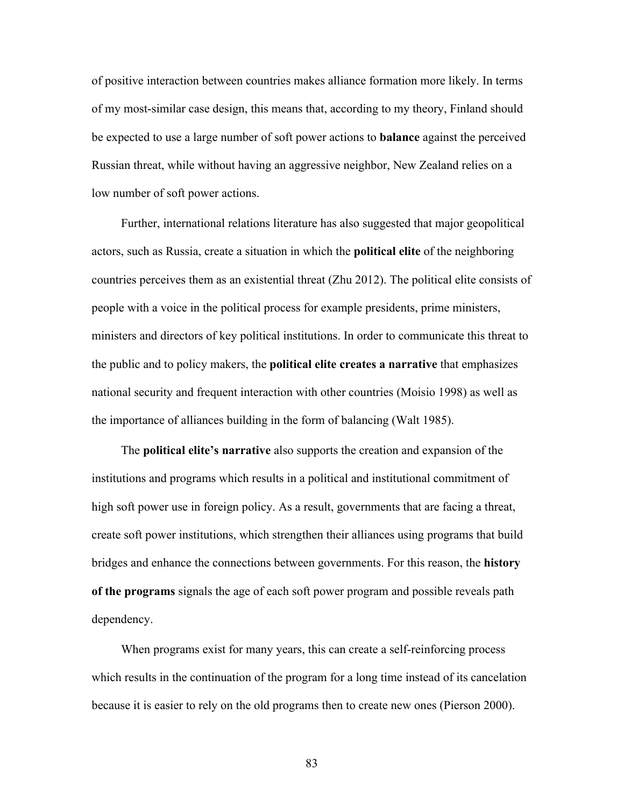of positive interaction between countries makes alliance formation more likely. In terms of my most-similar case design, this means that, according to my theory, Finland should be expected to use a large number of soft power actions to **balance** against the perceived Russian threat, while without having an aggressive neighbor, New Zealand relies on a low number of soft power actions.

 Further, international relations literature has also suggested that major geopolitical actors, such as Russia, create a situation in which the **political elite** of the neighboring countries perceives them as an existential threat (Zhu 2012). The political elite consists of people with a voice in the political process for example presidents, prime ministers, ministers and directors of key political institutions. In order to communicate this threat to the public and to policy makers, the **political elite creates a narrative** that emphasizes national security and frequent interaction with other countries (Moisio 1998) as well as the importance of alliances building in the form of balancing (Walt 1985).

 The **political elite's narrative** also supports the creation and expansion of the institutions and programs which results in a political and institutional commitment of high soft power use in foreign policy. As a result, governments that are facing a threat, create soft power institutions, which strengthen their alliances using programs that build bridges and enhance the connections between governments. For this reason, the **history of the programs** signals the age of each soft power program and possible reveals path dependency.

 When programs exist for many years, this can create a self-reinforcing process which results in the continuation of the program for a long time instead of its cancelation because it is easier to rely on the old programs then to create new ones (Pierson 2000).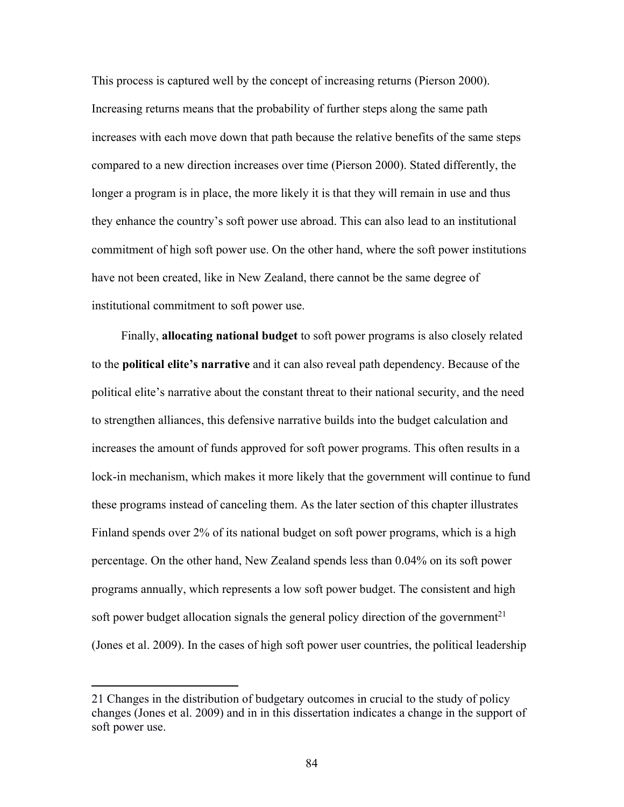This process is captured well by the concept of increasing returns (Pierson 2000). Increasing returns means that the probability of further steps along the same path increases with each move down that path because the relative benefits of the same steps compared to a new direction increases over time (Pierson 2000). Stated differently, the longer a program is in place, the more likely it is that they will remain in use and thus they enhance the country's soft power use abroad. This can also lead to an institutional commitment of high soft power use. On the other hand, where the soft power institutions have not been created, like in New Zealand, there cannot be the same degree of institutional commitment to soft power use.

 Finally, **allocating national budget** to soft power programs is also closely related to the **political elite's narrative** and it can also reveal path dependency. Because of the political elite's narrative about the constant threat to their national security, and the need to strengthen alliances, this defensive narrative builds into the budget calculation and increases the amount of funds approved for soft power programs. This often results in a lock-in mechanism, which makes it more likely that the government will continue to fund these programs instead of canceling them. As the later section of this chapter illustrates Finland spends over 2% of its national budget on soft power programs, which is a high percentage. On the other hand, New Zealand spends less than 0.04% on its soft power programs annually, which represents a low soft power budget. The consistent and high soft power budget allocation signals the general policy direction of the government<sup>21</sup> (Jones et al. 2009). In the cases of high soft power user countries, the political leadership

<sup>21</sup> Changes in the distribution of budgetary outcomes in crucial to the study of policy changes (Jones et al. 2009) and in in this dissertation indicates a change in the support of soft power use.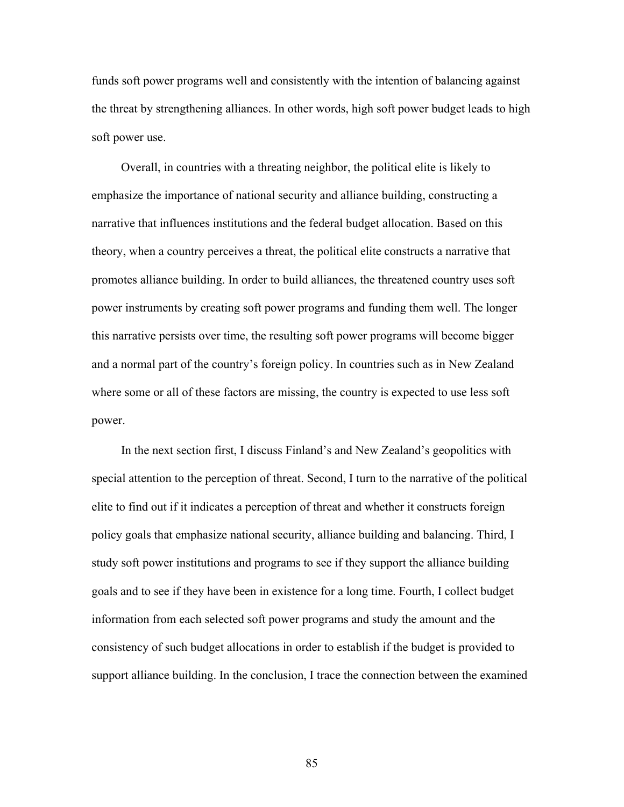funds soft power programs well and consistently with the intention of balancing against the threat by strengthening alliances. In other words, high soft power budget leads to high soft power use.

 Overall, in countries with a threating neighbor, the political elite is likely to emphasize the importance of national security and alliance building, constructing a narrative that influences institutions and the federal budget allocation. Based on this theory, when a country perceives a threat, the political elite constructs a narrative that promotes alliance building. In order to build alliances, the threatened country uses soft power instruments by creating soft power programs and funding them well. The longer this narrative persists over time, the resulting soft power programs will become bigger and a normal part of the country's foreign policy. In countries such as in New Zealand where some or all of these factors are missing, the country is expected to use less soft power.

 In the next section first, I discuss Finland's and New Zealand's geopolitics with special attention to the perception of threat. Second, I turn to the narrative of the political elite to find out if it indicates a perception of threat and whether it constructs foreign policy goals that emphasize national security, alliance building and balancing. Third, I study soft power institutions and programs to see if they support the alliance building goals and to see if they have been in existence for a long time. Fourth, I collect budget information from each selected soft power programs and study the amount and the consistency of such budget allocations in order to establish if the budget is provided to support alliance building. In the conclusion, I trace the connection between the examined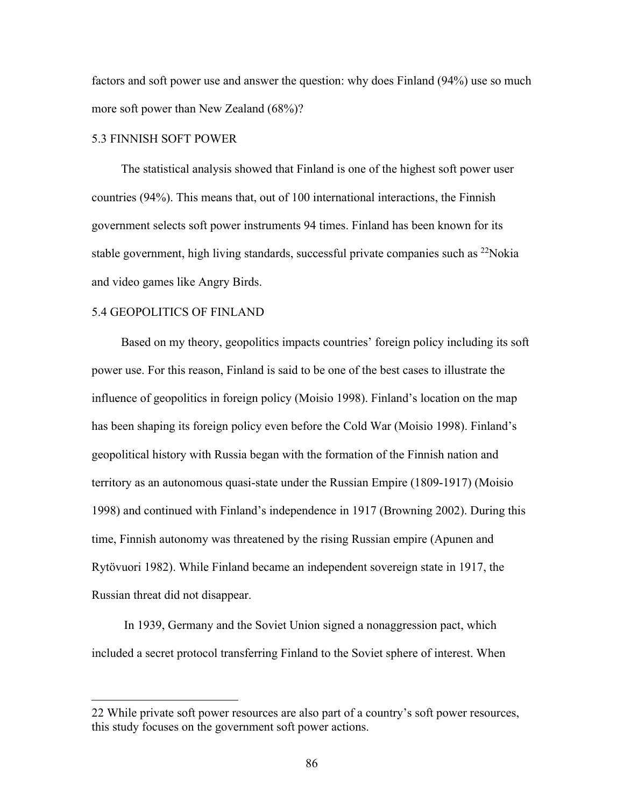factors and soft power use and answer the question: why does Finland (94%) use so much more soft power than New Zealand (68%)?

### 5.3 FINNISH SOFT POWER

 The statistical analysis showed that Finland is one of the highest soft power user countries (94%). This means that, out of 100 international interactions, the Finnish government selects soft power instruments 94 times. Finland has been known for its stable government, high living standards, successful private companies such as  $^{22}$ Nokia and video games like Angry Birds.

### 5.4 GEOPOLITICS OF FINLAND

 Based on my theory, geopolitics impacts countries' foreign policy including its soft power use. For this reason, Finland is said to be one of the best cases to illustrate the influence of geopolitics in foreign policy (Moisio 1998). Finland's location on the map has been shaping its foreign policy even before the Cold War (Moisio 1998). Finland's geopolitical history with Russia began with the formation of the Finnish nation and territory as an autonomous quasi-state under the Russian Empire (1809-1917) (Moisio 1998) and continued with Finland's independence in 1917 (Browning 2002). During this time, Finnish autonomy was threatened by the rising Russian empire (Apunen and Rytövuori 1982). While Finland became an independent sovereign state in 1917, the Russian threat did not disappear.

 In 1939, Germany and the Soviet Union signed a nonaggression pact, which included a secret protocol transferring Finland to the Soviet sphere of interest. When

<sup>22</sup> While private soft power resources are also part of a country's soft power resources, this study focuses on the government soft power actions.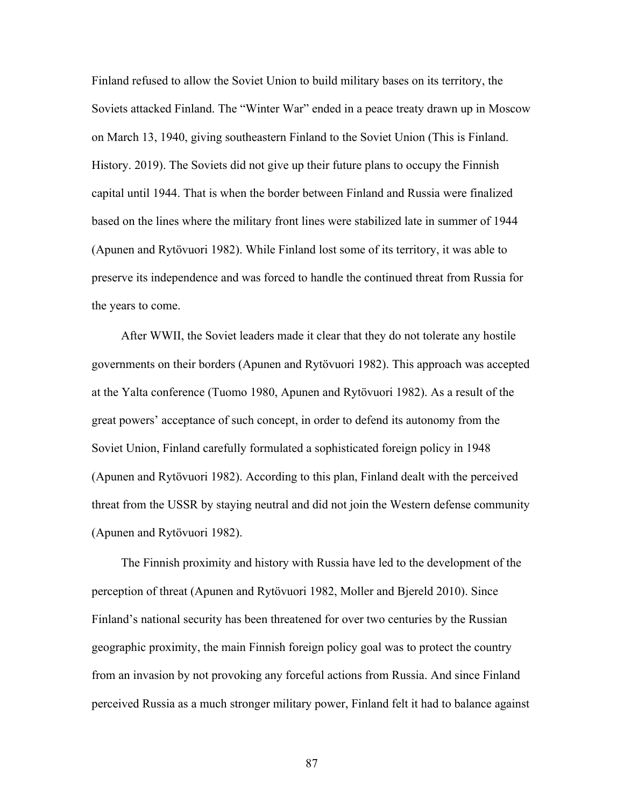Finland refused to allow the Soviet Union to build military bases on its territory, the Soviets attacked Finland. The "Winter War" ended in a peace treaty drawn up in Moscow on March 13, 1940, giving southeastern Finland to the Soviet Union (This is Finland. History. 2019). The Soviets did not give up their future plans to occupy the Finnish capital until 1944. That is when the border between Finland and Russia were finalized based on the lines where the military front lines were stabilized late in summer of 1944 (Apunen and Rytövuori 1982). While Finland lost some of its territory, it was able to preserve its independence and was forced to handle the continued threat from Russia for the years to come.

 After WWII, the Soviet leaders made it clear that they do not tolerate any hostile governments on their borders (Apunen and Rytövuori 1982). This approach was accepted at the Yalta conference (Tuomo 1980, Apunen and Rytövuori 1982). As a result of the great powers' acceptance of such concept, in order to defend its autonomy from the Soviet Union, Finland carefully formulated a sophisticated foreign policy in 1948 (Apunen and Rytövuori 1982). According to this plan, Finland dealt with the perceived threat from the USSR by staying neutral and did not join the Western defense community (Apunen and Rytövuori 1982).

 The Finnish proximity and history with Russia have led to the development of the perception of threat (Apunen and Rytövuori 1982, Moller and Bjereld 2010). Since Finland's national security has been threatened for over two centuries by the Russian geographic proximity, the main Finnish foreign policy goal was to protect the country from an invasion by not provoking any forceful actions from Russia. And since Finland perceived Russia as a much stronger military power, Finland felt it had to balance against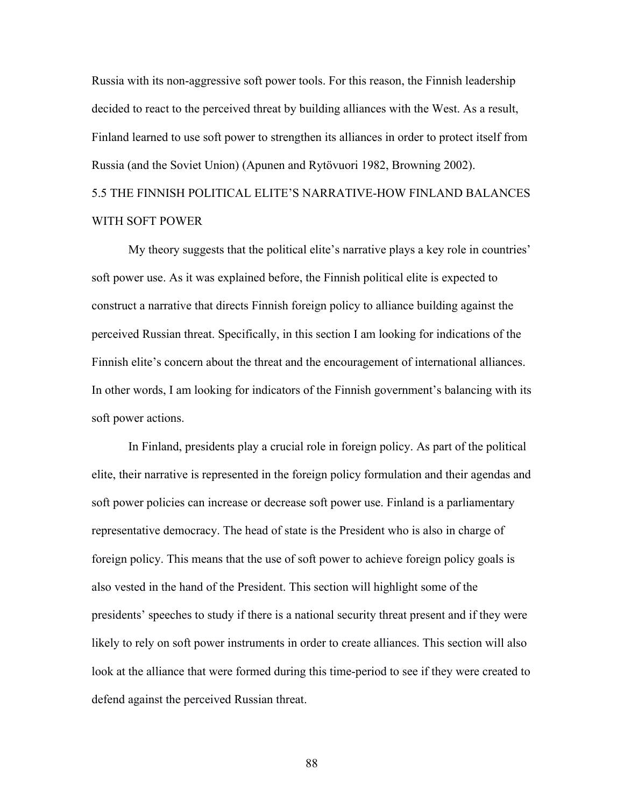Russia with its non-aggressive soft power tools. For this reason, the Finnish leadership decided to react to the perceived threat by building alliances with the West. As a result, Finland learned to use soft power to strengthen its alliances in order to protect itself from Russia (and the Soviet Union) (Apunen and Rytövuori 1982, Browning 2002). 5.5 THE FINNISH POLITICAL ELITE'S NARRATIVE-HOW FINLAND BALANCES

### WITH SOFT POWER

 My theory suggests that the political elite's narrative plays a key role in countries' soft power use. As it was explained before, the Finnish political elite is expected to construct a narrative that directs Finnish foreign policy to alliance building against the perceived Russian threat. Specifically, in this section I am looking for indications of the Finnish elite's concern about the threat and the encouragement of international alliances. In other words, I am looking for indicators of the Finnish government's balancing with its soft power actions.

In Finland, presidents play a crucial role in foreign policy. As part of the political elite, their narrative is represented in the foreign policy formulation and their agendas and soft power policies can increase or decrease soft power use. Finland is a parliamentary representative democracy. The head of state is the President who is also in charge of foreign policy. This means that the use of soft power to achieve foreign policy goals is also vested in the hand of the President. This section will highlight some of the presidents' speeches to study if there is a national security threat present and if they were likely to rely on soft power instruments in order to create alliances. This section will also look at the alliance that were formed during this time-period to see if they were created to defend against the perceived Russian threat.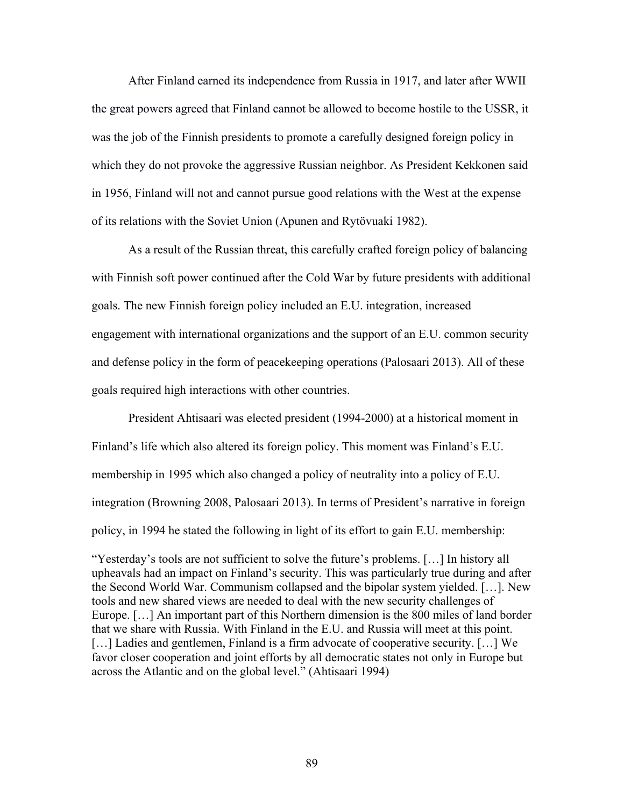After Finland earned its independence from Russia in 1917, and later after WWII the great powers agreed that Finland cannot be allowed to become hostile to the USSR, it was the job of the Finnish presidents to promote a carefully designed foreign policy in which they do not provoke the aggressive Russian neighbor. As President Kekkonen said in 1956, Finland will not and cannot pursue good relations with the West at the expense of its relations with the Soviet Union (Apunen and Rytövuaki 1982).

As a result of the Russian threat, this carefully crafted foreign policy of balancing with Finnish soft power continued after the Cold War by future presidents with additional goals. The new Finnish foreign policy included an E.U. integration, increased engagement with international organizations and the support of an E.U. common security and defense policy in the form of peacekeeping operations (Palosaari 2013). All of these goals required high interactions with other countries.

President Ahtisaari was elected president (1994-2000) at a historical moment in Finland's life which also altered its foreign policy. This moment was Finland's E.U. membership in 1995 which also changed a policy of neutrality into a policy of E.U. integration (Browning 2008, Palosaari 2013). In terms of President's narrative in foreign policy, in 1994 he stated the following in light of its effort to gain E.U. membership:

"Yesterday's tools are not sufficient to solve the future's problems. […] In history all upheavals had an impact on Finland's security. This was particularly true during and after the Second World War. Communism collapsed and the bipolar system yielded. […]. New tools and new shared views are needed to deal with the new security challenges of Europe. […] An important part of this Northern dimension is the 800 miles of land border that we share with Russia. With Finland in the E.U. and Russia will meet at this point. [...] Ladies and gentlemen, Finland is a firm advocate of cooperative security. [...] We favor closer cooperation and joint efforts by all democratic states not only in Europe but across the Atlantic and on the global level." (Ahtisaari 1994)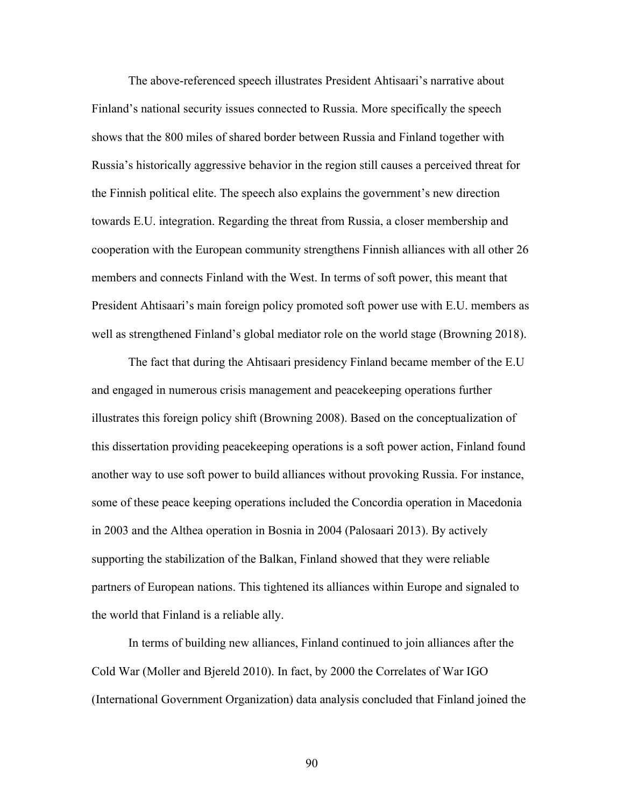The above-referenced speech illustrates President Ahtisaari's narrative about Finland's national security issues connected to Russia. More specifically the speech shows that the 800 miles of shared border between Russia and Finland together with Russia's historically aggressive behavior in the region still causes a perceived threat for the Finnish political elite. The speech also explains the government's new direction towards E.U. integration. Regarding the threat from Russia, a closer membership and cooperation with the European community strengthens Finnish alliances with all other 26 members and connects Finland with the West. In terms of soft power, this meant that President Ahtisaari's main foreign policy promoted soft power use with E.U. members as well as strengthened Finland's global mediator role on the world stage (Browning 2018).

The fact that during the Ahtisaari presidency Finland became member of the E.U and engaged in numerous crisis management and peacekeeping operations further illustrates this foreign policy shift (Browning 2008). Based on the conceptualization of this dissertation providing peacekeeping operations is a soft power action, Finland found another way to use soft power to build alliances without provoking Russia. For instance, some of these peace keeping operations included the Concordia operation in Macedonia in 2003 and the Althea operation in Bosnia in 2004 (Palosaari 2013). By actively supporting the stabilization of the Balkan, Finland showed that they were reliable partners of European nations. This tightened its alliances within Europe and signaled to the world that Finland is a reliable ally.

In terms of building new alliances, Finland continued to join alliances after the Cold War (Moller and Bjereld 2010). In fact, by 2000 the Correlates of War IGO (International Government Organization) data analysis concluded that Finland joined the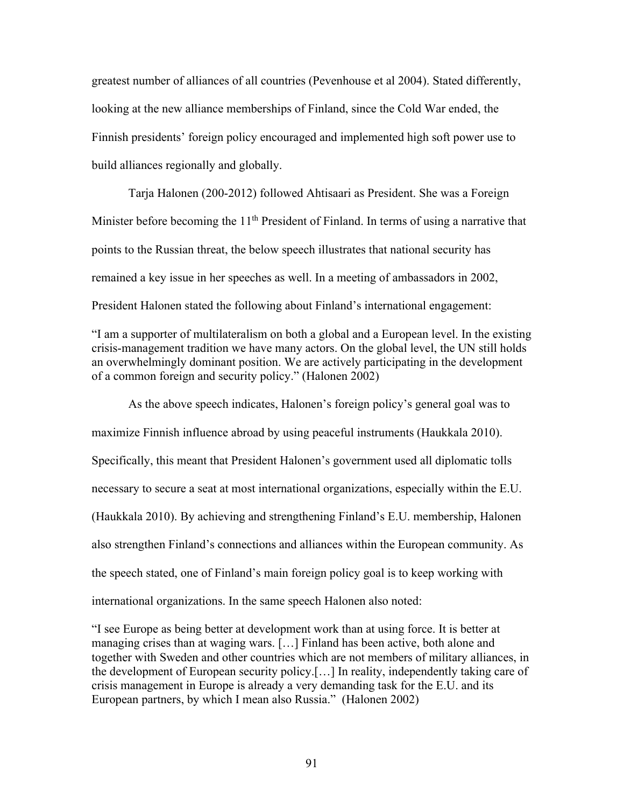greatest number of alliances of all countries (Pevenhouse et al 2004). Stated differently, looking at the new alliance memberships of Finland, since the Cold War ended, the Finnish presidents' foreign policy encouraged and implemented high soft power use to build alliances regionally and globally.

 Tarja Halonen (200-2012) followed Ahtisaari as President. She was a Foreign Minister before becoming the  $11<sup>th</sup>$  President of Finland. In terms of using a narrative that points to the Russian threat, the below speech illustrates that national security has remained a key issue in her speeches as well. In a meeting of ambassadors in 2002, President Halonen stated the following about Finland's international engagement:

"I am a supporter of multilateralism on both a global and a European level. In the existing crisis-management tradition we have many actors. On the global level, the UN still holds an overwhelmingly dominant position. We are actively participating in the development of a common foreign and security policy." (Halonen 2002)

As the above speech indicates, Halonen's foreign policy's general goal was to maximize Finnish influence abroad by using peaceful instruments (Haukkala 2010). Specifically, this meant that President Halonen's government used all diplomatic tolls necessary to secure a seat at most international organizations, especially within the E.U. (Haukkala 2010). By achieving and strengthening Finland's E.U. membership, Halonen also strengthen Finland's connections and alliances within the European community. As the speech stated, one of Finland's main foreign policy goal is to keep working with international organizations. In the same speech Halonen also noted:

"I see Europe as being better at development work than at using force. It is better at managing crises than at waging wars. […] Finland has been active, both alone and together with Sweden and other countries which are not members of military alliances, in the development of European security policy.[…] In reality, independently taking care of crisis management in Europe is already a very demanding task for the E.U. and its European partners, by which I mean also Russia." (Halonen 2002)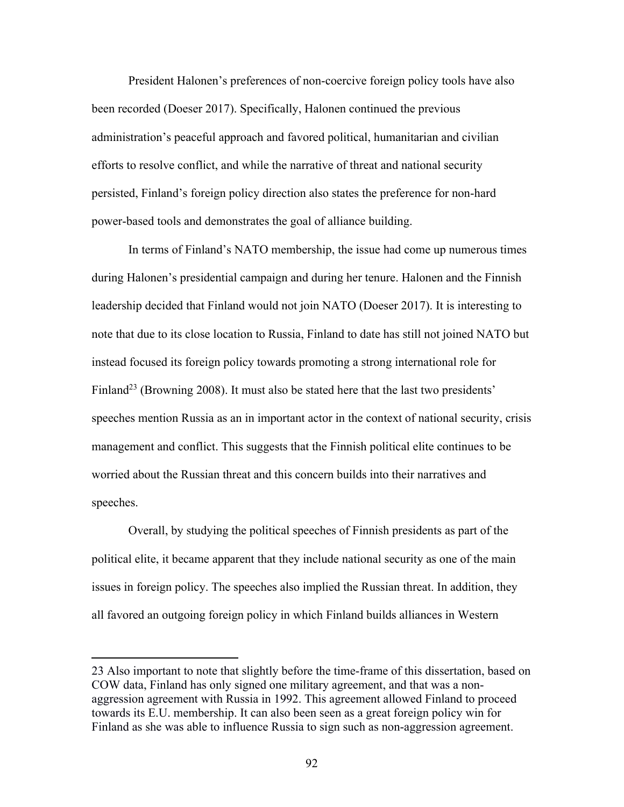President Halonen's preferences of non-coercive foreign policy tools have also been recorded (Doeser 2017). Specifically, Halonen continued the previous administration's peaceful approach and favored political, humanitarian and civilian efforts to resolve conflict, and while the narrative of threat and national security persisted, Finland's foreign policy direction also states the preference for non-hard power-based tools and demonstrates the goal of alliance building.

In terms of Finland's NATO membership, the issue had come up numerous times during Halonen's presidential campaign and during her tenure. Halonen and the Finnish leadership decided that Finland would not join NATO (Doeser 2017). It is interesting to note that due to its close location to Russia, Finland to date has still not joined NATO but instead focused its foreign policy towards promoting a strong international role for Finland<sup>23</sup> (Browning 2008). It must also be stated here that the last two presidents' speeches mention Russia as an in important actor in the context of national security, crisis management and conflict. This suggests that the Finnish political elite continues to be worried about the Russian threat and this concern builds into their narratives and speeches.

Overall, by studying the political speeches of Finnish presidents as part of the political elite, it became apparent that they include national security as one of the main issues in foreign policy. The speeches also implied the Russian threat. In addition, they all favored an outgoing foreign policy in which Finland builds alliances in Western

<sup>23</sup> Also important to note that slightly before the time-frame of this dissertation, based on COW data, Finland has only signed one military agreement, and that was a nonaggression agreement with Russia in 1992. This agreement allowed Finland to proceed towards its E.U. membership. It can also been seen as a great foreign policy win for Finland as she was able to influence Russia to sign such as non-aggression agreement.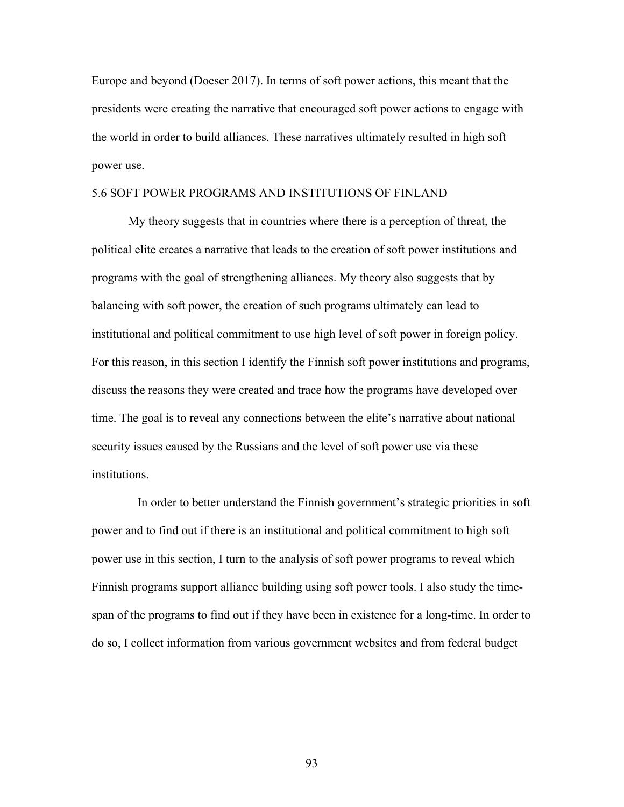Europe and beyond (Doeser 2017). In terms of soft power actions, this meant that the presidents were creating the narrative that encouraged soft power actions to engage with the world in order to build alliances. These narratives ultimately resulted in high soft power use.

### 5.6 SOFT POWER PROGRAMS AND INSTITUTIONS OF FINLAND

My theory suggests that in countries where there is a perception of threat, the political elite creates a narrative that leads to the creation of soft power institutions and programs with the goal of strengthening alliances. My theory also suggests that by balancing with soft power, the creation of such programs ultimately can lead to institutional and political commitment to use high level of soft power in foreign policy. For this reason, in this section I identify the Finnish soft power institutions and programs, discuss the reasons they were created and trace how the programs have developed over time. The goal is to reveal any connections between the elite's narrative about national security issues caused by the Russians and the level of soft power use via these institutions.

 In order to better understand the Finnish government's strategic priorities in soft power and to find out if there is an institutional and political commitment to high soft power use in this section, I turn to the analysis of soft power programs to reveal which Finnish programs support alliance building using soft power tools. I also study the timespan of the programs to find out if they have been in existence for a long-time. In order to do so, I collect information from various government websites and from federal budget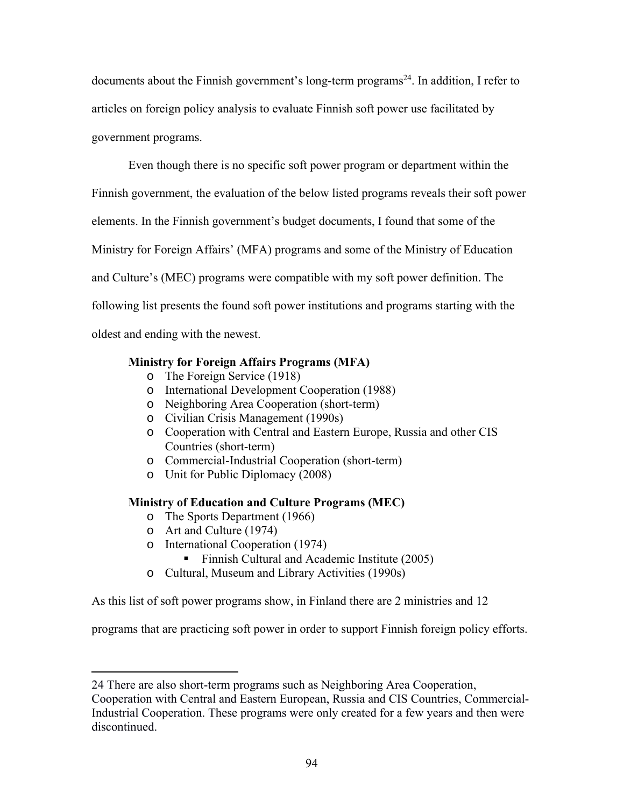documents about the Finnish government's long-term programs<sup>24</sup>. In addition, I refer to articles on foreign policy analysis to evaluate Finnish soft power use facilitated by government programs.

Even though there is no specific soft power program or department within the Finnish government, the evaluation of the below listed programs reveals their soft power elements. In the Finnish government's budget documents, I found that some of the Ministry for Foreign Affairs' (MFA) programs and some of the Ministry of Education and Culture's (MEC) programs were compatible with my soft power definition. The following list presents the found soft power institutions and programs starting with the oldest and ending with the newest.

## **Ministry for Foreign Affairs Programs (MFA)**

- o The Foreign Service (1918)
- o International Development Cooperation (1988)
- o Neighboring Area Cooperation (short-term)
- o Civilian Crisis Management (1990s)
- o Cooperation with Central and Eastern Europe, Russia and other CIS Countries (short-term)
- o Commercial-Industrial Cooperation (short-term)
- o Unit for Public Diplomacy (2008)

# **Ministry of Education and Culture Programs (MEC)**

- o The Sports Department (1966)
- o Art and Culture (1974)
- o International Cooperation (1974)
	- Finnish Cultural and Academic Institute (2005)
- o Cultural, Museum and Library Activities (1990s)

As this list of soft power programs show, in Finland there are 2 ministries and 12

programs that are practicing soft power in order to support Finnish foreign policy efforts.

<sup>24</sup> There are also short-term programs such as Neighboring Area Cooperation,

Cooperation with Central and Eastern European, Russia and CIS Countries, Commercial-Industrial Cooperation. These programs were only created for a few years and then were discontinued.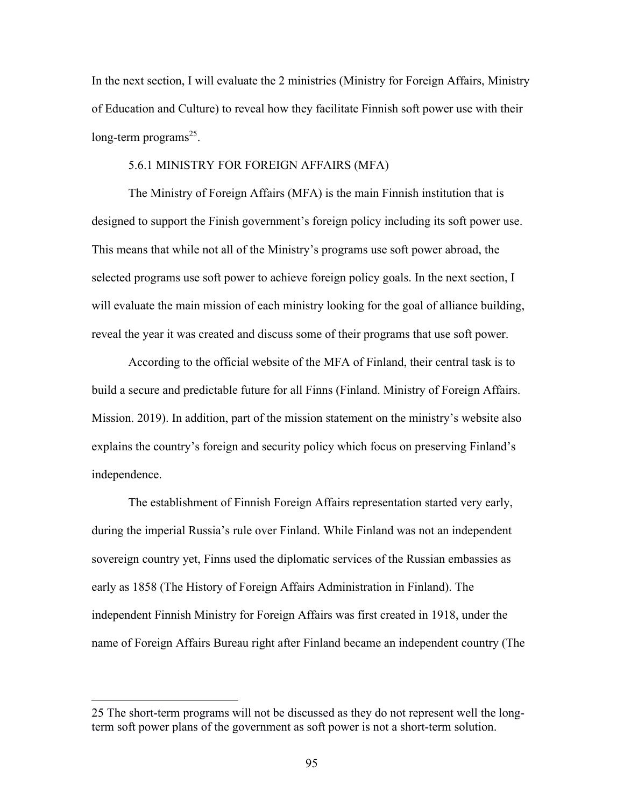In the next section, I will evaluate the 2 ministries (Ministry for Foreign Affairs, Ministry of Education and Culture) to reveal how they facilitate Finnish soft power use with their long-term programs<sup>25</sup>.

### 5.6.1 MINISTRY FOR FOREIGN AFFAIRS (MFA)

The Ministry of Foreign Affairs (MFA) is the main Finnish institution that is designed to support the Finish government's foreign policy including its soft power use. This means that while not all of the Ministry's programs use soft power abroad, the selected programs use soft power to achieve foreign policy goals. In the next section, I will evaluate the main mission of each ministry looking for the goal of alliance building, reveal the year it was created and discuss some of their programs that use soft power.

According to the official website of the MFA of Finland, their central task is to build a secure and predictable future for all Finns (Finland. Ministry of Foreign Affairs. Mission. 2019). In addition, part of the mission statement on the ministry's website also explains the country's foreign and security policy which focus on preserving Finland's independence.

The establishment of Finnish Foreign Affairs representation started very early, during the imperial Russia's rule over Finland. While Finland was not an independent sovereign country yet, Finns used the diplomatic services of the Russian embassies as early as 1858 (The History of Foreign Affairs Administration in Finland). The independent Finnish Ministry for Foreign Affairs was first created in 1918, under the name of Foreign Affairs Bureau right after Finland became an independent country (The

<sup>25</sup> The short-term programs will not be discussed as they do not represent well the longterm soft power plans of the government as soft power is not a short-term solution.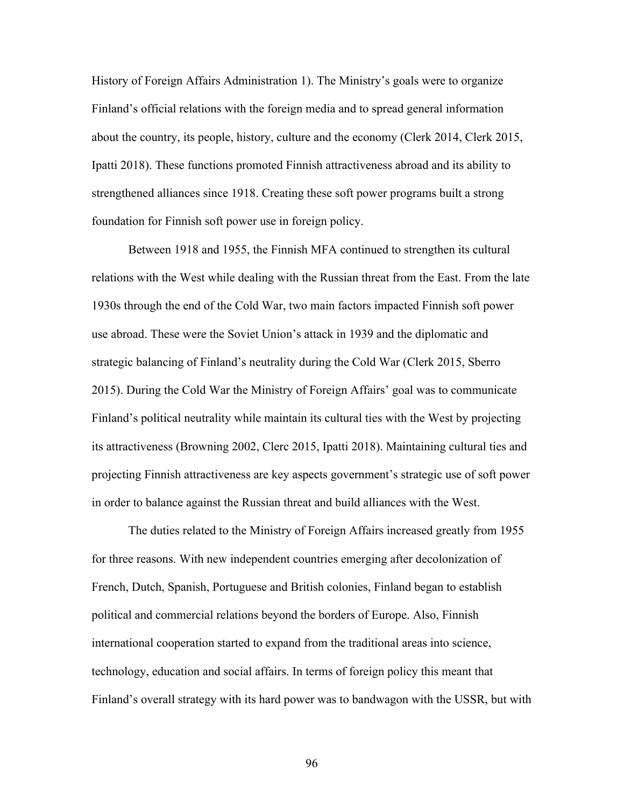History of Foreign Affairs Administration 1). The Ministry's goals were to organize Finland's official relations with the foreign media and to spread general information about the country, its people, history, culture and the economy (Clerk 2014, Clerk 2015, Ipatti 2018). These functions promoted Finnish attractiveness abroad and its ability to strengthened alliances since 1918. Creating these soft power programs built a strong foundation for Finnish soft power use in foreign policy.

Between 1918 and 1955, the Finnish MFA continued to strengthen its cultural relations with the West while dealing with the Russian threat from the East. From the late 1930s through the end of the Cold War, two main factors impacted Finnish soft power use abroad. These were the Soviet Union's attack in 1939 and the diplomatic and strategic balancing of Finland's neutrality during the Cold War (Clerk 2015, Sberro 2015). During the Cold War the Ministry of Foreign Affairs' goal was to communicate Finland's political neutrality while maintain its cultural ties with the West by projecting its attractiveness (Browning 2002, Clerc 2015, Ipatti 2018). Maintaining cultural ties and projecting Finnish attractiveness are key aspects government's strategic use of soft power in order to balance against the Russian threat and build alliances with the West.

The duties related to the Ministry of Foreign Affairs increased greatly from 1955 for three reasons. With new independent countries emerging after decolonization of French, Dutch, Spanish, Portuguese and British colonies, Finland began to establish political and commercial relations beyond the borders of Europe. Also, Finnish international cooperation started to expand from the traditional areas into science, technology, education and social affairs. In terms of foreign policy this meant that Finland's overall strategy with its hard power was to bandwagon with the USSR, but with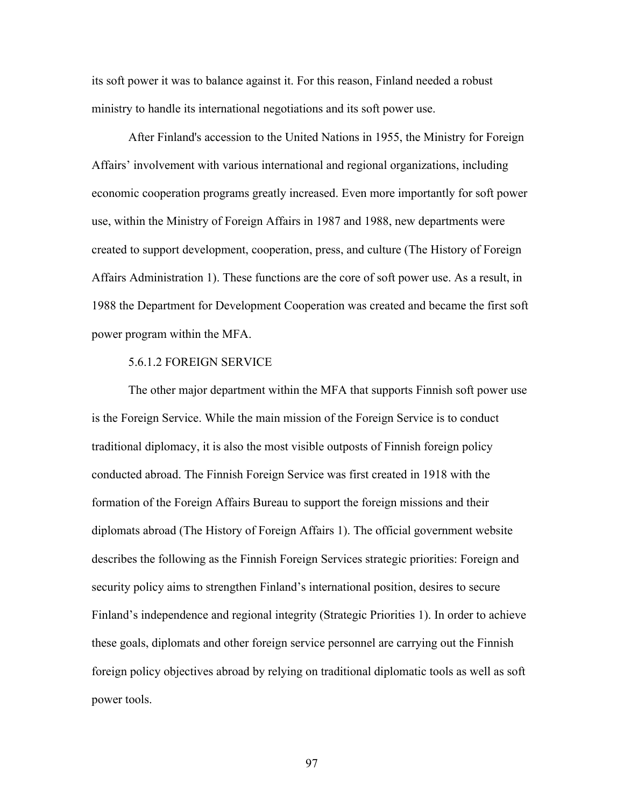its soft power it was to balance against it. For this reason, Finland needed a robust ministry to handle its international negotiations and its soft power use.

After Finland's accession to the United Nations in 1955, the Ministry for Foreign Affairs' involvement with various international and regional organizations, including economic cooperation programs greatly increased. Even more importantly for soft power use, within the Ministry of Foreign Affairs in 1987 and 1988, new departments were created to support development, cooperation, press, and culture (The History of Foreign Affairs Administration 1). These functions are the core of soft power use. As a result, in 1988 the Department for Development Cooperation was created and became the first soft power program within the MFA.

#### 5.6.1.2 FOREIGN SERVICE

 The other major department within the MFA that supports Finnish soft power use is the Foreign Service. While the main mission of the Foreign Service is to conduct traditional diplomacy, it is also the most visible outposts of Finnish foreign policy conducted abroad. The Finnish Foreign Service was first created in 1918 with the formation of the Foreign Affairs Bureau to support the foreign missions and their diplomats abroad (The History of Foreign Affairs 1). The official government website describes the following as the Finnish Foreign Services strategic priorities: Foreign and security policy aims to strengthen Finland's international position, desires to secure Finland's independence and regional integrity (Strategic Priorities 1). In order to achieve these goals, diplomats and other foreign service personnel are carrying out the Finnish foreign policy objectives abroad by relying on traditional diplomatic tools as well as soft power tools.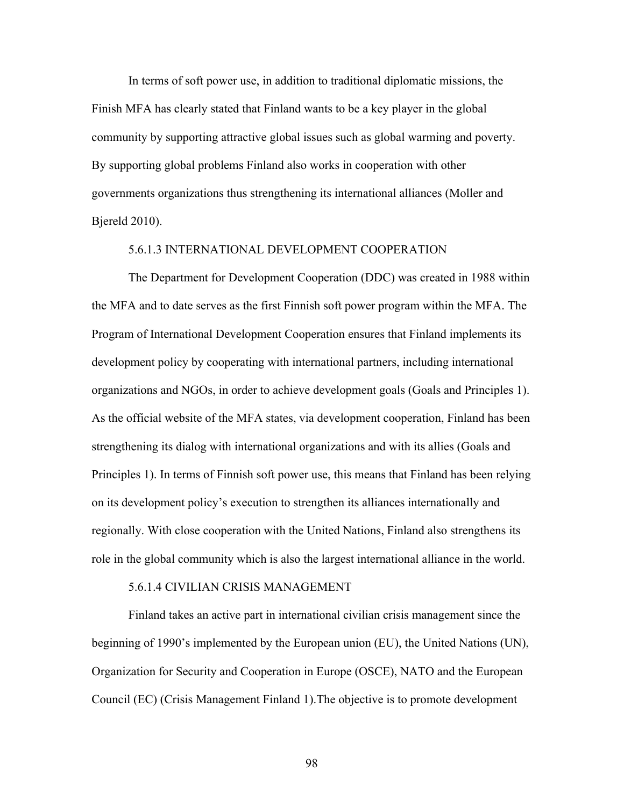In terms of soft power use, in addition to traditional diplomatic missions, the Finish MFA has clearly stated that Finland wants to be a key player in the global community by supporting attractive global issues such as global warming and poverty. By supporting global problems Finland also works in cooperation with other governments organizations thus strengthening its international alliances (Moller and Bjereld 2010).

## 5.6.1.3 INTERNATIONAL DEVELOPMENT COOPERATION

 The Department for Development Cooperation (DDC) was created in 1988 within the MFA and to date serves as the first Finnish soft power program within the MFA. The Program of International Development Cooperation ensures that Finland implements its development policy by cooperating with international partners, including international organizations and NGOs, in order to achieve development goals (Goals and Principles 1). As the official website of the MFA states, via development cooperation, Finland has been strengthening its dialog with international organizations and with its allies (Goals and Principles 1). In terms of Finnish soft power use, this means that Finland has been relying on its development policy's execution to strengthen its alliances internationally and regionally. With close cooperation with the United Nations, Finland also strengthens its role in the global community which is also the largest international alliance in the world.

#### 5.6.1.4 CIVILIAN CRISIS MANAGEMENT

Finland takes an active part in international civilian crisis management since the beginning of 1990's implemented by the European union (EU), the United Nations (UN), Organization for Security and Cooperation in Europe (OSCE), NATO and the European Council (EC) (Crisis Management Finland 1).The objective is to promote development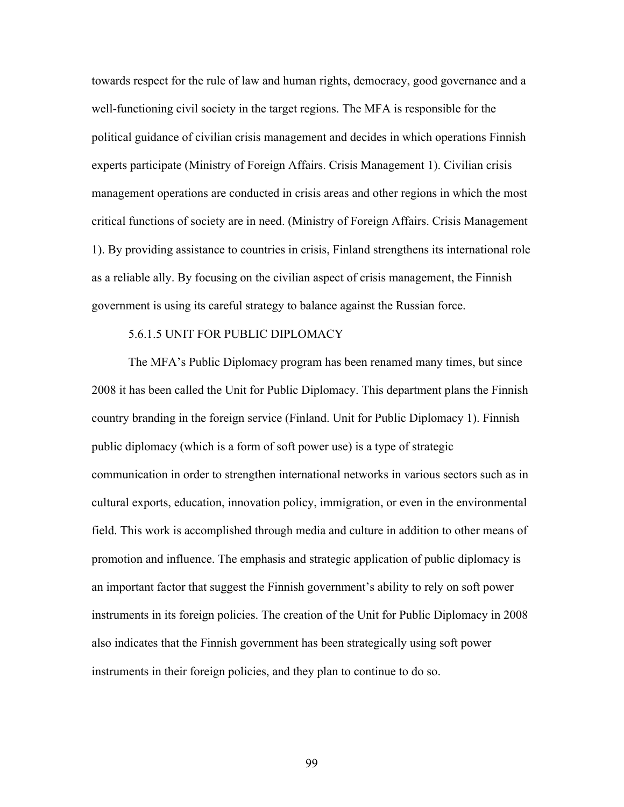towards respect for the rule of law and human rights, democracy, good governance and a well-functioning civil society in the target regions. The MFA is responsible for the political guidance of civilian crisis management and decides in which operations Finnish experts participate (Ministry of Foreign Affairs. Crisis Management 1). Civilian crisis management operations are conducted in crisis areas and other regions in which the most critical functions of society are in need. (Ministry of Foreign Affairs. Crisis Management 1). By providing assistance to countries in crisis, Finland strengthens its international role as a reliable ally. By focusing on the civilian aspect of crisis management, the Finnish government is using its careful strategy to balance against the Russian force.

#### 5.6.1.5 UNIT FOR PUBLIC DIPLOMACY

The MFA's Public Diplomacy program has been renamed many times, but since 2008 it has been called the Unit for Public Diplomacy. This department plans the Finnish country branding in the foreign service (Finland. Unit for Public Diplomacy 1). Finnish public diplomacy (which is a form of soft power use) is a type of strategic communication in order to strengthen international networks in various sectors such as in cultural exports, education, innovation policy, immigration, or even in the environmental field. This work is accomplished through media and culture in addition to other means of promotion and influence. The emphasis and strategic application of public diplomacy is an important factor that suggest the Finnish government's ability to rely on soft power instruments in its foreign policies. The creation of the Unit for Public Diplomacy in 2008 also indicates that the Finnish government has been strategically using soft power instruments in their foreign policies, and they plan to continue to do so.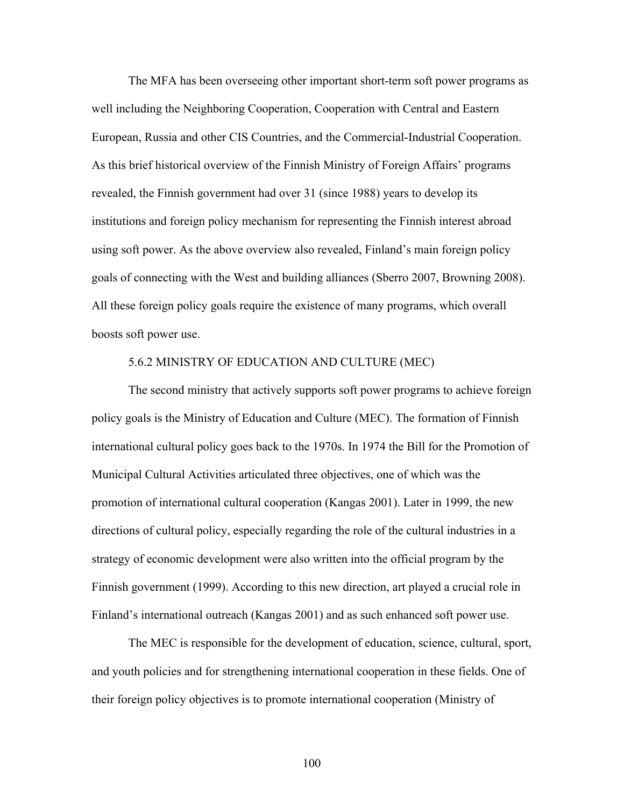The MFA has been overseeing other important short-term soft power programs as well including the Neighboring Cooperation, Cooperation with Central and Eastern European, Russia and other CIS Countries, and the Commercial-Industrial Cooperation. As this brief historical overview of the Finnish Ministry of Foreign Affairs' programs revealed, the Finnish government had over 31 (since 1988) years to develop its institutions and foreign policy mechanism for representing the Finnish interest abroad using soft power. As the above overview also revealed, Finland's main foreign policy goals of connecting with the West and building alliances (Sberro 2007, Browning 2008). All these foreign policy goals require the existence of many programs, which overall boosts soft power use.

#### 5.6.2 MINISTRY OF EDUCATION AND CULTURE (MEC)

The second ministry that actively supports soft power programs to achieve foreign policy goals is the Ministry of Education and Culture (MEC). The formation of Finnish international cultural policy goes back to the 1970s. In 1974 the Bill for the Promotion of Municipal Cultural Activities articulated three objectives, one of which was the promotion of international cultural cooperation (Kangas 2001). Later in 1999, the new directions of cultural policy, especially regarding the role of the cultural industries in a strategy of economic development were also written into the official program by the Finnish government (1999). According to this new direction, art played a crucial role in Finland's international outreach (Kangas 2001) and as such enhanced soft power use.

The MEC is responsible for the development of education, science, cultural, sport, and youth policies and for strengthening international cooperation in these fields. One of their foreign policy objectives is to promote international cooperation (Ministry of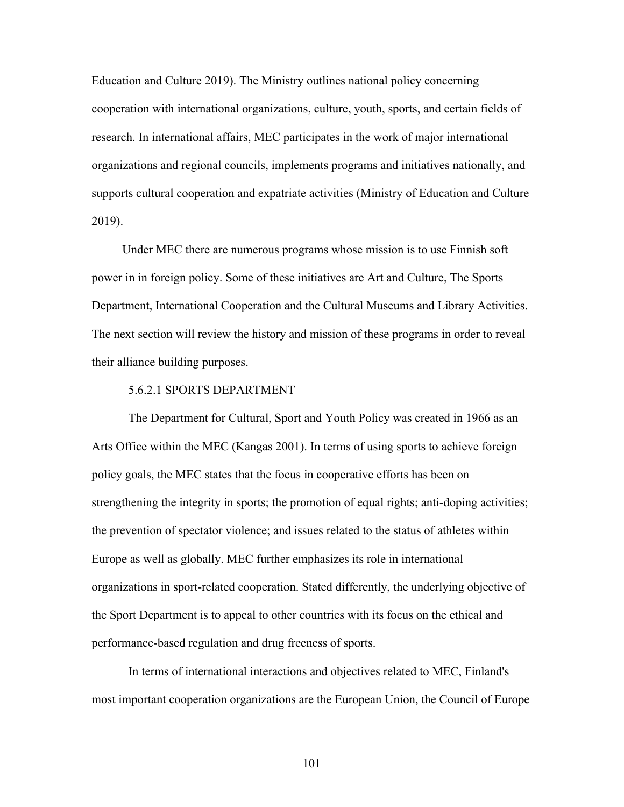Education and Culture 2019). The Ministry outlines national policy concerning cooperation with international organizations, culture, youth, sports, and certain fields of research. In international affairs, MEC participates in the work of major international organizations and regional councils, implements programs and initiatives nationally, and supports cultural cooperation and expatriate activities (Ministry of Education and Culture 2019).

 Under MEC there are numerous programs whose mission is to use Finnish soft power in in foreign policy. Some of these initiatives are Art and Culture, The Sports Department, International Cooperation and the Cultural Museums and Library Activities. The next section will review the history and mission of these programs in order to reveal their alliance building purposes.

## 5.6.2.1 SPORTS DEPARTMENT

The Department for Cultural, Sport and Youth Policy was created in 1966 as an Arts Office within the MEC (Kangas 2001). In terms of using sports to achieve foreign policy goals, the MEC states that the focus in cooperative efforts has been on strengthening the integrity in sports; the promotion of equal rights; anti-doping activities; the prevention of spectator violence; and issues related to the status of athletes within Europe as well as globally. MEC further emphasizes its role in international organizations in sport-related cooperation. Stated differently, the underlying objective of the Sport Department is to appeal to other countries with its focus on the ethical and performance-based regulation and drug freeness of sports.

In terms of international interactions and objectives related to MEC, Finland's most important cooperation organizations are the European Union, the Council of Europe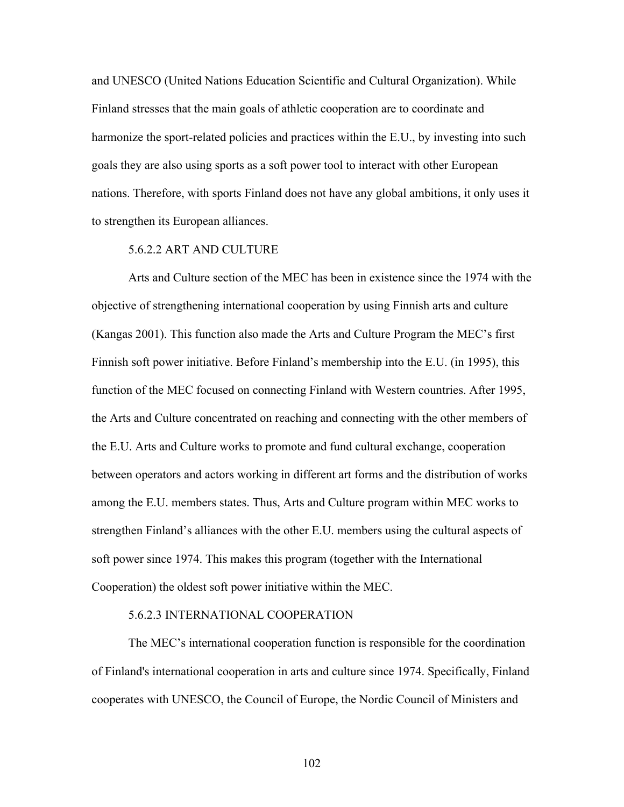and UNESCO (United Nations Education Scientific and Cultural Organization). While Finland stresses that the main goals of athletic cooperation are to coordinate and harmonize the sport-related policies and practices within the E.U., by investing into such goals they are also using sports as a soft power tool to interact with other European nations. Therefore, with sports Finland does not have any global ambitions, it only uses it to strengthen its European alliances.

#### 5.6.2.2 ART AND CULTURE

Arts and Culture section of the MEC has been in existence since the 1974 with the objective of strengthening international cooperation by using Finnish arts and culture (Kangas 2001). This function also made the Arts and Culture Program the MEC's first Finnish soft power initiative. Before Finland's membership into the E.U. (in 1995), this function of the MEC focused on connecting Finland with Western countries. After 1995, the Arts and Culture concentrated on reaching and connecting with the other members of the E.U. Arts and Culture works to promote and fund cultural exchange, cooperation between operators and actors working in different art forms and the distribution of works among the E.U. members states. Thus, Arts and Culture program within MEC works to strengthen Finland's alliances with the other E.U. members using the cultural aspects of soft power since 1974. This makes this program (together with the International Cooperation) the oldest soft power initiative within the MEC.

#### 5.6.2.3 INTERNATIONAL COOPERATION

The MEC's international cooperation function is responsible for the coordination of Finland's international cooperation in arts and culture since 1974. Specifically, Finland cooperates with UNESCO, the Council of Europe, the Nordic Council of Ministers and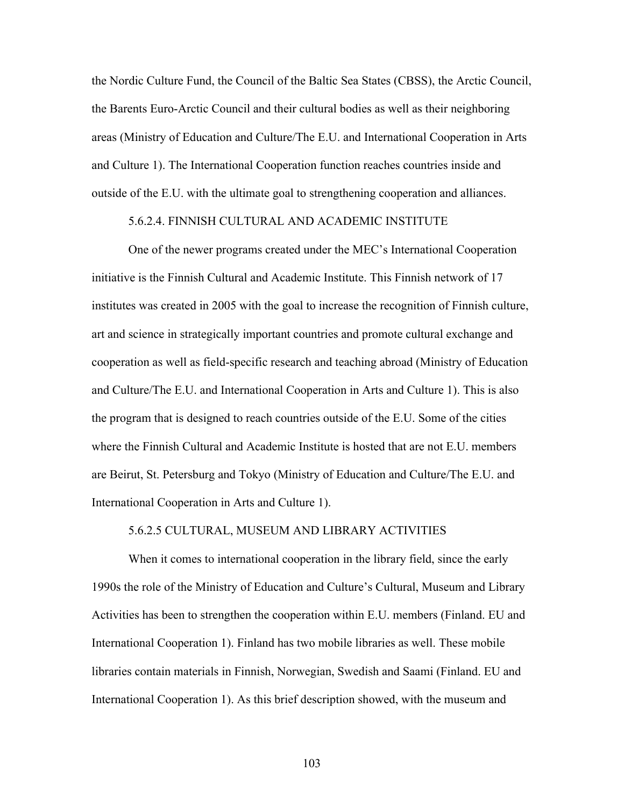the Nordic Culture Fund, the Council of the Baltic Sea States (CBSS), the Arctic Council, the Barents Euro-Arctic Council and their cultural bodies as well as their neighboring areas (Ministry of Education and Culture/The E.U. and International Cooperation in Arts and Culture 1). The International Cooperation function reaches countries inside and outside of the E.U. with the ultimate goal to strengthening cooperation and alliances.

# 5.6.2.4. FINNISH CULTURAL AND ACADEMIC INSTITUTE

One of the newer programs created under the MEC's International Cooperation initiative is the Finnish Cultural and Academic Institute. This Finnish network of 17 institutes was created in 2005 with the goal to increase the recognition of Finnish culture, art and science in strategically important countries and promote cultural exchange and cooperation as well as field-specific research and teaching abroad (Ministry of Education and Culture/The E.U. and International Cooperation in Arts and Culture 1). This is also the program that is designed to reach countries outside of the E.U. Some of the cities where the Finnish Cultural and Academic Institute is hosted that are not E.U. members are Beirut, St. Petersburg and Tokyo (Ministry of Education and Culture/The E.U. and International Cooperation in Arts and Culture 1).

## 5.6.2.5 CULTURAL, MUSEUM AND LIBRARY ACTIVITIES

When it comes to international cooperation in the library field, since the early 1990s the role of the Ministry of Education and Culture's Cultural, Museum and Library Activities has been to strengthen the cooperation within E.U. members (Finland. EU and International Cooperation 1). Finland has two mobile libraries as well. These mobile libraries contain materials in Finnish, Norwegian, Swedish and Saami (Finland. EU and International Cooperation 1). As this brief description showed, with the museum and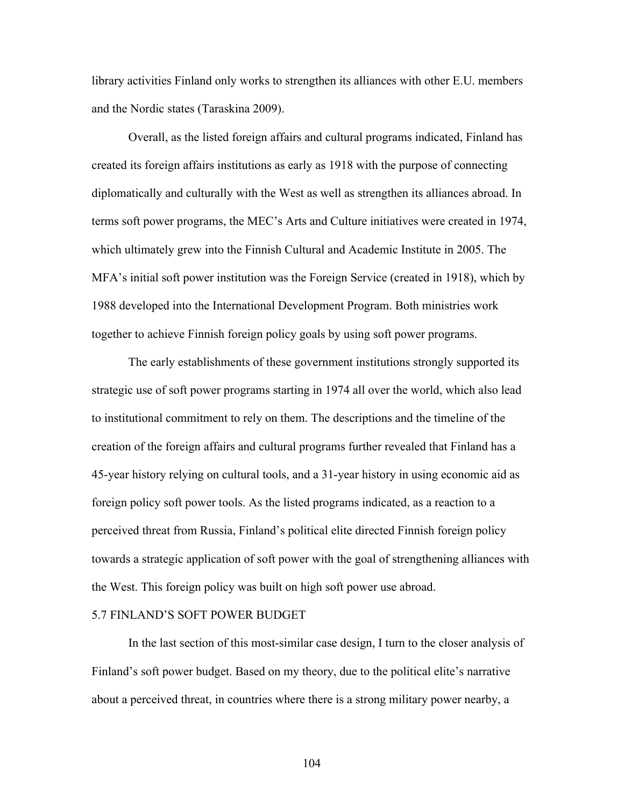library activities Finland only works to strengthen its alliances with other E.U. members and the Nordic states (Taraskina 2009).

Overall, as the listed foreign affairs and cultural programs indicated, Finland has created its foreign affairs institutions as early as 1918 with the purpose of connecting diplomatically and culturally with the West as well as strengthen its alliances abroad. In terms soft power programs, the MEC's Arts and Culture initiatives were created in 1974, which ultimately grew into the Finnish Cultural and Academic Institute in 2005. The MFA's initial soft power institution was the Foreign Service (created in 1918), which by 1988 developed into the International Development Program. Both ministries work together to achieve Finnish foreign policy goals by using soft power programs.

The early establishments of these government institutions strongly supported its strategic use of soft power programs starting in 1974 all over the world, which also lead to institutional commitment to rely on them. The descriptions and the timeline of the creation of the foreign affairs and cultural programs further revealed that Finland has a 45-year history relying on cultural tools, and a 31-year history in using economic aid as foreign policy soft power tools. As the listed programs indicated, as a reaction to a perceived threat from Russia, Finland's political elite directed Finnish foreign policy towards a strategic application of soft power with the goal of strengthening alliances with the West. This foreign policy was built on high soft power use abroad.

#### 5.7 FINLAND'S SOFT POWER BUDGET

In the last section of this most-similar case design, I turn to the closer analysis of Finland's soft power budget. Based on my theory, due to the political elite's narrative about a perceived threat, in countries where there is a strong military power nearby, a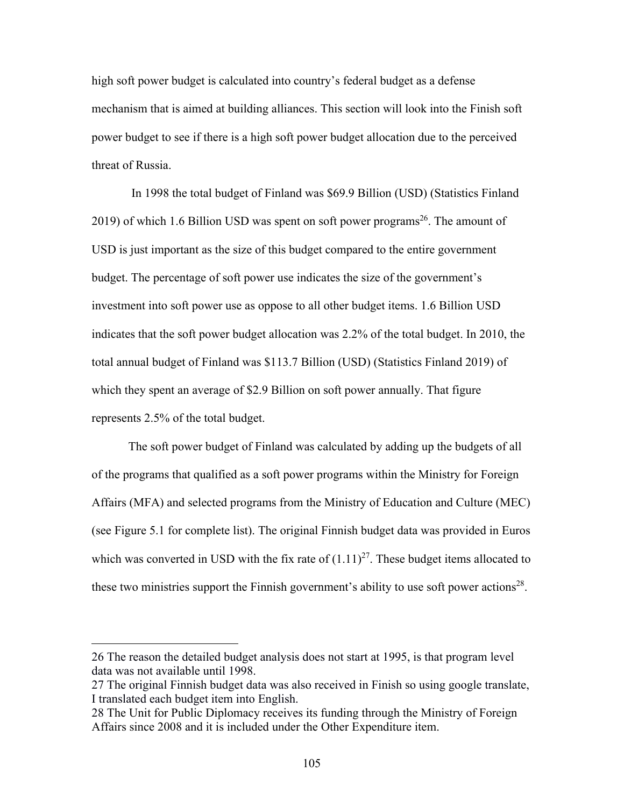high soft power budget is calculated into country's federal budget as a defense mechanism that is aimed at building alliances. This section will look into the Finish soft power budget to see if there is a high soft power budget allocation due to the perceived threat of Russia.

 In 1998 the total budget of Finland was \$69.9 Billion (USD) (Statistics Finland 2019) of which 1.6 Billion USD was spent on soft power programs<sup>26</sup>. The amount of USD is just important as the size of this budget compared to the entire government budget. The percentage of soft power use indicates the size of the government's investment into soft power use as oppose to all other budget items. 1.6 Billion USD indicates that the soft power budget allocation was 2.2% of the total budget. In 2010, the total annual budget of Finland was \$113.7 Billion (USD) (Statistics Finland 2019) of which they spent an average of \$2.9 Billion on soft power annually. That figure represents 2.5% of the total budget.

The soft power budget of Finland was calculated by adding up the budgets of all of the programs that qualified as a soft power programs within the Ministry for Foreign Affairs (MFA) and selected programs from the Ministry of Education and Culture (MEC) (see Figure 5.1 for complete list). The original Finnish budget data was provided in Euros which was converted in USD with the fix rate of  $(1.11)^{27}$ . These budget items allocated to these two ministries support the Finnish government's ability to use soft power actions<sup>28</sup>.

<sup>26</sup> The reason the detailed budget analysis does not start at 1995, is that program level data was not available until 1998.

<sup>27</sup> The original Finnish budget data was also received in Finish so using google translate, I translated each budget item into English.

<sup>28</sup> The Unit for Public Diplomacy receives its funding through the Ministry of Foreign Affairs since 2008 and it is included under the Other Expenditure item.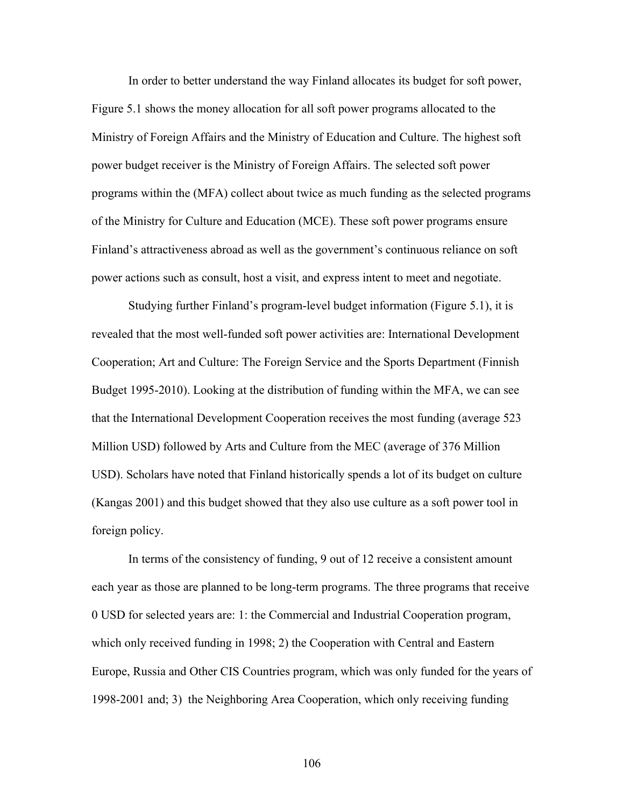In order to better understand the way Finland allocates its budget for soft power, Figure 5.1 shows the money allocation for all soft power programs allocated to the Ministry of Foreign Affairs and the Ministry of Education and Culture. The highest soft power budget receiver is the Ministry of Foreign Affairs. The selected soft power programs within the (MFA) collect about twice as much funding as the selected programs of the Ministry for Culture and Education (MCE). These soft power programs ensure Finland's attractiveness abroad as well as the government's continuous reliance on soft power actions such as consult, host a visit, and express intent to meet and negotiate.

Studying further Finland's program-level budget information (Figure 5.1), it is revealed that the most well-funded soft power activities are: International Development Cooperation; Art and Culture: The Foreign Service and the Sports Department (Finnish Budget 1995-2010). Looking at the distribution of funding within the MFA, we can see that the International Development Cooperation receives the most funding (average 523 Million USD) followed by Arts and Culture from the MEC (average of 376 Million USD). Scholars have noted that Finland historically spends a lot of its budget on culture (Kangas 2001) and this budget showed that they also use culture as a soft power tool in foreign policy.

In terms of the consistency of funding, 9 out of 12 receive a consistent amount each year as those are planned to be long-term programs. The three programs that receive 0 USD for selected years are: 1: the Commercial and Industrial Cooperation program, which only received funding in 1998; 2) the Cooperation with Central and Eastern Europe, Russia and Other CIS Countries program, which was only funded for the years of 1998-2001 and; 3) the Neighboring Area Cooperation, which only receiving funding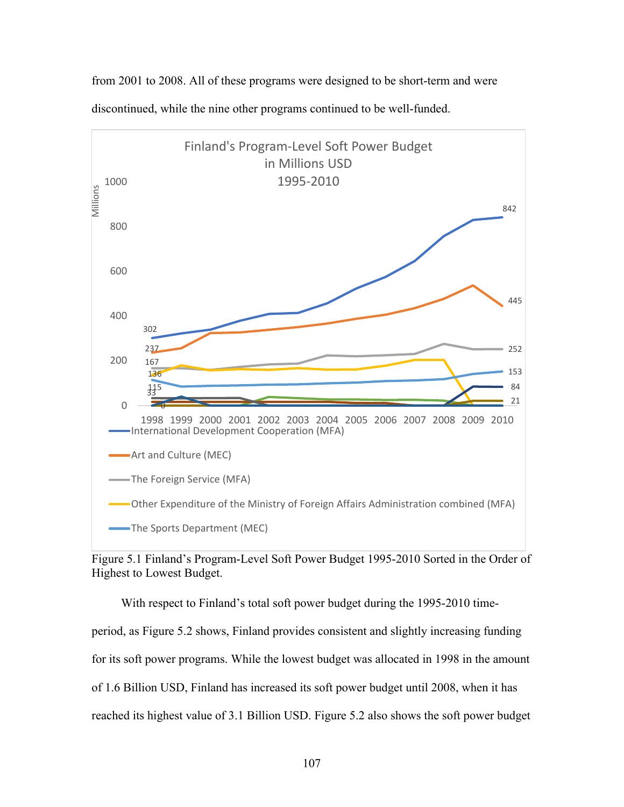

from 2001 to 2008. All of these programs were designed to be short-term and were

Figure 5.1 Finland's Program-Level Soft Power Budget 1995-2010 Sorted in the Order of Highest to Lowest Budget.

 With respect to Finland's total soft power budget during the 1995-2010 timeperiod, as Figure 5.2 shows, Finland provides consistent and slightly increasing funding for its soft power programs. While the lowest budget was allocated in 1998 in the amount of 1.6 Billion USD, Finland has increased its soft power budget until 2008, when it has reached its highest value of 3.1 Billion USD. Figure 5.2 also shows the soft power budget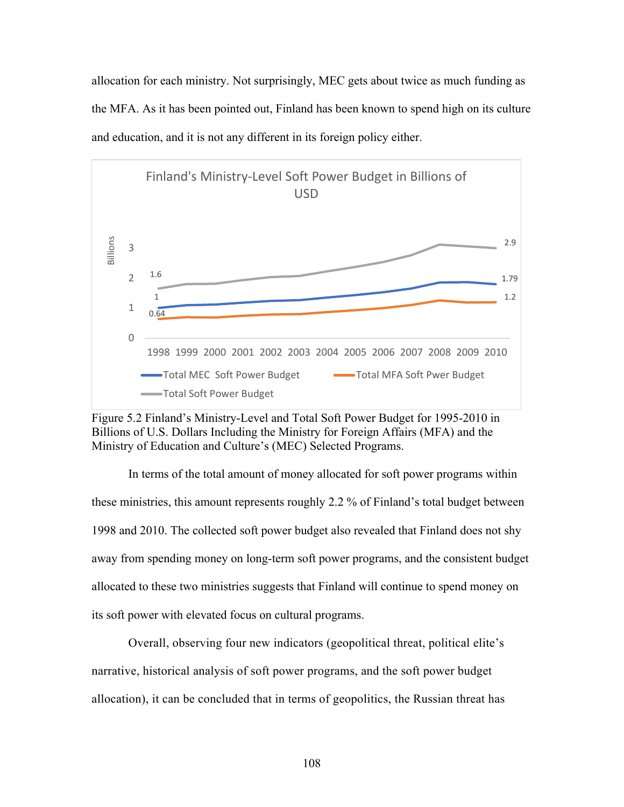allocation for each ministry. Not surprisingly, MEC gets about twice as much funding as the MFA. As it has been pointed out, Finland has been known to spend high on its culture and education, and it is not any different in its foreign policy either.



Figure 5.2 Finland's Ministry-Level and Total Soft Power Budget for 1995-2010 in Billions of U.S. Dollars Including the Ministry for Foreign Affairs (MFA) and the Ministry of Education and Culture's (MEC) Selected Programs.

In terms of the total amount of money allocated for soft power programs within these ministries, this amount represents roughly 2.2 % of Finland's total budget between 1998 and 2010. The collected soft power budget also revealed that Finland does not shy away from spending money on long-term soft power programs, and the consistent budget allocated to these two ministries suggests that Finland will continue to spend money on its soft power with elevated focus on cultural programs.

Overall, observing four new indicators (geopolitical threat, political elite's narrative, historical analysis of soft power programs, and the soft power budget allocation), it can be concluded that in terms of geopolitics, the Russian threat has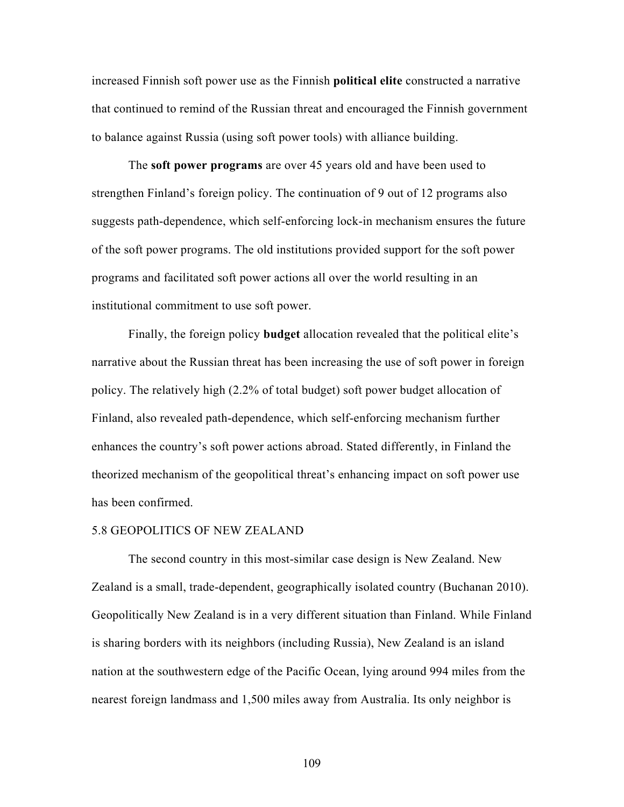increased Finnish soft power use as the Finnish **political elite** constructed a narrative that continued to remind of the Russian threat and encouraged the Finnish government to balance against Russia (using soft power tools) with alliance building.

The **soft power programs** are over 45 years old and have been used to strengthen Finland's foreign policy. The continuation of 9 out of 12 programs also suggests path-dependence, which self-enforcing lock-in mechanism ensures the future of the soft power programs. The old institutions provided support for the soft power programs and facilitated soft power actions all over the world resulting in an institutional commitment to use soft power.

Finally, the foreign policy **budget** allocation revealed that the political elite's narrative about the Russian threat has been increasing the use of soft power in foreign policy. The relatively high (2.2% of total budget) soft power budget allocation of Finland, also revealed path-dependence, which self-enforcing mechanism further enhances the country's soft power actions abroad. Stated differently, in Finland the theorized mechanism of the geopolitical threat's enhancing impact on soft power use has been confirmed.

#### 5.8 GEOPOLITICS OF NEW ZEALAND

The second country in this most-similar case design is New Zealand. New Zealand is a small, trade-dependent, geographically isolated country (Buchanan 2010). Geopolitically New Zealand is in a very different situation than Finland. While Finland is sharing borders with its neighbors (including Russia), New Zealand is an island nation at the southwestern edge of the Pacific Ocean, lying around 994 miles from the nearest foreign landmass and 1,500 miles away from Australia. Its only neighbor is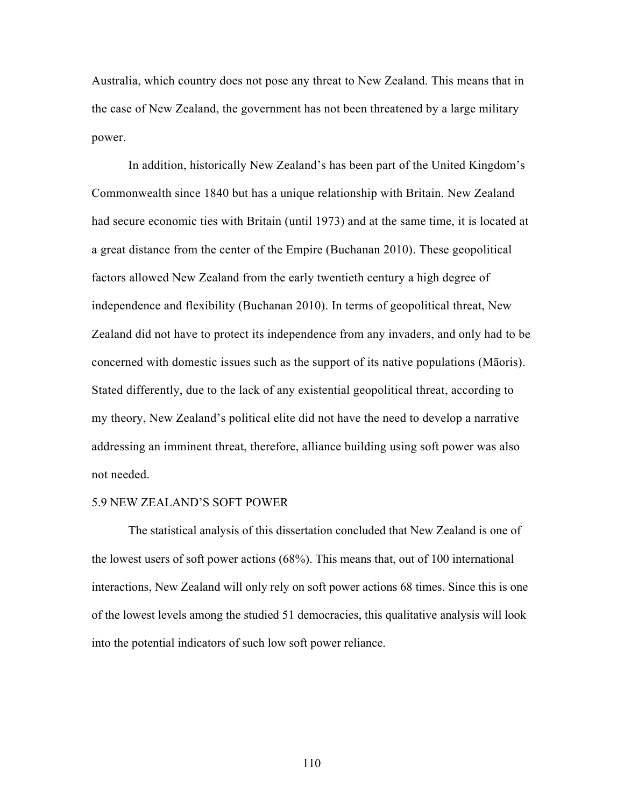Australia, which country does not pose any threat to New Zealand. This means that in the case of New Zealand, the government has not been threatened by a large military power.

 In addition, historically New Zealand's has been part of the United Kingdom's Commonwealth since 1840 but has a unique relationship with Britain. New Zealand had secure economic ties with Britain (until 1973) and at the same time, it is located at a great distance from the center of the Empire (Buchanan 2010). These geopolitical factors allowed New Zealand from the early twentieth century a high degree of independence and flexibility (Buchanan 2010). In terms of geopolitical threat, New Zealand did not have to protect its independence from any invaders, and only had to be concerned with domestic issues such as the support of its native populations (Māoris). Stated differently, due to the lack of any existential geopolitical threat, according to my theory, New Zealand's political elite did not have the need to develop a narrative addressing an imminent threat, therefore, alliance building using soft power was also not needed.

#### 5.9 NEW ZEALAND'S SOFT POWER

The statistical analysis of this dissertation concluded that New Zealand is one of the lowest users of soft power actions (68%). This means that, out of 100 international interactions, New Zealand will only rely on soft power actions 68 times. Since this is one of the lowest levels among the studied 51 democracies, this qualitative analysis will look into the potential indicators of such low soft power reliance.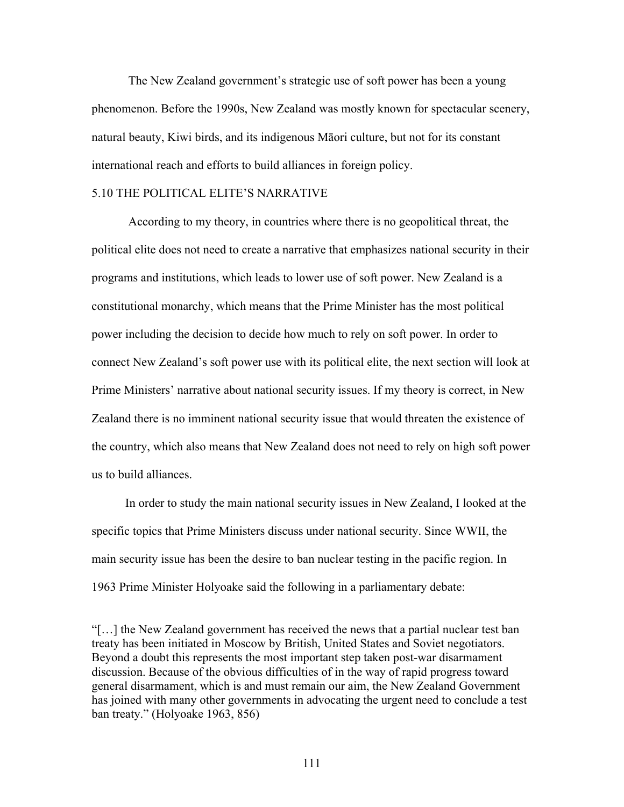The New Zealand government's strategic use of soft power has been a young phenomenon. Before the 1990s, New Zealand was mostly known for spectacular scenery, natural beauty, Kiwi birds, and its indigenous Māori culture, but not for its constant international reach and efforts to build alliances in foreign policy.

# 5.10 THE POLITICAL ELITE'S NARRATIVE

According to my theory, in countries where there is no geopolitical threat, the political elite does not need to create a narrative that emphasizes national security in their programs and institutions, which leads to lower use of soft power. New Zealand is a constitutional monarchy, which means that the Prime Minister has the most political power including the decision to decide how much to rely on soft power. In order to connect New Zealand's soft power use with its political elite, the next section will look at Prime Ministers' narrative about national security issues. If my theory is correct, in New Zealand there is no imminent national security issue that would threaten the existence of the country, which also means that New Zealand does not need to rely on high soft power us to build alliances.

 In order to study the main national security issues in New Zealand, I looked at the specific topics that Prime Ministers discuss under national security. Since WWII, the main security issue has been the desire to ban nuclear testing in the pacific region. In 1963 Prime Minister Holyoake said the following in a parliamentary debate:

"[…] the New Zealand government has received the news that a partial nuclear test ban treaty has been initiated in Moscow by British, United States and Soviet negotiators. Beyond a doubt this represents the most important step taken post-war disarmament discussion. Because of the obvious difficulties of in the way of rapid progress toward general disarmament, which is and must remain our aim, the New Zealand Government has joined with many other governments in advocating the urgent need to conclude a test ban treaty." (Holyoake 1963, 856)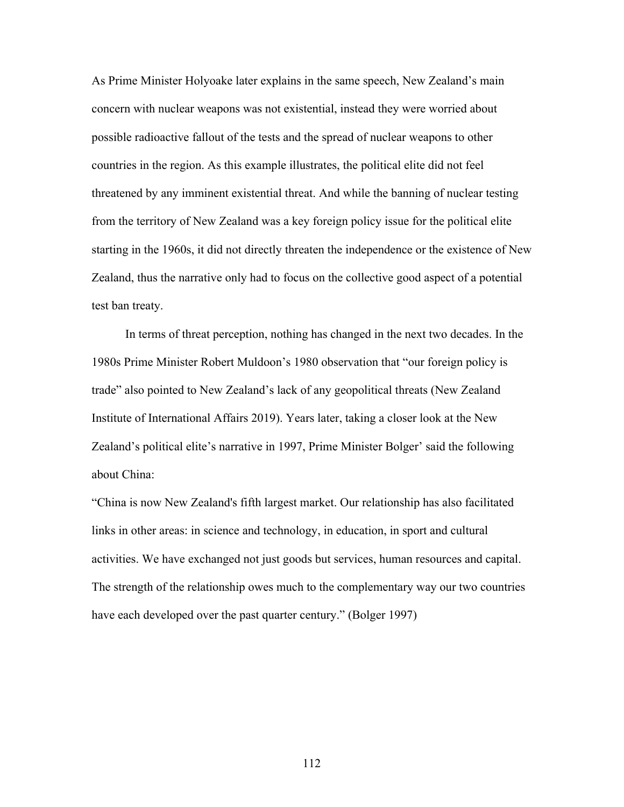As Prime Minister Holyoake later explains in the same speech, New Zealand's main concern with nuclear weapons was not existential, instead they were worried about possible radioactive fallout of the tests and the spread of nuclear weapons to other countries in the region. As this example illustrates, the political elite did not feel threatened by any imminent existential threat. And while the banning of nuclear testing from the territory of New Zealand was a key foreign policy issue for the political elite starting in the 1960s, it did not directly threaten the independence or the existence of New Zealand, thus the narrative only had to focus on the collective good aspect of a potential test ban treaty.

 In terms of threat perception, nothing has changed in the next two decades. In the 1980s Prime Minister Robert Muldoon's 1980 observation that "our foreign policy is trade" also pointed to New Zealand's lack of any geopolitical threats (New Zealand Institute of International Affairs 2019). Years later, taking a closer look at the New Zealand's political elite's narrative in 1997, Prime Minister Bolger' said the following about China:

"China is now New Zealand's fifth largest market. Our relationship has also facilitated links in other areas: in science and technology, in education, in sport and cultural activities. We have exchanged not just goods but services, human resources and capital. The strength of the relationship owes much to the complementary way our two countries have each developed over the past quarter century." (Bolger 1997)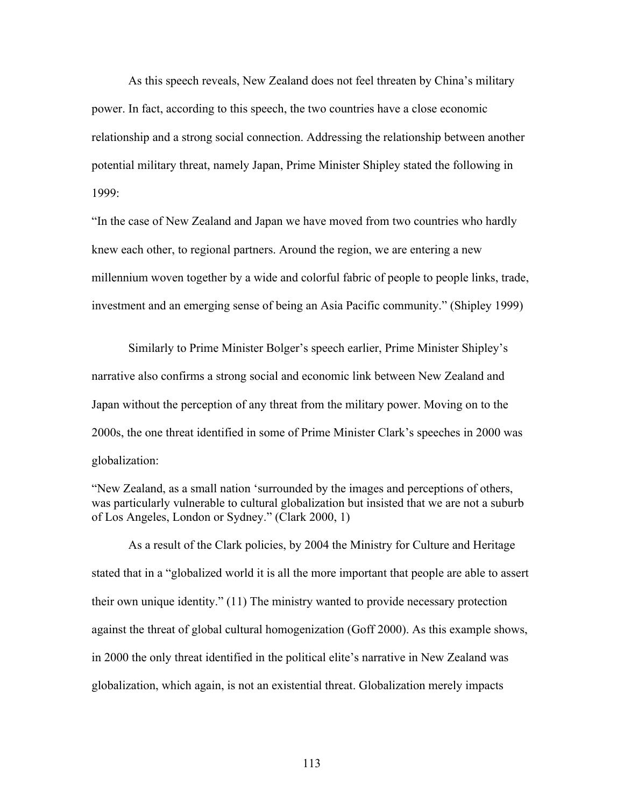As this speech reveals, New Zealand does not feel threaten by China's military power. In fact, according to this speech, the two countries have a close economic relationship and a strong social connection. Addressing the relationship between another potential military threat, namely Japan, Prime Minister Shipley stated the following in 1999:

"In the case of New Zealand and Japan we have moved from two countries who hardly knew each other, to regional partners. Around the region, we are entering a new millennium woven together by a wide and colorful fabric of people to people links, trade, investment and an emerging sense of being an Asia Pacific community." (Shipley 1999)

 Similarly to Prime Minister Bolger's speech earlier, Prime Minister Shipley's narrative also confirms a strong social and economic link between New Zealand and Japan without the perception of any threat from the military power. Moving on to the 2000s, the one threat identified in some of Prime Minister Clark's speeches in 2000 was globalization:

"New Zealand, as a small nation 'surrounded by the images and perceptions of others, was particularly vulnerable to cultural globalization but insisted that we are not a suburb of Los Angeles, London or Sydney." (Clark 2000, 1)

As a result of the Clark policies, by 2004 the Ministry for Culture and Heritage stated that in a "globalized world it is all the more important that people are able to assert their own unique identity." (11) The ministry wanted to provide necessary protection against the threat of global cultural homogenization (Goff 2000). As this example shows, in 2000 the only threat identified in the political elite's narrative in New Zealand was globalization, which again, is not an existential threat. Globalization merely impacts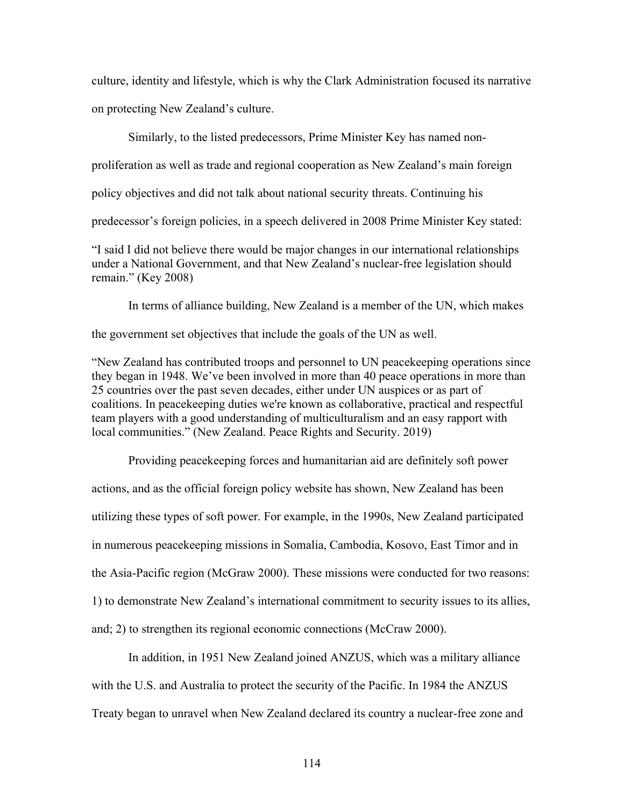culture, identity and lifestyle, which is why the Clark Administration focused its narrative on protecting New Zealand's culture.

Similarly, to the listed predecessors, Prime Minister Key has named non-

proliferation as well as trade and regional cooperation as New Zealand's main foreign

policy objectives and did not talk about national security threats. Continuing his

predecessor's foreign policies, in a speech delivered in 2008 Prime Minister Key stated:

"I said I did not believe there would be major changes in our international relationships under a National Government, and that New Zealand's nuclear-free legislation should remain." (Key 2008)

In terms of alliance building, New Zealand is a member of the UN, which makes

the government set objectives that include the goals of the UN as well.

"New Zealand has contributed troops and personnel to UN peacekeeping operations since they began in 1948. We've been involved in more than 40 peace operations in more than 25 countries over the past seven decades, either under UN auspices or as part of coalitions. In peacekeeping duties we're known as collaborative, practical and respectful team players with a good understanding of multiculturalism and an easy rapport with local communities." (New Zealand. Peace Rights and Security. 2019)

Providing peacekeeping forces and humanitarian aid are definitely soft power actions, and as the official foreign policy website has shown, New Zealand has been utilizing these types of soft power. For example, in the 1990s, New Zealand participated in numerous peacekeeping missions in Somalia, Cambodia, Kosovo, East Timor and in the Asia-Pacific region (McGraw 2000). These missions were conducted for two reasons: 1) to demonstrate New Zealand's international commitment to security issues to its allies, and; 2) to strengthen its regional economic connections (McCraw 2000).

In addition, in 1951 New Zealand joined ANZUS, which was a military alliance with the U.S. and Australia to protect the security of the Pacific. In 1984 the ANZUS Treaty began to unravel when New Zealand declared its country a nuclear-free zone and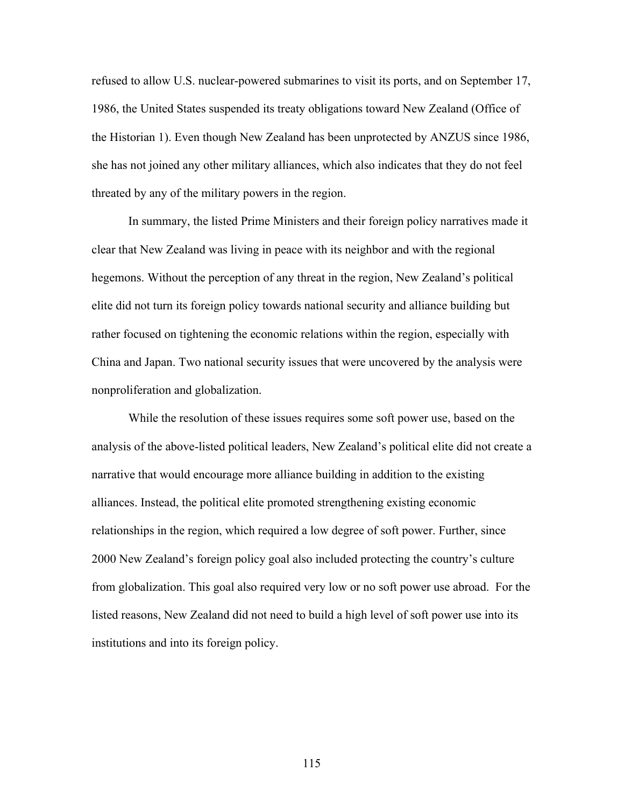refused to allow U.S. nuclear-powered submarines to visit its ports, and on September 17, 1986, the United States suspended its treaty obligations toward New Zealand (Office of the Historian 1). Even though New Zealand has been unprotected by ANZUS since 1986, she has not joined any other military alliances, which also indicates that they do not feel threated by any of the military powers in the region.

 In summary, the listed Prime Ministers and their foreign policy narratives made it clear that New Zealand was living in peace with its neighbor and with the regional hegemons. Without the perception of any threat in the region, New Zealand's political elite did not turn its foreign policy towards national security and alliance building but rather focused on tightening the economic relations within the region, especially with China and Japan. Two national security issues that were uncovered by the analysis were nonproliferation and globalization.

While the resolution of these issues requires some soft power use, based on the analysis of the above-listed political leaders, New Zealand's political elite did not create a narrative that would encourage more alliance building in addition to the existing alliances. Instead, the political elite promoted strengthening existing economic relationships in the region, which required a low degree of soft power. Further, since 2000 New Zealand's foreign policy goal also included protecting the country's culture from globalization. This goal also required very low or no soft power use abroad. For the listed reasons, New Zealand did not need to build a high level of soft power use into its institutions and into its foreign policy.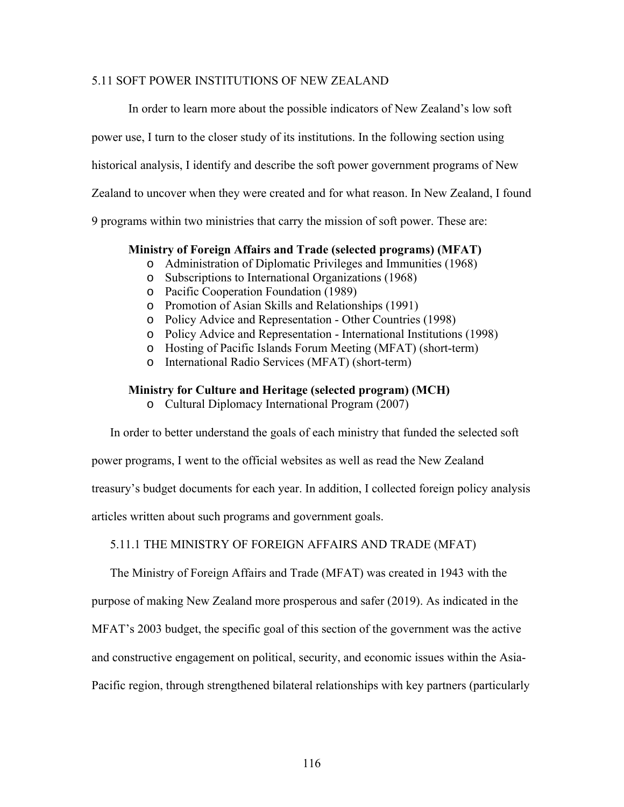#### 5.11 SOFT POWER INSTITUTIONS OF NEW ZEALAND

In order to learn more about the possible indicators of New Zealand's low soft power use, I turn to the closer study of its institutions. In the following section using historical analysis, I identify and describe the soft power government programs of New Zealand to uncover when they were created and for what reason. In New Zealand, I found 9 programs within two ministries that carry the mission of soft power. These are:

#### **Ministry of Foreign Affairs and Trade (selected programs) (MFAT)**

- o Administration of Diplomatic Privileges and Immunities (1968)
- o Subscriptions to International Organizations (1968)
- o Pacific Cooperation Foundation (1989)
- o Promotion of Asian Skills and Relationships (1991)
- o Policy Advice and Representation Other Countries (1998)
- o Policy Advice and Representation International Institutions (1998)
- o Hosting of Pacific Islands Forum Meeting (MFAT) (short-term)
- o International Radio Services (MFAT) (short-term)

#### **Ministry for Culture and Heritage (selected program) (MCH)**

o Cultural Diplomacy International Program (2007)

In order to better understand the goals of each ministry that funded the selected soft

power programs, I went to the official websites as well as read the New Zealand

treasury's budget documents for each year. In addition, I collected foreign policy analysis

articles written about such programs and government goals.

5.11.1 THE MINISTRY OF FOREIGN AFFAIRS AND TRADE (MFAT)

The Ministry of Foreign Affairs and Trade (MFAT) was created in 1943 with the

purpose of making New Zealand more prosperous and safer (2019). As indicated in the

MFAT's 2003 budget, the specific goal of this section of the government was the active

and constructive engagement on political, security, and economic issues within the Asia-

Pacific region, through strengthened bilateral relationships with key partners (particularly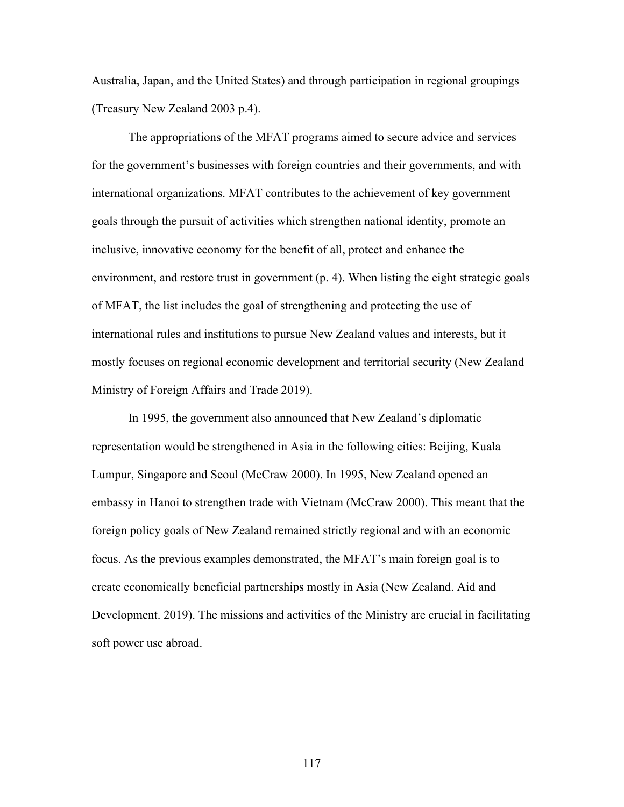Australia, Japan, and the United States) and through participation in regional groupings (Treasury New Zealand 2003 p.4).

The appropriations of the MFAT programs aimed to secure advice and services for the government's businesses with foreign countries and their governments, and with international organizations. MFAT contributes to the achievement of key government goals through the pursuit of activities which strengthen national identity, promote an inclusive, innovative economy for the benefit of all, protect and enhance the environment, and restore trust in government (p. 4). When listing the eight strategic goals of MFAT, the list includes the goal of strengthening and protecting the use of international rules and institutions to pursue New Zealand values and interests, but it mostly focuses on regional economic development and territorial security (New Zealand Ministry of Foreign Affairs and Trade 2019).

In 1995, the government also announced that New Zealand's diplomatic representation would be strengthened in Asia in the following cities: Beijing, Kuala Lumpur, Singapore and Seoul (McCraw 2000). In 1995, New Zealand opened an embassy in Hanoi to strengthen trade with Vietnam (McCraw 2000). This meant that the foreign policy goals of New Zealand remained strictly regional and with an economic focus. As the previous examples demonstrated, the MFAT's main foreign goal is to create economically beneficial partnerships mostly in Asia (New Zealand. Aid and Development. 2019). The missions and activities of the Ministry are crucial in facilitating soft power use abroad.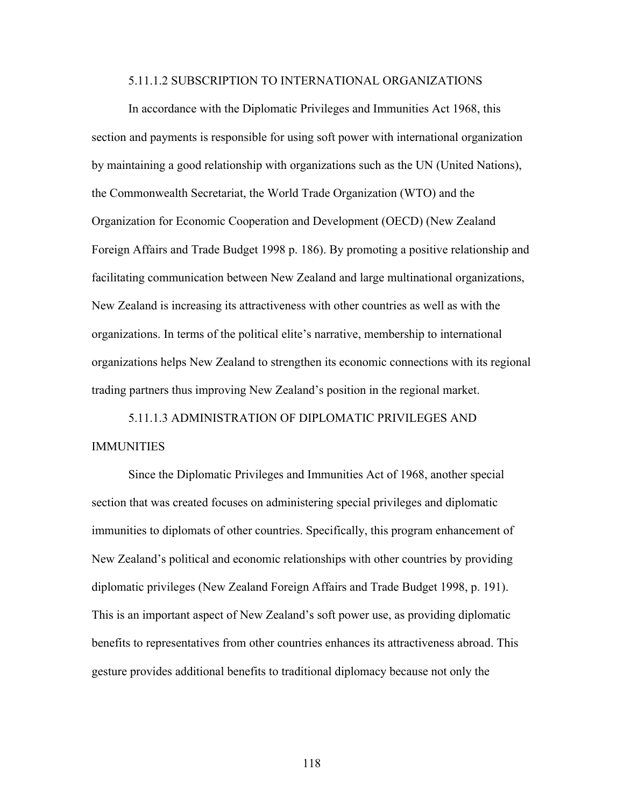#### 5.11.1.2 SUBSCRIPTION TO INTERNATIONAL ORGANIZATIONS

In accordance with the Diplomatic Privileges and Immunities Act 1968, this section and payments is responsible for using soft power with international organization by maintaining a good relationship with organizations such as the UN (United Nations), the Commonwealth Secretariat, the World Trade Organization (WTO) and the Organization for Economic Cooperation and Development (OECD) (New Zealand Foreign Affairs and Trade Budget 1998 p. 186). By promoting a positive relationship and facilitating communication between New Zealand and large multinational organizations, New Zealand is increasing its attractiveness with other countries as well as with the organizations. In terms of the political elite's narrative, membership to international organizations helps New Zealand to strengthen its economic connections with its regional trading partners thus improving New Zealand's position in the regional market.

5.11.1.3 ADMINISTRATION OF DIPLOMATIC PRIVILEGES AND IMMUNITIES

 Since the Diplomatic Privileges and Immunities Act of 1968, another special section that was created focuses on administering special privileges and diplomatic immunities to diplomats of other countries. Specifically, this program enhancement of New Zealand's political and economic relationships with other countries by providing diplomatic privileges (New Zealand Foreign Affairs and Trade Budget 1998, p. 191). This is an important aspect of New Zealand's soft power use, as providing diplomatic benefits to representatives from other countries enhances its attractiveness abroad. This gesture provides additional benefits to traditional diplomacy because not only the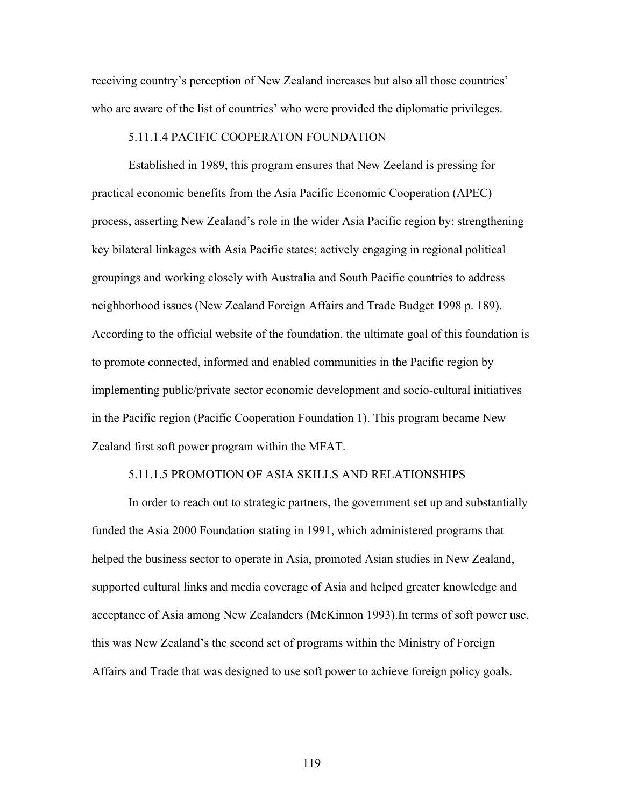receiving country's perception of New Zealand increases but also all those countries' who are aware of the list of countries' who were provided the diplomatic privileges.

#### 5.11.1.4 PACIFIC COOPERATON FOUNDATION

 Established in 1989, this program ensures that New Zeeland is pressing for practical economic benefits from the Asia Pacific Economic Cooperation (APEC) process, asserting New Zealand's role in the wider Asia Pacific region by: strengthening key bilateral linkages with Asia Pacific states; actively engaging in regional political groupings and working closely with Australia and South Pacific countries to address neighborhood issues (New Zealand Foreign Affairs and Trade Budget 1998 p. 189). According to the official website of the foundation, the ultimate goal of this foundation is to promote connected, informed and enabled communities in the Pacific region by implementing public/private sector economic development and socio-cultural initiatives in the Pacific region (Pacific Cooperation Foundation 1). This program became New Zealand first soft power program within the MFAT.

#### 5.11.1.5 PROMOTION OF ASIA SKILLS AND RELATIONSHIPS

In order to reach out to strategic partners, the government set up and substantially funded the Asia 2000 Foundation stating in 1991, which administered programs that helped the business sector to operate in Asia, promoted Asian studies in New Zealand, supported cultural links and media coverage of Asia and helped greater knowledge and acceptance of Asia among New Zealanders (McKinnon 1993).In terms of soft power use, this was New Zealand's the second set of programs within the Ministry of Foreign Affairs and Trade that was designed to use soft power to achieve foreign policy goals.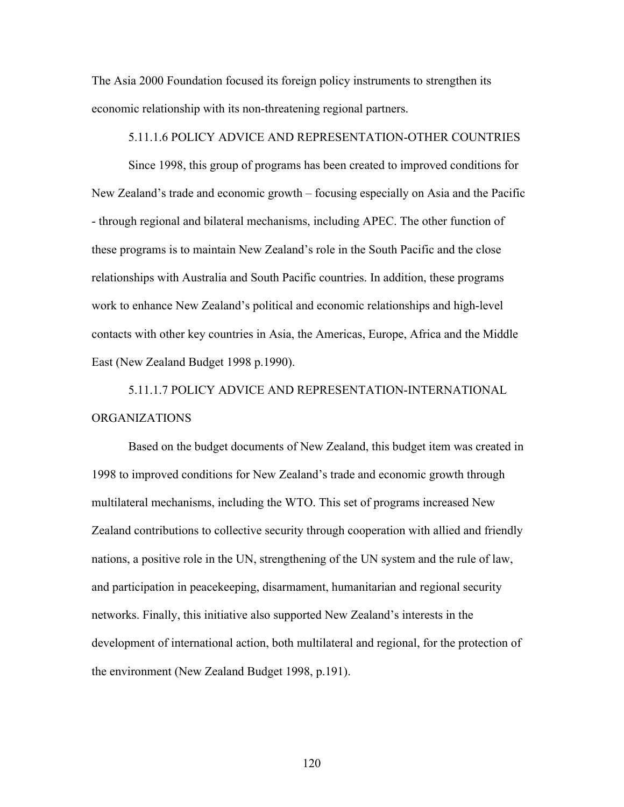The Asia 2000 Foundation focused its foreign policy instruments to strengthen its economic relationship with its non-threatening regional partners.

#### 5.11.1.6 POLICY ADVICE AND REPRESENTATION-OTHER COUNTRIES

 Since 1998, this group of programs has been created to improved conditions for New Zealand's trade and economic growth – focusing especially on Asia and the Pacific - through regional and bilateral mechanisms, including APEC. The other function of these programs is to maintain New Zealand's role in the South Pacific and the close relationships with Australia and South Pacific countries. In addition, these programs work to enhance New Zealand's political and economic relationships and high-level contacts with other key countries in Asia, the Americas, Europe, Africa and the Middle East (New Zealand Budget 1998 p.1990).

# 5.11.1.7 POLICY ADVICE AND REPRESENTATION-INTERNATIONAL ORGANIZATIONS

 Based on the budget documents of New Zealand, this budget item was created in 1998 to improved conditions for New Zealand's trade and economic growth through multilateral mechanisms, including the WTO. This set of programs increased New Zealand contributions to collective security through cooperation with allied and friendly nations, a positive role in the UN, strengthening of the UN system and the rule of law, and participation in peacekeeping, disarmament, humanitarian and regional security networks. Finally, this initiative also supported New Zealand's interests in the development of international action, both multilateral and regional, for the protection of the environment (New Zealand Budget 1998, p.191).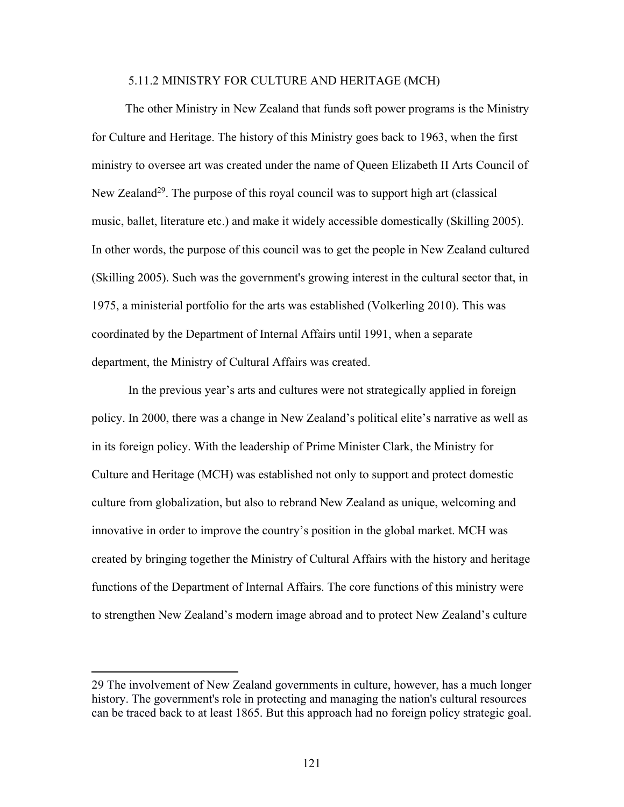### 5.11.2 MINISTRY FOR CULTURE AND HERITAGE (MCH)

 The other Ministry in New Zealand that funds soft power programs is the Ministry for Culture and Heritage. The history of this Ministry goes back to 1963, when the first ministry to oversee art was created under the name of Queen Elizabeth II Arts Council of New Zealand<sup>29</sup>. The purpose of this royal council was to support high art (classical music, ballet, literature etc.) and make it widely accessible domestically (Skilling 2005). In other words, the purpose of this council was to get the people in New Zealand cultured (Skilling 2005). Such was the government's growing interest in the cultural sector that, in 1975, a ministerial portfolio for the arts was established (Volkerling 2010). This was coordinated by the Department of Internal Affairs until 1991, when a separate department, the Ministry of Cultural Affairs was created.

In the previous year's arts and cultures were not strategically applied in foreign policy. In 2000, there was a change in New Zealand's political elite's narrative as well as in its foreign policy. With the leadership of Prime Minister Clark, the Ministry for Culture and Heritage (MCH) was established not only to support and protect domestic culture from globalization, but also to rebrand New Zealand as unique, welcoming and innovative in order to improve the country's position in the global market. MCH was created by bringing together the Ministry of Cultural Affairs with the history and heritage functions of the Department of Internal Affairs. The core functions of this ministry were to strengthen New Zealand's modern image abroad and to protect New Zealand's culture

<sup>29</sup> The involvement of New Zealand governments in culture, however, has a much longer history. The government's role in protecting and managing the nation's cultural resources can be traced back to at least 1865. But this approach had no foreign policy strategic goal.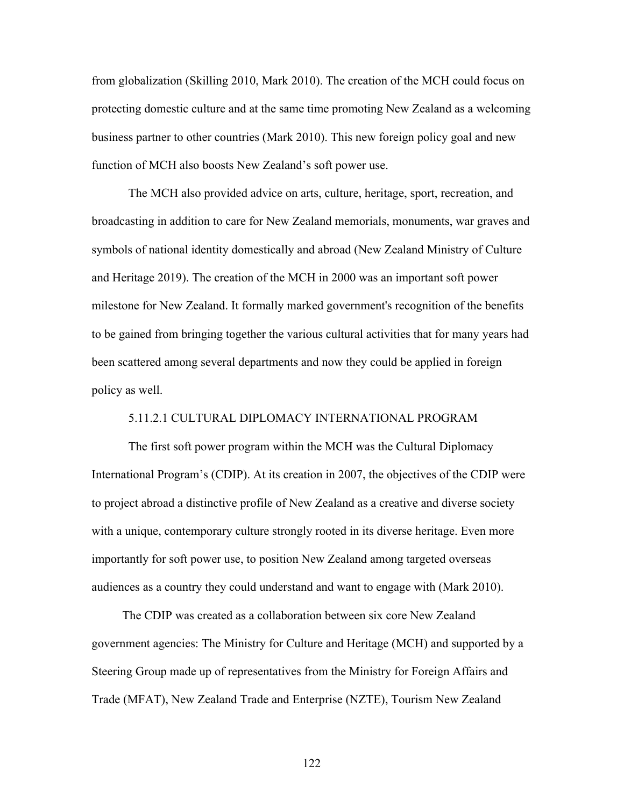from globalization (Skilling 2010, Mark 2010). The creation of the MCH could focus on protecting domestic culture and at the same time promoting New Zealand as a welcoming business partner to other countries (Mark 2010). This new foreign policy goal and new function of MCH also boosts New Zealand's soft power use.

The MCH also provided advice on arts, culture, heritage, sport, recreation, and broadcasting in addition to care for New Zealand memorials, monuments, war graves and symbols of national identity domestically and abroad (New Zealand Ministry of Culture and Heritage 2019). The creation of the MCH in 2000 was an important soft power milestone for New Zealand. It formally marked government's recognition of the benefits to be gained from bringing together the various cultural activities that for many years had been scattered among several departments and now they could be applied in foreign policy as well.

## 5.11.2.1 CULTURAL DIPLOMACY INTERNATIONAL PROGRAM

The first soft power program within the MCH was the Cultural Diplomacy International Program's (CDIP). At its creation in 2007, the objectives of the CDIP were to project abroad a distinctive profile of New Zealand as a creative and diverse society with a unique, contemporary culture strongly rooted in its diverse heritage. Even more importantly for soft power use, to position New Zealand among targeted overseas audiences as a country they could understand and want to engage with (Mark 2010).

 The CDIP was created as a collaboration between six core New Zealand government agencies: The Ministry for Culture and Heritage (MCH) and supported by a Steering Group made up of representatives from the Ministry for Foreign Affairs and Trade (MFAT), New Zealand Trade and Enterprise (NZTE), Tourism New Zealand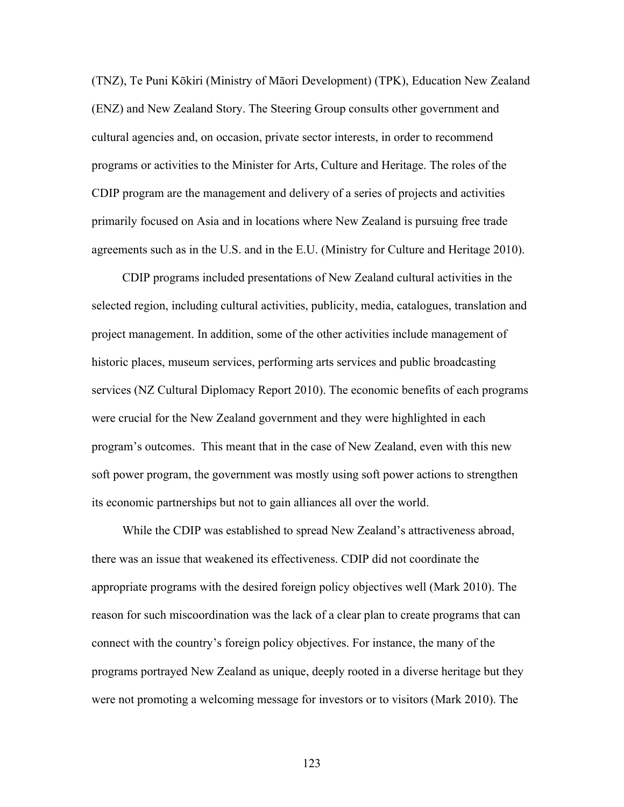(TNZ), Te Puni Kōkiri (Ministry of Māori Development) (TPK), Education New Zealand (ENZ) and New Zealand Story. The Steering Group consults other government and cultural agencies and, on occasion, private sector interests, in order to recommend programs or activities to the Minister for Arts, Culture and Heritage. The roles of the CDIP program are the management and delivery of a series of projects and activities primarily focused on Asia and in locations where New Zealand is pursuing free trade agreements such as in the U.S. and in the E.U. (Ministry for Culture and Heritage 2010).

 CDIP programs included presentations of New Zealand cultural activities in the selected region, including cultural activities, publicity, media, catalogues, translation and project management. In addition, some of the other activities include management of historic places, museum services, performing arts services and public broadcasting services (NZ Cultural Diplomacy Report 2010). The economic benefits of each programs were crucial for the New Zealand government and they were highlighted in each program's outcomes. This meant that in the case of New Zealand, even with this new soft power program, the government was mostly using soft power actions to strengthen its economic partnerships but not to gain alliances all over the world.

 While the CDIP was established to spread New Zealand's attractiveness abroad, there was an issue that weakened its effectiveness. CDIP did not coordinate the appropriate programs with the desired foreign policy objectives well (Mark 2010). The reason for such miscoordination was the lack of a clear plan to create programs that can connect with the country's foreign policy objectives. For instance, the many of the programs portrayed New Zealand as unique, deeply rooted in a diverse heritage but they were not promoting a welcoming message for investors or to visitors (Mark 2010). The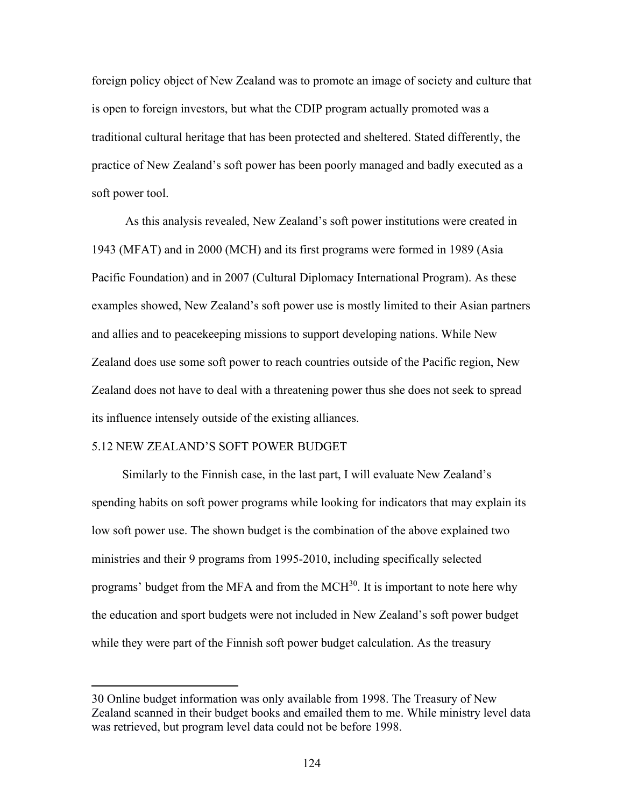foreign policy object of New Zealand was to promote an image of society and culture that is open to foreign investors, but what the CDIP program actually promoted was a traditional cultural heritage that has been protected and sheltered. Stated differently, the practice of New Zealand's soft power has been poorly managed and badly executed as a soft power tool.

 As this analysis revealed, New Zealand's soft power institutions were created in 1943 (MFAT) and in 2000 (MCH) and its first programs were formed in 1989 (Asia Pacific Foundation) and in 2007 (Cultural Diplomacy International Program). As these examples showed, New Zealand's soft power use is mostly limited to their Asian partners and allies and to peacekeeping missions to support developing nations. While New Zealand does use some soft power to reach countries outside of the Pacific region, New Zealand does not have to deal with a threatening power thus she does not seek to spread its influence intensely outside of the existing alliances.

## 5.12 NEW ZEALAND'S SOFT POWER BUDGET

 Similarly to the Finnish case, in the last part, I will evaluate New Zealand's spending habits on soft power programs while looking for indicators that may explain its low soft power use. The shown budget is the combination of the above explained two ministries and their 9 programs from 1995-2010, including specifically selected programs' budget from the MFA and from the MCH<sup>30</sup>. It is important to note here why the education and sport budgets were not included in New Zealand's soft power budget while they were part of the Finnish soft power budget calculation. As the treasury

<sup>30</sup> Online budget information was only available from 1998. The Treasury of New Zealand scanned in their budget books and emailed them to me. While ministry level data was retrieved, but program level data could not be before 1998.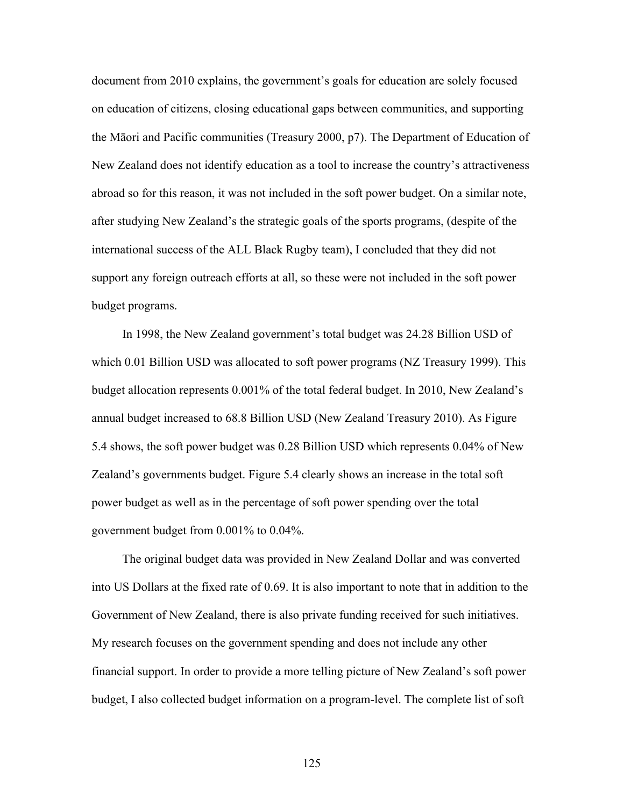document from 2010 explains, the government's goals for education are solely focused on education of citizens, closing educational gaps between communities, and supporting the Māori and Pacific communities (Treasury 2000, p7). The Department of Education of New Zealand does not identify education as a tool to increase the country's attractiveness abroad so for this reason, it was not included in the soft power budget. On a similar note, after studying New Zealand's the strategic goals of the sports programs, (despite of the international success of the ALL Black Rugby team), I concluded that they did not support any foreign outreach efforts at all, so these were not included in the soft power budget programs.

 In 1998, the New Zealand government's total budget was 24.28 Billion USD of which 0.01 Billion USD was allocated to soft power programs (NZ Treasury 1999). This budget allocation represents 0.001% of the total federal budget. In 2010, New Zealand's annual budget increased to 68.8 Billion USD (New Zealand Treasury 2010). As Figure 5.4 shows, the soft power budget was 0.28 Billion USD which represents 0.04% of New Zealand's governments budget. Figure 5.4 clearly shows an increase in the total soft power budget as well as in the percentage of soft power spending over the total government budget from 0.001% to 0.04%.

 The original budget data was provided in New Zealand Dollar and was converted into US Dollars at the fixed rate of 0.69. It is also important to note that in addition to the Government of New Zealand, there is also private funding received for such initiatives. My research focuses on the government spending and does not include any other financial support. In order to provide a more telling picture of New Zealand's soft power budget, I also collected budget information on a program-level. The complete list of soft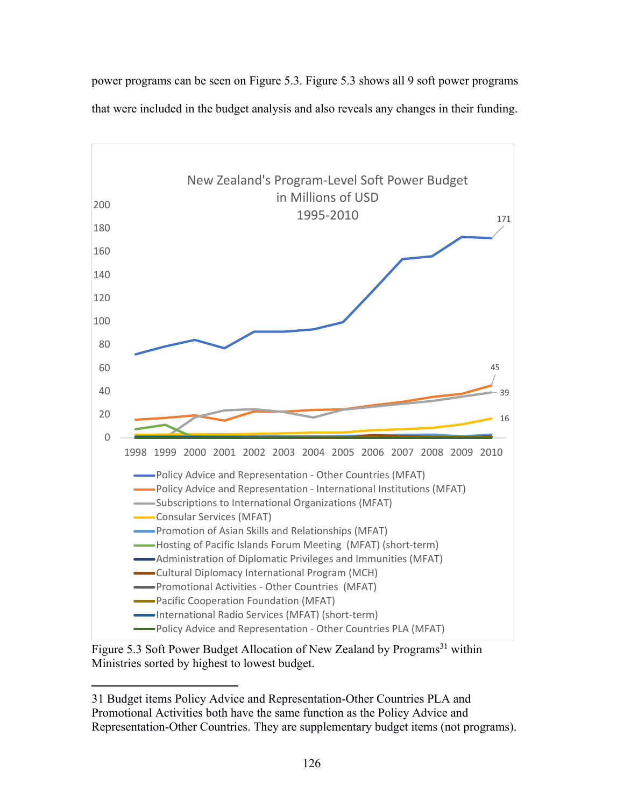171 45 39 16 0 20 40 60 80 100 120 140 160 180 200 1998 1999 2000 2001 2002 2003 2004 2005 2006 2007 2008 2009 2010 New Zealand's Program‐Level Soft Power Budget in Millions of USD 1995‐2010 Policy Advice and Representation ‐ Other Countries (MFAT) Policy Advice and Representation ‐ International Institutions (MFAT) Subscriptions to International Organizations (MFAT) Consular Services (MFAT) **-**Promotion of Asian Skills and Relationships (MFAT) **→ Hosting of Pacific Islands Forum Meeting (MFAT) (short-term)** Administration of Diplomatic Privileges and Immunities (MFAT) Cultural Diplomacy International Program (MCH) Promotional Activities ‐ Other Countries (MFAT) Pacific Cooperation Foundation (MFAT) International Radio Services (MFAT) (short-term) Policy Advice and Representation ‐ Other Countries PLA (MFAT)

power programs can be seen on Figure 5.3. Figure 5.3 shows all 9 soft power programs that were included in the budget analysis and also reveals any changes in their funding.

Figure 5.3 Soft Power Budget Allocation of New Zealand by Programs<sup>31</sup> within Ministries sorted by highest to lowest budget.

<sup>31</sup> Budget items Policy Advice and Representation-Other Countries PLA and Promotional Activities both have the same function as the Policy Advice and Representation-Other Countries. They are supplementary budget items (not programs).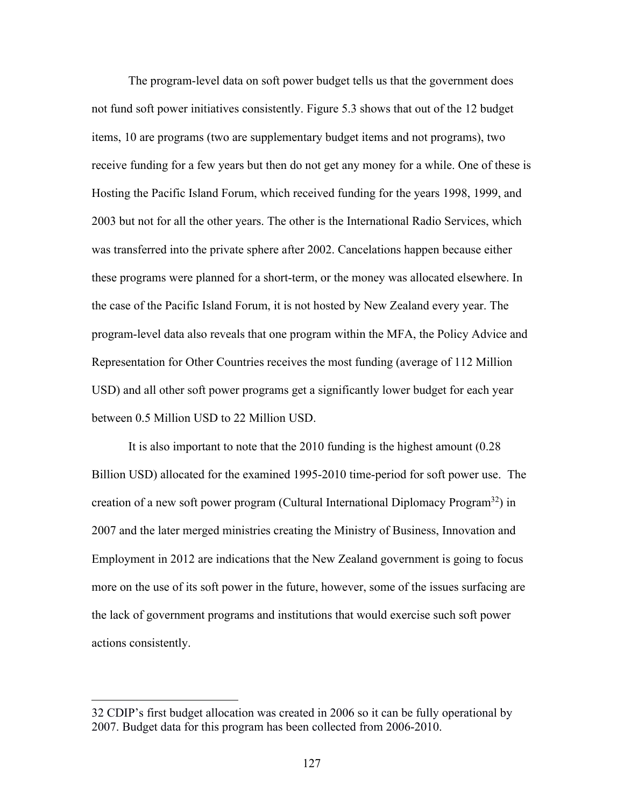The program-level data on soft power budget tells us that the government does not fund soft power initiatives consistently. Figure 5.3 shows that out of the 12 budget items, 10 are programs (two are supplementary budget items and not programs), two receive funding for a few years but then do not get any money for a while. One of these is Hosting the Pacific Island Forum, which received funding for the years 1998, 1999, and 2003 but not for all the other years. The other is the International Radio Services, which was transferred into the private sphere after 2002. Cancelations happen because either these programs were planned for a short-term, or the money was allocated elsewhere. In the case of the Pacific Island Forum, it is not hosted by New Zealand every year. The program-level data also reveals that one program within the MFA, the Policy Advice and Representation for Other Countries receives the most funding (average of 112 Million USD) and all other soft power programs get a significantly lower budget for each year between 0.5 Million USD to 22 Million USD.

It is also important to note that the 2010 funding is the highest amount (0.28 Billion USD) allocated for the examined 1995-2010 time-period for soft power use. The creation of a new soft power program (Cultural International Diplomacy Program<sup>32</sup>) in 2007 and the later merged ministries creating the Ministry of Business, Innovation and Employment in 2012 are indications that the New Zealand government is going to focus more on the use of its soft power in the future, however, some of the issues surfacing are the lack of government programs and institutions that would exercise such soft power actions consistently.

<sup>32</sup> CDIP's first budget allocation was created in 2006 so it can be fully operational by 2007. Budget data for this program has been collected from 2006-2010.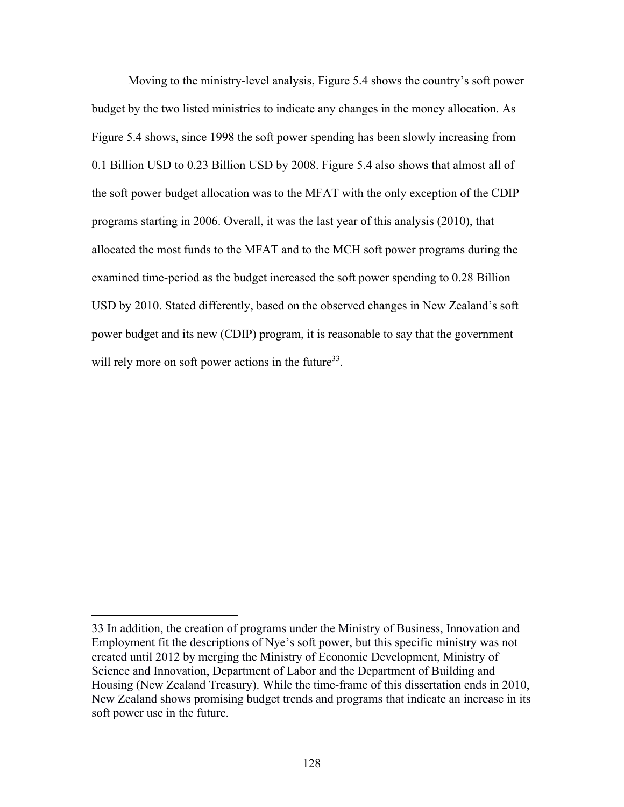Moving to the ministry-level analysis, Figure 5.4 shows the country's soft power budget by the two listed ministries to indicate any changes in the money allocation. As Figure 5.4 shows, since 1998 the soft power spending has been slowly increasing from 0.1 Billion USD to 0.23 Billion USD by 2008. Figure 5.4 also shows that almost all of the soft power budget allocation was to the MFAT with the only exception of the CDIP programs starting in 2006. Overall, it was the last year of this analysis (2010), that allocated the most funds to the MFAT and to the MCH soft power programs during the examined time-period as the budget increased the soft power spending to 0.28 Billion USD by 2010. Stated differently, based on the observed changes in New Zealand's soft power budget and its new (CDIP) program, it is reasonable to say that the government will rely more on soft power actions in the future<sup>33</sup>.

<sup>33</sup> In addition, the creation of programs under the Ministry of Business, Innovation and Employment fit the descriptions of Nye's soft power, but this specific ministry was not created until 2012 by merging the Ministry of Economic Development, Ministry of Science and Innovation, Department of Labor and the Department of Building and Housing (New Zealand Treasury). While the time-frame of this dissertation ends in 2010, New Zealand shows promising budget trends and programs that indicate an increase in its soft power use in the future.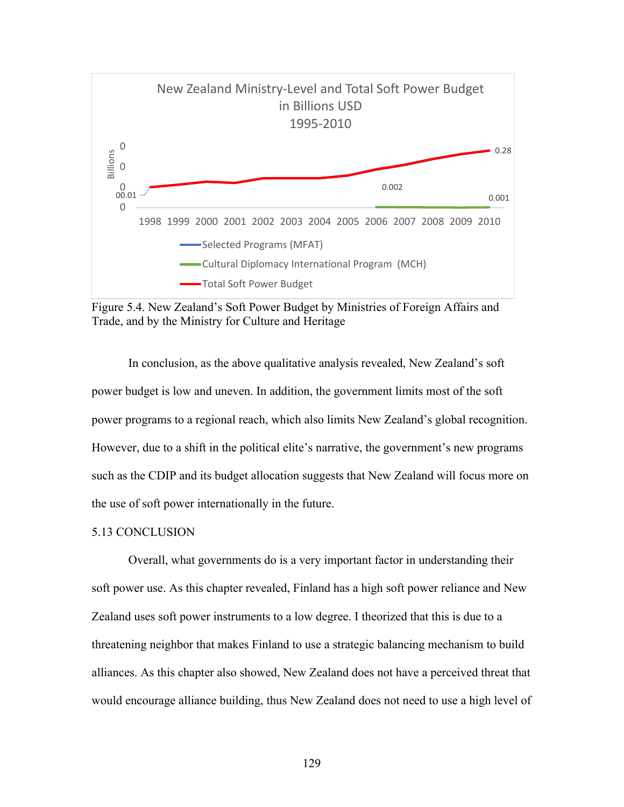

Figure 5.4. New Zealand's Soft Power Budget by Ministries of Foreign Affairs and Trade, and by the Ministry for Culture and Heritage

In conclusion, as the above qualitative analysis revealed, New Zealand's soft power budget is low and uneven. In addition, the government limits most of the soft power programs to a regional reach, which also limits New Zealand's global recognition. However, due to a shift in the political elite's narrative, the government's new programs such as the CDIP and its budget allocation suggests that New Zealand will focus more on the use of soft power internationally in the future.

## 5.13 CONCLUSION

Overall, what governments do is a very important factor in understanding their soft power use. As this chapter revealed, Finland has a high soft power reliance and New Zealand uses soft power instruments to a low degree. I theorized that this is due to a threatening neighbor that makes Finland to use a strategic balancing mechanism to build alliances. As this chapter also showed, New Zealand does not have a perceived threat that would encourage alliance building, thus New Zealand does not need to use a high level of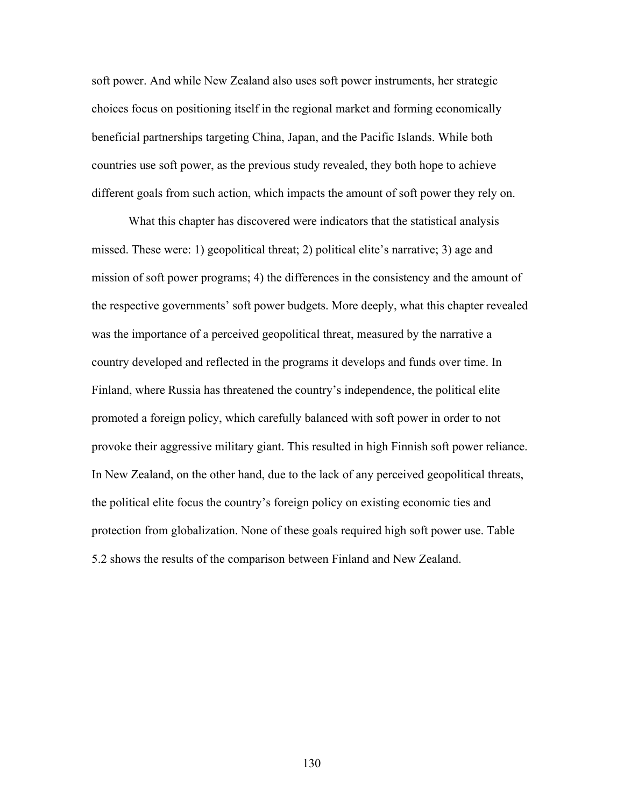soft power. And while New Zealand also uses soft power instruments, her strategic choices focus on positioning itself in the regional market and forming economically beneficial partnerships targeting China, Japan, and the Pacific Islands. While both countries use soft power, as the previous study revealed, they both hope to achieve different goals from such action, which impacts the amount of soft power they rely on.

What this chapter has discovered were indicators that the statistical analysis missed. These were: 1) geopolitical threat; 2) political elite's narrative; 3) age and mission of soft power programs; 4) the differences in the consistency and the amount of the respective governments' soft power budgets. More deeply, what this chapter revealed was the importance of a perceived geopolitical threat, measured by the narrative a country developed and reflected in the programs it develops and funds over time. In Finland, where Russia has threatened the country's independence, the political elite promoted a foreign policy, which carefully balanced with soft power in order to not provoke their aggressive military giant. This resulted in high Finnish soft power reliance. In New Zealand, on the other hand, due to the lack of any perceived geopolitical threats, the political elite focus the country's foreign policy on existing economic ties and protection from globalization. None of these goals required high soft power use. Table 5.2 shows the results of the comparison between Finland and New Zealand.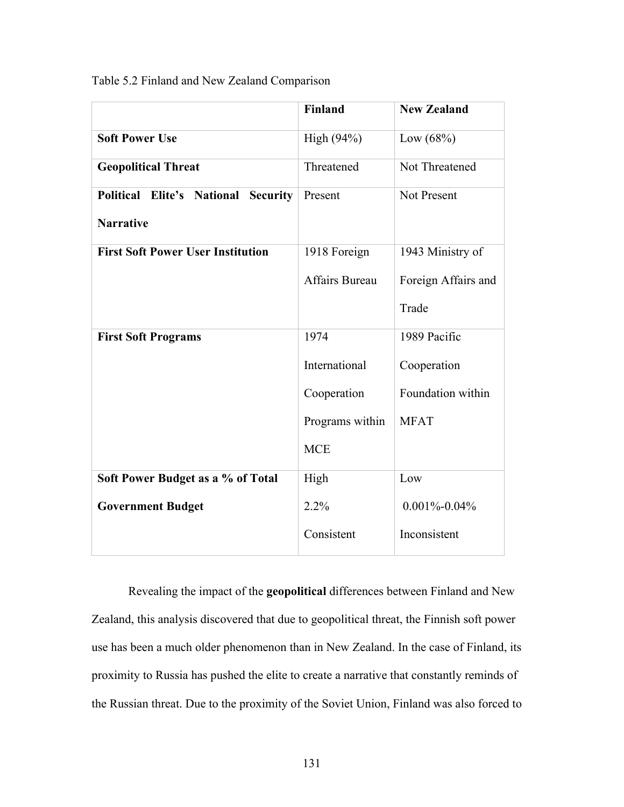|  |  |  |  | Table 5.2 Finland and New Zealand Comparison |
|--|--|--|--|----------------------------------------------|
|--|--|--|--|----------------------------------------------|

|                                                         | <b>Finland</b>  | <b>New Zealand</b>  |
|---------------------------------------------------------|-----------------|---------------------|
| <b>Soft Power Use</b>                                   | High (94%)      | Low $(68%)$         |
| <b>Geopolitical Threat</b>                              | Threatened      | Not Threatened      |
| Political Elite's National Security<br><b>Narrative</b> | Present         | Not Present         |
| <b>First Soft Power User Institution</b>                | 1918 Foreign    | 1943 Ministry of    |
|                                                         | Affairs Bureau  | Foreign Affairs and |
|                                                         |                 | Trade               |
| <b>First Soft Programs</b>                              | 1974            | 1989 Pacific        |
|                                                         | International   | Cooperation         |
|                                                         | Cooperation     | Foundation within   |
|                                                         | Programs within | <b>MFAT</b>         |
|                                                         | <b>MCE</b>      |                     |
| Soft Power Budget as a % of Total                       | High            | Low                 |
| <b>Government Budget</b>                                | 2.2%            | $0.001\% - 0.04\%$  |
|                                                         | Consistent      | Inconsistent        |

Revealing the impact of the **geopolitical** differences between Finland and New Zealand, this analysis discovered that due to geopolitical threat, the Finnish soft power use has been a much older phenomenon than in New Zealand. In the case of Finland, its proximity to Russia has pushed the elite to create a narrative that constantly reminds of the Russian threat. Due to the proximity of the Soviet Union, Finland was also forced to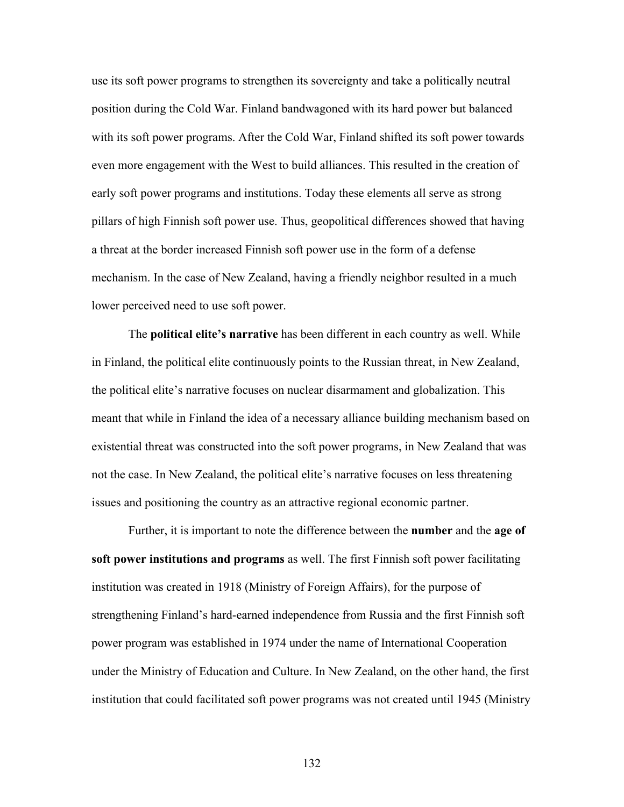use its soft power programs to strengthen its sovereignty and take a politically neutral position during the Cold War. Finland bandwagoned with its hard power but balanced with its soft power programs. After the Cold War, Finland shifted its soft power towards even more engagement with the West to build alliances. This resulted in the creation of early soft power programs and institutions. Today these elements all serve as strong pillars of high Finnish soft power use. Thus, geopolitical differences showed that having a threat at the border increased Finnish soft power use in the form of a defense mechanism. In the case of New Zealand, having a friendly neighbor resulted in a much lower perceived need to use soft power.

The **political elite's narrative** has been different in each country as well. While in Finland, the political elite continuously points to the Russian threat, in New Zealand, the political elite's narrative focuses on nuclear disarmament and globalization. This meant that while in Finland the idea of a necessary alliance building mechanism based on existential threat was constructed into the soft power programs, in New Zealand that was not the case. In New Zealand, the political elite's narrative focuses on less threatening issues and positioning the country as an attractive regional economic partner.

Further, it is important to note the difference between the **number** and the **age of soft power institutions and programs** as well. The first Finnish soft power facilitating institution was created in 1918 (Ministry of Foreign Affairs), for the purpose of strengthening Finland's hard-earned independence from Russia and the first Finnish soft power program was established in 1974 under the name of International Cooperation under the Ministry of Education and Culture. In New Zealand, on the other hand, the first institution that could facilitated soft power programs was not created until 1945 (Ministry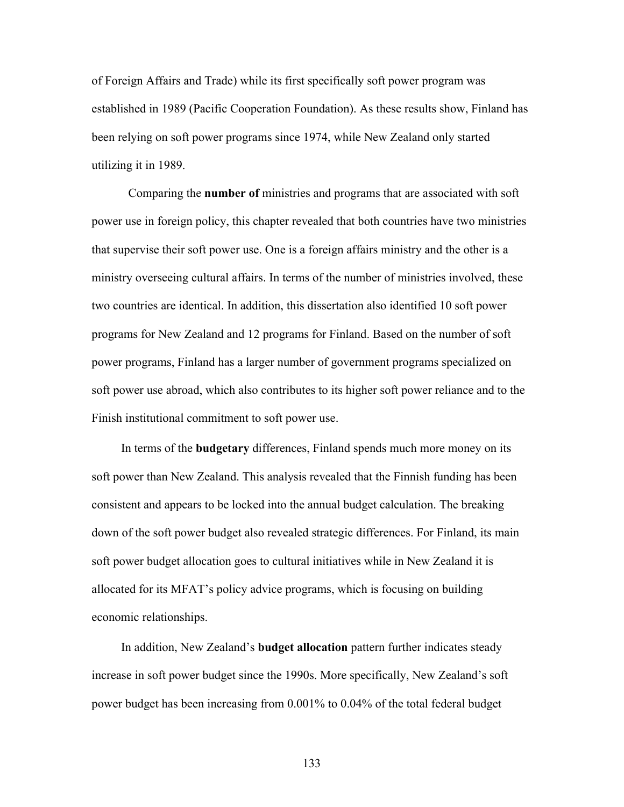of Foreign Affairs and Trade) while its first specifically soft power program was established in 1989 (Pacific Cooperation Foundation). As these results show, Finland has been relying on soft power programs since 1974, while New Zealand only started utilizing it in 1989.

Comparing the **number of** ministries and programs that are associated with soft power use in foreign policy, this chapter revealed that both countries have two ministries that supervise their soft power use. One is a foreign affairs ministry and the other is a ministry overseeing cultural affairs. In terms of the number of ministries involved, these two countries are identical. In addition, this dissertation also identified 10 soft power programs for New Zealand and 12 programs for Finland. Based on the number of soft power programs, Finland has a larger number of government programs specialized on soft power use abroad, which also contributes to its higher soft power reliance and to the Finish institutional commitment to soft power use.

In terms of the **budgetary** differences, Finland spends much more money on its soft power than New Zealand. This analysis revealed that the Finnish funding has been consistent and appears to be locked into the annual budget calculation. The breaking down of the soft power budget also revealed strategic differences. For Finland, its main soft power budget allocation goes to cultural initiatives while in New Zealand it is allocated for its MFAT's policy advice programs, which is focusing on building economic relationships.

 In addition, New Zealand's **budget allocation** pattern further indicates steady increase in soft power budget since the 1990s. More specifically, New Zealand's soft power budget has been increasing from 0.001% to 0.04% of the total federal budget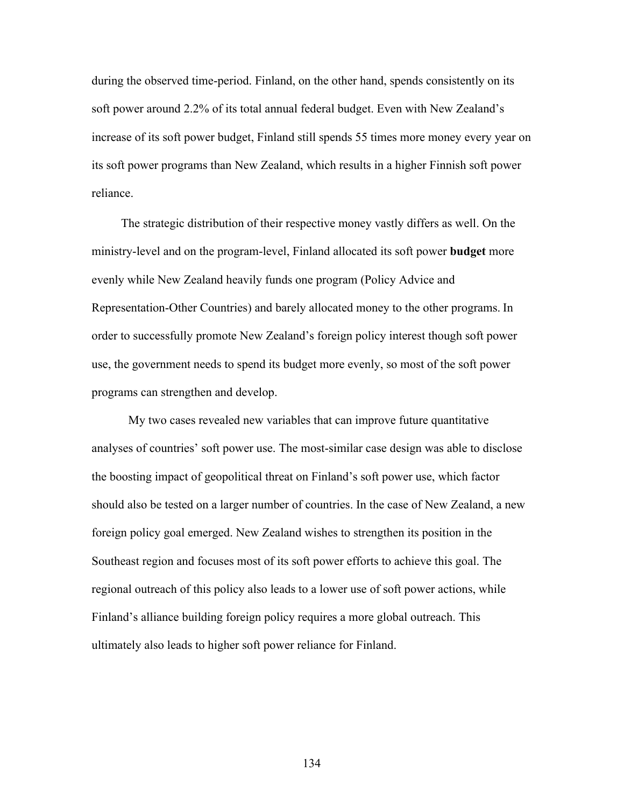during the observed time-period. Finland, on the other hand, spends consistently on its soft power around 2.2% of its total annual federal budget. Even with New Zealand's increase of its soft power budget, Finland still spends 55 times more money every year on its soft power programs than New Zealand, which results in a higher Finnish soft power reliance.

 The strategic distribution of their respective money vastly differs as well. On the ministry-level and on the program-level, Finland allocated its soft power **budget** more evenly while New Zealand heavily funds one program (Policy Advice and Representation-Other Countries) and barely allocated money to the other programs. In order to successfully promote New Zealand's foreign policy interest though soft power use, the government needs to spend its budget more evenly, so most of the soft power programs can strengthen and develop.

My two cases revealed new variables that can improve future quantitative analyses of countries' soft power use. The most-similar case design was able to disclose the boosting impact of geopolitical threat on Finland's soft power use, which factor should also be tested on a larger number of countries. In the case of New Zealand, a new foreign policy goal emerged. New Zealand wishes to strengthen its position in the Southeast region and focuses most of its soft power efforts to achieve this goal. The regional outreach of this policy also leads to a lower use of soft power actions, while Finland's alliance building foreign policy requires a more global outreach. This ultimately also leads to higher soft power reliance for Finland.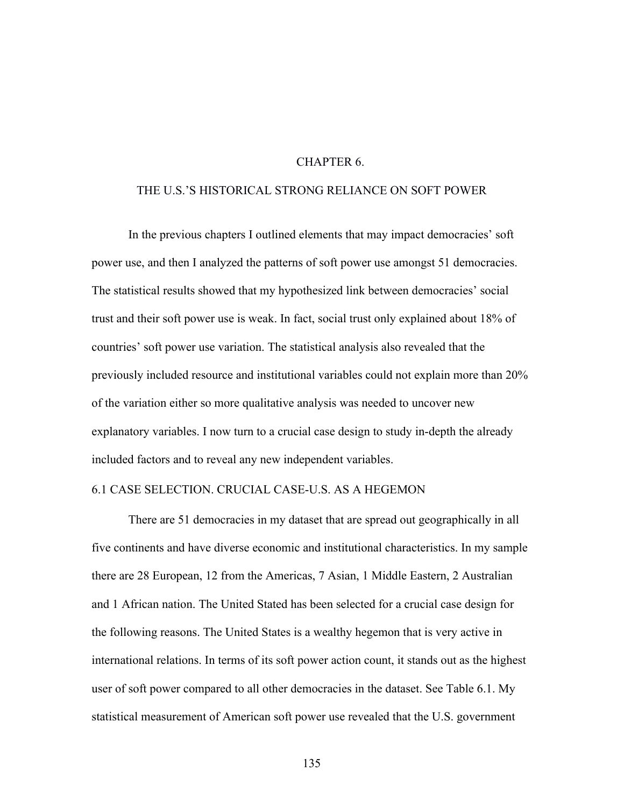## CHAPTER 6.

### THE U.S.'S HISTORICAL STRONG RELIANCE ON SOFT POWER

In the previous chapters I outlined elements that may impact democracies' soft power use, and then I analyzed the patterns of soft power use amongst 51 democracies. The statistical results showed that my hypothesized link between democracies' social trust and their soft power use is weak. In fact, social trust only explained about 18% of countries' soft power use variation. The statistical analysis also revealed that the previously included resource and institutional variables could not explain more than 20% of the variation either so more qualitative analysis was needed to uncover new explanatory variables. I now turn to a crucial case design to study in-depth the already included factors and to reveal any new independent variables.

## 6.1 CASE SELECTION. CRUCIAL CASE-U.S. AS A HEGEMON

There are 51 democracies in my dataset that are spread out geographically in all five continents and have diverse economic and institutional characteristics. In my sample there are 28 European, 12 from the Americas, 7 Asian, 1 Middle Eastern, 2 Australian and 1 African nation. The United Stated has been selected for a crucial case design for the following reasons. The United States is a wealthy hegemon that is very active in international relations. In terms of its soft power action count, it stands out as the highest user of soft power compared to all other democracies in the dataset. See Table 6.1. My statistical measurement of American soft power use revealed that the U.S. government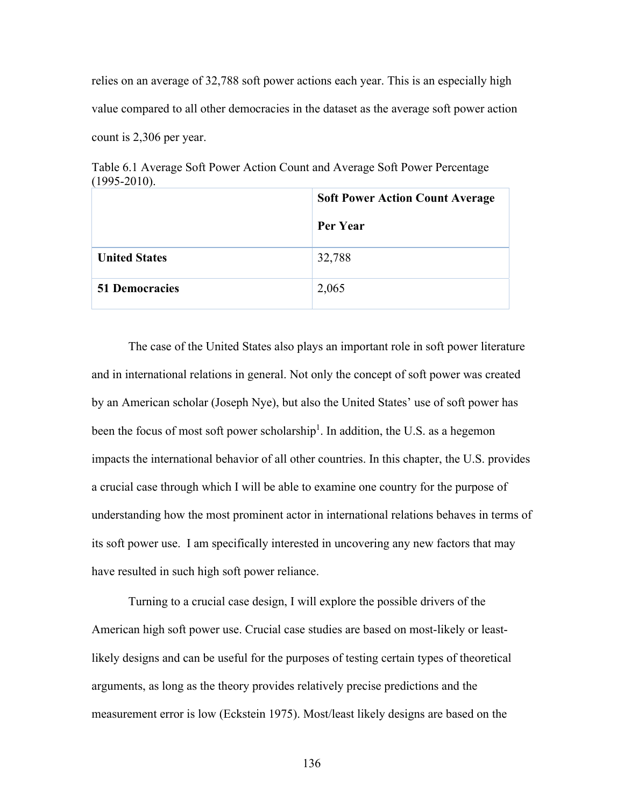relies on an average of 32,788 soft power actions each year. This is an especially high value compared to all other democracies in the dataset as the average soft power action count is 2,306 per year.

|                       | <b>Soft Power Action Count Average</b> |  |  |
|-----------------------|----------------------------------------|--|--|
|                       | Per Year                               |  |  |
| <b>United States</b>  | 32,788                                 |  |  |
| <b>51 Democracies</b> | 2,065                                  |  |  |

Table 6.1 Average Soft Power Action Count and Average Soft Power Percentage (1995-2010).

The case of the United States also plays an important role in soft power literature and in international relations in general. Not only the concept of soft power was created by an American scholar (Joseph Nye), but also the United States' use of soft power has been the focus of most soft power scholarship<sup>1</sup>. In addition, the U.S. as a hegemon impacts the international behavior of all other countries. In this chapter, the U.S. provides a crucial case through which I will be able to examine one country for the purpose of understanding how the most prominent actor in international relations behaves in terms of its soft power use. I am specifically interested in uncovering any new factors that may have resulted in such high soft power reliance.

Turning to a crucial case design, I will explore the possible drivers of the American high soft power use. Crucial case studies are based on most-likely or leastlikely designs and can be useful for the purposes of testing certain types of theoretical arguments, as long as the theory provides relatively precise predictions and the measurement error is low (Eckstein 1975). Most/least likely designs are based on the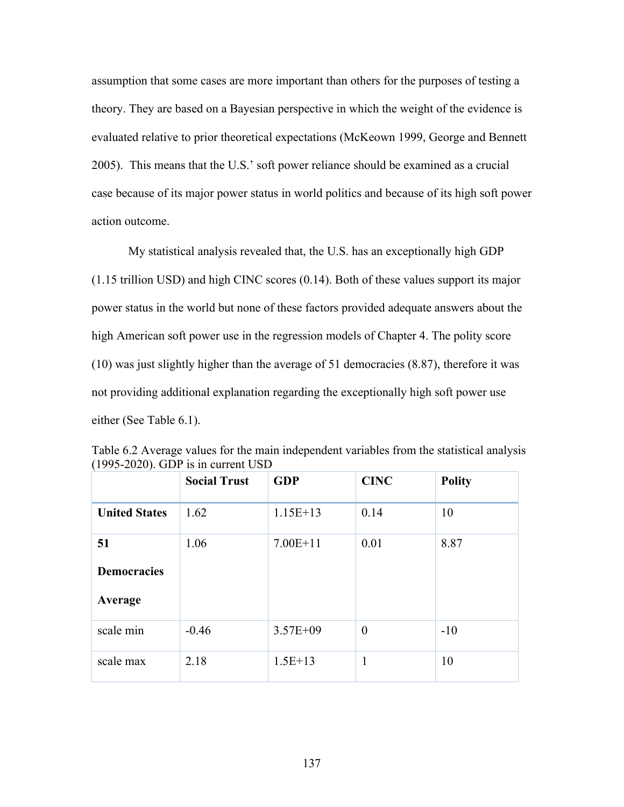assumption that some cases are more important than others for the purposes of testing a theory. They are based on a Bayesian perspective in which the weight of the evidence is evaluated relative to prior theoretical expectations (McKeown 1999, George and Bennett 2005). This means that the U.S.' soft power reliance should be examined as a crucial case because of its major power status in world politics and because of its high soft power action outcome.

My statistical analysis revealed that, the U.S. has an exceptionally high GDP (1.15 trillion USD) and high CINC scores (0.14). Both of these values support its major power status in the world but none of these factors provided adequate answers about the high American soft power use in the regression models of Chapter 4. The polity score (10) was just slightly higher than the average of 51 democracies (8.87), therefore it was not providing additional explanation regarding the exceptionally high soft power use either (See Table 6.1).

|                      | <b>Social Trust</b> | <b>GDP</b>   | <b>CINC</b>    | <b>Polity</b> |
|----------------------|---------------------|--------------|----------------|---------------|
| <b>United States</b> | 1.62                | $1.15E+13$   | 0.14           | 10            |
| 51                   | 1.06                | $7.00E+11$   | 0.01           | 8.87          |
| <b>Democracies</b>   |                     |              |                |               |
| Average              |                     |              |                |               |
| scale min            | $-0.46$             | $3.57E + 09$ | $\overline{0}$ | $-10$         |
| scale max            | 2.18                | $1.5E+13$    | 1              | 10            |

Table 6.2 Average values for the main independent variables from the statistical analysis (1995-2020). GDP is in current USD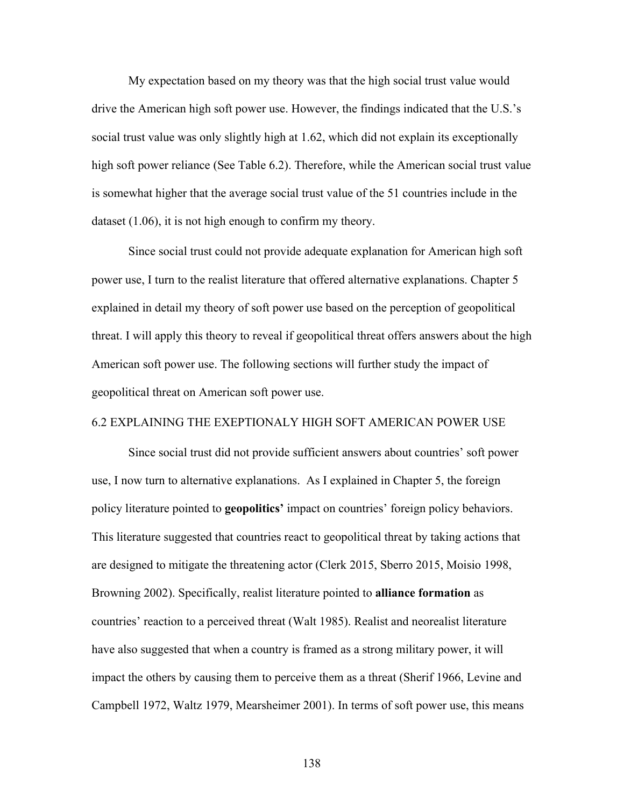My expectation based on my theory was that the high social trust value would drive the American high soft power use. However, the findings indicated that the U.S.'s social trust value was only slightly high at 1.62, which did not explain its exceptionally high soft power reliance (See Table 6.2). Therefore, while the American social trust value is somewhat higher that the average social trust value of the 51 countries include in the dataset (1.06), it is not high enough to confirm my theory.

Since social trust could not provide adequate explanation for American high soft power use, I turn to the realist literature that offered alternative explanations. Chapter 5 explained in detail my theory of soft power use based on the perception of geopolitical threat. I will apply this theory to reveal if geopolitical threat offers answers about the high American soft power use. The following sections will further study the impact of geopolitical threat on American soft power use.

## 6.2 EXPLAINING THE EXEPTIONALY HIGH SOFT AMERICAN POWER USE

Since social trust did not provide sufficient answers about countries' soft power use, I now turn to alternative explanations. As I explained in Chapter 5, the foreign policy literature pointed to **geopolitics'** impact on countries' foreign policy behaviors. This literature suggested that countries react to geopolitical threat by taking actions that are designed to mitigate the threatening actor (Clerk 2015, Sberro 2015, Moisio 1998, Browning 2002). Specifically, realist literature pointed to **alliance formation** as countries' reaction to a perceived threat (Walt 1985). Realist and neorealist literature have also suggested that when a country is framed as a strong military power, it will impact the others by causing them to perceive them as a threat (Sherif 1966, Levine and Campbell 1972, Waltz 1979, Mearsheimer 2001). In terms of soft power use, this means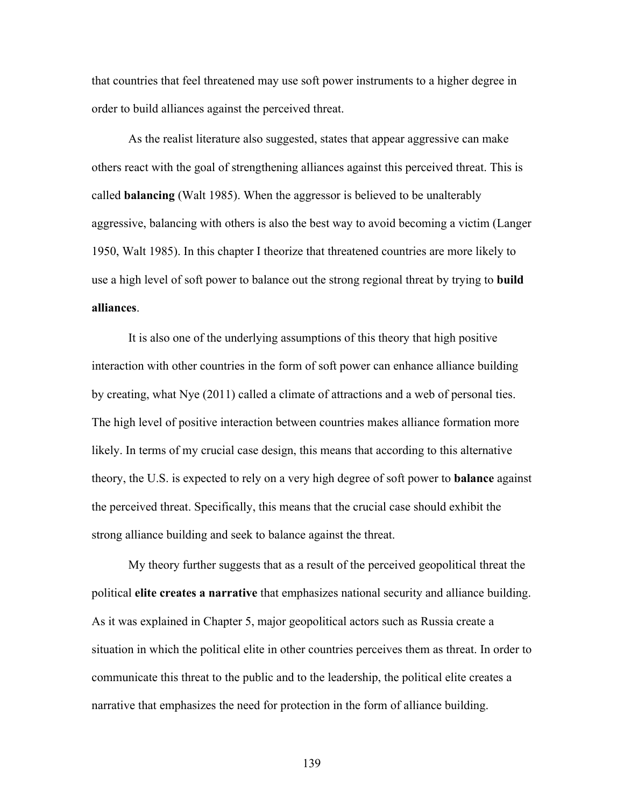that countries that feel threatened may use soft power instruments to a higher degree in order to build alliances against the perceived threat.

As the realist literature also suggested, states that appear aggressive can make others react with the goal of strengthening alliances against this perceived threat. This is called **balancing** (Walt 1985). When the aggressor is believed to be unalterably aggressive, balancing with others is also the best way to avoid becoming a victim (Langer 1950, Walt 1985). In this chapter I theorize that threatened countries are more likely to use a high level of soft power to balance out the strong regional threat by trying to **build alliances**.

It is also one of the underlying assumptions of this theory that high positive interaction with other countries in the form of soft power can enhance alliance building by creating, what Nye (2011) called a climate of attractions and a web of personal ties. The high level of positive interaction between countries makes alliance formation more likely. In terms of my crucial case design, this means that according to this alternative theory, the U.S. is expected to rely on a very high degree of soft power to **balance** against the perceived threat. Specifically, this means that the crucial case should exhibit the strong alliance building and seek to balance against the threat.

My theory further suggests that as a result of the perceived geopolitical threat the political **elite creates a narrative** that emphasizes national security and alliance building. As it was explained in Chapter 5, major geopolitical actors such as Russia create a situation in which the political elite in other countries perceives them as threat. In order to communicate this threat to the public and to the leadership, the political elite creates a narrative that emphasizes the need for protection in the form of alliance building.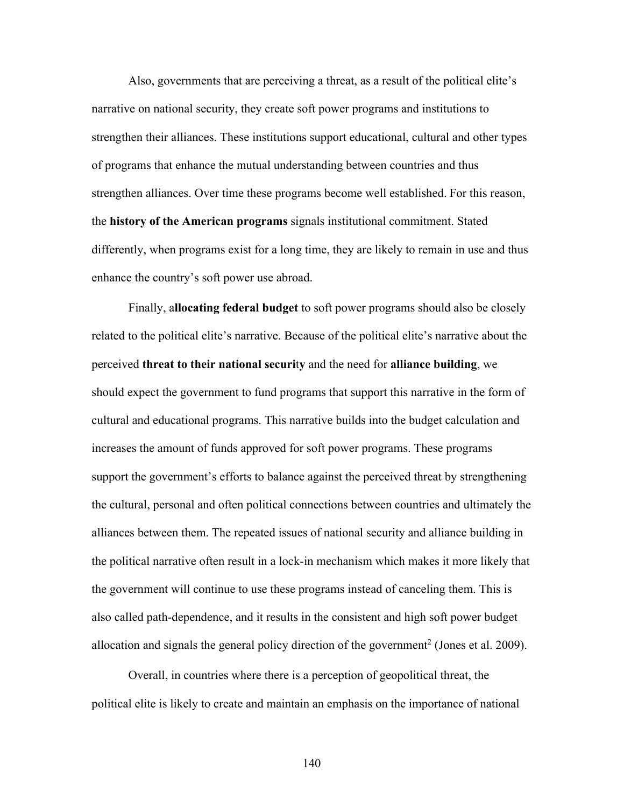Also, governments that are perceiving a threat, as a result of the political elite's narrative on national security, they create soft power programs and institutions to strengthen their alliances. These institutions support educational, cultural and other types of programs that enhance the mutual understanding between countries and thus strengthen alliances. Over time these programs become well established. For this reason, the **history of the American programs** signals institutional commitment. Stated differently, when programs exist for a long time, they are likely to remain in use and thus enhance the country's soft power use abroad.

Finally, a**llocating federal budget** to soft power programs should also be closely related to the political elite's narrative. Because of the political elite's narrative about the perceived **threat to their national securi**t**y** and the need for **alliance building**, we should expect the government to fund programs that support this narrative in the form of cultural and educational programs. This narrative builds into the budget calculation and increases the amount of funds approved for soft power programs. These programs support the government's efforts to balance against the perceived threat by strengthening the cultural, personal and often political connections between countries and ultimately the alliances between them. The repeated issues of national security and alliance building in the political narrative often result in a lock-in mechanism which makes it more likely that the government will continue to use these programs instead of canceling them. This is also called path-dependence, and it results in the consistent and high soft power budget allocation and signals the general policy direction of the government<sup>2</sup> (Jones et al. 2009).

Overall, in countries where there is a perception of geopolitical threat, the political elite is likely to create and maintain an emphasis on the importance of national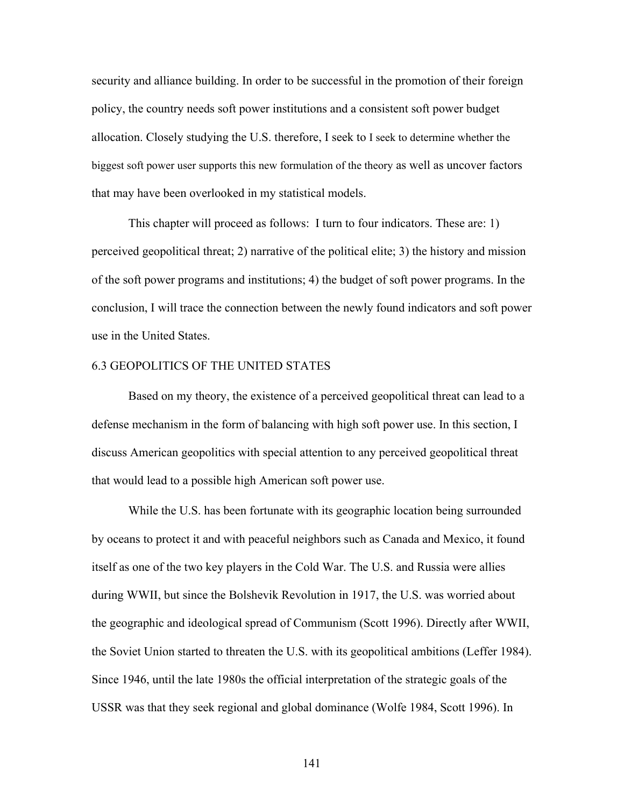security and alliance building. In order to be successful in the promotion of their foreign policy, the country needs soft power institutions and a consistent soft power budget allocation. Closely studying the U.S. therefore, I seek to I seek to determine whether the biggest soft power user supports this new formulation of the theory as well as uncover factors that may have been overlooked in my statistical models.

This chapter will proceed as follows: I turn to four indicators. These are: 1) perceived geopolitical threat; 2) narrative of the political elite; 3) the history and mission of the soft power programs and institutions; 4) the budget of soft power programs. In the conclusion, I will trace the connection between the newly found indicators and soft power use in the United States.

## 6.3 GEOPOLITICS OF THE UNITED STATES

Based on my theory, the existence of a perceived geopolitical threat can lead to a defense mechanism in the form of balancing with high soft power use. In this section, I discuss American geopolitics with special attention to any perceived geopolitical threat that would lead to a possible high American soft power use.

While the U.S. has been fortunate with its geographic location being surrounded by oceans to protect it and with peaceful neighbors such as Canada and Mexico, it found itself as one of the two key players in the Cold War. The U.S. and Russia were allies during WWII, but since the Bolshevik Revolution in 1917, the U.S. was worried about the geographic and ideological spread of Communism (Scott 1996). Directly after WWII, the Soviet Union started to threaten the U.S. with its geopolitical ambitions (Leffer 1984). Since 1946, until the late 1980s the official interpretation of the strategic goals of the USSR was that they seek regional and global dominance (Wolfe 1984, Scott 1996). In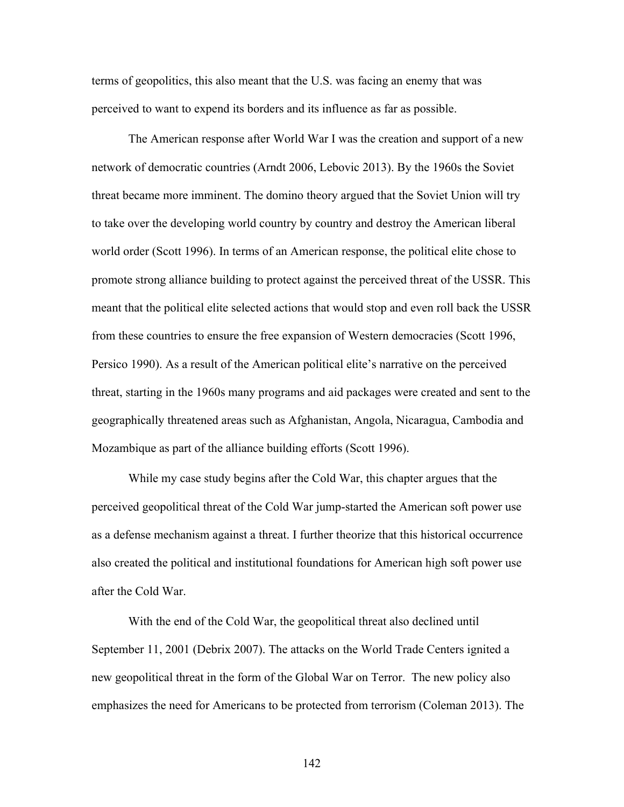terms of geopolitics, this also meant that the U.S. was facing an enemy that was perceived to want to expend its borders and its influence as far as possible.

The American response after World War I was the creation and support of a new network of democratic countries (Arndt 2006, Lebovic 2013). By the 1960s the Soviet threat became more imminent. The domino theory argued that the Soviet Union will try to take over the developing world country by country and destroy the American liberal world order (Scott 1996). In terms of an American response, the political elite chose to promote strong alliance building to protect against the perceived threat of the USSR. This meant that the political elite selected actions that would stop and even roll back the USSR from these countries to ensure the free expansion of Western democracies (Scott 1996, Persico 1990). As a result of the American political elite's narrative on the perceived threat, starting in the 1960s many programs and aid packages were created and sent to the geographically threatened areas such as Afghanistan, Angola, Nicaragua, Cambodia and Mozambique as part of the alliance building efforts (Scott 1996).

While my case study begins after the Cold War, this chapter argues that the perceived geopolitical threat of the Cold War jump-started the American soft power use as a defense mechanism against a threat. I further theorize that this historical occurrence also created the political and institutional foundations for American high soft power use after the Cold War.

 With the end of the Cold War, the geopolitical threat also declined until September 11, 2001 (Debrix 2007). The attacks on the World Trade Centers ignited a new geopolitical threat in the form of the Global War on Terror. The new policy also emphasizes the need for Americans to be protected from terrorism (Coleman 2013). The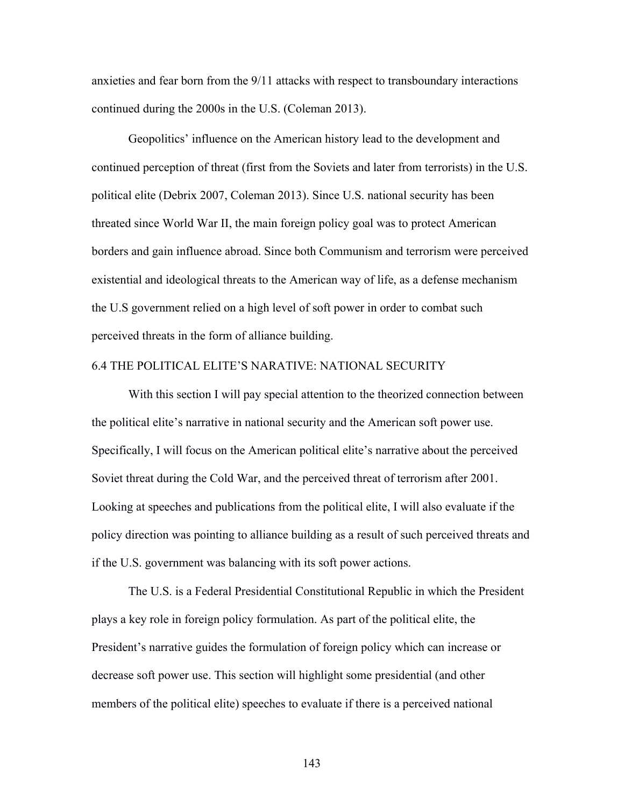anxieties and fear born from the 9/11 attacks with respect to transboundary interactions continued during the 2000s in the U.S. (Coleman 2013).

Geopolitics' influence on the American history lead to the development and continued perception of threat (first from the Soviets and later from terrorists) in the U.S. political elite (Debrix 2007, Coleman 2013). Since U.S. national security has been threated since World War II, the main foreign policy goal was to protect American borders and gain influence abroad. Since both Communism and terrorism were perceived existential and ideological threats to the American way of life, as a defense mechanism the U.S government relied on a high level of soft power in order to combat such perceived threats in the form of alliance building.

## 6.4 THE POLITICAL ELITE'S NARATIVE: NATIONAL SECURITY

With this section I will pay special attention to the theorized connection between the political elite's narrative in national security and the American soft power use. Specifically, I will focus on the American political elite's narrative about the perceived Soviet threat during the Cold War, and the perceived threat of terrorism after 2001. Looking at speeches and publications from the political elite, I will also evaluate if the policy direction was pointing to alliance building as a result of such perceived threats and if the U.S. government was balancing with its soft power actions.

The U.S. is a Federal Presidential Constitutional Republic in which the President plays a key role in foreign policy formulation. As part of the political elite, the President's narrative guides the formulation of foreign policy which can increase or decrease soft power use. This section will highlight some presidential (and other members of the political elite) speeches to evaluate if there is a perceived national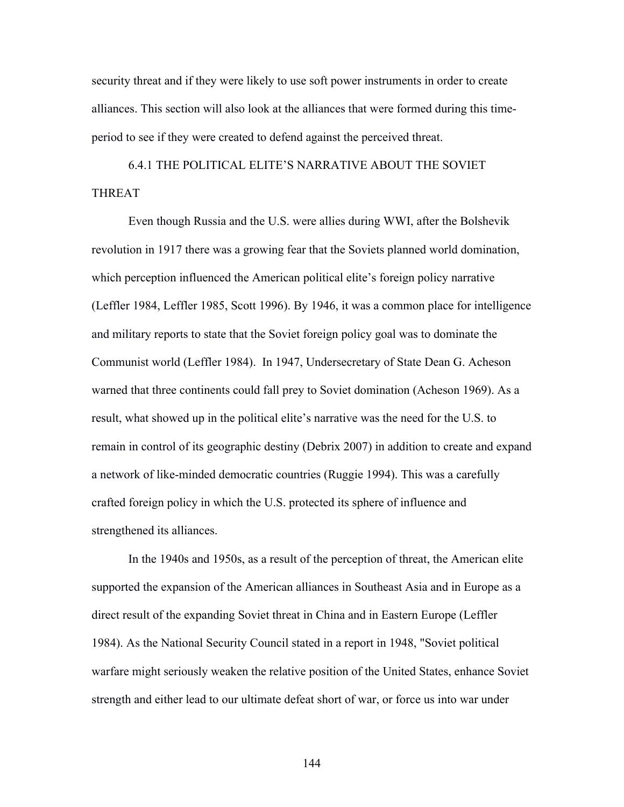security threat and if they were likely to use soft power instruments in order to create alliances. This section will also look at the alliances that were formed during this timeperiod to see if they were created to defend against the perceived threat.

6.4.1 THE POLITICAL ELITE'S NARRATIVE ABOUT THE SOVIET THREAT

Even though Russia and the U.S. were allies during WWI, after the Bolshevik revolution in 1917 there was a growing fear that the Soviets planned world domination, which perception influenced the American political elite's foreign policy narrative (Leffler 1984, Leffler 1985, Scott 1996). By 1946, it was a common place for intelligence and military reports to state that the Soviet foreign policy goal was to dominate the Communist world (Leffler 1984). In 1947, Undersecretary of State Dean G. Acheson warned that three continents could fall prey to Soviet domination (Acheson 1969). As a result, what showed up in the political elite's narrative was the need for the U.S. to remain in control of its geographic destiny (Debrix 2007) in addition to create and expand a network of like-minded democratic countries (Ruggie 1994). This was a carefully crafted foreign policy in which the U.S. protected its sphere of influence and strengthened its alliances.

In the 1940s and 1950s, as a result of the perception of threat, the American elite supported the expansion of the American alliances in Southeast Asia and in Europe as a direct result of the expanding Soviet threat in China and in Eastern Europe (Leffler 1984). As the National Security Council stated in a report in 1948, "Soviet political warfare might seriously weaken the relative position of the United States, enhance Soviet strength and either lead to our ultimate defeat short of war, or force us into war under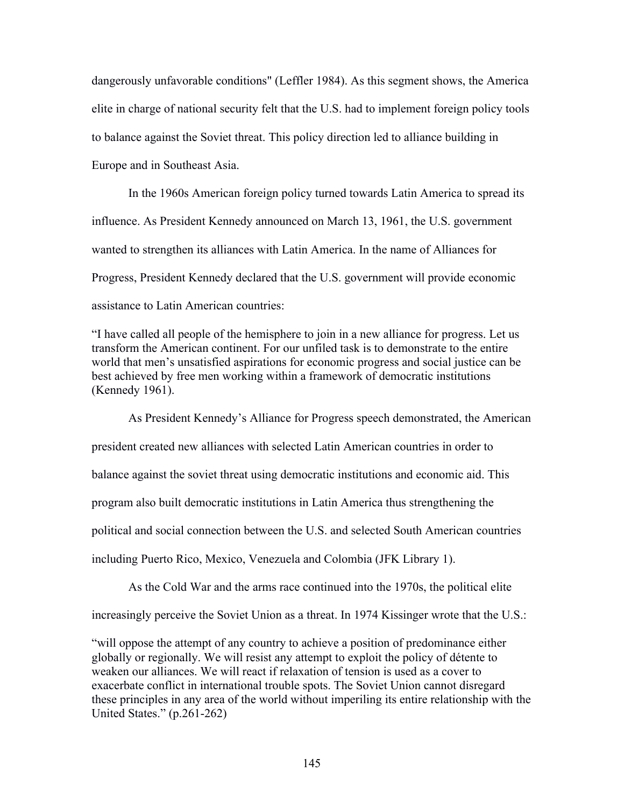dangerously unfavorable conditions" (Leffler 1984). As this segment shows, the America elite in charge of national security felt that the U.S. had to implement foreign policy tools to balance against the Soviet threat. This policy direction led to alliance building in Europe and in Southeast Asia.

In the 1960s American foreign policy turned towards Latin America to spread its influence. As President Kennedy announced on March 13, 1961, the U.S. government wanted to strengthen its alliances with Latin America. In the name of Alliances for Progress, President Kennedy declared that the U.S. government will provide economic assistance to Latin American countries:

"I have called all people of the hemisphere to join in a new alliance for progress. Let us transform the American continent. For our unfiled task is to demonstrate to the entire world that men's unsatisfied aspirations for economic progress and social justice can be best achieved by free men working within a framework of democratic institutions (Kennedy 1961).

As President Kennedy's Alliance for Progress speech demonstrated, the American president created new alliances with selected Latin American countries in order to balance against the soviet threat using democratic institutions and economic aid. This program also built democratic institutions in Latin America thus strengthening the political and social connection between the U.S. and selected South American countries including Puerto Rico, Mexico, Venezuela and Colombia (JFK Library 1).

As the Cold War and the arms race continued into the 1970s, the political elite increasingly perceive the Soviet Union as a threat. In 1974 Kissinger wrote that the U.S.:

"will oppose the attempt of any country to achieve a position of predominance either globally or regionally. We will resist any attempt to exploit the policy of détente to weaken our alliances. We will react if relaxation of tension is used as a cover to exacerbate conflict in international trouble spots. The Soviet Union cannot disregard these principles in any area of the world without imperiling its entire relationship with the United States." (p.261-262)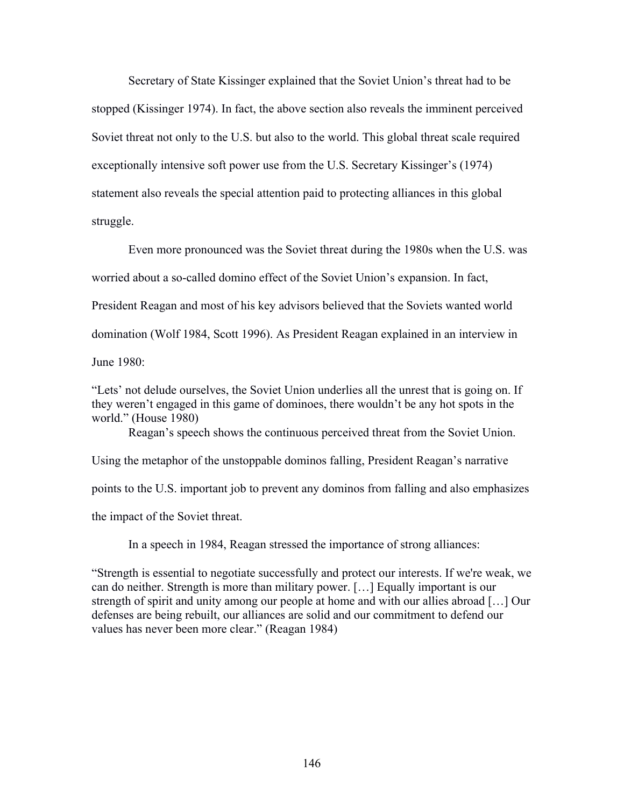Secretary of State Kissinger explained that the Soviet Union's threat had to be stopped (Kissinger 1974). In fact, the above section also reveals the imminent perceived Soviet threat not only to the U.S. but also to the world. This global threat scale required exceptionally intensive soft power use from the U.S. Secretary Kissinger's (1974) statement also reveals the special attention paid to protecting alliances in this global struggle.

Even more pronounced was the Soviet threat during the 1980s when the U.S. was worried about a so-called domino effect of the Soviet Union's expansion. In fact, President Reagan and most of his key advisors believed that the Soviets wanted world domination (Wolf 1984, Scott 1996). As President Reagan explained in an interview in June 1980:

"Lets' not delude ourselves, the Soviet Union underlies all the unrest that is going on. If they weren't engaged in this game of dominoes, there wouldn't be any hot spots in the world." (House 1980)

Reagan's speech shows the continuous perceived threat from the Soviet Union.

Using the metaphor of the unstoppable dominos falling, President Reagan's narrative points to the U.S. important job to prevent any dominos from falling and also emphasizes the impact of the Soviet threat.

In a speech in 1984, Reagan stressed the importance of strong alliances:

"Strength is essential to negotiate successfully and protect our interests. If we're weak, we can do neither. Strength is more than military power. […] Equally important is our strength of spirit and unity among our people at home and with our allies abroad […] Our defenses are being rebuilt, our alliances are solid and our commitment to defend our values has never been more clear." (Reagan 1984)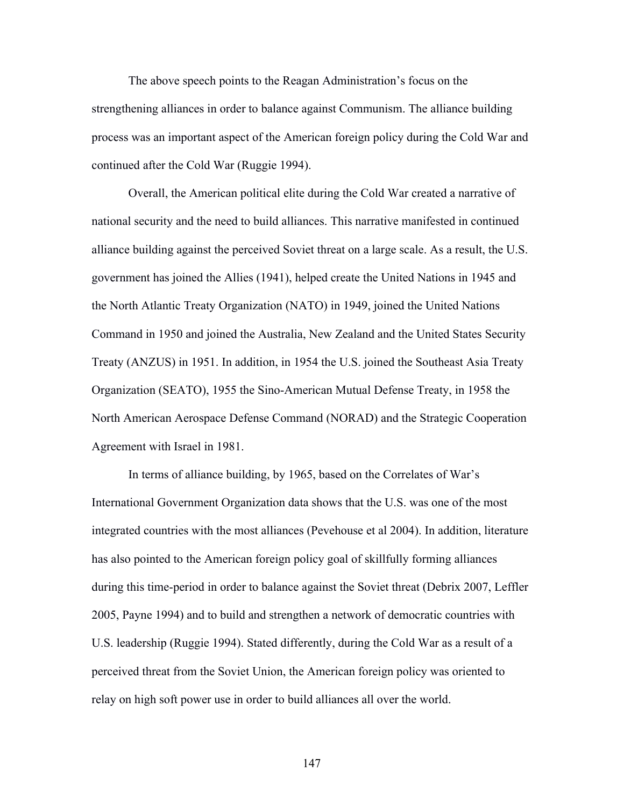The above speech points to the Reagan Administration's focus on the strengthening alliances in order to balance against Communism. The alliance building process was an important aspect of the American foreign policy during the Cold War and continued after the Cold War (Ruggie 1994).

Overall, the American political elite during the Cold War created a narrative of national security and the need to build alliances. This narrative manifested in continued alliance building against the perceived Soviet threat on a large scale. As a result, the U.S. government has joined the Allies (1941), helped create the United Nations in 1945 and the North Atlantic Treaty Organization (NATO) in 1949, joined the United Nations Command in 1950 and joined the Australia, New Zealand and the United States Security Treaty (ANZUS) in 1951. In addition, in 1954 the U.S. joined the Southeast Asia Treaty Organization (SEATO), 1955 the Sino-American Mutual Defense Treaty, in 1958 the North American Aerospace Defense Command (NORAD) and the Strategic Cooperation Agreement with Israel in 1981.

In terms of alliance building, by 1965, based on the Correlates of War's International Government Organization data shows that the U.S. was one of the most integrated countries with the most alliances (Pevehouse et al 2004). In addition, literature has also pointed to the American foreign policy goal of skillfully forming alliances during this time-period in order to balance against the Soviet threat (Debrix 2007, Leffler 2005, Payne 1994) and to build and strengthen a network of democratic countries with U.S. leadership (Ruggie 1994). Stated differently, during the Cold War as a result of a perceived threat from the Soviet Union, the American foreign policy was oriented to relay on high soft power use in order to build alliances all over the world.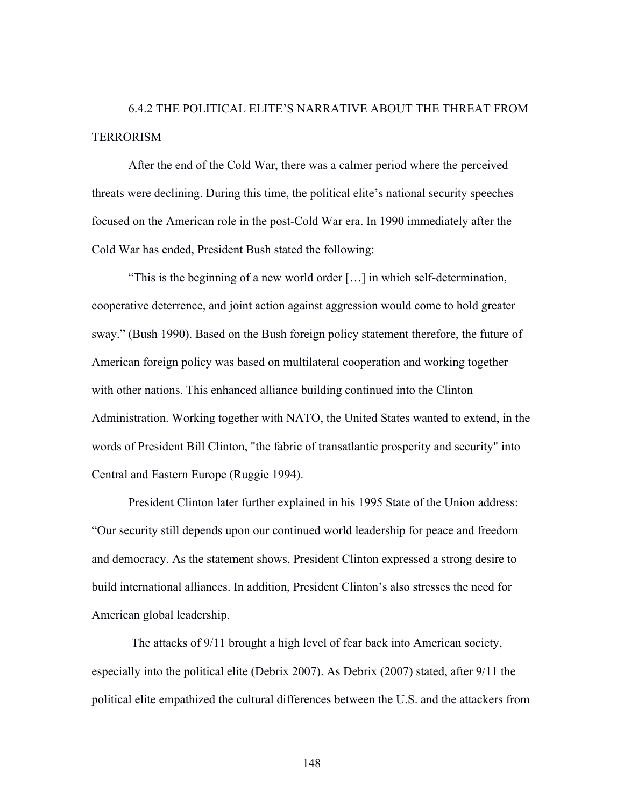## 6.4.2 THE POLITICAL ELITE'S NARRATIVE ABOUT THE THREAT FROM **TERRORISM**

After the end of the Cold War, there was a calmer period where the perceived threats were declining. During this time, the political elite's national security speeches focused on the American role in the post-Cold War era. In 1990 immediately after the Cold War has ended, President Bush stated the following:

"This is the beginning of a new world order […] in which self-determination, cooperative deterrence, and joint action against aggression would come to hold greater sway." (Bush 1990). Based on the Bush foreign policy statement therefore, the future of American foreign policy was based on multilateral cooperation and working together with other nations. This enhanced alliance building continued into the Clinton Administration. Working together with NATO, the United States wanted to extend, in the words of President Bill Clinton, "the fabric of transatlantic prosperity and security" into Central and Eastern Europe (Ruggie 1994).

President Clinton later further explained in his 1995 State of the Union address: "Our security still depends upon our continued world leadership for peace and freedom and democracy. As the statement shows, President Clinton expressed a strong desire to build international alliances. In addition, President Clinton's also stresses the need for American global leadership.

 The attacks of 9/11 brought a high level of fear back into American society, especially into the political elite (Debrix 2007). As Debrix (2007) stated, after 9/11 the political elite empathized the cultural differences between the U.S. and the attackers from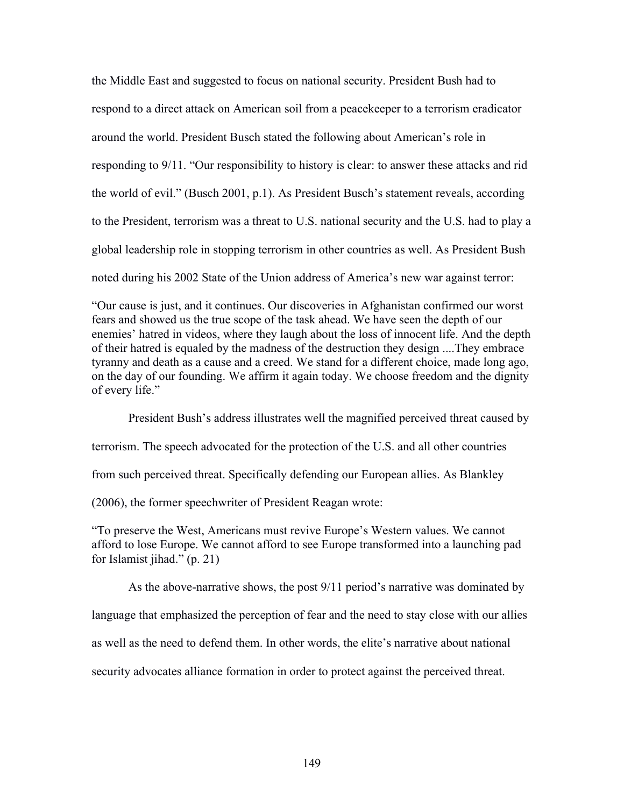the Middle East and suggested to focus on national security. President Bush had to respond to a direct attack on American soil from a peacekeeper to a terrorism eradicator around the world. President Busch stated the following about American's role in responding to 9/11. "Our responsibility to history is clear: to answer these attacks and rid the world of evil." (Busch 2001, p.1). As President Busch's statement reveals, according to the President, terrorism was a threat to U.S. national security and the U.S. had to play a global leadership role in stopping terrorism in other countries as well. As President Bush noted during his 2002 State of the Union address of America's new war against terror:

"Our cause is just, and it continues. Our discoveries in Afghanistan confirmed our worst fears and showed us the true scope of the task ahead. We have seen the depth of our enemies' hatred in videos, where they laugh about the loss of innocent life. And the depth of their hatred is equaled by the madness of the destruction they design ....They embrace tyranny and death as a cause and a creed. We stand for a different choice, made long ago, on the day of our founding. We affirm it again today. We choose freedom and the dignity of every life."

President Bush's address illustrates well the magnified perceived threat caused by terrorism. The speech advocated for the protection of the U.S. and all other countries from such perceived threat. Specifically defending our European allies. As Blankley (2006), the former speechwriter of President Reagan wrote:

"To preserve the West, Americans must revive Europe's Western values. We cannot afford to lose Europe. We cannot afford to see Europe transformed into a launching pad for Islamist jihad." (p. 21)

As the above-narrative shows, the post 9/11 period's narrative was dominated by

language that emphasized the perception of fear and the need to stay close with our allies

as well as the need to defend them. In other words, the elite's narrative about national

security advocates alliance formation in order to protect against the perceived threat.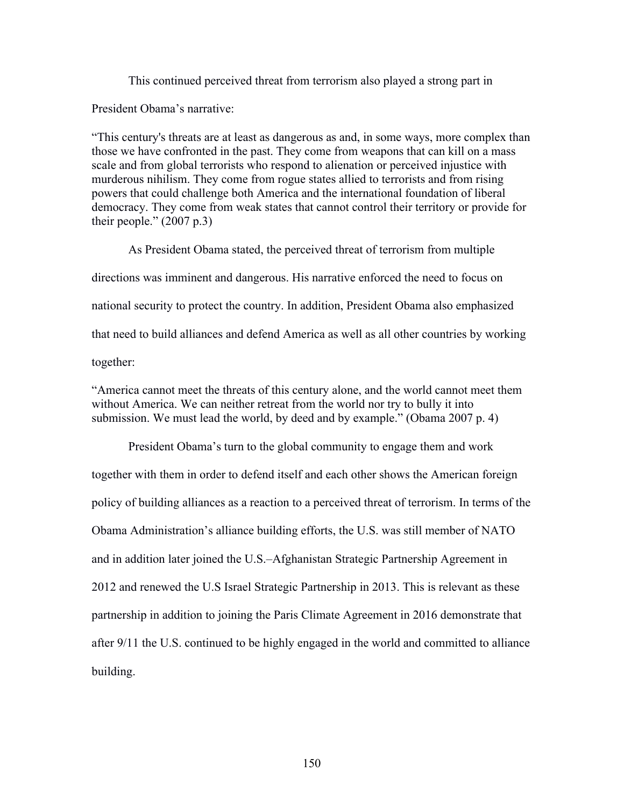This continued perceived threat from terrorism also played a strong part in

President Obama's narrative:

"This century's threats are at least as dangerous as and, in some ways, more complex than those we have confronted in the past. They come from weapons that can kill on a mass scale and from global terrorists who respond to alienation or perceived injustice with murderous nihilism. They come from rogue states allied to terrorists and from rising powers that could challenge both America and the international foundation of liberal democracy. They come from weak states that cannot control their territory or provide for their people."  $(2007 \text{ p.3})$ 

As President Obama stated, the perceived threat of terrorism from multiple directions was imminent and dangerous. His narrative enforced the need to focus on national security to protect the country. In addition, President Obama also emphasized that need to build alliances and defend America as well as all other countries by working together:

"America cannot meet the threats of this century alone, and the world cannot meet them without America. We can neither retreat from the world nor try to bully it into submission. We must lead the world, by deed and by example." (Obama 2007 p. 4)

President Obama's turn to the global community to engage them and work together with them in order to defend itself and each other shows the American foreign policy of building alliances as a reaction to a perceived threat of terrorism. In terms of the Obama Administration's alliance building efforts, the U.S. was still member of NATO and in addition later joined the U.S.–Afghanistan Strategic Partnership Agreement in 2012 and renewed the U.S Israel Strategic Partnership in 2013. This is relevant as these partnership in addition to joining the Paris Climate Agreement in 2016 demonstrate that after 9/11 the U.S. continued to be highly engaged in the world and committed to alliance building.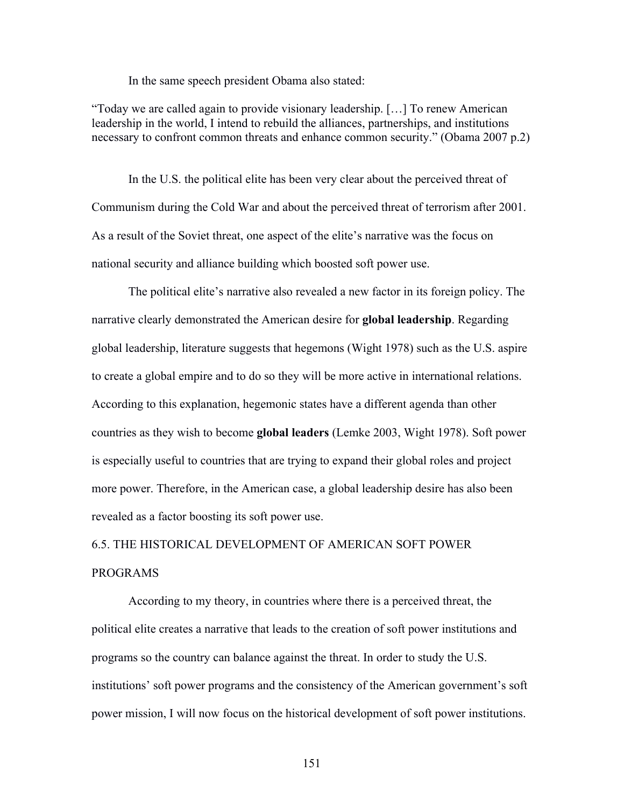In the same speech president Obama also stated:

"Today we are called again to provide visionary leadership. […] To renew American leadership in the world, I intend to rebuild the alliances, partnerships, and institutions necessary to confront common threats and enhance common security." (Obama 2007 p.2)

In the U.S. the political elite has been very clear about the perceived threat of Communism during the Cold War and about the perceived threat of terrorism after 2001. As a result of the Soviet threat, one aspect of the elite's narrative was the focus on national security and alliance building which boosted soft power use.

The political elite's narrative also revealed a new factor in its foreign policy. The narrative clearly demonstrated the American desire for **global leadership**. Regarding global leadership, literature suggests that hegemons (Wight 1978) such as the U.S. aspire to create a global empire and to do so they will be more active in international relations. According to this explanation, hegemonic states have a different agenda than other countries as they wish to become **global leaders** (Lemke 2003, Wight 1978). Soft power is especially useful to countries that are trying to expand their global roles and project more power. Therefore, in the American case, a global leadership desire has also been revealed as a factor boosting its soft power use.

## 6.5. THE HISTORICAL DEVELOPMENT OF AMERICAN SOFT POWER

## PROGRAMS

According to my theory, in countries where there is a perceived threat, the political elite creates a narrative that leads to the creation of soft power institutions and programs so the country can balance against the threat. In order to study the U.S. institutions' soft power programs and the consistency of the American government's soft power mission, I will now focus on the historical development of soft power institutions.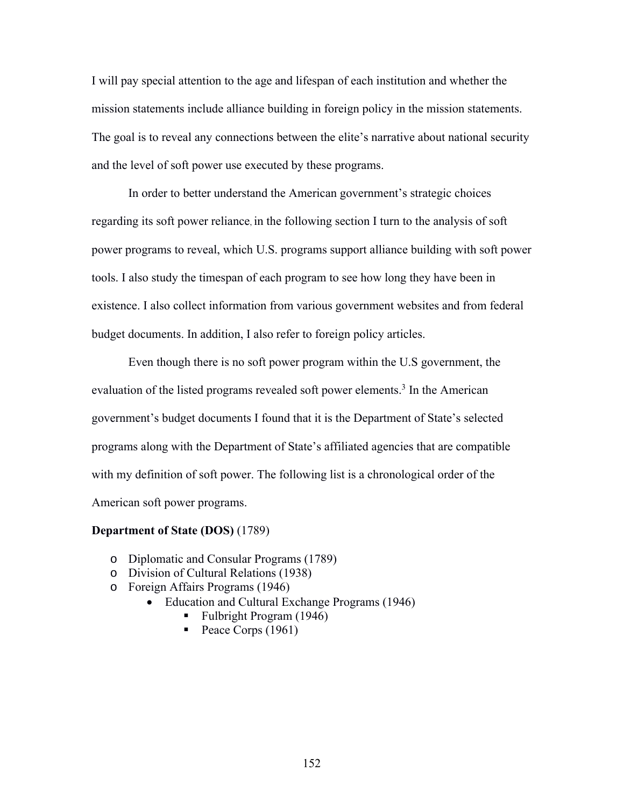I will pay special attention to the age and lifespan of each institution and whether the mission statements include alliance building in foreign policy in the mission statements. The goal is to reveal any connections between the elite's narrative about national security and the level of soft power use executed by these programs.

In order to better understand the American government's strategic choices regarding its soft power reliance, in the following section I turn to the analysis of soft power programs to reveal, which U.S. programs support alliance building with soft power tools. I also study the timespan of each program to see how long they have been in existence. I also collect information from various government websites and from federal budget documents. In addition, I also refer to foreign policy articles.

Even though there is no soft power program within the U.S government, the evaluation of the listed programs revealed soft power elements.<sup>3</sup> In the American government's budget documents I found that it is the Department of State's selected programs along with the Department of State's affiliated agencies that are compatible with my definition of soft power. The following list is a chronological order of the American soft power programs.

#### **Department of State (DOS)** (1789)

- o Diplomatic and Consular Programs (1789)
- o Division of Cultural Relations (1938)
- o Foreign Affairs Programs (1946)
	- Education and Cultural Exchange Programs (1946)
		- **Fulbright Program (1946)**
		- Peace Corps  $(1961)$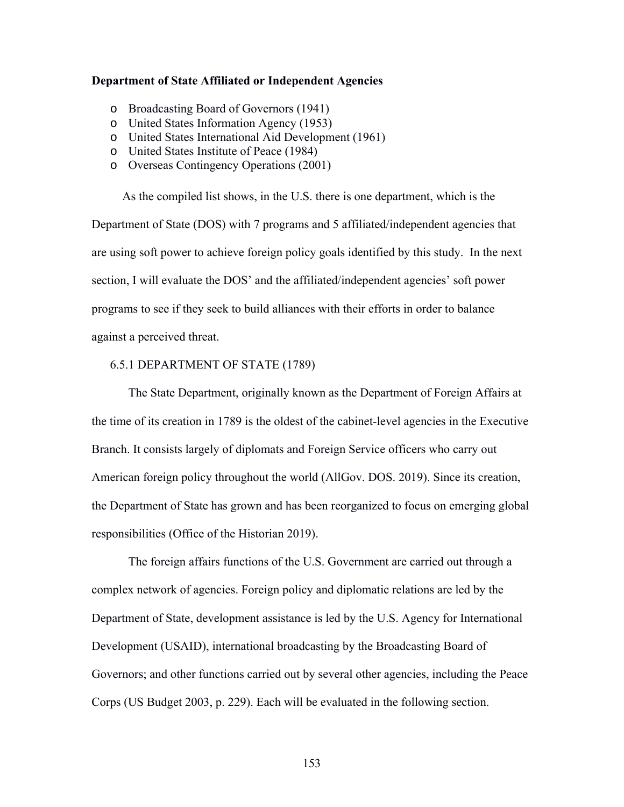#### **Department of State Affiliated or Independent Agencies**

- o Broadcasting Board of Governors (1941)
- o United States Information Agency (1953)
- o United States International Aid Development (1961)
- o United States Institute of Peace (1984)
- o Overseas Contingency Operations (2001)

 As the compiled list shows, in the U.S. there is one department, which is the Department of State (DOS) with 7 programs and 5 affiliated/independent agencies that are using soft power to achieve foreign policy goals identified by this study. In the next section, I will evaluate the DOS' and the affiliated/independent agencies' soft power programs to see if they seek to build alliances with their efforts in order to balance against a perceived threat.

## 6.5.1 DEPARTMENT OF STATE (1789)

The State Department, originally known as the Department of Foreign Affairs at the time of its creation in 1789 is the oldest of the cabinet-level agencies in the Executive Branch. It consists largely of diplomats and Foreign Service officers who carry out American foreign policy throughout the world (AllGov. DOS. 2019). Since its creation, the Department of State has grown and has been reorganized to focus on emerging global responsibilities (Office of the Historian 2019).

The foreign affairs functions of the U.S. Government are carried out through a complex network of agencies. Foreign policy and diplomatic relations are led by the Department of State, development assistance is led by the U.S. Agency for International Development (USAID), international broadcasting by the Broadcasting Board of Governors; and other functions carried out by several other agencies, including the Peace Corps (US Budget 2003, p. 229). Each will be evaluated in the following section.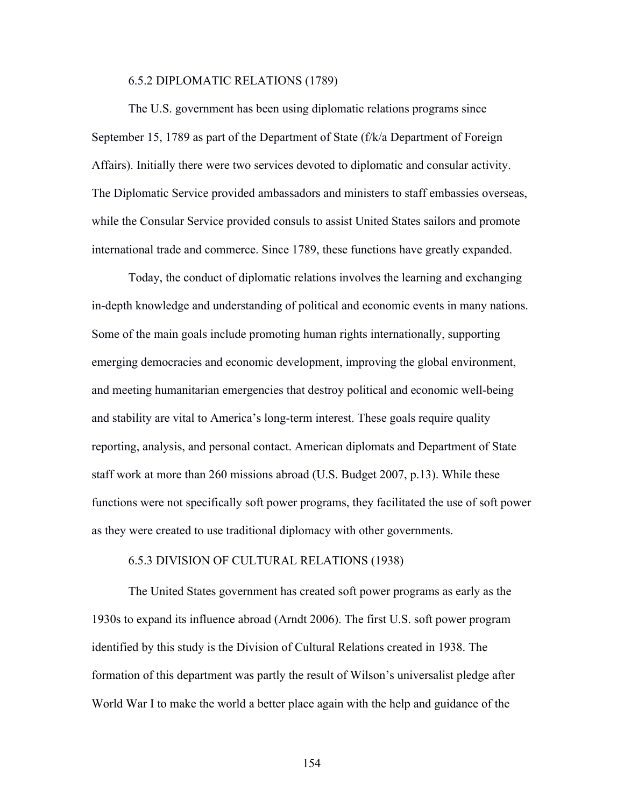#### 6.5.2 DIPLOMATIC RELATIONS (1789)

The U.S. government has been using diplomatic relations programs since September 15, 1789 as part of the Department of State (f/k/a Department of Foreign Affairs). Initially there were two services devoted to diplomatic and consular activity. The Diplomatic Service provided ambassadors and ministers to staff embassies overseas, while the Consular Service provided consuls to assist United States sailors and promote international trade and commerce. Since 1789, these functions have greatly expanded.

Today, the conduct of diplomatic relations involves the learning and exchanging in-depth knowledge and understanding of political and economic events in many nations. Some of the main goals include promoting human rights internationally, supporting emerging democracies and economic development, improving the global environment, and meeting humanitarian emergencies that destroy political and economic well-being and stability are vital to America's long-term interest. These goals require quality reporting, analysis, and personal contact. American diplomats and Department of State staff work at more than 260 missions abroad (U.S. Budget 2007, p.13). While these functions were not specifically soft power programs, they facilitated the use of soft power as they were created to use traditional diplomacy with other governments.

#### 6.5.3 DIVISION OF CULTURAL RELATIONS (1938)

The United States government has created soft power programs as early as the 1930s to expand its influence abroad (Arndt 2006). The first U.S. soft power program identified by this study is the Division of Cultural Relations created in 1938. The formation of this department was partly the result of Wilson's universalist pledge after World War I to make the world a better place again with the help and guidance of the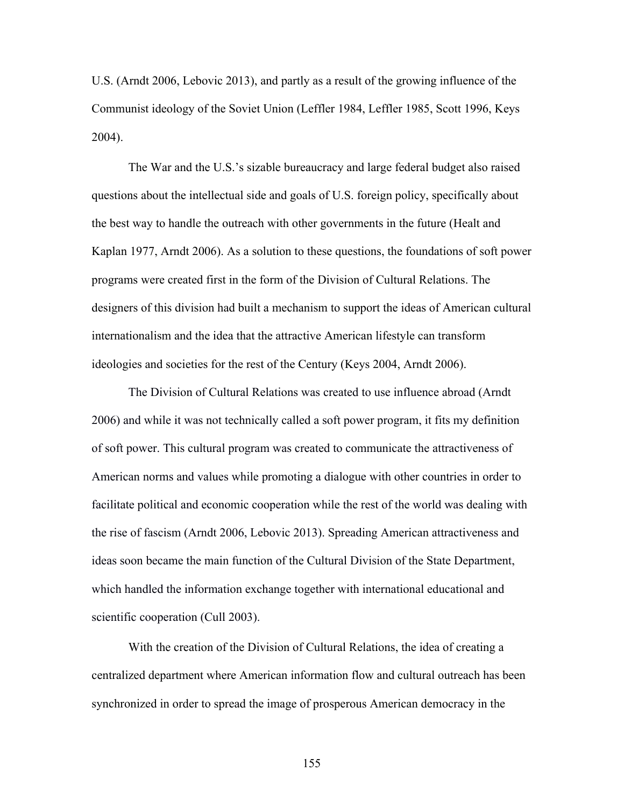U.S. (Arndt 2006, Lebovic 2013), and partly as a result of the growing influence of the Communist ideology of the Soviet Union (Leffler 1984, Leffler 1985, Scott 1996, Keys 2004).

The War and the U.S.'s sizable bureaucracy and large federal budget also raised questions about the intellectual side and goals of U.S. foreign policy, specifically about the best way to handle the outreach with other governments in the future (Healt and Kaplan 1977, Arndt 2006). As a solution to these questions, the foundations of soft power programs were created first in the form of the Division of Cultural Relations. The designers of this division had built a mechanism to support the ideas of American cultural internationalism and the idea that the attractive American lifestyle can transform ideologies and societies for the rest of the Century (Keys 2004, Arndt 2006).

The Division of Cultural Relations was created to use influence abroad (Arndt 2006) and while it was not technically called a soft power program, it fits my definition of soft power. This cultural program was created to communicate the attractiveness of American norms and values while promoting a dialogue with other countries in order to facilitate political and economic cooperation while the rest of the world was dealing with the rise of fascism (Arndt 2006, Lebovic 2013). Spreading American attractiveness and ideas soon became the main function of the Cultural Division of the State Department, which handled the information exchange together with international educational and scientific cooperation (Cull 2003).

With the creation of the Division of Cultural Relations, the idea of creating a centralized department where American information flow and cultural outreach has been synchronized in order to spread the image of prosperous American democracy in the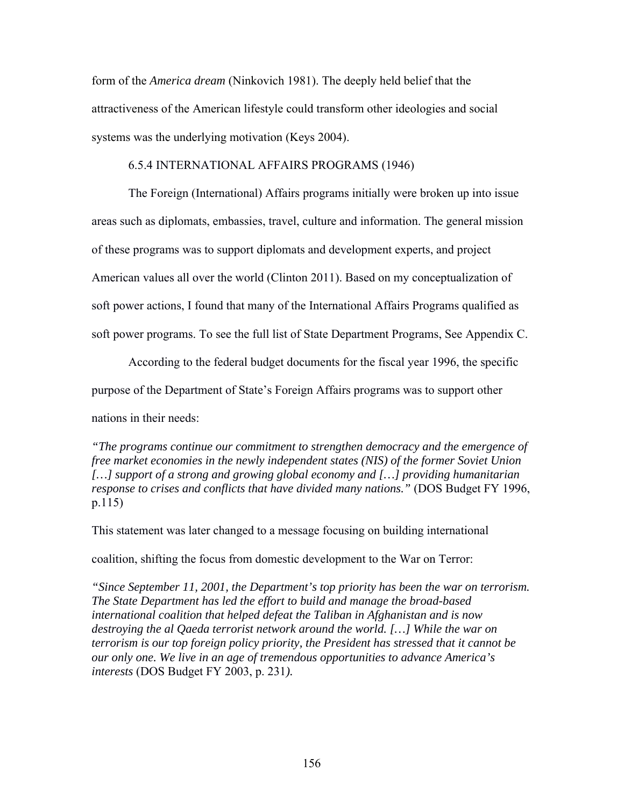form of the *America dream* (Ninkovich 1981). The deeply held belief that the attractiveness of the American lifestyle could transform other ideologies and social systems was the underlying motivation (Keys 2004).

## 6.5.4 INTERNATIONAL AFFAIRS PROGRAMS (1946)

The Foreign (International) Affairs programs initially were broken up into issue areas such as diplomats, embassies, travel, culture and information. The general mission of these programs was to support diplomats and development experts, and project American values all over the world (Clinton 2011). Based on my conceptualization of soft power actions, I found that many of the International Affairs Programs qualified as soft power programs. To see the full list of State Department Programs, See Appendix C.

According to the federal budget documents for the fiscal year 1996, the specific purpose of the Department of State's Foreign Affairs programs was to support other nations in their needs:

*"The programs continue our commitment to strengthen democracy and the emergence of free market economies in the newly independent states (NIS) of the former Soviet Union […] support of a strong and growing global economy and […] providing humanitarian response to crises and conflicts that have divided many nations." (DOS Budget FY 1996,* p.115)

This statement was later changed to a message focusing on building international

coalition, shifting the focus from domestic development to the War on Terror:

*"Since September 11, 2001, the Department's top priority has been the war on terrorism. The State Department has led the effort to build and manage the broad-based international coalition that helped defeat the Taliban in Afghanistan and is now destroying the al Qaeda terrorist network around the world. […] While the war on terrorism is our top foreign policy priority, the President has stressed that it cannot be our only one. We live in an age of tremendous opportunities to advance America's interests* (DOS Budget FY 2003, p. 231*).*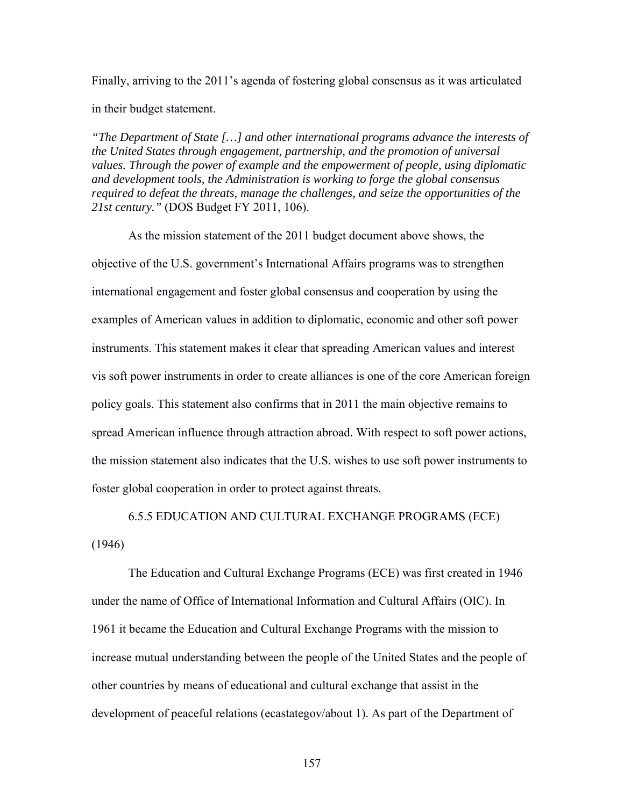Finally, arriving to the 2011's agenda of fostering global consensus as it was articulated in their budget statement.

*"The Department of State […] and other international programs advance the interests of the United States through engagement, partnership, and the promotion of universal values. Through the power of example and the empowerment of people, using diplomatic and development tools, the Administration is working to forge the global consensus required to defeat the threats, manage the challenges, and seize the opportunities of the 21st century."* (DOS Budget FY 2011, 106).

As the mission statement of the 2011 budget document above shows, the objective of the U.S. government's International Affairs programs was to strengthen international engagement and foster global consensus and cooperation by using the examples of American values in addition to diplomatic, economic and other soft power instruments. This statement makes it clear that spreading American values and interest vis soft power instruments in order to create alliances is one of the core American foreign policy goals. This statement also confirms that in 2011 the main objective remains to spread American influence through attraction abroad. With respect to soft power actions, the mission statement also indicates that the U.S. wishes to use soft power instruments to foster global cooperation in order to protect against threats.

6.5.5 EDUCATION AND CULTURAL EXCHANGE PROGRAMS (ECE) (1946)

The Education and Cultural Exchange Programs (ECE) was first created in 1946 under the name of Office of International Information and Cultural Affairs (OIC). In 1961 it became the Education and Cultural Exchange Programs with the mission to increase mutual understanding between the people of the United States and the people of other countries by means of educational and cultural exchange that assist in the development of peaceful relations (ecastategov/about 1). As part of the Department of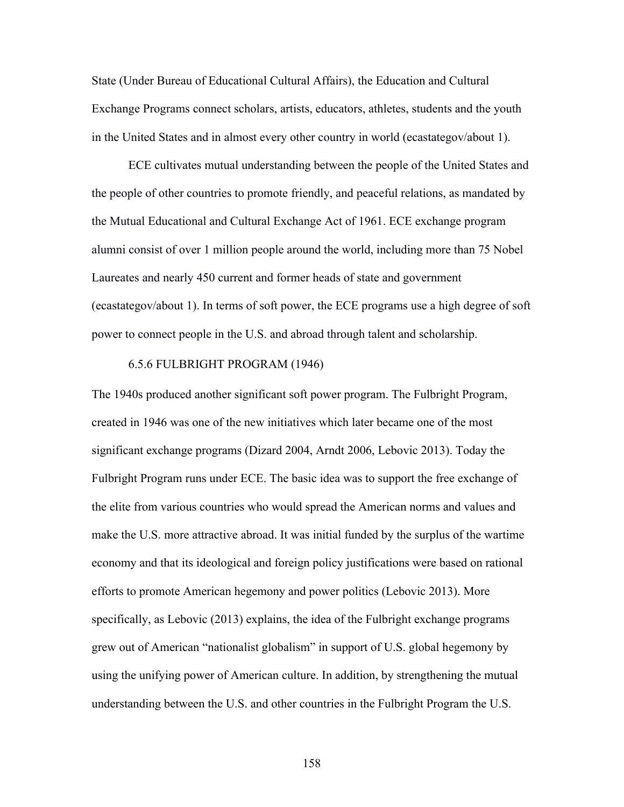State (Under Bureau of Educational Cultural Affairs), the Education and Cultural Exchange Programs connect scholars, artists, educators, athletes, students and the youth in the United States and in almost every other country in world (ecastategov/about 1).

ECE cultivates mutual understanding between the people of the United States and the people of other countries to promote friendly, and peaceful relations, as mandated by the Mutual Educational and Cultural Exchange Act of 1961. ECE exchange program alumni consist of over 1 million people around the world, including more than 75 Nobel Laureates and nearly 450 current and former heads of state and government (ecastategov/about 1). In terms of soft power, the ECE programs use a high degree of soft power to connect people in the U.S. and abroad through talent and scholarship.

#### 6.5.6 FULBRIGHT PROGRAM (1946)

The 1940s produced another significant soft power program. The Fulbright Program, created in 1946 was one of the new initiatives which later became one of the most significant exchange programs (Dizard 2004, Arndt 2006, Lebovic 2013). Today the Fulbright Program runs under ECE. The basic idea was to support the free exchange of the elite from various countries who would spread the American norms and values and make the U.S. more attractive abroad. It was initial funded by the surplus of the wartime economy and that its ideological and foreign policy justifications were based on rational efforts to promote American hegemony and power politics (Lebovic 2013). More specifically, as Lebovic (2013) explains, the idea of the Fulbright exchange programs grew out of American "nationalist globalism" in support of U.S. global hegemony by using the unifying power of American culture. In addition, by strengthening the mutual understanding between the U.S. and other countries in the Fulbright Program the U.S.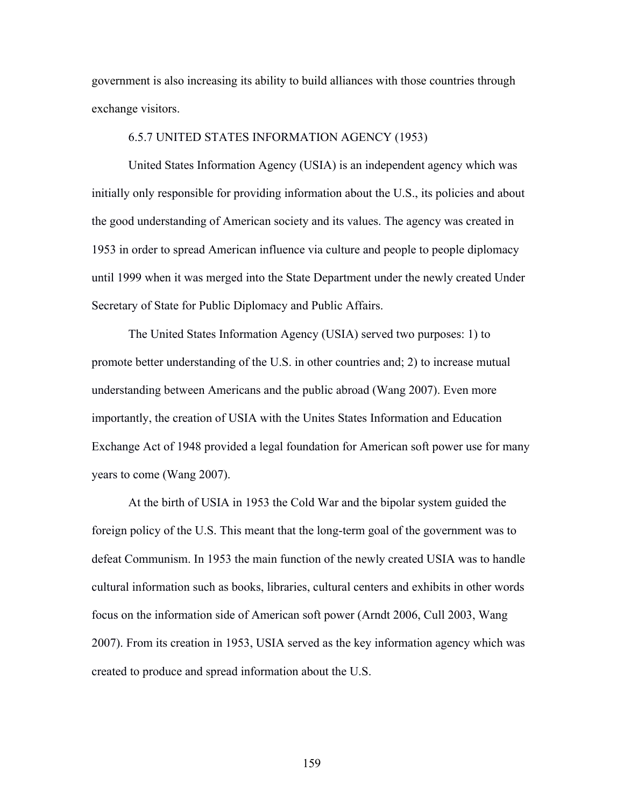government is also increasing its ability to build alliances with those countries through exchange visitors.

## 6.5.7 UNITED STATES INFORMATION AGENCY (1953)

United States Information Agency (USIA) is an independent agency which was initially only responsible for providing information about the U.S., its policies and about the good understanding of American society and its values. The agency was created in 1953 in order to spread American influence via culture and people to people diplomacy until 1999 when it was merged into the State Department under the newly created Under Secretary of State for Public Diplomacy and Public Affairs.

The United States Information Agency (USIA) served two purposes: 1) to promote better understanding of the U.S. in other countries and; 2) to increase mutual understanding between Americans and the public abroad (Wang 2007). Even more importantly, the creation of USIA with the Unites States Information and Education Exchange Act of 1948 provided a legal foundation for American soft power use for many years to come (Wang 2007).

At the birth of USIA in 1953 the Cold War and the bipolar system guided the foreign policy of the U.S. This meant that the long-term goal of the government was to defeat Communism. In 1953 the main function of the newly created USIA was to handle cultural information such as books, libraries, cultural centers and exhibits in other words focus on the information side of American soft power (Arndt 2006, Cull 2003, Wang 2007). From its creation in 1953, USIA served as the key information agency which was created to produce and spread information about the U.S.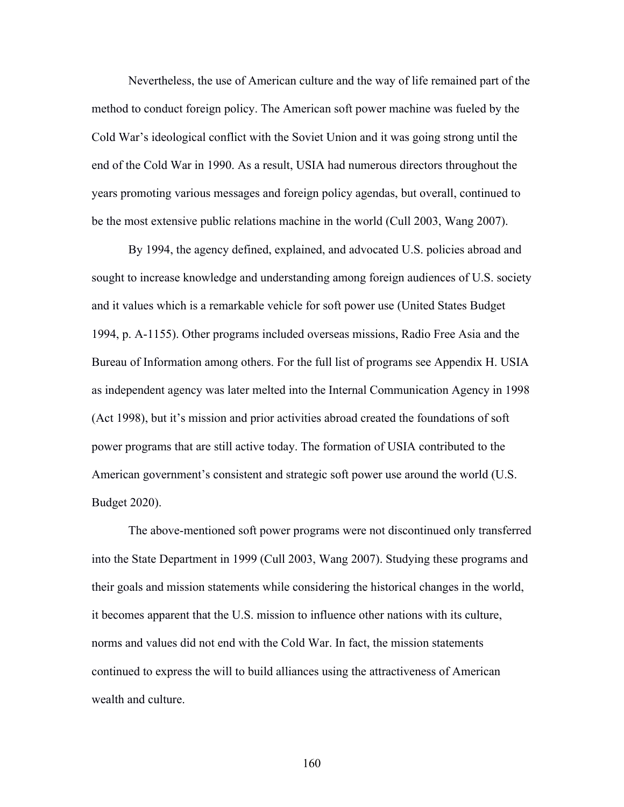Nevertheless, the use of American culture and the way of life remained part of the method to conduct foreign policy. The American soft power machine was fueled by the Cold War's ideological conflict with the Soviet Union and it was going strong until the end of the Cold War in 1990. As a result, USIA had numerous directors throughout the years promoting various messages and foreign policy agendas, but overall, continued to be the most extensive public relations machine in the world (Cull 2003, Wang 2007).

By 1994, the agency defined, explained, and advocated U.S. policies abroad and sought to increase knowledge and understanding among foreign audiences of U.S. society and it values which is a remarkable vehicle for soft power use (United States Budget 1994, p. A-1155). Other programs included overseas missions, Radio Free Asia and the Bureau of Information among others. For the full list of programs see Appendix H. USIA as independent agency was later melted into the Internal Communication Agency in 1998 (Act 1998), but it's mission and prior activities abroad created the foundations of soft power programs that are still active today. The formation of USIA contributed to the American government's consistent and strategic soft power use around the world (U.S. Budget 2020).

The above-mentioned soft power programs were not discontinued only transferred into the State Department in 1999 (Cull 2003, Wang 2007). Studying these programs and their goals and mission statements while considering the historical changes in the world, it becomes apparent that the U.S. mission to influence other nations with its culture, norms and values did not end with the Cold War. In fact, the mission statements continued to express the will to build alliances using the attractiveness of American wealth and culture.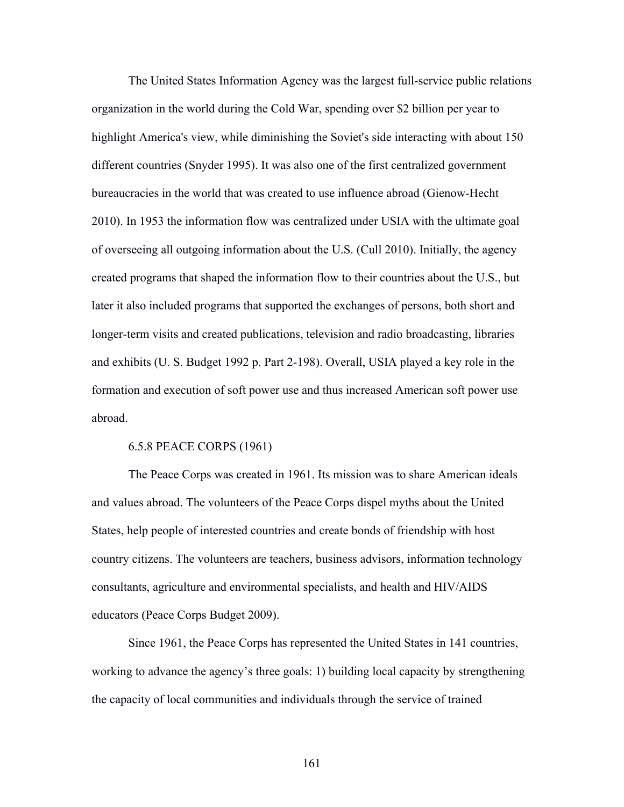The United States Information Agency was the largest full-service public relations organization in the world during the Cold War, spending over \$2 billion per year to highlight America's view, while diminishing the Soviet's side interacting with about 150 different countries (Snyder 1995). It was also one of the first centralized government bureaucracies in the world that was created to use influence abroad (Gienow-Hecht 2010). In 1953 the information flow was centralized under USIA with the ultimate goal of overseeing all outgoing information about the U.S. (Cull 2010). Initially, the agency created programs that shaped the information flow to their countries about the U.S., but later it also included programs that supported the exchanges of persons, both short and longer-term visits and created publications, television and radio broadcasting, libraries and exhibits (U. S. Budget 1992 p. Part 2-198). Overall, USIA played a key role in the formation and execution of soft power use and thus increased American soft power use abroad.

#### 6.5.8 PEACE CORPS (1961)

The Peace Corps was created in 1961. Its mission was to share American ideals and values abroad. The volunteers of the Peace Corps dispel myths about the United States, help people of interested countries and create bonds of friendship with host country citizens. The volunteers are teachers, business advisors, information technology consultants, agriculture and environmental specialists, and health and HIV/AIDS educators (Peace Corps Budget 2009).

Since 1961, the Peace Corps has represented the United States in 141 countries, working to advance the agency's three goals: 1) building local capacity by strengthening the capacity of local communities and individuals through the service of trained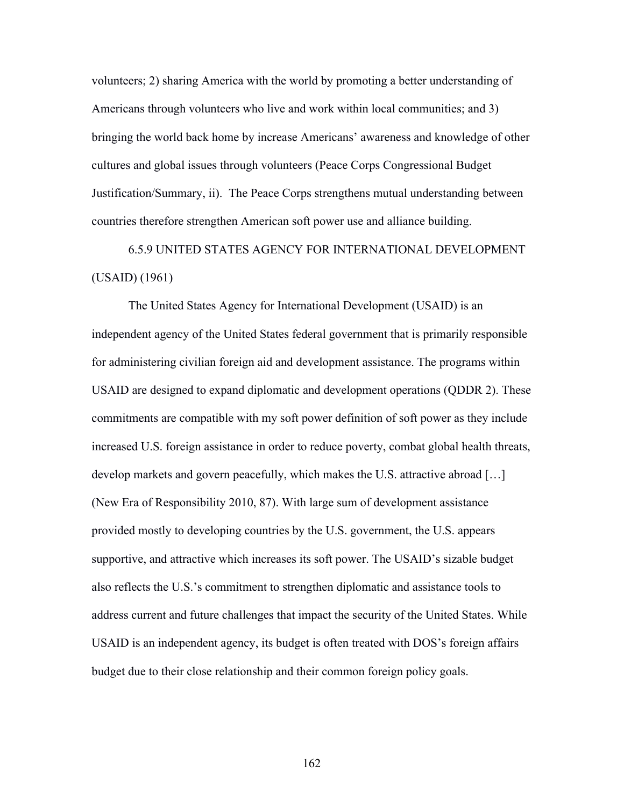volunteers; 2) sharing America with the world by promoting a better understanding of Americans through volunteers who live and work within local communities; and 3) bringing the world back home by increase Americans' awareness and knowledge of other cultures and global issues through volunteers (Peace Corps Congressional Budget Justification/Summary, ii). The Peace Corps strengthens mutual understanding between countries therefore strengthen American soft power use and alliance building.

6.5.9 UNITED STATES AGENCY FOR INTERNATIONAL DEVELOPMENT (USAID) (1961)

The United States Agency for International Development (USAID) is an independent agency of the United States federal government that is primarily responsible for administering civilian foreign aid and development assistance. The programs within USAID are designed to expand diplomatic and development operations (QDDR 2). These commitments are compatible with my soft power definition of soft power as they include increased U.S. foreign assistance in order to reduce poverty, combat global health threats, develop markets and govern peacefully, which makes the U.S. attractive abroad […] (New Era of Responsibility 2010, 87). With large sum of development assistance provided mostly to developing countries by the U.S. government, the U.S. appears supportive, and attractive which increases its soft power. The USAID's sizable budget also reflects the U.S.'s commitment to strengthen diplomatic and assistance tools to address current and future challenges that impact the security of the United States. While USAID is an independent agency, its budget is often treated with DOS's foreign affairs budget due to their close relationship and their common foreign policy goals.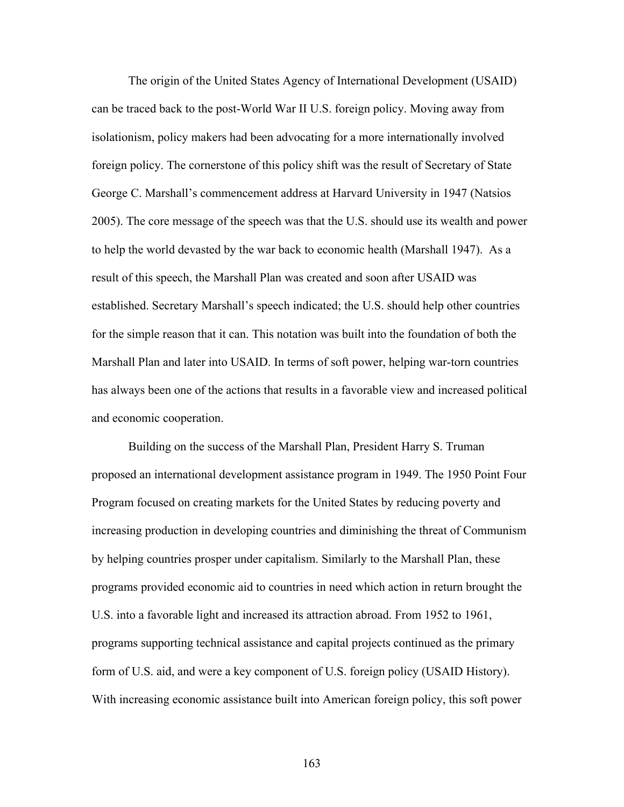The origin of the United States Agency of International Development (USAID) can be traced back to the post-World War II U.S. foreign policy. Moving away from isolationism, policy makers had been advocating for a more internationally involved foreign policy. The cornerstone of this policy shift was the result of Secretary of State George C. Marshall's commencement address at Harvard University in 1947 (Natsios 2005). The core message of the speech was that the U.S. should use its wealth and power to help the world devasted by the war back to economic health (Marshall 1947). As a result of this speech, the Marshall Plan was created and soon after USAID was established. Secretary Marshall's speech indicated; the U.S. should help other countries for the simple reason that it can. This notation was built into the foundation of both the Marshall Plan and later into USAID. In terms of soft power, helping war-torn countries has always been one of the actions that results in a favorable view and increased political and economic cooperation.

Building on the success of the Marshall Plan, President Harry S. Truman proposed an international development assistance program in 1949. The 1950 Point Four Program focused on creating markets for the United States by reducing poverty and increasing production in developing countries and diminishing the threat of Communism by helping countries prosper under capitalism. Similarly to the Marshall Plan, these programs provided economic aid to countries in need which action in return brought the U.S. into a favorable light and increased its attraction abroad. From 1952 to 1961, programs supporting technical assistance and capital projects continued as the primary form of U.S. aid, and were a key component of U.S. foreign policy (USAID History). With increasing economic assistance built into American foreign policy, this soft power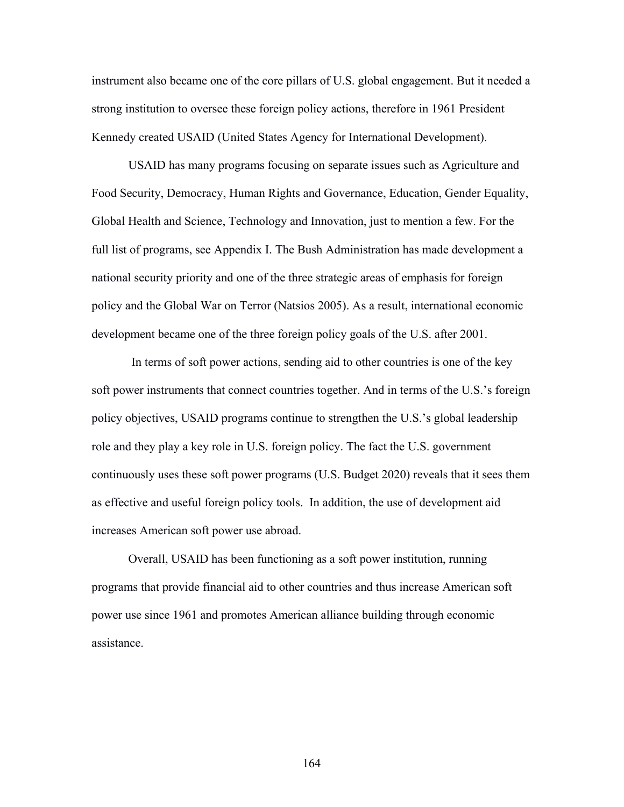instrument also became one of the core pillars of U.S. global engagement. But it needed a strong institution to oversee these foreign policy actions, therefore in 1961 President Kennedy created USAID (United States Agency for International Development).

USAID has many programs focusing on separate issues such as Agriculture and Food Security, Democracy, Human Rights and Governance, Education, Gender Equality, Global Health and Science, Technology and Innovation, just to mention a few. For the full list of programs, see Appendix I. The Bush Administration has made development a national security priority and one of the three strategic areas of emphasis for foreign policy and the Global War on Terror (Natsios 2005). As a result, international economic development became one of the three foreign policy goals of the U.S. after 2001.

 In terms of soft power actions, sending aid to other countries is one of the key soft power instruments that connect countries together. And in terms of the U.S.'s foreign policy objectives, USAID programs continue to strengthen the U.S.'s global leadership role and they play a key role in U.S. foreign policy. The fact the U.S. government continuously uses these soft power programs (U.S. Budget 2020) reveals that it sees them as effective and useful foreign policy tools. In addition, the use of development aid increases American soft power use abroad.

Overall, USAID has been functioning as a soft power institution, running programs that provide financial aid to other countries and thus increase American soft power use since 1961 and promotes American alliance building through economic assistance.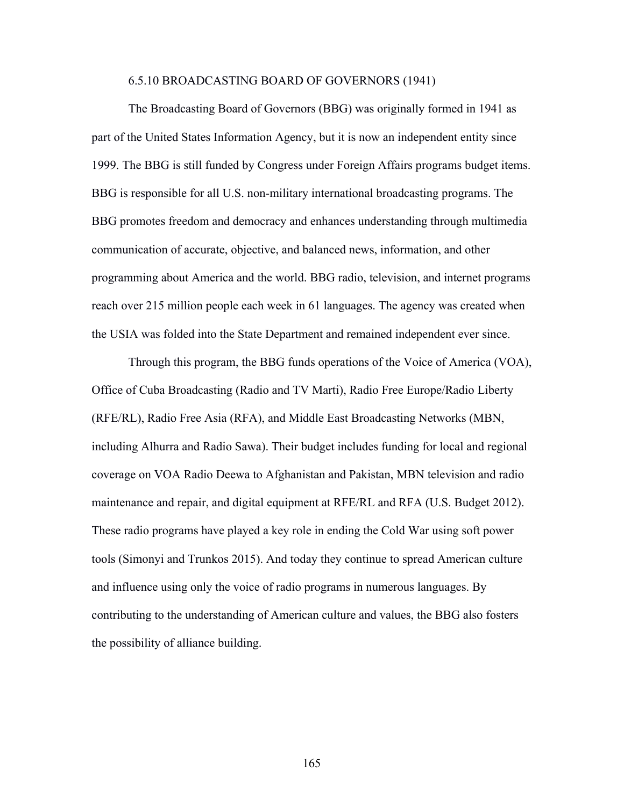#### 6.5.10 BROADCASTING BOARD OF GOVERNORS (1941)

The Broadcasting Board of Governors (BBG) was originally formed in 1941 as part of the United States Information Agency, but it is now an independent entity since 1999. The BBG is still funded by Congress under Foreign Affairs programs budget items. BBG is responsible for all U.S. non-military international broadcasting programs. The BBG promotes freedom and democracy and enhances understanding through multimedia communication of accurate, objective, and balanced news, information, and other programming about America and the world. BBG radio, television, and internet programs reach over 215 million people each week in 61 languages. The agency was created when the USIA was folded into the State Department and remained independent ever since.

Through this program, the BBG funds operations of the Voice of America (VOA), Office of Cuba Broadcasting (Radio and TV Marti), Radio Free Europe/Radio Liberty (RFE/RL), Radio Free Asia (RFA), and Middle East Broadcasting Networks (MBN, including Alhurra and Radio Sawa). Their budget includes funding for local and regional coverage on VOA Radio Deewa to Afghanistan and Pakistan, MBN television and radio maintenance and repair, and digital equipment at RFE/RL and RFA (U.S. Budget 2012). These radio programs have played a key role in ending the Cold War using soft power tools (Simonyi and Trunkos 2015). And today they continue to spread American culture and influence using only the voice of radio programs in numerous languages. By contributing to the understanding of American culture and values, the BBG also fosters the possibility of alliance building.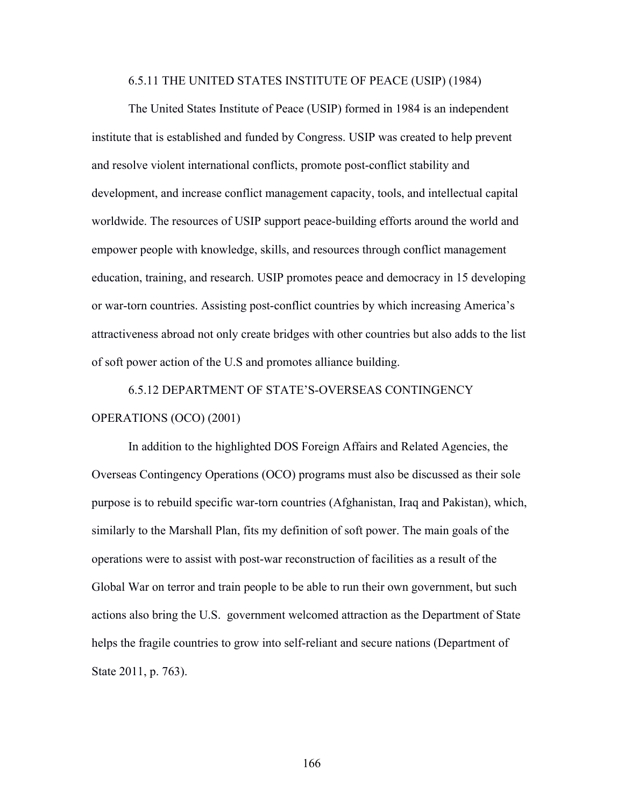#### 6.5.11 THE UNITED STATES INSTITUTE OF PEACE (USIP) (1984)

The United States Institute of Peace (USIP) formed in 1984 is an independent institute that is established and funded by Congress. USIP was created to help prevent and resolve violent international conflicts, promote post-conflict stability and development, and increase conflict management capacity, tools, and intellectual capital worldwide. The resources of USIP support peace-building efforts around the world and empower people with knowledge, skills, and resources through conflict management education, training, and research. USIP promotes peace and democracy in 15 developing or war-torn countries. Assisting post-conflict countries by which increasing America's attractiveness abroad not only create bridges with other countries but also adds to the list of soft power action of the U.S and promotes alliance building.

# 6.5.12 DEPARTMENT OF STATE'S-OVERSEAS CONTINGENCY OPERATIONS (OCO) (2001)

In addition to the highlighted DOS Foreign Affairs and Related Agencies, the Overseas Contingency Operations (OCO) programs must also be discussed as their sole purpose is to rebuild specific war-torn countries (Afghanistan, Iraq and Pakistan), which, similarly to the Marshall Plan, fits my definition of soft power. The main goals of the operations were to assist with post-war reconstruction of facilities as a result of the Global War on terror and train people to be able to run their own government, but such actions also bring the U.S. government welcomed attraction as the Department of State helps the fragile countries to grow into self-reliant and secure nations (Department of State 2011, p. 763).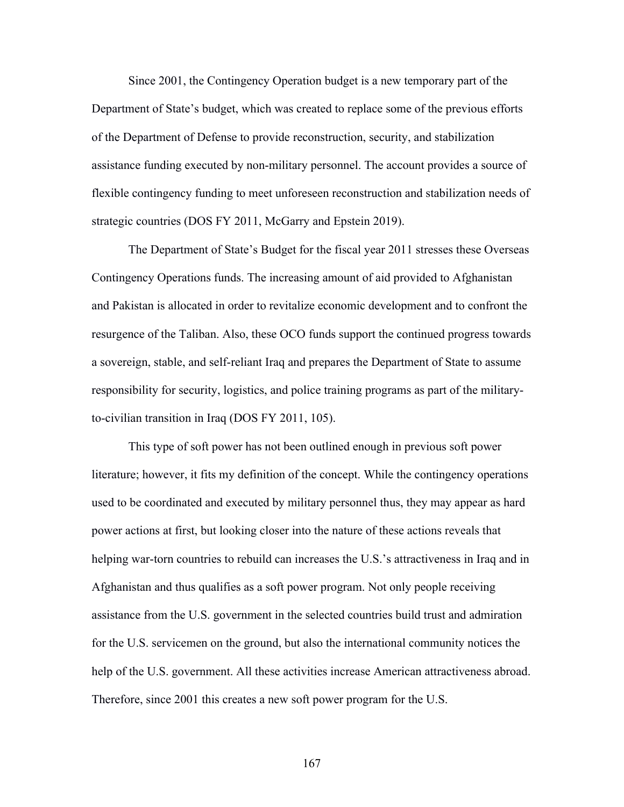Since 2001, the Contingency Operation budget is a new temporary part of the Department of State's budget, which was created to replace some of the previous efforts of the Department of Defense to provide reconstruction, security, and stabilization assistance funding executed by non-military personnel. The account provides a source of flexible contingency funding to meet unforeseen reconstruction and stabilization needs of strategic countries (DOS FY 2011, McGarry and Epstein 2019).

The Department of State's Budget for the fiscal year 2011 stresses these Overseas Contingency Operations funds. The increasing amount of aid provided to Afghanistan and Pakistan is allocated in order to revitalize economic development and to confront the resurgence of the Taliban. Also, these OCO funds support the continued progress towards a sovereign, stable, and self-reliant Iraq and prepares the Department of State to assume responsibility for security, logistics, and police training programs as part of the militaryto-civilian transition in Iraq (DOS FY 2011, 105).

This type of soft power has not been outlined enough in previous soft power literature; however, it fits my definition of the concept. While the contingency operations used to be coordinated and executed by military personnel thus, they may appear as hard power actions at first, but looking closer into the nature of these actions reveals that helping war-torn countries to rebuild can increases the U.S.'s attractiveness in Iraq and in Afghanistan and thus qualifies as a soft power program. Not only people receiving assistance from the U.S. government in the selected countries build trust and admiration for the U.S. servicemen on the ground, but also the international community notices the help of the U.S. government. All these activities increase American attractiveness abroad. Therefore, since 2001 this creates a new soft power program for the U.S.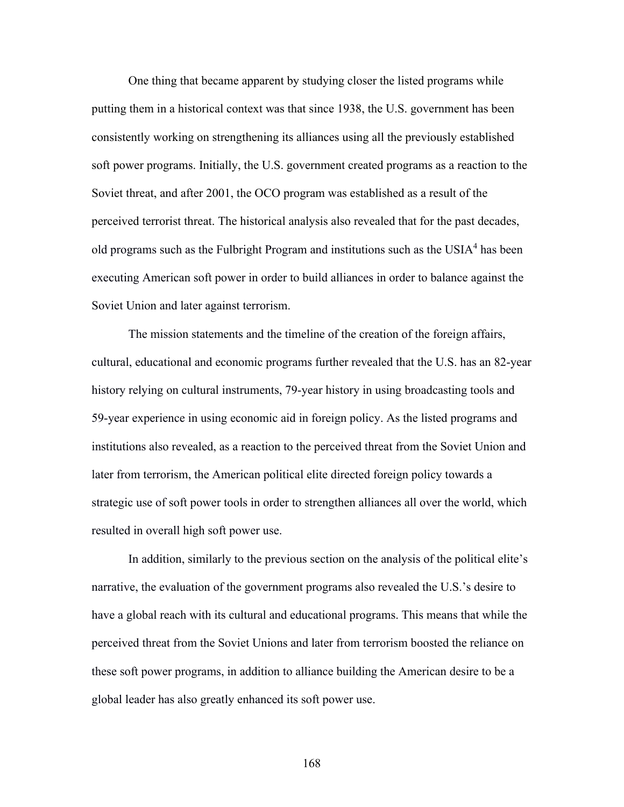One thing that became apparent by studying closer the listed programs while putting them in a historical context was that since 1938, the U.S. government has been consistently working on strengthening its alliances using all the previously established soft power programs. Initially, the U.S. government created programs as a reaction to the Soviet threat, and after 2001, the OCO program was established as a result of the perceived terrorist threat. The historical analysis also revealed that for the past decades, old programs such as the Fulbright Program and institutions such as the USIA $4$  has been executing American soft power in order to build alliances in order to balance against the Soviet Union and later against terrorism.

The mission statements and the timeline of the creation of the foreign affairs, cultural, educational and economic programs further revealed that the U.S. has an 82-year history relying on cultural instruments, 79-year history in using broadcasting tools and 59-year experience in using economic aid in foreign policy. As the listed programs and institutions also revealed, as a reaction to the perceived threat from the Soviet Union and later from terrorism, the American political elite directed foreign policy towards a strategic use of soft power tools in order to strengthen alliances all over the world, which resulted in overall high soft power use.

In addition, similarly to the previous section on the analysis of the political elite's narrative, the evaluation of the government programs also revealed the U.S.'s desire to have a global reach with its cultural and educational programs. This means that while the perceived threat from the Soviet Unions and later from terrorism boosted the reliance on these soft power programs, in addition to alliance building the American desire to be a global leader has also greatly enhanced its soft power use.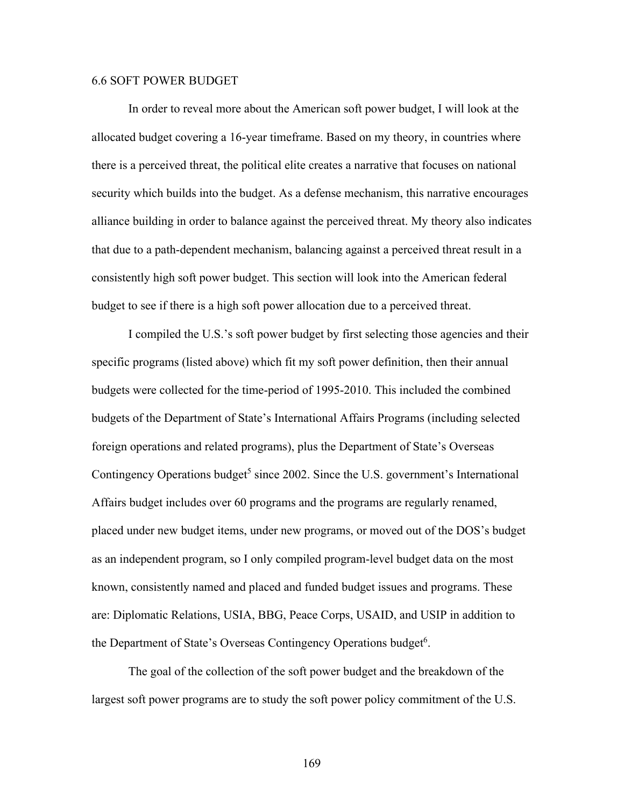# 6.6 SOFT POWER BUDGET

In order to reveal more about the American soft power budget, I will look at the allocated budget covering a 16-year timeframe. Based on my theory, in countries where there is a perceived threat, the political elite creates a narrative that focuses on national security which builds into the budget. As a defense mechanism, this narrative encourages alliance building in order to balance against the perceived threat. My theory also indicates that due to a path-dependent mechanism, balancing against a perceived threat result in a consistently high soft power budget. This section will look into the American federal budget to see if there is a high soft power allocation due to a perceived threat.

I compiled the U.S.'s soft power budget by first selecting those agencies and their specific programs (listed above) which fit my soft power definition, then their annual budgets were collected for the time-period of 1995-2010. This included the combined budgets of the Department of State's International Affairs Programs (including selected foreign operations and related programs), plus the Department of State's Overseas Contingency Operations budget<sup>5</sup> since 2002. Since the U.S. government's International Affairs budget includes over 60 programs and the programs are regularly renamed, placed under new budget items, under new programs, or moved out of the DOS's budget as an independent program, so I only compiled program-level budget data on the most known, consistently named and placed and funded budget issues and programs. These are: Diplomatic Relations, USIA, BBG, Peace Corps, USAID, and USIP in addition to the Department of State's Overseas Contingency Operations budget<sup>6</sup>.

The goal of the collection of the soft power budget and the breakdown of the largest soft power programs are to study the soft power policy commitment of the U.S.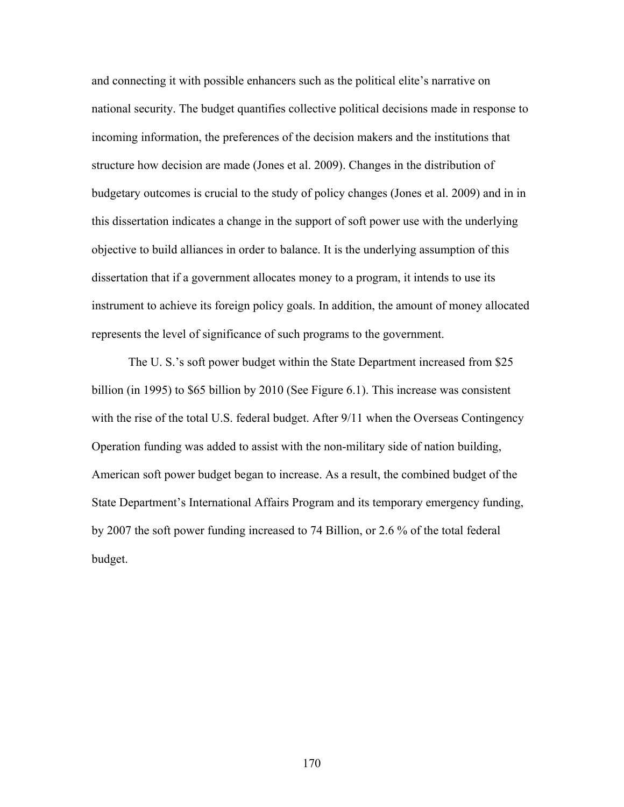and connecting it with possible enhancers such as the political elite's narrative on national security. The budget quantifies collective political decisions made in response to incoming information, the preferences of the decision makers and the institutions that structure how decision are made (Jones et al. 2009). Changes in the distribution of budgetary outcomes is crucial to the study of policy changes (Jones et al. 2009) and in in this dissertation indicates a change in the support of soft power use with the underlying objective to build alliances in order to balance. It is the underlying assumption of this dissertation that if a government allocates money to a program, it intends to use its instrument to achieve its foreign policy goals. In addition, the amount of money allocated represents the level of significance of such programs to the government.

The U. S.'s soft power budget within the State Department increased from \$25 billion (in 1995) to \$65 billion by 2010 (See Figure 6.1). This increase was consistent with the rise of the total U.S. federal budget. After 9/11 when the Overseas Contingency Operation funding was added to assist with the non-military side of nation building, American soft power budget began to increase. As a result, the combined budget of the State Department's International Affairs Program and its temporary emergency funding, by 2007 the soft power funding increased to 74 Billion, or 2.6 % of the total federal budget.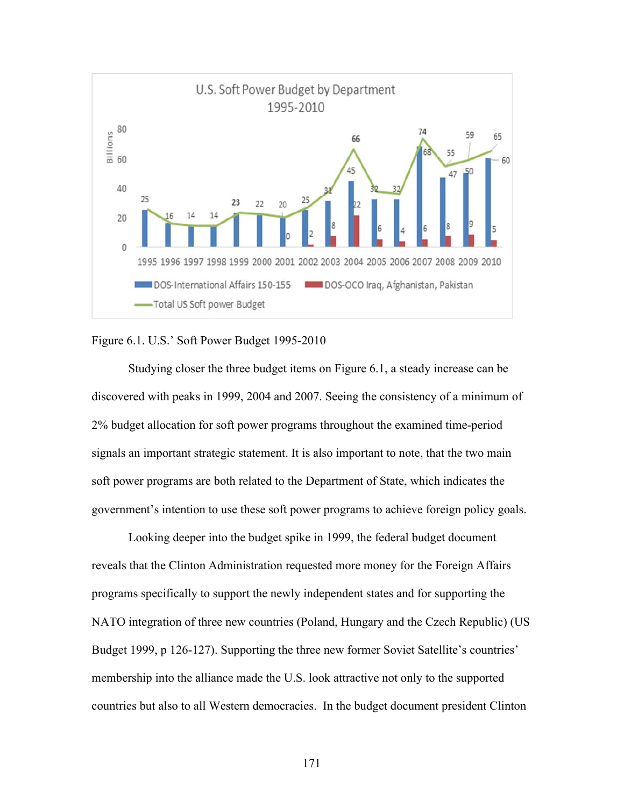

Figure 6.1. U.S.' Soft Power Budget 1995-2010

Studying closer the three budget items on Figure 6.1, a steady increase can be discovered with peaks in 1999, 2004 and 2007. Seeing the consistency of a minimum of 2% budget allocation for soft power programs throughout the examined time-period signals an important strategic statement. It is also important to note, that the two main soft power programs are both related to the Department of State, which indicates the government's intention to use these soft power programs to achieve foreign policy goals.

Looking deeper into the budget spike in 1999, the federal budget document reveals that the Clinton Administration requested more money for the Foreign Affairs programs specifically to support the newly independent states and for supporting the NATO integration of three new countries (Poland, Hungary and the Czech Republic) (US Budget 1999, p 126-127). Supporting the three new former Soviet Satellite's countries' membership into the alliance made the U.S. look attractive not only to the supported countries but also to all Western democracies. In the budget document president Clinton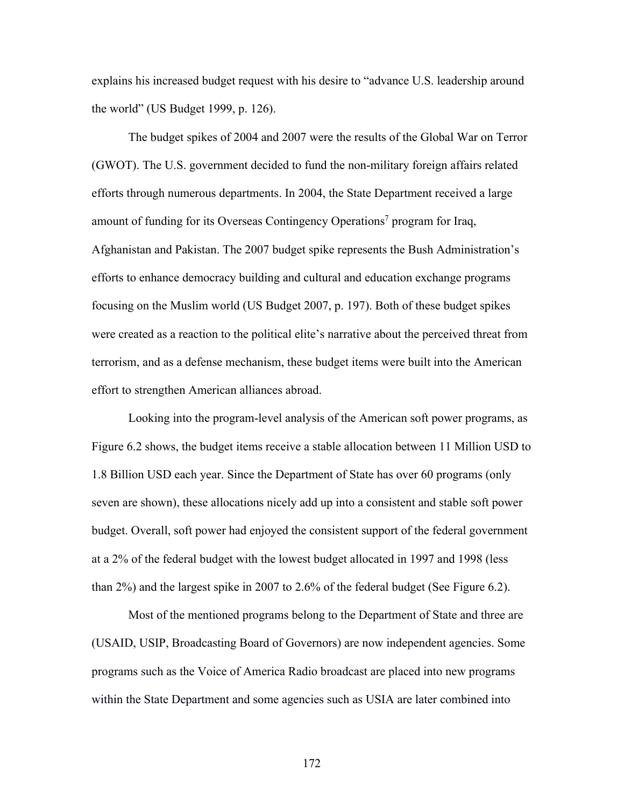explains his increased budget request with his desire to "advance U.S. leadership around the world" (US Budget 1999, p. 126).

The budget spikes of 2004 and 2007 were the results of the Global War on Terror (GWOT). The U.S. government decided to fund the non-military foreign affairs related efforts through numerous departments. In 2004, the State Department received a large amount of funding for its Overseas Contingency Operations<sup>7</sup> program for Iraq, Afghanistan and Pakistan. The 2007 budget spike represents the Bush Administration's efforts to enhance democracy building and cultural and education exchange programs focusing on the Muslim world (US Budget 2007, p. 197). Both of these budget spikes were created as a reaction to the political elite's narrative about the perceived threat from terrorism, and as a defense mechanism, these budget items were built into the American effort to strengthen American alliances abroad.

Looking into the program-level analysis of the American soft power programs, as Figure 6.2 shows, the budget items receive a stable allocation between 11 Million USD to 1.8 Billion USD each year. Since the Department of State has over 60 programs (only seven are shown), these allocations nicely add up into a consistent and stable soft power budget. Overall, soft power had enjoyed the consistent support of the federal government at a 2% of the federal budget with the lowest budget allocated in 1997 and 1998 (less than 2%) and the largest spike in 2007 to 2.6% of the federal budget (See Figure 6.2).

Most of the mentioned programs belong to the Department of State and three are (USAID, USIP, Broadcasting Board of Governors) are now independent agencies. Some programs such as the Voice of America Radio broadcast are placed into new programs within the State Department and some agencies such as USIA are later combined into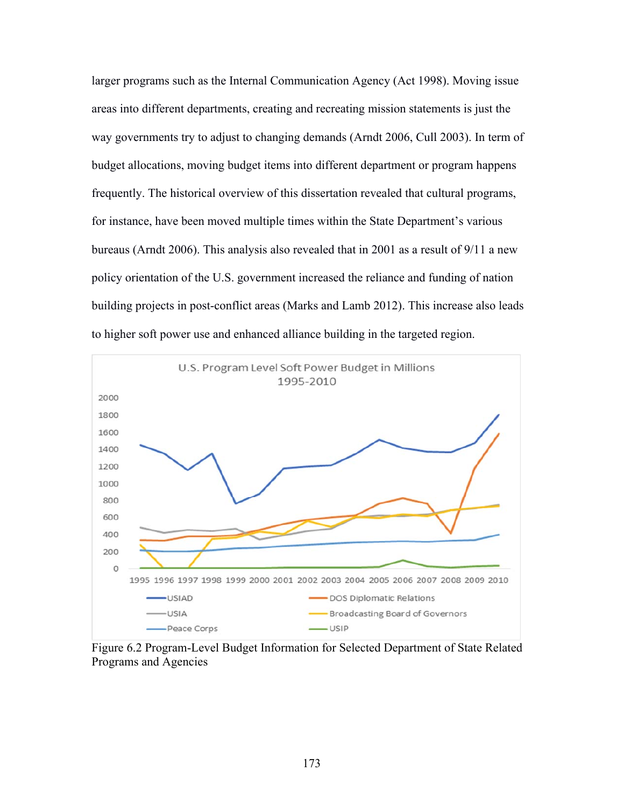larger programs such as the Internal Communication Agency (Act 1998). Moving issue areas into different departments, creating and recreating mission statements is just the way governments try to adjust to changing demands (Arndt 2006, Cull 2003). In term of budget allocations, moving budget items into different department or program happens frequently. The historical overview of this dissertation revealed that cultural programs, for instance, have been moved multiple times within the State Department's various bureaus (Arndt 2006). This analysis also revealed that in 2001 as a result of 9/11 a new policy orientation of the U.S. government increased the reliance and funding of nation building projects in post-conflict areas (Marks and Lamb 2012). This increase also leads to higher soft power use and enhanced alliance building in the targeted region.



Figure 6.2 Program-Level Budget Information for Selected Department of State Related Programs and Agencies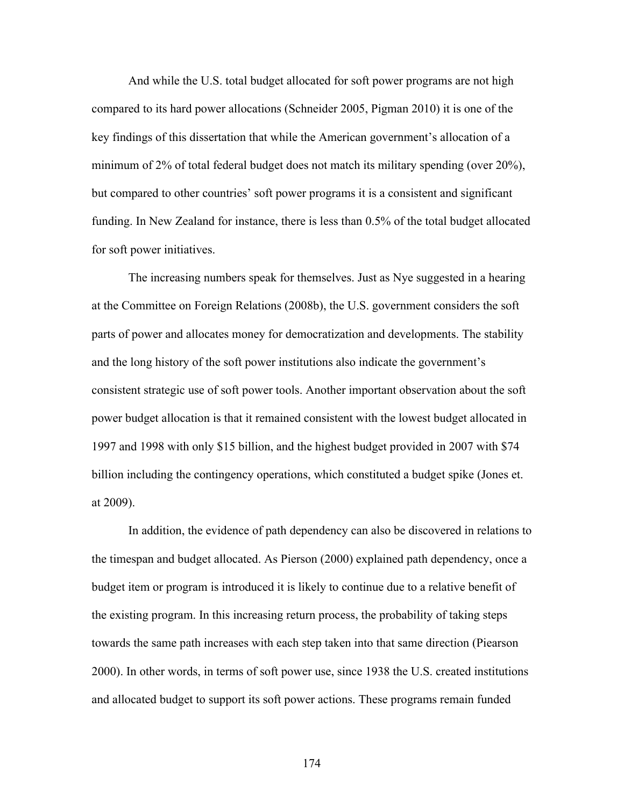And while the U.S. total budget allocated for soft power programs are not high compared to its hard power allocations (Schneider 2005, Pigman 2010) it is one of the key findings of this dissertation that while the American government's allocation of a minimum of 2% of total federal budget does not match its military spending (over 20%), but compared to other countries' soft power programs it is a consistent and significant funding. In New Zealand for instance, there is less than 0.5% of the total budget allocated for soft power initiatives.

The increasing numbers speak for themselves. Just as Nye suggested in a hearing at the Committee on Foreign Relations (2008b), the U.S. government considers the soft parts of power and allocates money for democratization and developments. The stability and the long history of the soft power institutions also indicate the government's consistent strategic use of soft power tools. Another important observation about the soft power budget allocation is that it remained consistent with the lowest budget allocated in 1997 and 1998 with only \$15 billion, and the highest budget provided in 2007 with \$74 billion including the contingency operations, which constituted a budget spike (Jones et. at 2009).

In addition, the evidence of path dependency can also be discovered in relations to the timespan and budget allocated. As Pierson (2000) explained path dependency, once a budget item or program is introduced it is likely to continue due to a relative benefit of the existing program. In this increasing return process, the probability of taking steps towards the same path increases with each step taken into that same direction (Piearson 2000). In other words, in terms of soft power use, since 1938 the U.S. created institutions and allocated budget to support its soft power actions. These programs remain funded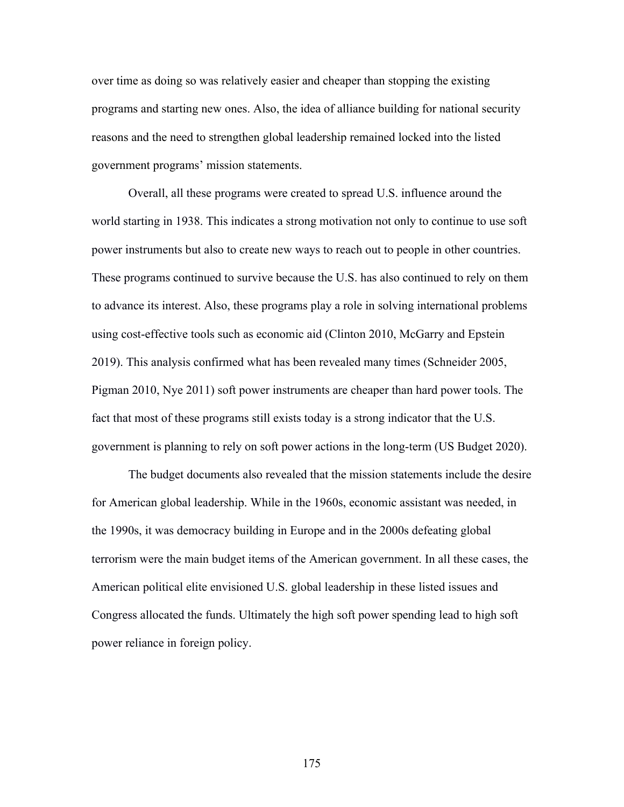over time as doing so was relatively easier and cheaper than stopping the existing programs and starting new ones. Also, the idea of alliance building for national security reasons and the need to strengthen global leadership remained locked into the listed government programs' mission statements.

Overall, all these programs were created to spread U.S. influence around the world starting in 1938. This indicates a strong motivation not only to continue to use soft power instruments but also to create new ways to reach out to people in other countries. These programs continued to survive because the U.S. has also continued to rely on them to advance its interest. Also, these programs play a role in solving international problems using cost-effective tools such as economic aid (Clinton 2010, McGarry and Epstein 2019). This analysis confirmed what has been revealed many times (Schneider 2005, Pigman 2010, Nye 2011) soft power instruments are cheaper than hard power tools. The fact that most of these programs still exists today is a strong indicator that the U.S. government is planning to rely on soft power actions in the long-term (US Budget 2020).

The budget documents also revealed that the mission statements include the desire for American global leadership. While in the 1960s, economic assistant was needed, in the 1990s, it was democracy building in Europe and in the 2000s defeating global terrorism were the main budget items of the American government. In all these cases, the American political elite envisioned U.S. global leadership in these listed issues and Congress allocated the funds. Ultimately the high soft power spending lead to high soft power reliance in foreign policy.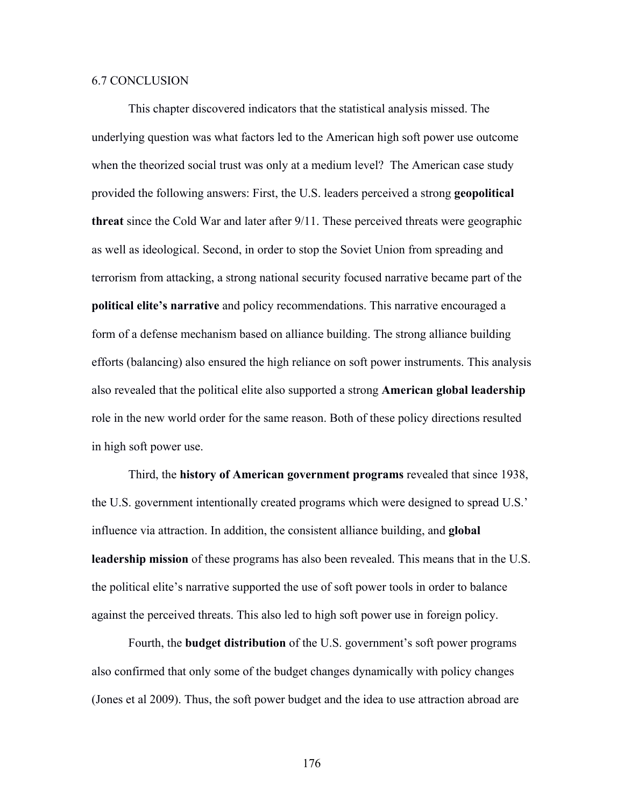# 6.7 CONCLUSION

This chapter discovered indicators that the statistical analysis missed. The underlying question was what factors led to the American high soft power use outcome when the theorized social trust was only at a medium level? The American case study provided the following answers: First, the U.S. leaders perceived a strong **geopolitical threat** since the Cold War and later after 9/11. These perceived threats were geographic as well as ideological. Second, in order to stop the Soviet Union from spreading and terrorism from attacking, a strong national security focused narrative became part of the **political elite's narrative** and policy recommendations. This narrative encouraged a form of a defense mechanism based on alliance building. The strong alliance building efforts (balancing) also ensured the high reliance on soft power instruments. This analysis also revealed that the political elite also supported a strong **American global leadership** role in the new world order for the same reason. Both of these policy directions resulted in high soft power use.

Third, the **history of American government programs** revealed that since 1938, the U.S. government intentionally created programs which were designed to spread U.S.' influence via attraction. In addition, the consistent alliance building, and **global leadership mission** of these programs has also been revealed. This means that in the U.S. the political elite's narrative supported the use of soft power tools in order to balance against the perceived threats. This also led to high soft power use in foreign policy.

Fourth, the **budget distribution** of the U.S. government's soft power programs also confirmed that only some of the budget changes dynamically with policy changes (Jones et al 2009). Thus, the soft power budget and the idea to use attraction abroad are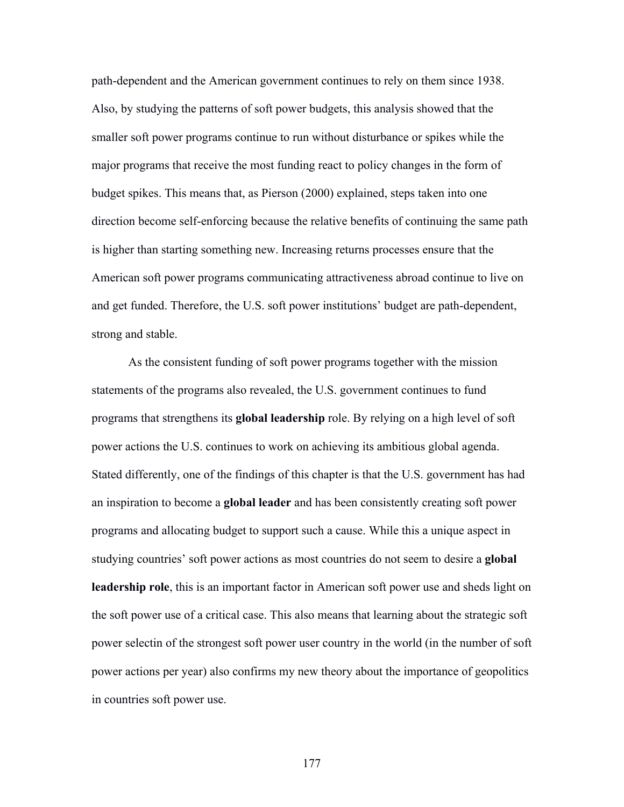path-dependent and the American government continues to rely on them since 1938. Also, by studying the patterns of soft power budgets, this analysis showed that the smaller soft power programs continue to run without disturbance or spikes while the major programs that receive the most funding react to policy changes in the form of budget spikes. This means that, as Pierson (2000) explained, steps taken into one direction become self-enforcing because the relative benefits of continuing the same path is higher than starting something new. Increasing returns processes ensure that the American soft power programs communicating attractiveness abroad continue to live on and get funded. Therefore, the U.S. soft power institutions' budget are path-dependent, strong and stable.

As the consistent funding of soft power programs together with the mission statements of the programs also revealed, the U.S. government continues to fund programs that strengthens its **global leadership** role. By relying on a high level of soft power actions the U.S. continues to work on achieving its ambitious global agenda. Stated differently, one of the findings of this chapter is that the U.S. government has had an inspiration to become a **global leader** and has been consistently creating soft power programs and allocating budget to support such a cause. While this a unique aspect in studying countries' soft power actions as most countries do not seem to desire a **global leadership role**, this is an important factor in American soft power use and sheds light on the soft power use of a critical case. This also means that learning about the strategic soft power selectin of the strongest soft power user country in the world (in the number of soft power actions per year) also confirms my new theory about the importance of geopolitics in countries soft power use.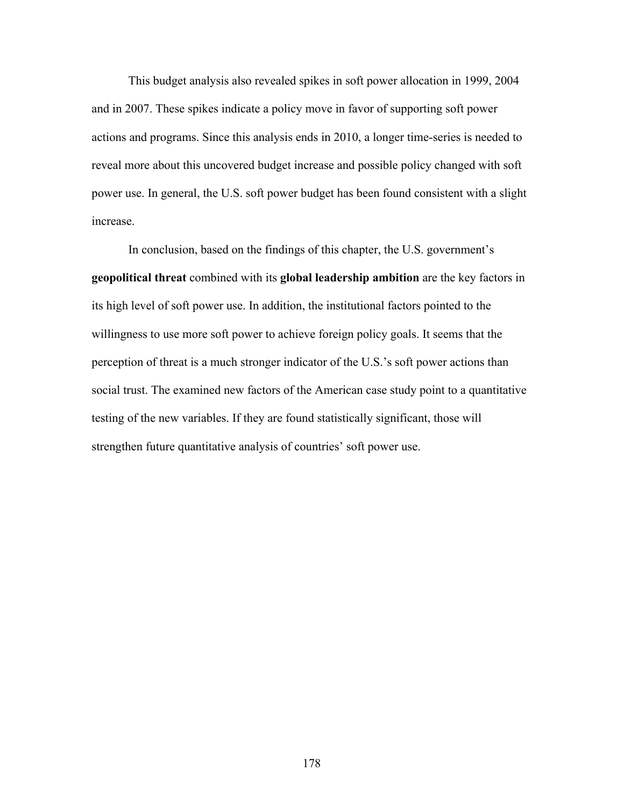This budget analysis also revealed spikes in soft power allocation in 1999, 2004 and in 2007. These spikes indicate a policy move in favor of supporting soft power actions and programs. Since this analysis ends in 2010, a longer time-series is needed to reveal more about this uncovered budget increase and possible policy changed with soft power use. In general, the U.S. soft power budget has been found consistent with a slight increase.

In conclusion, based on the findings of this chapter, the U.S. government's **geopolitical threat** combined with its **global leadership ambition** are the key factors in its high level of soft power use. In addition, the institutional factors pointed to the willingness to use more soft power to achieve foreign policy goals. It seems that the perception of threat is a much stronger indicator of the U.S.'s soft power actions than social trust. The examined new factors of the American case study point to a quantitative testing of the new variables. If they are found statistically significant, those will strengthen future quantitative analysis of countries' soft power use.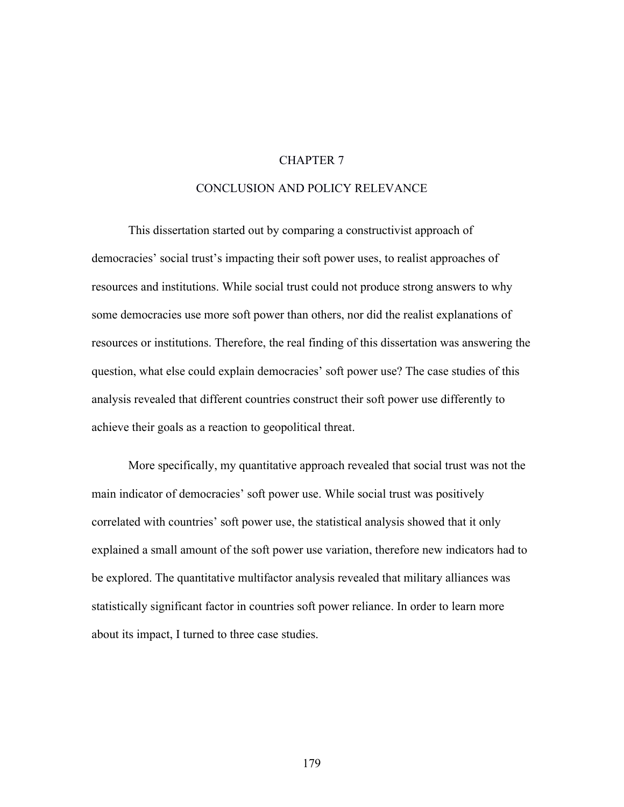# CHAPTER 7

# CONCLUSION AND POLICY RELEVANCE

This dissertation started out by comparing a constructivist approach of democracies' social trust's impacting their soft power uses, to realist approaches of resources and institutions. While social trust could not produce strong answers to why some democracies use more soft power than others, nor did the realist explanations of resources or institutions. Therefore, the real finding of this dissertation was answering the question, what else could explain democracies' soft power use? The case studies of this analysis revealed that different countries construct their soft power use differently to achieve their goals as a reaction to geopolitical threat.

More specifically, my quantitative approach revealed that social trust was not the main indicator of democracies' soft power use. While social trust was positively correlated with countries' soft power use, the statistical analysis showed that it only explained a small amount of the soft power use variation, therefore new indicators had to be explored. The quantitative multifactor analysis revealed that military alliances was statistically significant factor in countries soft power reliance. In order to learn more about its impact, I turned to three case studies.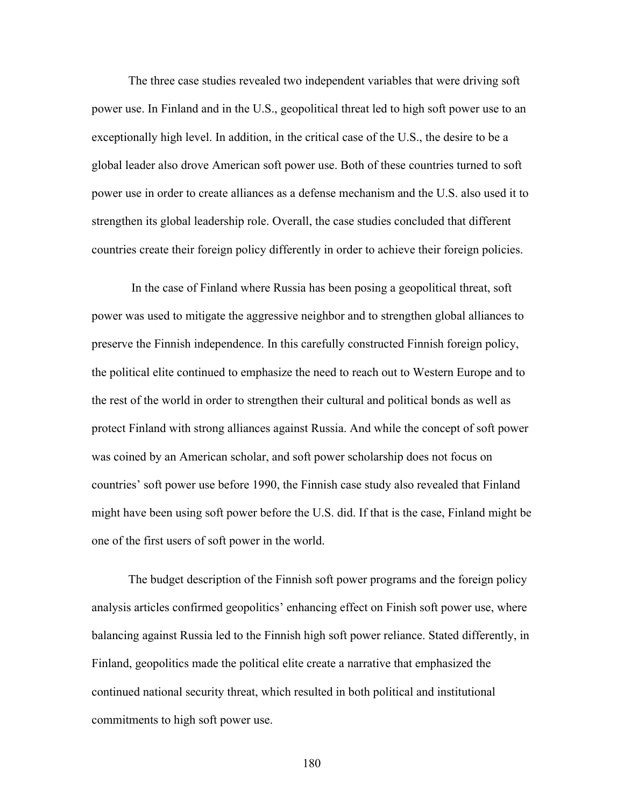The three case studies revealed two independent variables that were driving soft power use. In Finland and in the U.S., geopolitical threat led to high soft power use to an exceptionally high level. In addition, in the critical case of the U.S., the desire to be a global leader also drove American soft power use. Both of these countries turned to soft power use in order to create alliances as a defense mechanism and the U.S. also used it to strengthen its global leadership role. Overall, the case studies concluded that different countries create their foreign policy differently in order to achieve their foreign policies.

 In the case of Finland where Russia has been posing a geopolitical threat, soft power was used to mitigate the aggressive neighbor and to strengthen global alliances to preserve the Finnish independence. In this carefully constructed Finnish foreign policy, the political elite continued to emphasize the need to reach out to Western Europe and to the rest of the world in order to strengthen their cultural and political bonds as well as protect Finland with strong alliances against Russia. And while the concept of soft power was coined by an American scholar, and soft power scholarship does not focus on countries' soft power use before 1990, the Finnish case study also revealed that Finland might have been using soft power before the U.S. did. If that is the case, Finland might be one of the first users of soft power in the world.

The budget description of the Finnish soft power programs and the foreign policy analysis articles confirmed geopolitics' enhancing effect on Finish soft power use, where balancing against Russia led to the Finnish high soft power reliance. Stated differently, in Finland, geopolitics made the political elite create a narrative that emphasized the continued national security threat, which resulted in both political and institutional commitments to high soft power use.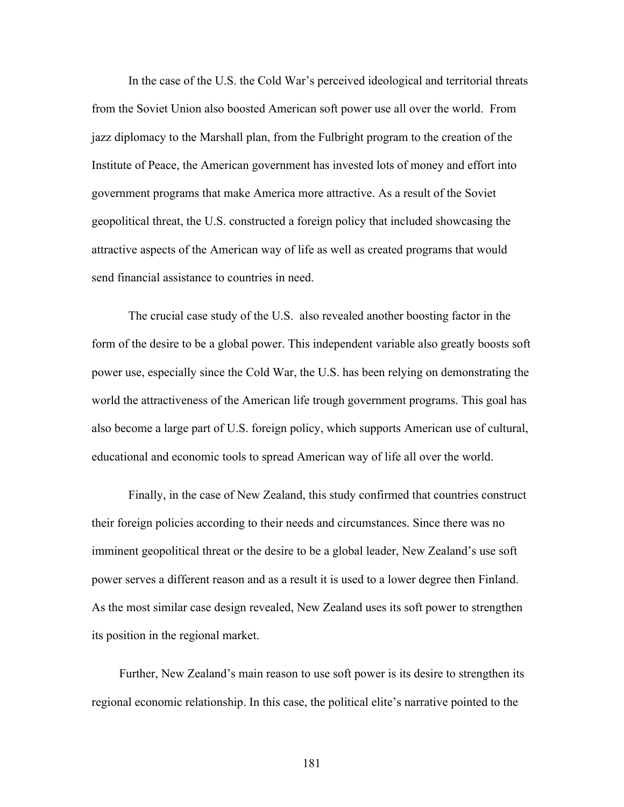In the case of the U.S. the Cold War's perceived ideological and territorial threats from the Soviet Union also boosted American soft power use all over the world. From jazz diplomacy to the Marshall plan, from the Fulbright program to the creation of the Institute of Peace, the American government has invested lots of money and effort into government programs that make America more attractive. As a result of the Soviet geopolitical threat, the U.S. constructed a foreign policy that included showcasing the attractive aspects of the American way of life as well as created programs that would send financial assistance to countries in need.

The crucial case study of the U.S. also revealed another boosting factor in the form of the desire to be a global power. This independent variable also greatly boosts soft power use, especially since the Cold War, the U.S. has been relying on demonstrating the world the attractiveness of the American life trough government programs. This goal has also become a large part of U.S. foreign policy, which supports American use of cultural, educational and economic tools to spread American way of life all over the world.

Finally, in the case of New Zealand, this study confirmed that countries construct their foreign policies according to their needs and circumstances. Since there was no imminent geopolitical threat or the desire to be a global leader, New Zealand's use soft power serves a different reason and as a result it is used to a lower degree then Finland. As the most similar case design revealed, New Zealand uses its soft power to strengthen its position in the regional market.

 Further, New Zealand's main reason to use soft power is its desire to strengthen its regional economic relationship. In this case, the political elite's narrative pointed to the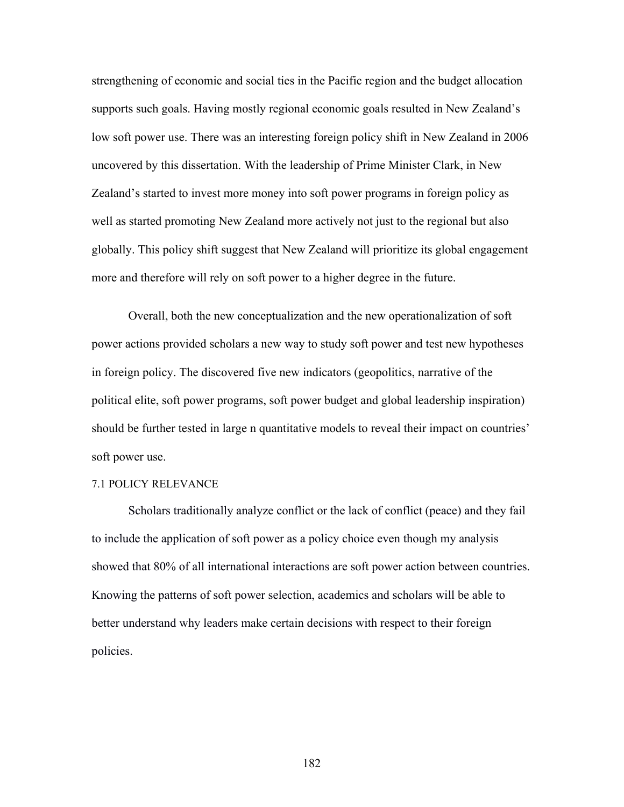strengthening of economic and social ties in the Pacific region and the budget allocation supports such goals. Having mostly regional economic goals resulted in New Zealand's low soft power use. There was an interesting foreign policy shift in New Zealand in 2006 uncovered by this dissertation. With the leadership of Prime Minister Clark, in New Zealand's started to invest more money into soft power programs in foreign policy as well as started promoting New Zealand more actively not just to the regional but also globally. This policy shift suggest that New Zealand will prioritize its global engagement more and therefore will rely on soft power to a higher degree in the future.

Overall, both the new conceptualization and the new operationalization of soft power actions provided scholars a new way to study soft power and test new hypotheses in foreign policy. The discovered five new indicators (geopolitics, narrative of the political elite, soft power programs, soft power budget and global leadership inspiration) should be further tested in large n quantitative models to reveal their impact on countries' soft power use.

#### 7.1 POLICY RELEVANCE

Scholars traditionally analyze conflict or the lack of conflict (peace) and they fail to include the application of soft power as a policy choice even though my analysis showed that 80% of all international interactions are soft power action between countries. Knowing the patterns of soft power selection, academics and scholars will be able to better understand why leaders make certain decisions with respect to their foreign policies.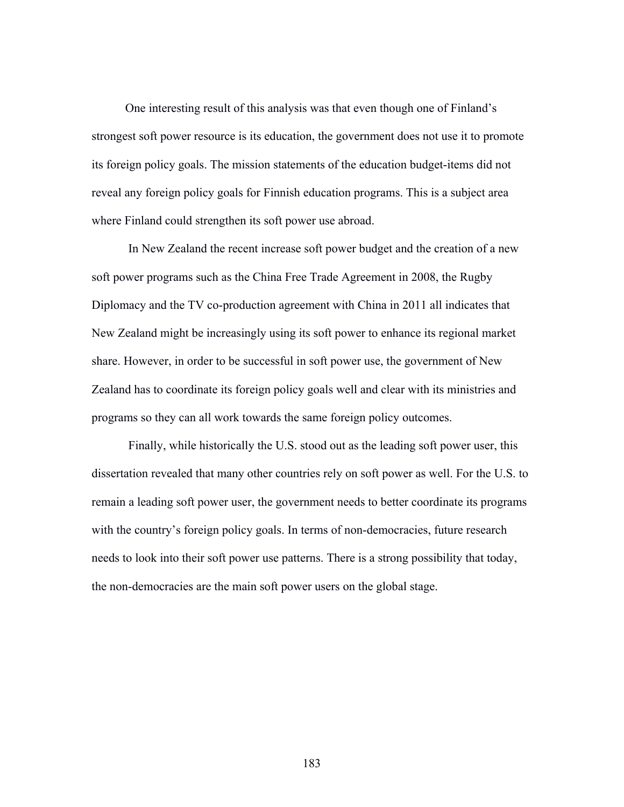One interesting result of this analysis was that even though one of Finland's strongest soft power resource is its education, the government does not use it to promote its foreign policy goals. The mission statements of the education budget-items did not reveal any foreign policy goals for Finnish education programs. This is a subject area where Finland could strengthen its soft power use abroad.

In New Zealand the recent increase soft power budget and the creation of a new soft power programs such as the China Free Trade Agreement in 2008, the Rugby Diplomacy and the TV co-production agreement with China in 2011 all indicates that New Zealand might be increasingly using its soft power to enhance its regional market share. However, in order to be successful in soft power use, the government of New Zealand has to coordinate its foreign policy goals well and clear with its ministries and programs so they can all work towards the same foreign policy outcomes.

Finally, while historically the U.S. stood out as the leading soft power user, this dissertation revealed that many other countries rely on soft power as well. For the U.S. to remain a leading soft power user, the government needs to better coordinate its programs with the country's foreign policy goals. In terms of non-democracies, future research needs to look into their soft power use patterns. There is a strong possibility that today, the non-democracies are the main soft power users on the global stage.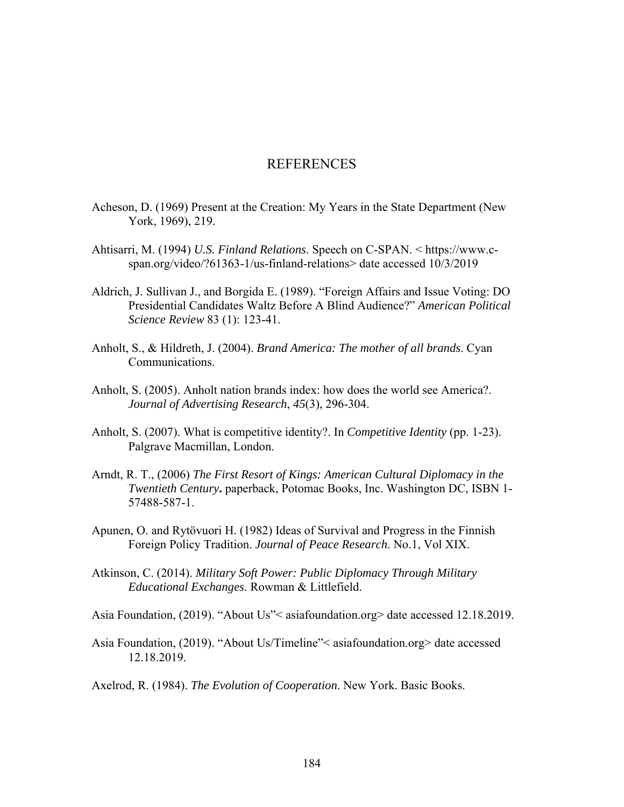# **REFERENCES**

- Acheson, D. (1969) Present at the Creation: My Years in the State Department (New York, 1969), 219.
- Ahtisarri, M. (1994) *U.S. Finland Relations*. Speech on C-SPAN. < https://www.cspan.org/video/?61363-1/us-finland-relations> date accessed 10/3/2019
- Aldrich, J. Sullivan J., and Borgida E. (1989). "Foreign Affairs and Issue Voting: DO Presidential Candidates Waltz Before A Blind Audience?" *American Political Science Review* 83 (1): 123-41.
- Anholt, S., & Hildreth, J. (2004). *Brand America: The mother of all brands*. Cyan Communications.
- Anholt, S. (2005). Anholt nation brands index: how does the world see America?. *Journal of Advertising Research*, *45*(3), 296-304.
- Anholt, S. (2007). What is competitive identity?. In *Competitive Identity* (pp. 1-23). Palgrave Macmillan, London.
- Arndt, R. T., (2006) *The First Resort of Kings: American Cultural Diplomacy in the Twentieth Century***.** paperback, Potomac Books, Inc. Washington DC, ISBN 1- 57488-587-1.
- Apunen, O. and Rytövuori H. (1982) Ideas of Survival and Progress in the Finnish Foreign Policy Tradition. *Journal of Peace Research*. No.1, Vol XIX.
- Atkinson, C. (2014). *Military Soft Power: Public Diplomacy Through Military Educational Exchanges*. Rowman & Littlefield.
- Asia Foundation, (2019). "About Us"< asiafoundation.org> date accessed 12.18.2019.
- Asia Foundation, (2019). "About Us/Timeline"< asiafoundation.org> date accessed 12.18.2019.

Axelrod, R. (1984). *The Evolution of Cooperation*. New York. Basic Books.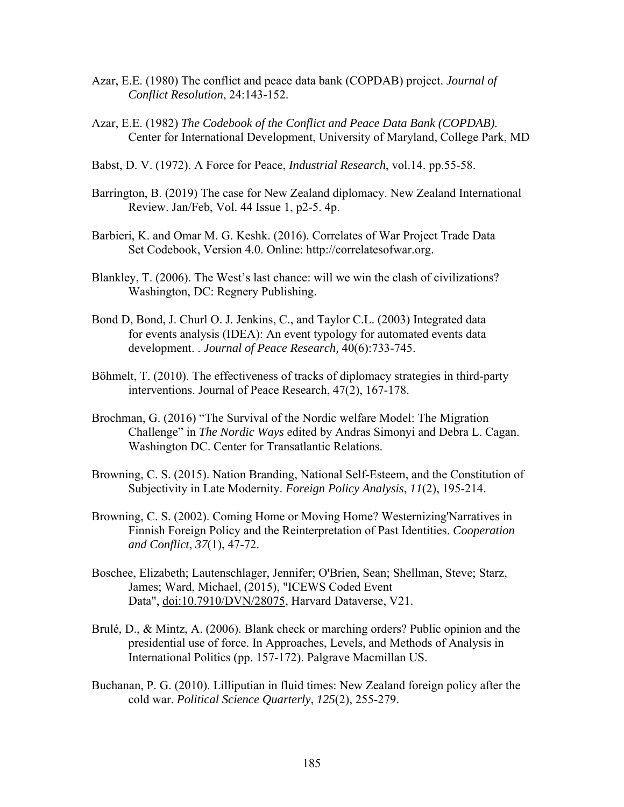- Azar, E.E. (1980) The conflict and peace data bank (COPDAB) project. *Journal of Conflict Resolution*, 24:143-152.
- Azar, E.E. (1982) *The Codebook of the Conflict and Peace Data Bank (COPDAB).* Center for International Development, University of Maryland, College Park, MD
- Babst, D. V. (1972). A Force for Peace, *Industrial Research*, vol.14. pp.55-58.
- Barrington, B. (2019) The case for New Zealand diplomacy. New Zealand International Review. Jan/Feb, Vol. 44 Issue 1, p2-5. 4p.
- Barbieri, K. and Omar M. G. Keshk. (2016). Correlates of War Project Trade Data Set Codebook, Version 4.0. Online: http://correlatesofwar.org.
- Blankley, T. (2006). The West's last chance: will we win the clash of civilizations? Washington, DC: Regnery Publishing.
- Bond D, Bond, J. Churl O. J. Jenkins, C., and Taylor C.L. (2003) Integrated data for events analysis (IDEA): An event typology for automated events data development. . *Journal of Peace Research,* 40(6):733-745.
- Böhmelt, T. (2010). The effectiveness of tracks of diplomacy strategies in third-party interventions. Journal of Peace Research, 47(2), 167-178.
- Brochman, G. (2016) "The Survival of the Nordic welfare Model: The Migration Challenge" in *The Nordic Ways* edited by Andras Simonyi and Debra L. Cagan. Washington DC. Center for Transatlantic Relations.
- Browning, C. S. (2015). Nation Branding, National Self-Esteem, and the Constitution of Subjectivity in Late Modernity. *Foreign Policy Analysis*, *11*(2), 195-214.
- Browning, C. S. (2002). Coming Home or Moving Home? Westernizing'Narratives in Finnish Foreign Policy and the Reinterpretation of Past Identities. *Cooperation and Conflict*, *37*(1), 47-72.
- Boschee, Elizabeth; Lautenschlager, Jennifer; O'Brien, Sean; Shellman, Steve; Starz, James; Ward, Michael, (2015), "ICEWS Coded Event Data", doi:10.7910/DVN/28075, Harvard Dataverse, V21.
- Brulé, D., & Mintz, A. (2006). Blank check or marching orders? Public opinion and the presidential use of force. In Approaches, Levels, and Methods of Analysis in International Politics (pp. 157-172). Palgrave Macmillan US.
- Buchanan, P. G. (2010). Lilliputian in fluid times: New Zealand foreign policy after the cold war. *Political Science Quarterly*, *125*(2), 255-279.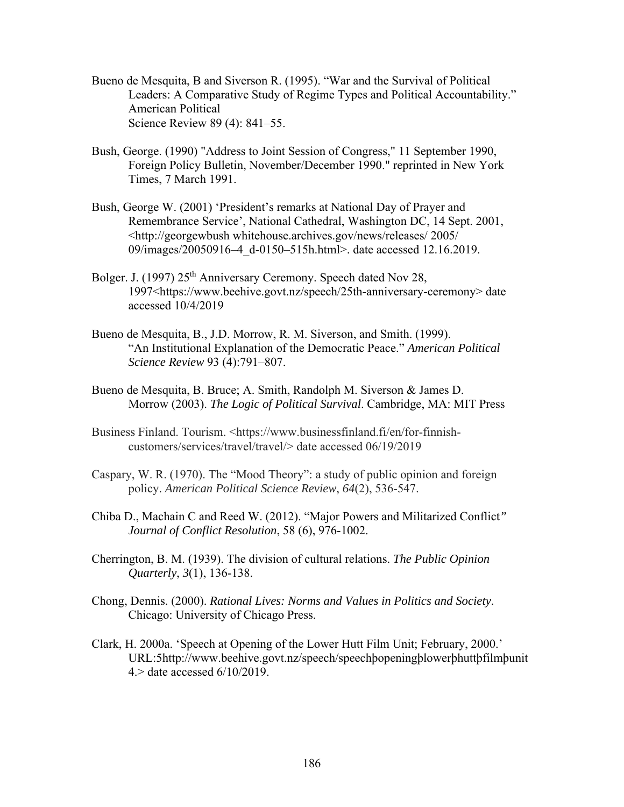- Bueno de Mesquita, B and Siverson R. (1995). "War and the Survival of Political Leaders: A Comparative Study of Regime Types and Political Accountability." American Political Science Review 89 (4): 841–55.
- Bush, George. (1990) "Address to Joint Session of Congress," 11 September 1990, Foreign Policy Bulletin, November/December 1990." reprinted in New York Times, 7 March 1991.
- Bush, George W. (2001) 'President's remarks at National Day of Prayer and Remembrance Service', National Cathedral, Washington DC, 14 Sept. 2001, <http://georgewbush whitehouse.archives.gov/news/releases/ 2005/ 09/images/20050916–4\_d-0150–515h.html>. date accessed 12.16.2019.
- Bolger. J. (1997) 25<sup>th</sup> Anniversary Ceremony. Speech dated Nov 28, 1997<https://www.beehive.govt.nz/speech/25th-anniversary-ceremony> date accessed 10/4/2019
- Bueno de Mesquita, B., J.D. Morrow, R. M. Siverson, and Smith. (1999). "An Institutional Explanation of the Democratic Peace." *American Political Science Review* 93 (4):791–807.
- Bueno de Mesquita, B. Bruce; A. Smith, Randolph M. Siverson & James D. Morrow (2003). *The Logic of Political Survival*. Cambridge, MA: MIT Press
- Business Finland. Tourism. <https://www.businessfinland.fi/en/for-finnishcustomers/services/travel/travel/> date accessed 06/19/2019
- Caspary, W. R. (1970). The "Mood Theory": a study of public opinion and foreign policy. *American Political Science Review*, *64*(2), 536-547.
- Chiba D., Machain C and Reed W. (2012). "Major Powers and Militarized Conflict*" Journal of Conflict Resolution*, 58 (6), 976-1002.
- Cherrington, B. M. (1939). The division of cultural relations. *The Public Opinion Quarterly*, *3*(1), 136-138.
- Chong, Dennis. (2000). *Rational Lives: Norms and Values in Politics and Society*. Chicago: University of Chicago Press.
- Clark, H. 2000a. 'Speech at Opening of the Lower Hutt Film Unit; February, 2000.' URL:5http://www.beehive.govt.nz/speech/speechþopeningþlowerþhuttþfilmþunit 4.> date accessed 6/10/2019.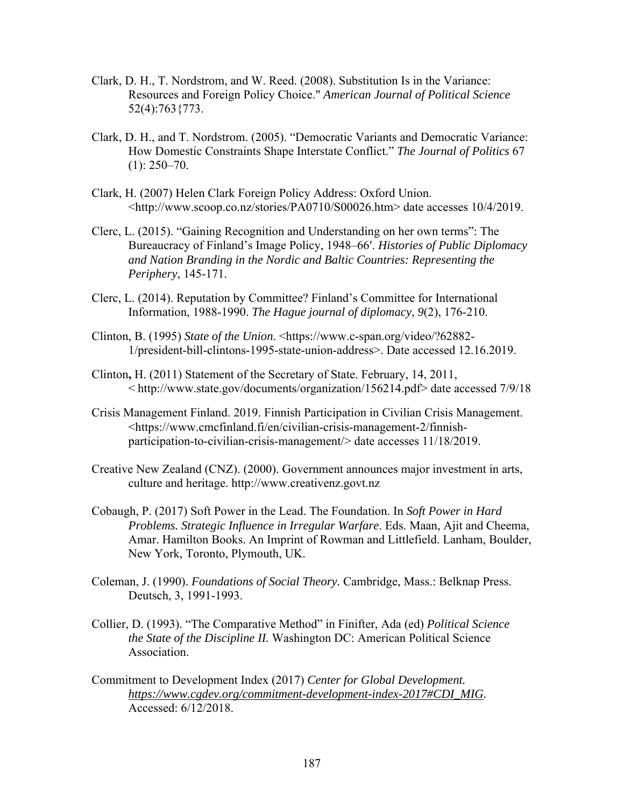- Clark, D. H., T. Nordstrom, and W. Reed. (2008). Substitution Is in the Variance: Resources and Foreign Policy Choice." *American Journal of Political Science* 52(4):763{773.
- Clark, D. H., and T. Nordstrom. (2005). "Democratic Variants and Democratic Variance: How Domestic Constraints Shape Interstate Conflict." *The Journal of Politics* 67  $(1): 250 - 70.$
- Clark, H. (2007) Helen Clark Foreign Policy Address: Oxford Union. <http://www.scoop.co.nz/stories/PA0710/S00026.htm> date accesses 10/4/2019.
- Clerc, L. (2015). "Gaining Recognition and Understanding on her own terms": The Bureaucracy of Finland's Image Policy, 1948–66ʹ. *Histories of Public Diplomacy and Nation Branding in the Nordic and Baltic Countries: Representing the Periphery*, 145-171.
- Clerc, L. (2014). Reputation by Committee? Finland's Committee for International Information, 1988-1990. *The Hague journal of diplomacy*, *9*(2), 176-210.
- Clinton, B. (1995) *State of the Union*. <https://www.c-span.org/video/?62882- 1/president-bill-clintons-1995-state-union-address>. Date accessed 12.16.2019.
- Clinton**,** H. (2011) Statement of the Secretary of State. February, 14, 2011, < http://www.state.gov/documents/organization/156214.pdf> date accessed 7/9/18
- Crisis Management Finland. 2019. Finnish Participation in Civilian Crisis Management. <https://www.cmcfinland.fi/en/civilian-crisis-management-2/finnishparticipation-to-civilian-crisis-management/> date accesses 11/18/2019.
- Creative New Zealand (CNZ). (2000). Government announces major investment in arts, culture and heritage. http://www.creativenz.govt.nz
- Cobaugh, P. (2017) Soft Power in the Lead. The Foundation. In *Soft Power in Hard Problems. Strategic Influence in Irregular Warfare*. Eds. Maan, Ajit and Cheema, Amar. Hamilton Books. An Imprint of Rowman and Littlefield. Lanham, Boulder, New York, Toronto, Plymouth, UK.
- Coleman, J. (1990). *Foundations of Social Theory.* Cambridge, Mass.: Belknap Press. Deutsch, 3, 1991-1993.
- Collier, D. (1993). "The Comparative Method" in Finifter, Ada (ed) *Political Science the State of the Discipline II.* Washington DC: American Political Science Association.
- Commitment to Development Index (2017) *Center for Global Development. https://www.cgdev.org/commitment-development-index-2017#CDI\_MIG.*  Accessed: 6/12/2018.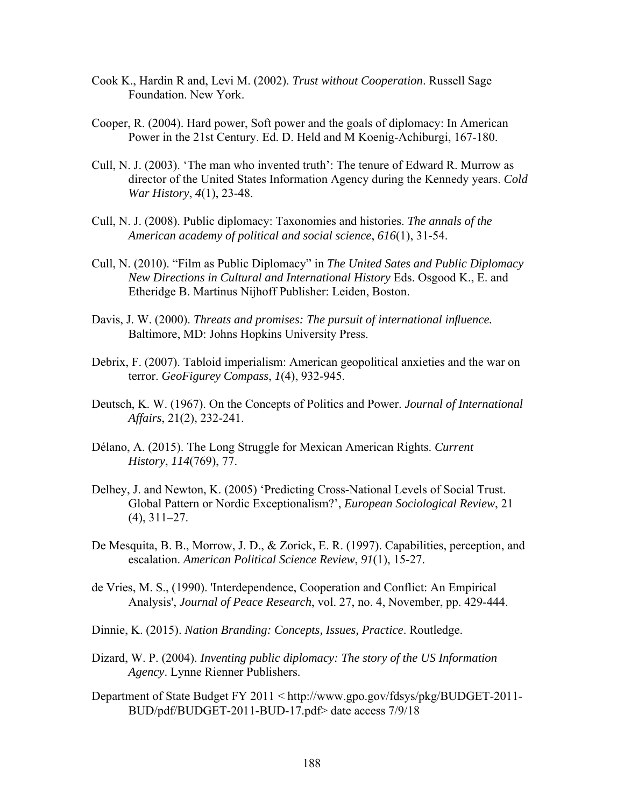- Cook K., Hardin R and, Levi M. (2002). *Trust without Cooperation*. Russell Sage Foundation. New York.
- Cooper, R. (2004). Hard power, Soft power and the goals of diplomacy: In American Power in the 21st Century. Ed. D. Held and M Koenig-Achiburgi, 167-180.
- Cull, N. J. (2003). 'The man who invented truth': The tenure of Edward R. Murrow as director of the United States Information Agency during the Kennedy years. *Cold War History*, *4*(1), 23-48.
- Cull, N. J. (2008). Public diplomacy: Taxonomies and histories. *The annals of the American academy of political and social science*, *616*(1), 31-54.
- Cull, N. (2010). "Film as Public Diplomacy" in *The United Sates and Public Diplomacy New Directions in Cultural and International History* Eds. Osgood K., E. and Etheridge B. Martinus Nijhoff Publisher: Leiden, Boston.
- Davis, J. W. (2000). *Threats and promises: The pursuit of international influence.* Baltimore, MD: Johns Hopkins University Press.
- Debrix, F. (2007). Tabloid imperialism: American geopolitical anxieties and the war on terror. *GeoFigurey Compass*, *1*(4), 932-945.
- Deutsch, K. W. (1967). On the Concepts of Politics and Power. *Journal of International Affairs*, 21(2), 232-241.
- Délano, A. (2015). The Long Struggle for Mexican American Rights. *Current History*, *114*(769), 77.
- Delhey, J. and Newton, K. (2005) 'Predicting Cross-National Levels of Social Trust. Global Pattern or Nordic Exceptionalism?', *European Sociological Review*, 21 (4), 311–27.
- De Mesquita, B. B., Morrow, J. D., & Zorick, E. R. (1997). Capabilities, perception, and escalation. *American Political Science Review*, *91*(1), 15-27.
- de Vries, M. S., (1990). 'Interdependence, Cooperation and Conflict: An Empirical Analysis', *Journal of Peace Research*, vol. 27, no. 4, November, pp. 429-444.
- Dinnie, K. (2015). *Nation Branding: Concepts, Issues, Practice*. Routledge.
- Dizard, W. P. (2004). *Inventing public diplomacy: The story of the US Information Agency*. Lynne Rienner Publishers.
- Department of State Budget FY 2011 < http://www.gpo.gov/fdsys/pkg/BUDGET-2011- BUD/pdf/BUDGET-2011-BUD-17.pdf> date access 7/9/18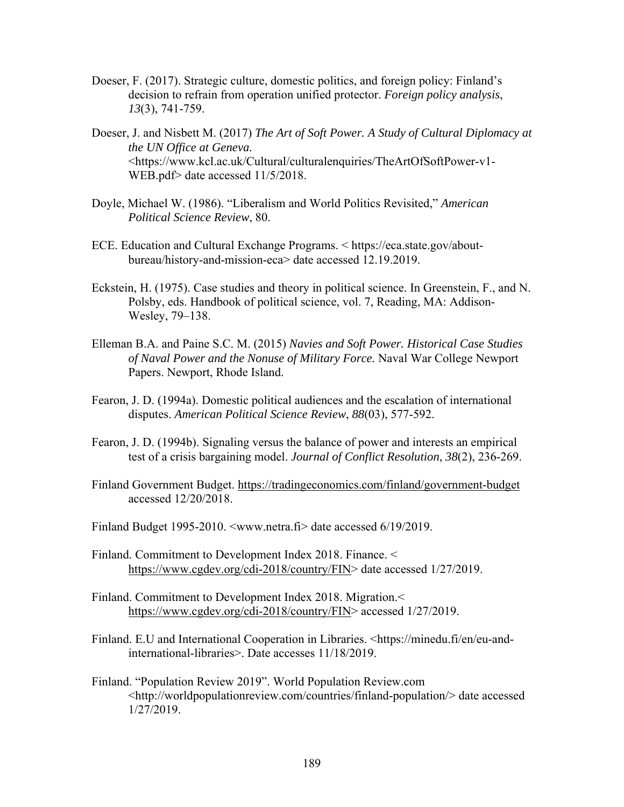- Doeser, F. (2017). Strategic culture, domestic politics, and foreign policy: Finland's decision to refrain from operation unified protector. *Foreign policy analysis*, *13*(3), 741-759.
- Doeser, J. and Nisbett M. (2017) *The Art of Soft Power. A Study of Cultural Diplomacy at the UN Office at Geneva.*  <https://www.kcl.ac.uk/Cultural/culturalenquiries/TheArtOfSoftPower-v1- WEB.pdf> date accessed 11/5/2018.
- Doyle, Michael W. (1986). "Liberalism and World Politics Revisited," *American Political Science Review*, 80.
- ECE. Education and Cultural Exchange Programs. < https://eca.state.gov/aboutbureau/history-and-mission-eca> date accessed 12.19.2019.
- Eckstein, H. (1975). Case studies and theory in political science. In Greenstein, F., and N. Polsby, eds. Handbook of political science, vol. 7, Reading, MA: Addison-Wesley, 79–138.
- Elleman B.A. and Paine S.C. M. (2015) *Navies and Soft Power. Historical Case Studies of Naval Power and the Nonuse of Military Force.* Naval War College Newport Papers. Newport, Rhode Island.
- Fearon, J. D. (1994a). Domestic political audiences and the escalation of international disputes. *American Political Science Review*, *88*(03), 577-592.
- Fearon, J. D. (1994b). Signaling versus the balance of power and interests an empirical test of a crisis bargaining model. *Journal of Conflict Resolution*, *38*(2), 236-269.
- Finland Government Budget. https://tradingeconomics.com/finland/government-budget accessed 12/20/2018.
- Finland Budget 1995-2010. <www.netra.fi> date accessed 6/19/2019.
- Finland. Commitment to Development Index 2018. Finance. < https://www.cgdev.org/cdi-2018/country/FIN> date accessed 1/27/2019.
- Finland. Commitment to Development Index 2018. Migration.< https://www.cgdev.org/cdi-2018/country/FIN> accessed 1/27/2019.
- Finland. E.U and International Cooperation in Libraries. <https://minedu.fi/en/eu-andinternational-libraries>. Date accesses 11/18/2019.
- Finland. "Population Review 2019". World Population Review.com <http://worldpopulationreview.com/countries/finland-population/> date accessed 1/27/2019.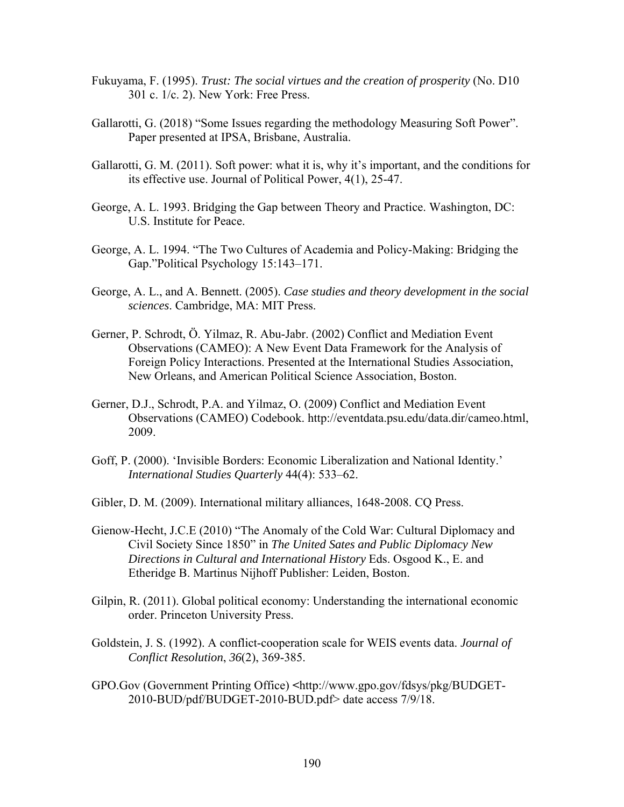- Fukuyama, F. (1995). *Trust: The social virtues and the creation of prosperity* (No. D10 301 c. 1/c. 2). New York: Free Press.
- Gallarotti, G. (2018) "Some Issues regarding the methodology Measuring Soft Power". Paper presented at IPSA, Brisbane, Australia.
- Gallarotti, G. M. (2011). Soft power: what it is, why it's important, and the conditions for its effective use. Journal of Political Power, 4(1), 25-47.
- George, A. L. 1993. Bridging the Gap between Theory and Practice. Washington, DC: U.S. Institute for Peace.
- George, A. L. 1994. "The Two Cultures of Academia and Policy-Making: Bridging the Gap."Political Psychology 15:143–171.
- George, A. L., and A. Bennett. (2005). *Case studies and theory development in the social sciences*. Cambridge, MA: MIT Press.
- Gerner, P. Schrodt, Ö. Yilmaz, R. Abu-Jabr. (2002) Conflict and Mediation Event Observations (CAMEO): A New Event Data Framework for the Analysis of Foreign Policy Interactions. Presented at the International Studies Association, New Orleans, and American Political Science Association, Boston.
- Gerner, D.J., Schrodt, P.A. and Yilmaz, O. (2009) Conflict and Mediation Event Observations (CAMEO) Codebook. http://eventdata.psu.edu/data.dir/cameo.html, 2009.
- Goff, P. (2000). 'Invisible Borders: Economic Liberalization and National Identity.' *International Studies Quarterly* 44(4): 533–62.
- Gibler, D. M. (2009). International military alliances, 1648-2008. CQ Press.
- Gienow-Hecht, J.C.E (2010) "The Anomaly of the Cold War: Cultural Diplomacy and Civil Society Since 1850" in *The United Sates and Public Diplomacy New Directions in Cultural and International History* Eds. Osgood K., E. and Etheridge B. Martinus Nijhoff Publisher: Leiden, Boston.
- Gilpin, R. (2011). Global political economy: Understanding the international economic order. Princeton University Press.
- Goldstein, J. S. (1992). A conflict-cooperation scale for WEIS events data. *Journal of Conflict Resolution*, *36*(2), 369-385.
- GPO.Gov (Government Printing Office) **<**http://www.gpo.gov/fdsys/pkg/BUDGET-2010-BUD/pdf/BUDGET-2010-BUD.pdf> date access 7/9/18.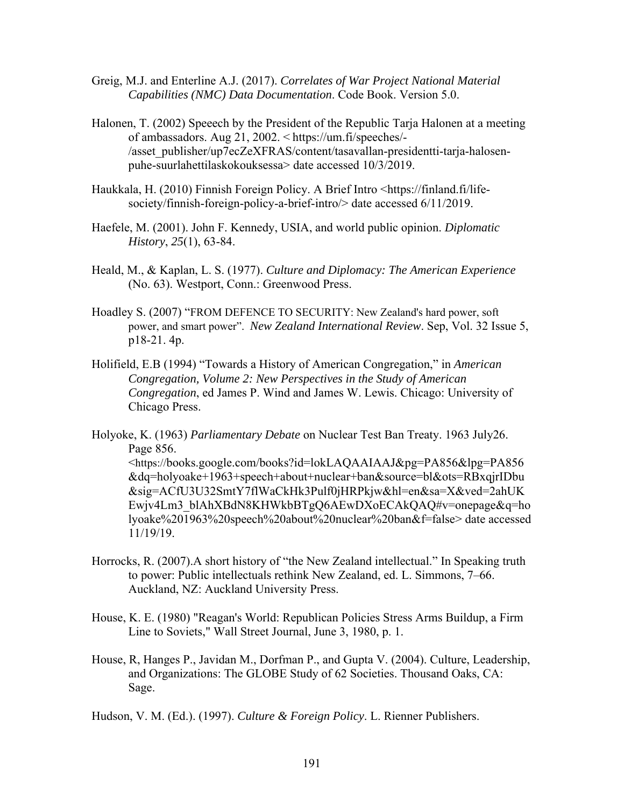- Greig, M.J. and Enterline A.J. (2017). *Correlates of War Project National Material Capabilities (NMC) Data Documentation*. Code Book. Version 5.0.
- Halonen, T. (2002) Speeech by the President of the Republic Tarja Halonen at a meeting of ambassadors. Aug 21, 2002. < https://um.fi/speeches/- /asset\_publisher/up7ecZeXFRAS/content/tasavallan-presidentti-tarja-halosenpuhe-suurlahettilaskokouksessa> date accessed 10/3/2019.
- Haukkala, H. (2010) Finnish Foreign Policy. A Brief Intro <https://finland.fi/life society/finnish-foreign-policy-a-brief-intro/> date accessed 6/11/2019.
- Haefele, M. (2001). John F. Kennedy, USIA, and world public opinion. *Diplomatic History*, *25*(1), 63-84.
- Heald, M., & Kaplan, L. S. (1977). *Culture and Diplomacy: The American Experience* (No. 63). Westport, Conn.: Greenwood Press.
- Hoadley S. (2007) "FROM DEFENCE TO SECURITY: New Zealand's hard power, soft power, and smart power". *New Zealand International Review*. Sep, Vol. 32 Issue 5, p18-21. 4p.
- Holifield, E.B (1994) "Towards a History of American Congregation," in *American Congregation, Volume 2: New Perspectives in the Study of American Congregation*, ed James P. Wind and James W. Lewis. Chicago: University of Chicago Press.

Holyoke, K. (1963) *Parliamentary Debate* on Nuclear Test Ban Treaty. 1963 July26. Page 856. <https://books.google.com/books?id=lokLAQAAIAAJ&pg=PA856&lpg=PA856 &dq=holyoake+1963+speech+about+nuclear+ban&source=bl&ots=RBxqjrIDbu &sig=ACfU3U32SmtY7flWaCkHk3Pulf0jHRPkjw&hl=en&sa=X&ved=2ahUK Ewjv4Lm3\_blAhXBdN8KHWkbBTgQ6AEwDXoECAkQAQ#v=onepage&q=ho lyoake%201963%20speech%20about%20nuclear%20ban&f=false> date accessed 11/19/19.

- Horrocks, R. (2007).A short history of "the New Zealand intellectual." In Speaking truth to power: Public intellectuals rethink New Zealand, ed. L. Simmons, 7–66. Auckland, NZ: Auckland University Press.
- House, K. E. (1980) "Reagan's World: Republican Policies Stress Arms Buildup, a Firm Line to Soviets," Wall Street Journal, June 3, 1980, p. 1.
- House, R, Hanges P., Javidan M., Dorfman P., and Gupta V. (2004). Culture, Leadership, and Organizations: The GLOBE Study of 62 Societies. Thousand Oaks, CA: Sage.

Hudson, V. M. (Ed.). (1997). *Culture & Foreign Policy*. L. Rienner Publishers.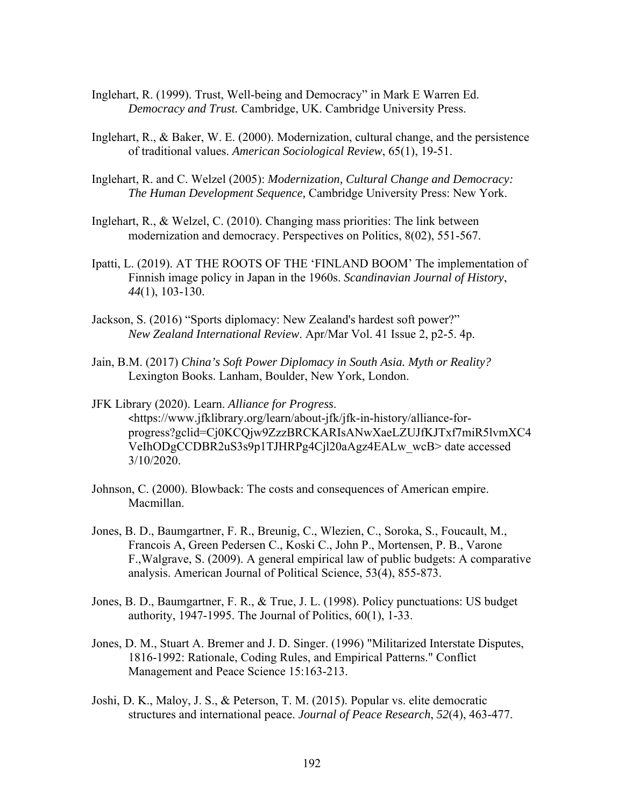- Inglehart, R. (1999). Trust, Well-being and Democracy" in Mark E Warren Ed. *Democracy and Trust.* Cambridge, UK. Cambridge University Press.
- Inglehart, R., & Baker, W. E. (2000). Modernization, cultural change, and the persistence of traditional values. *American Sociological Review*, 65(1), 19-51.
- Inglehart, R. and C. Welzel (2005): *Modernization, Cultural Change and Democracy: The Human Development Sequence,* Cambridge University Press: New York.
- Inglehart, R., & Welzel, C. (2010). Changing mass priorities: The link between modernization and democracy. Perspectives on Politics, 8(02), 551-567.
- Ipatti, L. (2019). AT THE ROOTS OF THE 'FINLAND BOOM' The implementation of Finnish image policy in Japan in the 1960s. *Scandinavian Journal of History*, *44*(1), 103-130.
- Jackson, S. (2016) "Sports diplomacy: New Zealand's hardest soft power?" *New Zealand International Review*. Apr/Mar Vol. 41 Issue 2, p2-5. 4p.
- Jain, B.M. (2017) *China's Soft Power Diplomacy in South Asia. Myth or Reality?* Lexington Books. Lanham, Boulder, New York, London.
- JFK Library (2020). Learn. *Alliance for Progress*. <https://www.jfklibrary.org/learn/about-jfk/jfk-in-history/alliance-forprogress?gclid=Cj0KCQjw9ZzzBRCKARIsANwXaeLZUJfKJTxf7miR5lvmXC4 VeIhODgCCDBR2uS3s9p1TJHRPg4Cjl20aAgz4EALw\_wcB> date accessed 3/10/2020.
- Johnson, C. (2000). Blowback: The costs and consequences of American empire. Macmillan.
- Jones, B. D., Baumgartner, F. R., Breunig, C., Wlezien, C., Soroka, S., Foucault, M., Francois A, Green Pedersen C., Koski C., John P., Mortensen, P. B., Varone F.,Walgrave, S. (2009). A general empirical law of public budgets: A comparative analysis. American Journal of Political Science, 53(4), 855-873.
- Jones, B. D., Baumgartner, F. R., & True, J. L. (1998). Policy punctuations: US budget authority, 1947-1995. The Journal of Politics, 60(1), 1-33.
- Jones, D. M., Stuart A. Bremer and J. D. Singer. (1996) "Militarized Interstate Disputes, 1816-1992: Rationale, Coding Rules, and Empirical Patterns." Conflict Management and Peace Science 15:163-213.
- Joshi, D. K., Maloy, J. S., & Peterson, T. M. (2015). Popular vs. elite democratic structures and international peace. *Journal of Peace Research*, *52*(4), 463-477.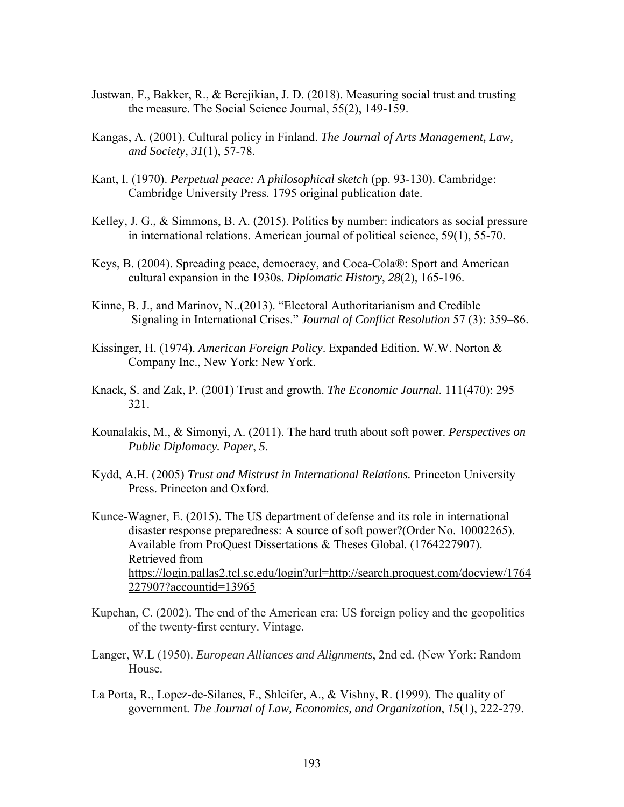- Justwan, F., Bakker, R., & Berejikian, J. D. (2018). Measuring social trust and trusting the measure. The Social Science Journal, 55(2), 149-159.
- Kangas, A. (2001). Cultural policy in Finland. *The Journal of Arts Management, Law, and Society*, *31*(1), 57-78.
- Kant, I. (1970). *Perpetual peace: A philosophical sketch* (pp. 93-130). Cambridge: Cambridge University Press. 1795 original publication date.
- Kelley, J. G., & Simmons, B. A. (2015). Politics by number: indicators as social pressure in international relations. American journal of political science, 59(1), 55-70.
- Keys, B. (2004). Spreading peace, democracy, and Coca-Cola®: Sport and American cultural expansion in the 1930s. *Diplomatic History*, *28*(2), 165-196.
- Kinne, B. J., and Marinov, N..(2013). "Electoral Authoritarianism and Credible Signaling in International Crises." *Journal of Conflict Resolution* 57 (3): 359–86.
- Kissinger, H. (1974). *American Foreign Policy*. Expanded Edition. W.W. Norton & Company Inc., New York: New York.
- Knack, S. and Zak, P. (2001) Trust and growth. *The Economic Journal*. 111(470): 295– 321.
- Kounalakis, M., & Simonyi, A. (2011). The hard truth about soft power. *Perspectives on Public Diplomacy. Paper*, *5*.
- Kydd, A.H. (2005) *Trust and Mistrust in International Relations.* Princeton University Press. Princeton and Oxford.
- Kunce-Wagner, E. (2015). The US department of defense and its role in international disaster response preparedness: A source of soft power?(Order No. 10002265). Available from ProQuest Dissertations & Theses Global. (1764227907). Retrieved from https://login.pallas2.tcl.sc.edu/login?url=http://search.proquest.com/docview/1764 227907?accountid=13965
- Kupchan, C. (2002). The end of the American era: US foreign policy and the geopolitics of the twenty-first century. Vintage.
- Langer, W.L (1950). *European Alliances and Alignments*, 2nd ed. (New York: Random House.
- La Porta, R., Lopez-de-Silanes, F., Shleifer, A., & Vishny, R. (1999). The quality of government. *The Journal of Law, Economics, and Organization*, *15*(1), 222-279.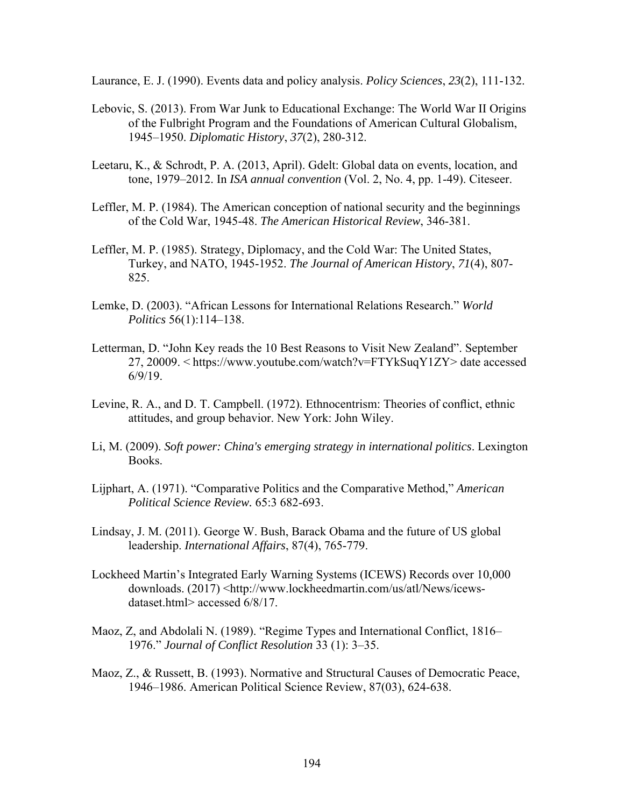Laurance, E. J. (1990). Events data and policy analysis. *Policy Sciences*, *23*(2), 111-132.

- Lebovic, S. (2013). From War Junk to Educational Exchange: The World War II Origins of the Fulbright Program and the Foundations of American Cultural Globalism, 1945–1950. *Diplomatic History*, *37*(2), 280-312.
- Leetaru, K., & Schrodt, P. A. (2013, April). Gdelt: Global data on events, location, and tone, 1979–2012. In *ISA annual convention* (Vol. 2, No. 4, pp. 1-49). Citeseer.
- Leffler, M. P. (1984). The American conception of national security and the beginnings of the Cold War, 1945-48. *The American Historical Review*, 346-381.
- Leffler, M. P. (1985). Strategy, Diplomacy, and the Cold War: The United States, Turkey, and NATO, 1945-1952. *The Journal of American History*, *71*(4), 807- 825.
- Lemke, D. (2003). "African Lessons for International Relations Research." *World Politics* 56(1):114–138.
- Letterman, D. "John Key reads the 10 Best Reasons to Visit New Zealand". September 27, 20009. < https://www.youtube.com/watch?v=FTYkSuqY1ZY> date accessed 6/9/19.
- Levine, R. A., and D. T. Campbell. (1972). Ethnocentrism: Theories of conflict, ethnic attitudes, and group behavior. New York: John Wiley.
- Li, M. (2009). *Soft power: China's emerging strategy in international politics*. Lexington Books.
- Lijphart, A. (1971). "Comparative Politics and the Comparative Method," *American Political Science Review.* 65:3 682-693.
- Lindsay, J. M. (2011). George W. Bush, Barack Obama and the future of US global leadership. *International Affairs*, 87(4), 765-779.
- Lockheed Martin's Integrated Early Warning Systems (ICEWS) Records over 10,000 downloads. (2017) <http://www.lockheedmartin.com/us/atl/News/icewsdataset.html> accessed 6/8/17.
- Maoz, Z, and Abdolali N. (1989). "Regime Types and International Conflict, 1816– 1976." *Journal of Conflict Resolution* 33 (1): 3–35.
- Maoz, Z., & Russett, B. (1993). Normative and Structural Causes of Democratic Peace, 1946–1986. American Political Science Review, 87(03), 624-638.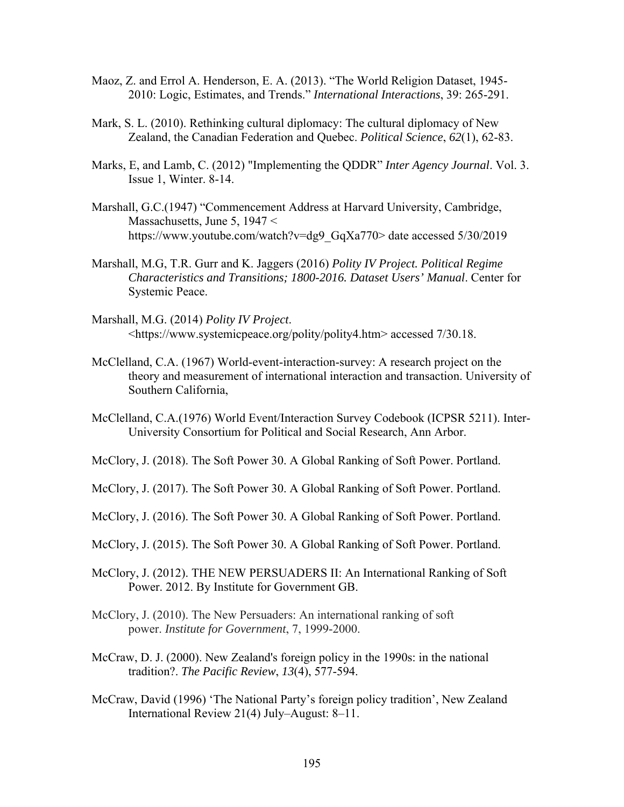- Maoz, Z. and Errol A. Henderson, E. A. (2013). "The World Religion Dataset, 1945- 2010: Logic, Estimates, and Trends." *International Interactions*, 39: 265-291.
- Mark, S. L. (2010). Rethinking cultural diplomacy: The cultural diplomacy of New Zealand, the Canadian Federation and Quebec. *Political Science*, *62*(1), 62-83.
- Marks, E, and Lamb, C. (2012) "Implementing the QDDR" *Inter Agency Journal*. Vol. 3. Issue 1, Winter. 8-14.
- Marshall, G.C.(1947) "Commencement Address at Harvard University, Cambridge, Massachusetts, June 5, 1947 < https://www.youtube.com/watch?v=dg9\_GqXa770> date accessed 5/30/2019
- Marshall, M.G, T.R. Gurr and K. Jaggers (2016) *Polity IV Project. Political Regime Characteristics and Transitions; 1800-2016. Dataset Users' Manual*. Center for Systemic Peace.
- Marshall, M.G. (2014) *Polity IV Project*. <https://www.systemicpeace.org/polity/polity4.htm> accessed 7/30.18.
- McClelland, C.A. (1967) World-event-interaction-survey: A research project on the theory and measurement of international interaction and transaction. University of Southern California,
- McClelland, C.A.(1976) World Event/Interaction Survey Codebook (ICPSR 5211). Inter-University Consortium for Political and Social Research, Ann Arbor.
- McClory, J. (2018). The Soft Power 30. A Global Ranking of Soft Power. Portland.
- McClory, J. (2017). The Soft Power 30. A Global Ranking of Soft Power. Portland.
- McClory, J. (2016). The Soft Power 30. A Global Ranking of Soft Power. Portland.
- McClory, J. (2015). The Soft Power 30. A Global Ranking of Soft Power. Portland.
- McClory, J. (2012). THE NEW PERSUADERS II: An International Ranking of Soft Power. 2012. By Institute for Government GB.
- McClory, J. (2010). The New Persuaders: An international ranking of soft power. *Institute for Government*, 7, 1999-2000.
- McCraw, D. J. (2000). New Zealand's foreign policy in the 1990s: in the national tradition?. *The Pacific Review*, *13*(4), 577-594.
- McCraw, David (1996) 'The National Party's foreign policy tradition', New Zealand International Review 21(4) July–August: 8–11.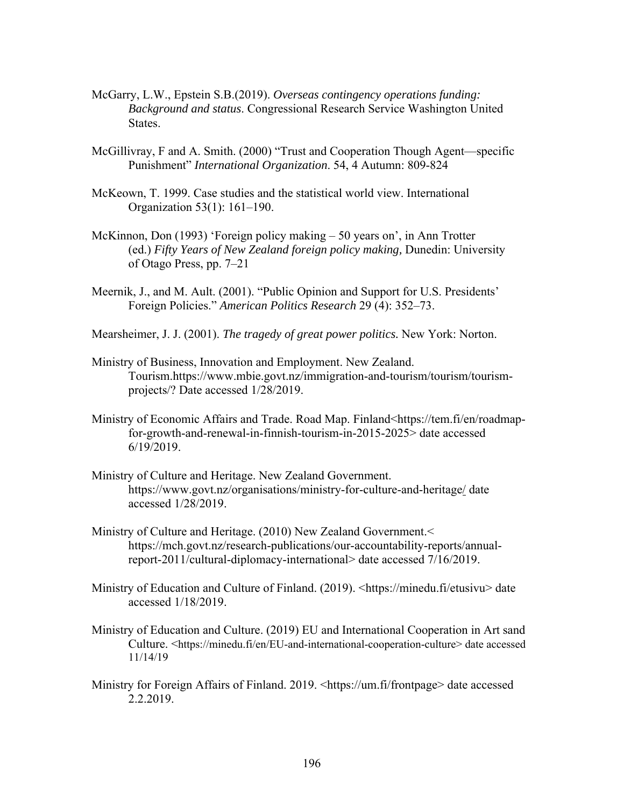- McGarry, L.W., Epstein S.B.(2019). *Overseas contingency operations funding: Background and status*. Congressional Research Service Washington United States.
- McGillivray, F and A. Smith. (2000) "Trust and Cooperation Though Agent—specific Punishment" *International Organization*. 54, 4 Autumn: 809-824
- McKeown, T. 1999. Case studies and the statistical world view. International Organization 53(1): 161–190.
- McKinnon, Don (1993) 'Foreign policy making 50 years on', in Ann Trotter (ed.) *Fifty Years of New Zealand foreign policy making,* Dunedin: University of Otago Press, pp. 7–21
- Meernik, J., and M. Ault. (2001). "Public Opinion and Support for U.S. Presidents' Foreign Policies." *American Politics Research* 29 (4): 352–73.

Mearsheimer, J. J. (2001). *The tragedy of great power politics.* New York: Norton.

- Ministry of Business, Innovation and Employment. New Zealand. Tourism.https://www.mbie.govt.nz/immigration-and-tourism/tourism/tourismprojects/? Date accessed 1/28/2019.
- Ministry of Economic Affairs and Trade. Road Map. Finland<https://tem.fi/en/roadmapfor-growth-and-renewal-in-finnish-tourism-in-2015-2025> date accessed 6/19/2019.
- Ministry of Culture and Heritage. New Zealand Government. https://www.govt.nz/organisations/ministry-for-culture-and-heritage/ date accessed 1/28/2019.
- Ministry of Culture and Heritage. (2010) New Zealand Government.< https://mch.govt.nz/research-publications/our-accountability-reports/annualreport-2011/cultural-diplomacy-international> date accessed 7/16/2019.
- Ministry of Education and Culture of Finland. (2019). <https://minedu.fi/etusivu> date accessed 1/18/2019.
- Ministry of Education and Culture. (2019) EU and International Cooperation in Art sand Culture. <https://minedu.fi/en/EU-and-international-cooperation-culture> date accessed 11/14/19
- Ministry for Foreign Affairs of Finland. 2019. <https://um.fi/frontpage> date accessed 2.2.2019.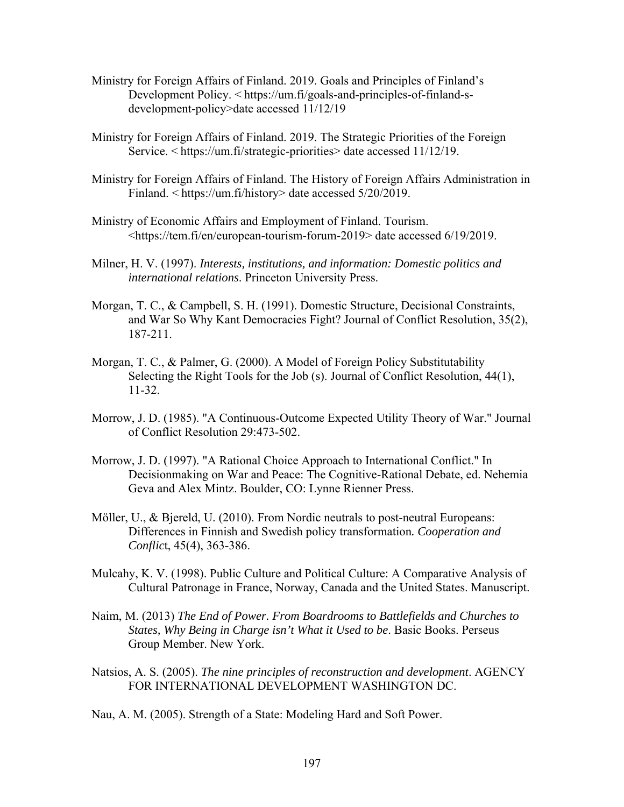- Ministry for Foreign Affairs of Finland. 2019. Goals and Principles of Finland's Development Policy. < https://um.fi/goals-and-principles-of-finland-sdevelopment-policy>date accessed 11/12/19
- Ministry for Foreign Affairs of Finland. 2019. The Strategic Priorities of the Foreign Service. < https://um.fi/strategic-priorities> date accessed 11/12/19.
- Ministry for Foreign Affairs of Finland. The History of Foreign Affairs Administration in Finland. < https://um.fi/history> date accessed 5/20/2019.
- Ministry of Economic Affairs and Employment of Finland. Tourism. <https://tem.fi/en/european-tourism-forum-2019> date accessed 6/19/2019.
- Milner, H. V. (1997). *Interests, institutions, and information: Domestic politics and international relations*. Princeton University Press.
- Morgan, T. C., & Campbell, S. H. (1991). Domestic Structure, Decisional Constraints, and War So Why Kant Democracies Fight? Journal of Conflict Resolution, 35(2), 187-211.
- Morgan, T. C., & Palmer, G. (2000). A Model of Foreign Policy Substitutability Selecting the Right Tools for the Job (s). Journal of Conflict Resolution, 44(1), 11-32.
- Morrow, J. D. (1985). "A Continuous-Outcome Expected Utility Theory of War." Journal of Conflict Resolution 29:473-502.
- Morrow, J. D. (1997). "A Rational Choice Approach to International Conflict." In Decisionmaking on War and Peace: The Cognitive-Rational Debate, ed. Nehemia Geva and Alex Mintz. Boulder, CO: Lynne Rienner Press.
- Möller, U., & Bjereld, U. (2010). From Nordic neutrals to post-neutral Europeans: Differences in Finnish and Swedish policy transformation*. Cooperation and Conflic*t, 45(4), 363-386.
- Mulcahy, K. V. (1998). Public Culture and Political Culture: A Comparative Analysis of Cultural Patronage in France, Norway, Canada and the United States. Manuscript.
- Naim, M. (2013) *The End of Power. From Boardrooms to Battlefields and Churches to States, Why Being in Charge isn't What it Used to be*. Basic Books. Perseus Group Member. New York.
- Natsios, A. S. (2005). *The nine principles of reconstruction and development*. AGENCY FOR INTERNATIONAL DEVELOPMENT WASHINGTON DC.

Nau, A. M. (2005). Strength of a State: Modeling Hard and Soft Power.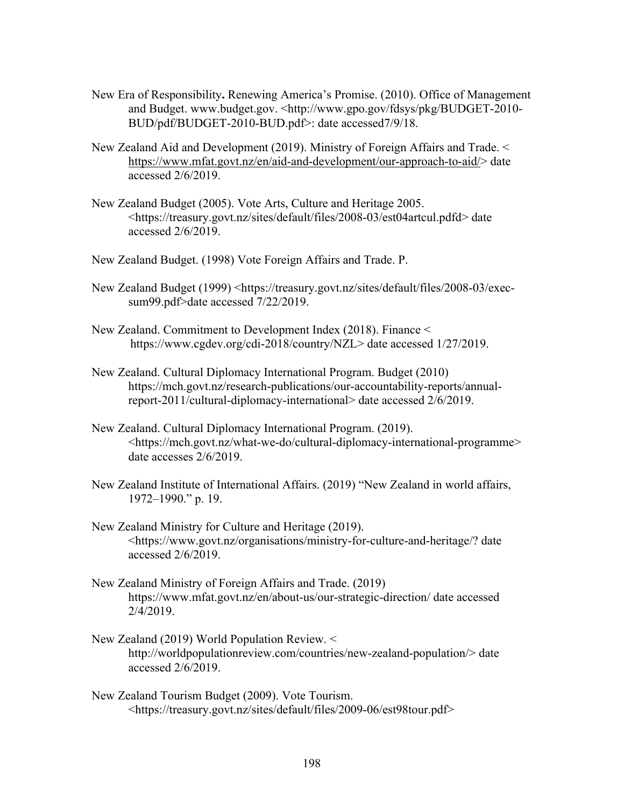- New Era of Responsibility**.** Renewing America's Promise. (2010). Office of Management and Budget. www.budget.gov. <http://www.gpo.gov/fdsys/pkg/BUDGET-2010-BUD/pdf/BUDGET-2010-BUD.pdf>: date accessed7/9/18.
- New Zealand Aid and Development (2019). Ministry of Foreign Affairs and Trade. < https://www.mfat.govt.nz/en/aid-and-development/our-approach-to-aid/> date accessed 2/6/2019.
- New Zealand Budget (2005). Vote Arts, Culture and Heritage 2005. <https://treasury.govt.nz/sites/default/files/2008-03/est04artcul.pdfd> date accessed 2/6/2019.
- New Zealand Budget. (1998) Vote Foreign Affairs and Trade. P.
- New Zealand Budget (1999) <https://treasury.govt.nz/sites/default/files/2008-03/execsum99.pdf>date accessed 7/22/2019.
- New Zealand. Commitment to Development Index (2018). Finance < https://www.cgdev.org/cdi-2018/country/NZL> date accessed 1/27/2019.
- New Zealand. Cultural Diplomacy International Program. Budget (2010) https://mch.govt.nz/research-publications/our-accountability-reports/annualreport-2011/cultural-diplomacy-international> date accessed 2/6/2019.
- New Zealand. Cultural Diplomacy International Program. (2019). <https://mch.govt.nz/what-we-do/cultural-diplomacy-international-programme> date accesses 2/6/2019.
- New Zealand Institute of International Affairs. (2019) "New Zealand in world affairs, 1972–1990." p. 19.
- New Zealand Ministry for Culture and Heritage (2019). <https://www.govt.nz/organisations/ministry-for-culture-and-heritage/? date accessed 2/6/2019.
- New Zealand Ministry of Foreign Affairs and Trade. (2019) https://www.mfat.govt.nz/en/about-us/our-strategic-direction/ date accessed 2/4/2019.
- New Zealand (2019) World Population Review. < http://worldpopulationreview.com/countries/new-zealand-population/> date accessed 2/6/2019.
- New Zealand Tourism Budget (2009). Vote Tourism. <https://treasury.govt.nz/sites/default/files/2009-06/est98tour.pdf>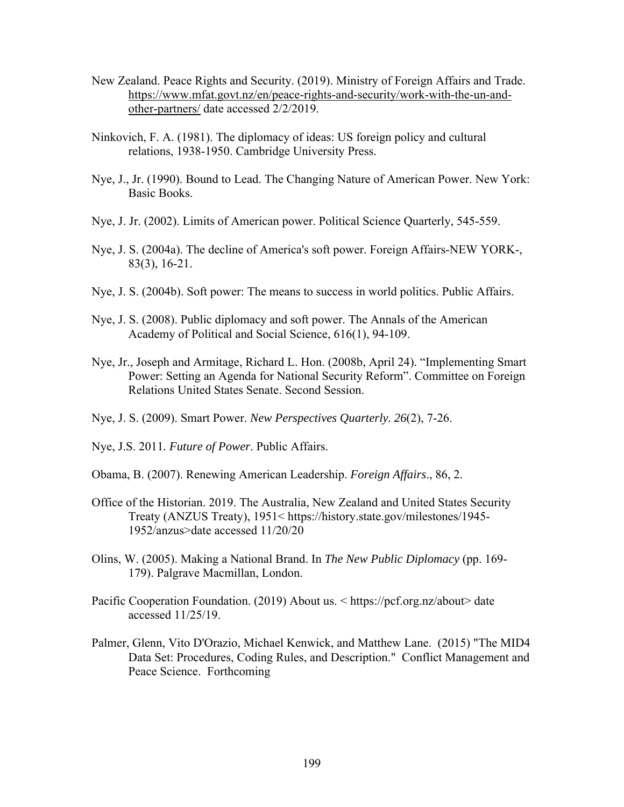- New Zealand. Peace Rights and Security. (2019). Ministry of Foreign Affairs and Trade. https://www.mfat.govt.nz/en/peace-rights-and-security/work-with-the-un-andother-partners/ date accessed 2/2/2019.
- Ninkovich, F. A. (1981). The diplomacy of ideas: US foreign policy and cultural relations, 1938-1950. Cambridge University Press.
- Nye, J., Jr. (1990). Bound to Lead. The Changing Nature of American Power. New York: Basic Books.
- Nye, J. Jr. (2002). Limits of American power. Political Science Quarterly, 545-559.
- Nye, J. S. (2004a). The decline of America's soft power. Foreign Affairs-NEW YORK-, 83(3), 16-21.
- Nye, J. S. (2004b). Soft power: The means to success in world politics. Public Affairs.
- Nye, J. S. (2008). Public diplomacy and soft power. The Annals of the American Academy of Political and Social Science, 616(1), 94-109.
- Nye, Jr., Joseph and Armitage, Richard L. Hon. (2008b, April 24). "Implementing Smart Power: Setting an Agenda for National Security Reform". Committee on Foreign Relations United States Senate. Second Session.
- Nye, J. S. (2009). Smart Power. *New Perspectives Quarterly. 26*(2), 7-26.
- Nye, J.S. 2011*. Future of Power*. Public Affairs.
- Obama, B. (2007). Renewing American Leadership. *Foreign Affairs*., 86, 2.
- Office of the Historian. 2019. The Australia, New Zealand and United States Security Treaty (ANZUS Treaty), 1951< https://history.state.gov/milestones/1945- 1952/anzus>date accessed 11/20/20
- Olins, W. (2005). Making a National Brand. In *The New Public Diplomacy* (pp. 169- 179). Palgrave Macmillan, London.
- Pacific Cooperation Foundation. (2019) About us. < https://pcf.org.nz/about> date accessed 11/25/19.
- Palmer, Glenn, Vito D'Orazio, Michael Kenwick, and Matthew Lane. (2015) "The MID4 Data Set: Procedures, Coding Rules, and Description." Conflict Management and Peace Science. Forthcoming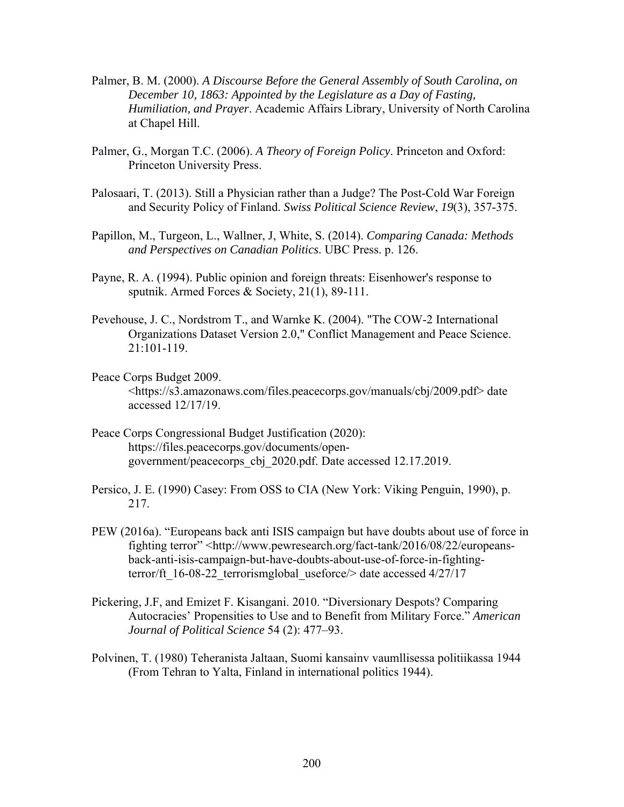- Palmer, B. M. (2000). *A Discourse Before the General Assembly of South Carolina, on December 10, 1863: Appointed by the Legislature as a Day of Fasting, Humiliation, and Prayer*. Academic Affairs Library, University of North Carolina at Chapel Hill.
- Palmer, G., Morgan T.C. (2006). *A Theory of Foreign Policy*. Princeton and Oxford: Princeton University Press.
- Palosaari, T. (2013). Still a Physician rather than a Judge? The Post‐Cold War Foreign and Security Policy of Finland. *Swiss Political Science Review*, *19*(3), 357-375.
- Papillon, M., Turgeon, L., Wallner, J, White, S. (2014). *Comparing Canada: Methods and Perspectives on Canadian Politics*. UBC Press. p. 126.
- Payne, R. A. (1994). Public opinion and foreign threats: Eisenhower's response to sputnik. Armed Forces & Society, 21(1), 89-111.
- Pevehouse, J. C., Nordstrom T., and Warnke K. (2004). "The COW-2 International Organizations Dataset Version 2.0," Conflict Management and Peace Science. 21:101-119.
- Peace Corps Budget 2009. <https://s3.amazonaws.com/files.peacecorps.gov/manuals/cbj/2009.pdf> date accessed 12/17/19.
- Peace Corps Congressional Budget Justification (2020): https://files.peacecorps.gov/documents/opengovernment/peacecorps\_cbj\_2020.pdf. Date accessed 12.17.2019.
- Persico, J. E. (1990) Casey: From OSS to CIA (New York: Viking Penguin, 1990), p. 217.
- PEW (2016a). "Europeans back anti ISIS campaign but have doubts about use of force in fighting terror" <http://www.pewresearch.org/fact-tank/2016/08/22/europeansback-anti-isis-campaign-but-have-doubts-about-use-of-force-in-fightingterror/ft  $16-08-22$  terrorismglobal useforce/ $>$  date accessed 4/27/17
- Pickering, J.F, and Emizet F. Kisangani. 2010. "Diversionary Despots? Comparing Autocracies' Propensities to Use and to Benefit from Military Force." *American Journal of Political Science* 54 (2): 477–93.
- Polvinen, T. (1980) Teheranista Jaltaan, Suomi kansainv vaumllisessa politiikassa 1944 (From Tehran to Yalta, Finland in international politics 1944).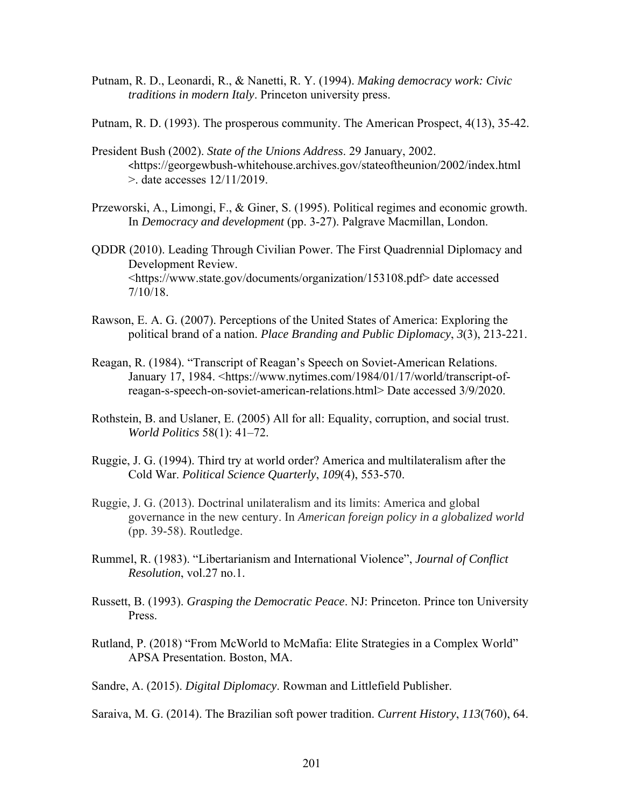- Putnam, R. D., Leonardi, R., & Nanetti, R. Y. (1994). *Making democracy work: Civic traditions in modern Italy*. Princeton university press.
- Putnam, R. D. (1993). The prosperous community. The American Prospect, 4(13), 35-42.
- President Bush (2002). *State of the Unions Address*. 29 January, 2002. <https://georgewbush-whitehouse.archives.gov/stateoftheunion/2002/index.html >. date accesses 12/11/2019.
- Przeworski, A., Limongi, F., & Giner, S. (1995). Political regimes and economic growth. In *Democracy and development* (pp. 3-27). Palgrave Macmillan, London.
- QDDR (2010). Leading Through Civilian Power. The First Quadrennial Diplomacy and Development Review. <https://www.state.gov/documents/organization/153108.pdf> date accessed 7/10/18.
- Rawson, E. A. G. (2007). Perceptions of the United States of America: Exploring the political brand of a nation. *Place Branding and Public Diplomacy*, *3*(3), 213-221.
- Reagan, R. (1984). "Transcript of Reagan's Speech on Soviet-American Relations. January 17, 1984. <https://www.nytimes.com/1984/01/17/world/transcript-ofreagan-s-speech-on-soviet-american-relations.html> Date accessed 3/9/2020.
- Rothstein, B. and Uslaner, E. (2005) All for all: Equality, corruption, and social trust. *World Politics* 58(1): 41–72.
- Ruggie, J. G. (1994). Third try at world order? America and multilateralism after the Cold War. *Political Science Quarterly*, *109*(4), 553-570.
- Ruggie, J. G. (2013). Doctrinal unilateralism and its limits: America and global governance in the new century. In *American foreign policy in a globalized world* (pp. 39-58). Routledge.
- Rummel, R. (1983). "Libertarianism and International Violence", *Journal of Conflict Resolution*, vol.27 no.1.
- Russett, B. (1993). *Grasping the Democratic Peace*. NJ: Princeton. Prince ton University Press.
- Rutland, P. (2018) "From McWorld to McMafia: Elite Strategies in a Complex World" APSA Presentation. Boston, MA.
- Sandre, A. (2015). *Digital Diplomacy*. Rowman and Littlefield Publisher.
- Saraiva, M. G. (2014). The Brazilian soft power tradition. *Current History*, *113*(760), 64.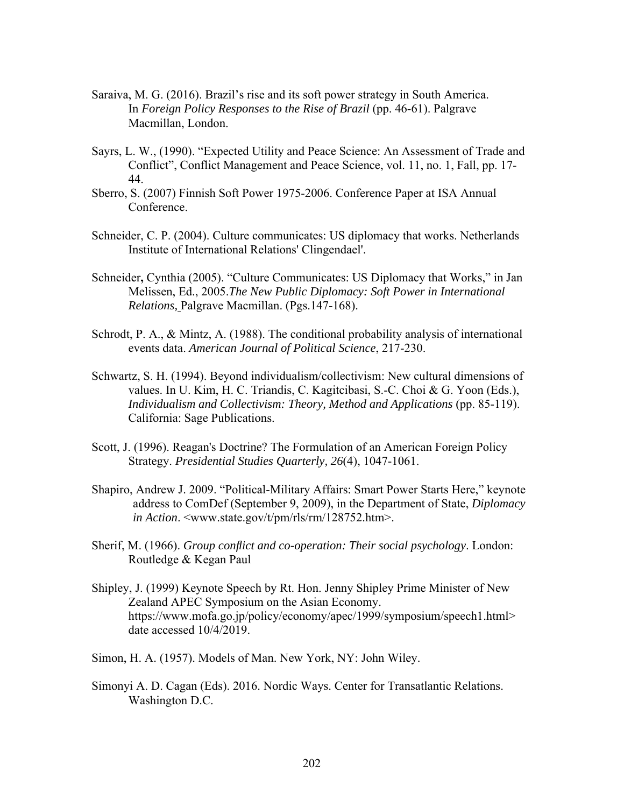- Saraiva, M. G. (2016). Brazil's rise and its soft power strategy in South America. In *Foreign Policy Responses to the Rise of Brazil* (pp. 46-61). Palgrave Macmillan, London.
- Sayrs, L. W., (1990). "Expected Utility and Peace Science: An Assessment of Trade and Conflict", Conflict Management and Peace Science, vol. 11, no. 1, Fall, pp. 17- 44.
- Sberro, S. (2007) Finnish Soft Power 1975-2006. Conference Paper at ISA Annual Conference.
- Schneider, C. P. (2004). Culture communicates: US diplomacy that works. Netherlands Institute of International Relations' Clingendael'.
- Schneider**,** Cynthia (2005). "Culture Communicates: US Diplomacy that Works," in Jan Melissen, Ed., 2005.*The New Public Diplomacy: Soft Power in International Relations,* Palgrave Macmillan. (Pgs.147-168).
- Schrodt, P. A., & Mintz, A. (1988). The conditional probability analysis of international events data. *American Journal of Political Science*, 217-230.
- Schwartz, S. H. (1994). Beyond individualism/collectivism: New cultural dimensions of values. In U. Kim, H. C. Triandis, C. Kagitcibasi, S.-C. Choi & G. Yoon (Eds.), *Individualism and Collectivism: Theory, Method and Applications* (pp. 85-119). California: Sage Publications.
- Scott, J. (1996). Reagan's Doctrine? The Formulation of an American Foreign Policy Strategy. *Presidential Studies Quarterly, 26*(4), 1047-1061.
- Shapiro, Andrew J. 2009. "Political-Military Affairs: Smart Power Starts Here," keynote address to ComDef (September 9, 2009), in the Department of State, *Diplomacy in Action*. <www.state.gov/t/pm/rls/rm/128752.htm>.
- Sherif, M. (1966). *Group conflict and co-operation: Their social psychology*. London: Routledge & Kegan Paul
- Shipley, J. (1999) Keynote Speech by Rt. Hon. Jenny Shipley Prime Minister of New Zealand APEC Symposium on the Asian Economy. https://www.mofa.go.jp/policy/economy/apec/1999/symposium/speech1.html> date accessed 10/4/2019.
- Simon, H. A. (1957). Models of Man. New York, NY: John Wiley.
- Simonyi A. D. Cagan (Eds). 2016. Nordic Ways. Center for Transatlantic Relations. Washington D.C.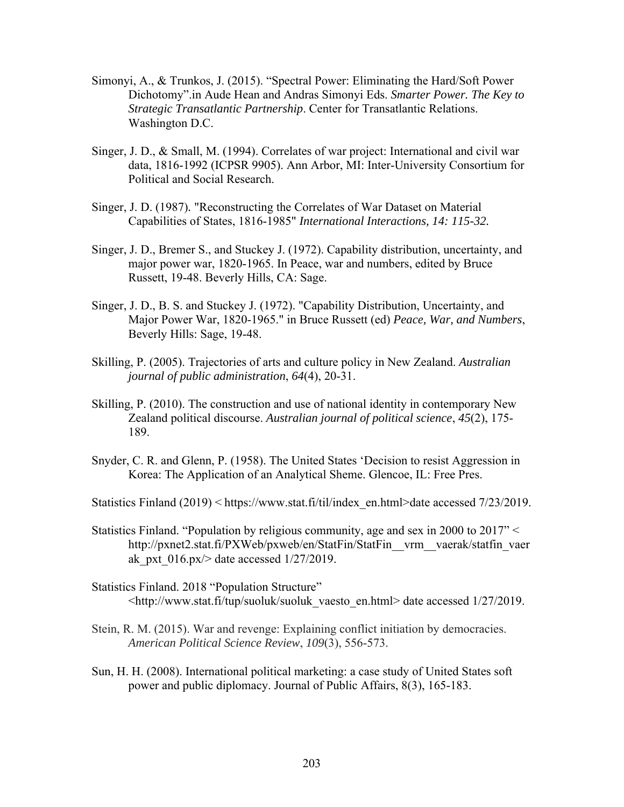- Simonyi, A., & Trunkos, J. (2015). "Spectral Power: Eliminating the Hard/Soft Power Dichotomy".in Aude Hean and Andras Simonyi Eds. *Smarter Power. The Key to Strategic Transatlantic Partnership*. Center for Transatlantic Relations. Washington D.C.
- Singer, J. D., & Small, M. (1994). Correlates of war project: International and civil war data, 1816-1992 (ICPSR 9905). Ann Arbor, MI: Inter-University Consortium for Political and Social Research.
- Singer, J. D. (1987)*.* "Reconstructing the Correlates of War Dataset on Material Capabilities of States, 1816-1985" *International Interactions, 14: 115-32.*
- Singer, J. D., Bremer S., and Stuckey J. (1972). Capability distribution, uncertainty, and major power war, 1820-1965. In Peace, war and numbers, edited by Bruce Russett, 19-48. Beverly Hills, CA: Sage.
- Singer, J. D., B. S. and Stuckey J. (1972). "Capability Distribution, Uncertainty, and Major Power War, 1820-1965." in Bruce Russett (ed) *Peace, War, and Numbers*, Beverly Hills: Sage, 19-48.
- Skilling, P. (2005). Trajectories of arts and culture policy in New Zealand. *Australian journal of public administration*, *64*(4), 20-31.
- Skilling, P. (2010). The construction and use of national identity in contemporary New Zealand political discourse. *Australian journal of political science*, *45*(2), 175- 189.
- Snyder, C. R. and Glenn, P. (1958). The United States 'Decision to resist Aggression in Korea: The Application of an Analytical Sheme. Glencoe, IL: Free Pres.

Statistics Finland (2019) < https://www.stat.fi/til/index\_en.html>date accessed 7/23/2019.

- Statistics Finland. "Population by religious community, age and sex in 2000 to 2017" < http://pxnet2.stat.fi/PXWeb/pxweb/en/StatFin/StatFin\_\_vrm\_\_vaerak/statfin\_vaer ak pxt  $016.px$  ate accessed  $1/27/2019$ .
- Statistics Finland. 2018 "Population Structure" <http://www.stat.fi/tup/suoluk/suoluk\_vaesto\_en.html> date accessed 1/27/2019.
- Stein, R. M. (2015). War and revenge: Explaining conflict initiation by democracies. *American Political Science Review*, *109*(3), 556-573.
- Sun, H. H. (2008). International political marketing: a case study of United States soft power and public diplomacy. Journal of Public Affairs, 8(3), 165-183.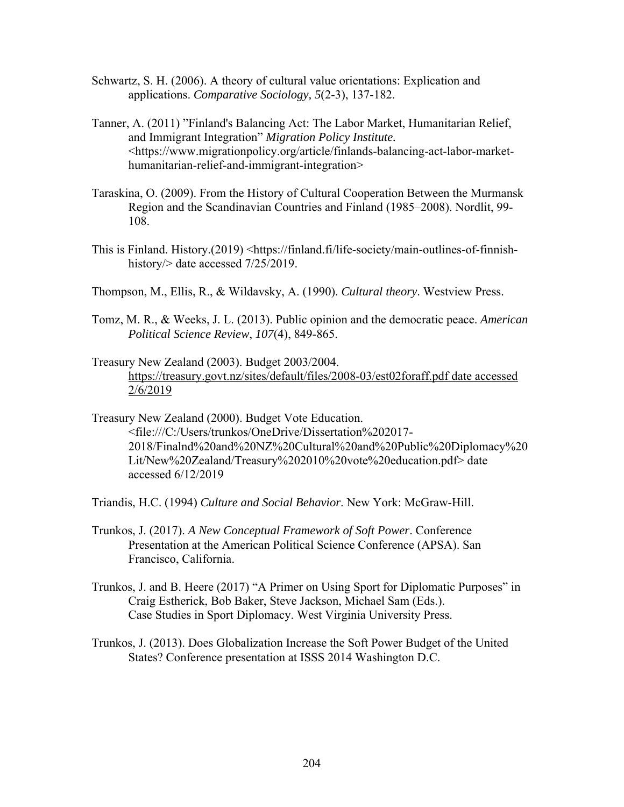- Schwartz, S. H. (2006). A theory of cultural value orientations: Explication and applications. *Comparative Sociology, 5*(2-3), 137-182.
- Tanner, A. (2011) "Finland's Balancing Act: The Labor Market, Humanitarian Relief, and Immigrant Integration" *Migration Policy Institute.* <https://www.migrationpolicy.org/article/finlands-balancing-act-labor-markethumanitarian-relief-and-immigrant-integration>
- Taraskina, O. (2009). From the History of Cultural Cooperation Between the Murmansk Region and the Scandinavian Countries and Finland (1985–2008). Nordlit, 99- 108.
- This is Finland. History.(2019) <https://finland.fi/life-society/main-outlines-of-finnishhistory/> date accessed 7/25/2019.
- Thompson, M., Ellis, R., & Wildavsky, A. (1990). *Cultural theory*. Westview Press.
- Tomz, M. R., & Weeks, J. L. (2013). Public opinion and the democratic peace. *American Political Science Review*, *107*(4), 849-865.
- Treasury New Zealand (2003). Budget 2003/2004. https://treasury.govt.nz/sites/default/files/2008-03/est02foraff.pdf date accessed 2/6/2019
- Treasury New Zealand (2000). Budget Vote Education. <file:///C:/Users/trunkos/OneDrive/Dissertation%202017- 2018/Finalnd%20and%20NZ%20Cultural%20and%20Public%20Diplomacy%20 Lit/New%20Zealand/Treasury%202010%20vote%20education.pdf> date accessed 6/12/2019
- Triandis, H.C. (1994) *Culture and Social Behavior*. New York: McGraw-Hill.
- Trunkos, J. (2017). *A New Conceptual Framework of Soft Power*. Conference Presentation at the American Political Science Conference (APSA). San Francisco, California.
- Trunkos, J. and B. Heere (2017) "A Primer on Using Sport for Diplomatic Purposes" in Craig Estherick, Bob Baker, Steve Jackson, Michael Sam (Eds.). Case Studies in Sport Diplomacy. West Virginia University Press.
- Trunkos, J. (2013). Does Globalization Increase the Soft Power Budget of the United States? Conference presentation at ISSS 2014 Washington D.C.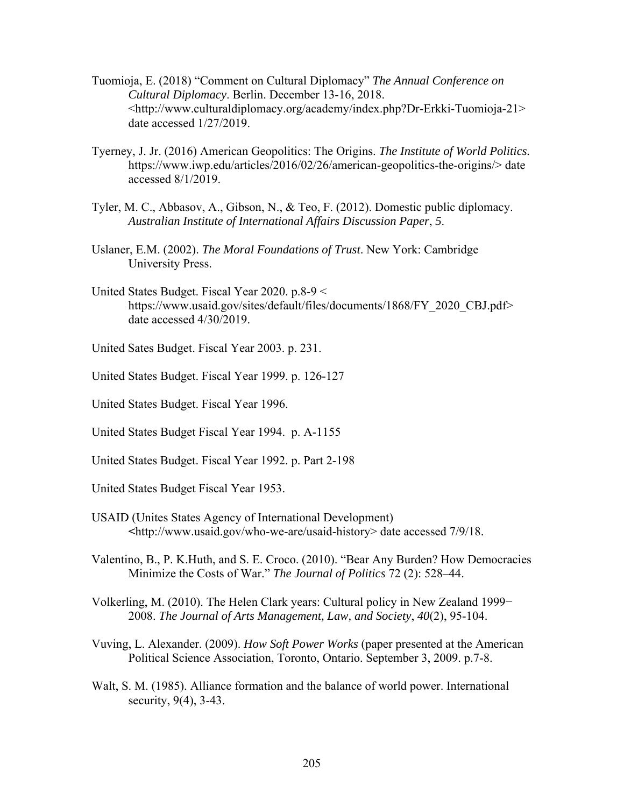- Tuomioja, E. (2018) "Comment on Cultural Diplomacy" *The Annual Conference on Cultural Diplomacy*. Berlin. December 13-16, 2018. <http://www.culturaldiplomacy.org/academy/index.php?Dr-Erkki-Tuomioja-21> date accessed 1/27/2019.
- Tyerney, J. Jr. (2016) American Geopolitics: The Origins. *The Institute of World Politics.* https://www.iwp.edu/articles/2016/02/26/american-geopolitics-the-origins/> date accessed 8/1/2019.
- Tyler, M. C., Abbasov, A., Gibson, N., & Teo, F. (2012). Domestic public diplomacy. *Australian Institute of International Affairs Discussion Paper*, *5*.
- Uslaner, E.M. (2002). *The Moral Foundations of Trust*. New York: Cambridge University Press.
- United States Budget. Fiscal Year 2020. p.8-9 < https://www.usaid.gov/sites/default/files/documents/1868/FY\_2020\_CBJ.pdf> date accessed 4/30/2019.
- United Sates Budget. Fiscal Year 2003. p. 231.
- United States Budget. Fiscal Year 1999. p. 126-127
- United States Budget. Fiscal Year 1996.
- United States Budget Fiscal Year 1994. p. A-1155
- United States Budget. Fiscal Year 1992. p. Part 2-198
- United States Budget Fiscal Year 1953.
- USAID (Unites States Agency of International Development) **<**http://www.usaid.gov/who-we-are/usaid-history> date accessed 7/9/18.
- Valentino, B., P. K.Huth, and S. E. Croco. (2010). "Bear Any Burden? How Democracies Minimize the Costs of War." *The Journal of Politics* 72 (2): 528–44.
- Volkerling, M. (2010). The Helen Clark years: Cultural policy in New Zealand 1999− 2008. *The Journal of Arts Management, Law, and Society*, *40*(2), 95-104.
- Vuving, L. Alexander. (2009). *How Soft Power Works* (paper presented at the American Political Science Association, Toronto, Ontario. September 3, 2009. p.7-8.
- Walt, S. M. (1985). Alliance formation and the balance of world power. International security, 9(4), 3-43.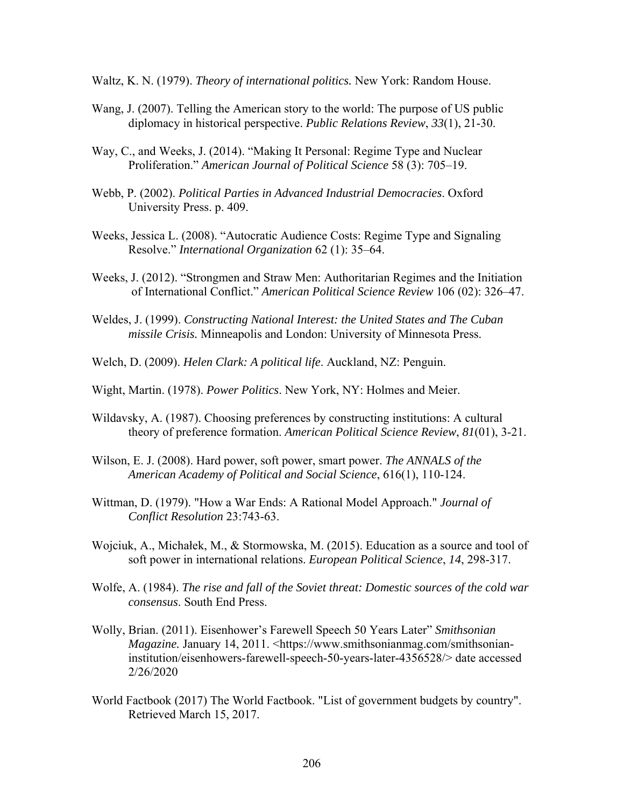- Waltz, K. N. (1979). *Theory of international politics.* New York: Random House.
- Wang, J. (2007). Telling the American story to the world: The purpose of US public diplomacy in historical perspective. *Public Relations Review*, *33*(1), 21-30.
- Way, C., and Weeks, J. (2014). "Making It Personal: Regime Type and Nuclear Proliferation." *American Journal of Political Science* 58 (3): 705–19.
- Webb, P. (2002). *Political Parties in Advanced Industrial Democracies*. Oxford University Press. p. 409.
- Weeks, Jessica L. (2008). "Autocratic Audience Costs: Regime Type and Signaling Resolve." *International Organization* 62 (1): 35–64.
- Weeks, J. (2012). "Strongmen and Straw Men: Authoritarian Regimes and the Initiation of International Conflict." *American Political Science Review* 106 (02): 326–47.
- Weldes, J. (1999). *Constructing National Interest: the United States and The Cuban missile Crisis.* Minneapolis and London: University of Minnesota Press.
- Welch, D. (2009). *Helen Clark: A political life*. Auckland, NZ: Penguin.
- Wight, Martin. (1978). *Power Politics*. New York, NY: Holmes and Meier.
- Wildavsky, A. (1987). Choosing preferences by constructing institutions: A cultural theory of preference formation. *American Political Science Review*, *81*(01), 3-21.
- Wilson, E. J. (2008). Hard power, soft power, smart power. *The ANNALS of the American Academy of Political and Social Science*, 616(1), 110-124.
- Wittman, D. (1979). "How a War Ends: A Rational Model Approach." *Journal of Conflict Resolution* 23:743-63.
- Wojciuk, A., Michałek, M., & Stormowska, M. (2015). Education as a source and tool of soft power in international relations. *European Political Science*, *14*, 298-317.
- Wolfe, A. (1984). *The rise and fall of the Soviet threat: Domestic sources of the cold war consensus*. South End Press.
- Wolly, Brian. (2011). Eisenhower's Farewell Speech 50 Years Later" *Smithsonian Magazine.* January 14, 2011. <https://www.smithsonianmag.com/smithsonianinstitution/eisenhowers-farewell-speech-50-years-later-4356528/> date accessed 2/26/2020
- World Factbook (2017) The World Factbook. "List of government budgets by country". Retrieved March 15, 2017.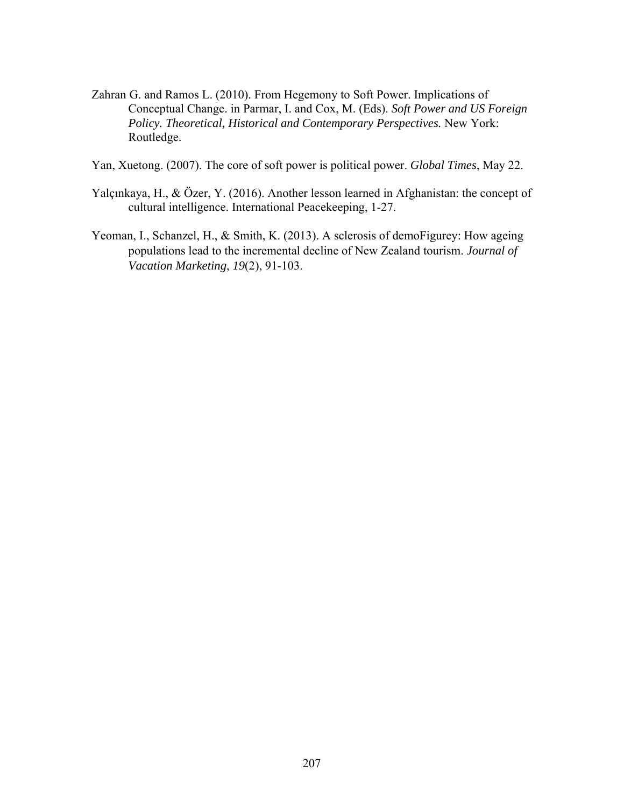Zahran G. and Ramos L. (2010). From Hegemony to Soft Power. Implications of Conceptual Change. in Parmar, I. and Cox, M. (Eds). *Soft Power and US Foreign Policy. Theoretical, Historical and Contemporary Perspectives.* New York: Routledge.

Yan, Xuetong. (2007). The core of soft power is political power. *Global Times*, May 22.

- Yalçınkaya, H., & Özer, Y. (2016). Another lesson learned in Afghanistan: the concept of cultural intelligence. International Peacekeeping, 1-27.
- Yeoman, I., Schanzel, H., & Smith, K. (2013). A sclerosis of demoFigurey: How ageing populations lead to the incremental decline of New Zealand tourism. *Journal of Vacation Marketing*, *19*(2), 91-103.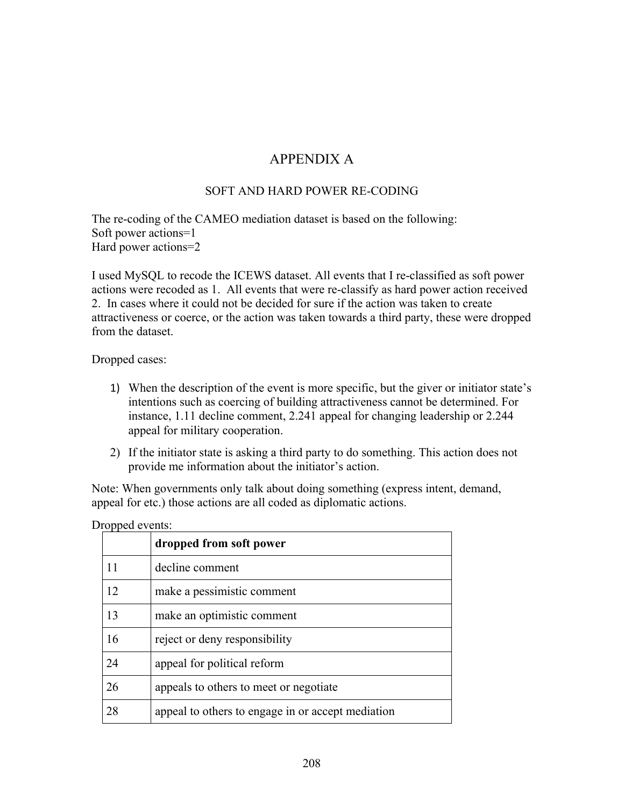## APPENDIX A

### SOFT AND HARD POWER RE-CODING

The re-coding of the CAMEO mediation dataset is based on the following: Soft power actions=1 Hard power actions=2

I used MySQL to recode the ICEWS dataset. All events that I re-classified as soft power actions were recoded as 1. All events that were re-classify as hard power action received 2. In cases where it could not be decided for sure if the action was taken to create attractiveness or coerce, or the action was taken towards a third party, these were dropped from the dataset.

Dropped cases:

- 1) When the description of the event is more specific, but the giver or initiator state's intentions such as coercing of building attractiveness cannot be determined. For instance, 1.11 decline comment, 2.241 appeal for changing leadership or 2.244 appeal for military cooperation.
- 2) If the initiator state is asking a third party to do something. This action does not provide me information about the initiator's action.

Note: When governments only talk about doing something (express intent, demand, appeal for etc.) those actions are all coded as diplomatic actions.

|    | dropped from soft power                           |
|----|---------------------------------------------------|
| 11 | decline comment                                   |
| 12 | make a pessimistic comment                        |
| 13 | make an optimistic comment                        |
| 16 | reject or deny responsibility                     |
| 24 | appeal for political reform                       |
| 26 | appeals to others to meet or negotiate            |
| 28 | appeal to others to engage in or accept mediation |

Dropped events: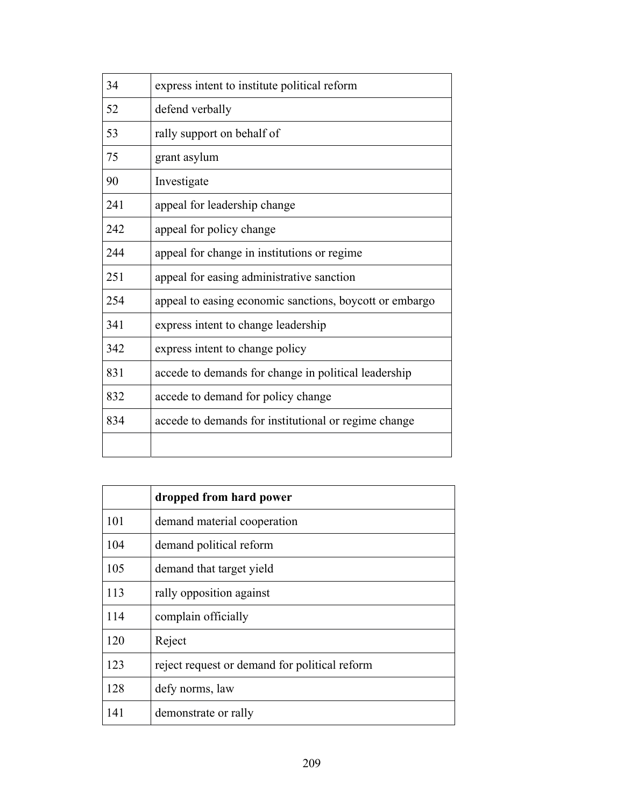| 34  | express intent to institute political reform            |
|-----|---------------------------------------------------------|
| 52  | defend verbally                                         |
| 53  | rally support on behalf of                              |
| 75  | grant asylum                                            |
| 90  | Investigate                                             |
| 241 | appeal for leadership change                            |
| 242 | appeal for policy change                                |
| 244 | appeal for change in institutions or regime             |
| 251 | appeal for easing administrative sanction               |
| 254 | appeal to easing economic sanctions, boycott or embargo |
| 341 | express intent to change leadership                     |
| 342 | express intent to change policy                         |
| 831 | accede to demands for change in political leadership    |
| 832 | accede to demand for policy change                      |
| 834 | accede to demands for institutional or regime change    |
|     |                                                         |

|     | dropped from hard power                       |
|-----|-----------------------------------------------|
| 101 | demand material cooperation                   |
| 104 | demand political reform                       |
| 105 | demand that target yield                      |
| 113 | rally opposition against                      |
| 114 | complain officially                           |
| 120 | Reject                                        |
| 123 | reject request or demand for political reform |
| 128 | defy norms, law                               |
| 141 | demonstrate or rally                          |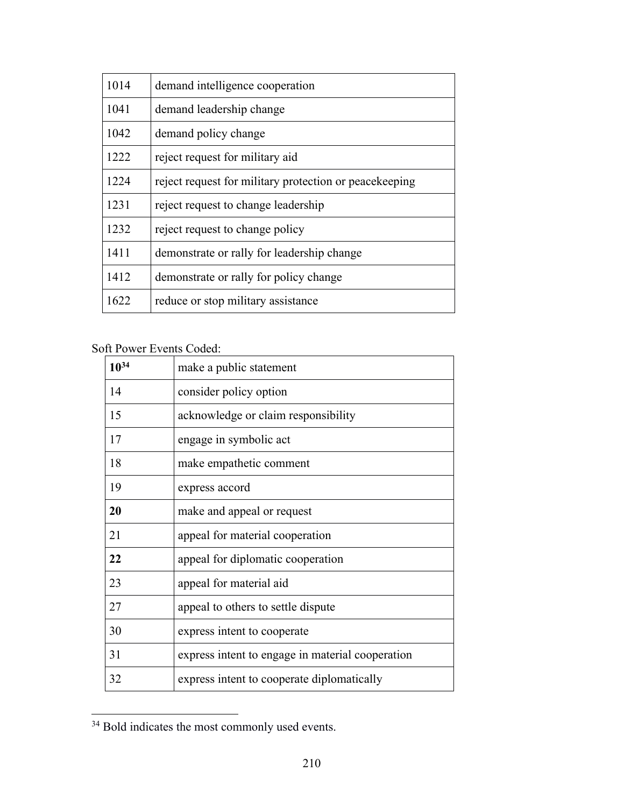| 1014 | demand intelligence cooperation                        |
|------|--------------------------------------------------------|
| 1041 | demand leadership change                               |
| 1042 | demand policy change                                   |
| 1222 | reject request for military aid                        |
| 1224 | reject request for military protection or peacekeeping |
| 1231 | reject request to change leadership                    |
| 1232 | reject request to change policy                        |
| 1411 | demonstrate or rally for leadership change             |
| 1412 | demonstrate or rally for policy change                 |
| 1622 | reduce or stop military assistance                     |

# Soft Power Events Coded:

| $10^{34}$ | make a public statement                          |
|-----------|--------------------------------------------------|
| 14        | consider policy option                           |
| 15        | acknowledge or claim responsibility              |
| 17        | engage in symbolic act                           |
| 18        | make empathetic comment                          |
| 19        | express accord                                   |
| 20        | make and appeal or request                       |
| 21        | appeal for material cooperation                  |
| 22        | appeal for diplomatic cooperation                |
| 23        | appeal for material aid                          |
| 27        | appeal to others to settle dispute               |
| 30        | express intent to cooperate                      |
| 31        | express intent to engage in material cooperation |
| 32        | express intent to cooperate diplomatically       |

<sup>&</sup>lt;sup>34</sup> Bold indicates the most commonly used events.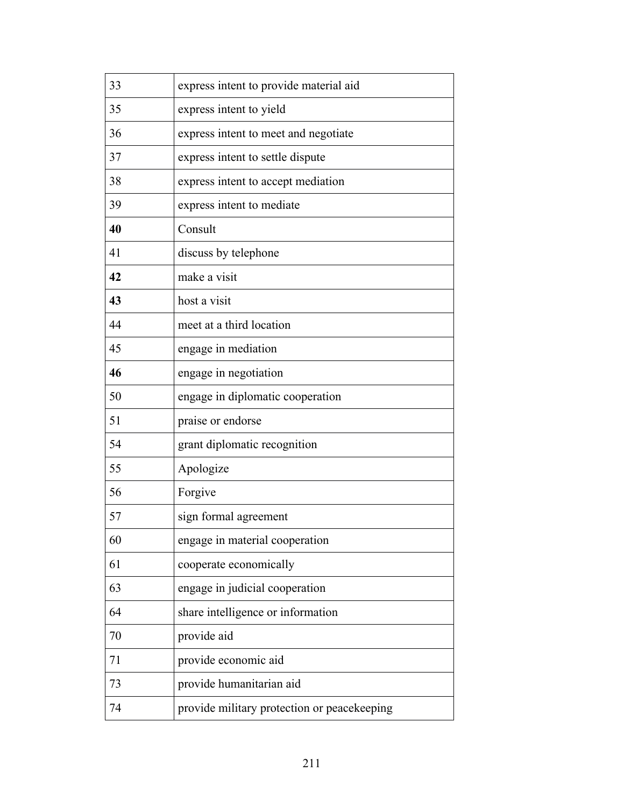| 33 | express intent to provide material aid      |
|----|---------------------------------------------|
| 35 | express intent to yield                     |
| 36 | express intent to meet and negotiate        |
| 37 | express intent to settle dispute            |
| 38 | express intent to accept mediation          |
| 39 | express intent to mediate                   |
| 40 | Consult                                     |
| 41 | discuss by telephone                        |
| 42 | make a visit                                |
| 43 | host a visit                                |
| 44 | meet at a third location                    |
| 45 | engage in mediation                         |
| 46 | engage in negotiation                       |
| 50 | engage in diplomatic cooperation            |
| 51 | praise or endorse                           |
| 54 | grant diplomatic recognition                |
| 55 | Apologize                                   |
| 56 | Forgive                                     |
| 57 | sign formal agreement                       |
| 60 | engage in material cooperation              |
| 61 | cooperate economically                      |
| 63 | engage in judicial cooperation              |
| 64 | share intelligence or information           |
| 70 | provide aid                                 |
| 71 | provide economic aid                        |
| 73 | provide humanitarian aid                    |
| 74 | provide military protection or peacekeeping |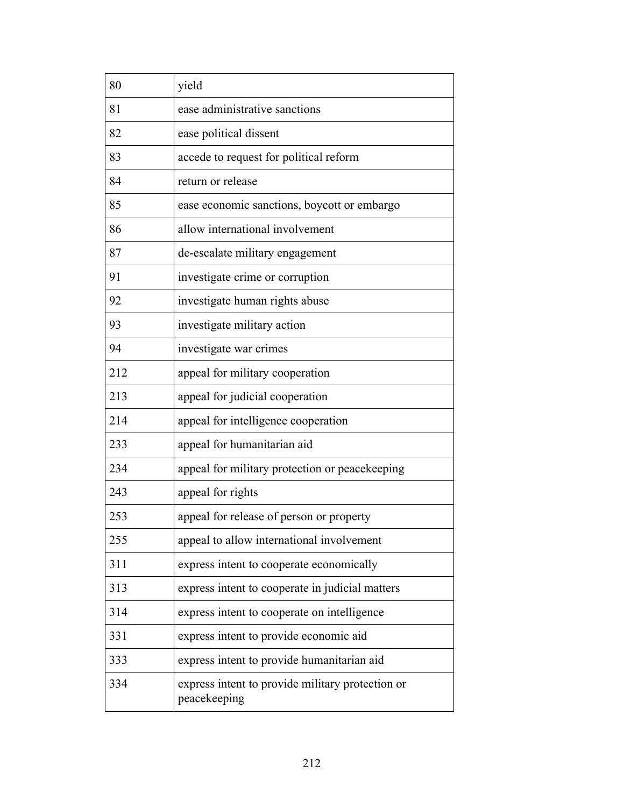| 80  | yield                                                            |
|-----|------------------------------------------------------------------|
| 81  | ease administrative sanctions                                    |
| 82  | ease political dissent                                           |
| 83  | accede to request for political reform                           |
| 84  | return or release                                                |
| 85  | ease economic sanctions, boycott or embargo                      |
| 86  | allow international involvement                                  |
| 87  | de-escalate military engagement                                  |
| 91  | investigate crime or corruption                                  |
| 92  | investigate human rights abuse                                   |
| 93  | investigate military action                                      |
| 94  | investigate war crimes                                           |
| 212 | appeal for military cooperation                                  |
| 213 | appeal for judicial cooperation                                  |
| 214 | appeal for intelligence cooperation                              |
| 233 | appeal for humanitarian aid                                      |
| 234 | appeal for military protection or peacekeeping                   |
| 243 | appeal for rights                                                |
| 253 | appeal for release of person or property                         |
| 255 | appeal to allow international involvement                        |
| 311 | express intent to cooperate economically                         |
| 313 | express intent to cooperate in judicial matters                  |
| 314 | express intent to cooperate on intelligence                      |
| 331 | express intent to provide economic aid                           |
| 333 | express intent to provide humanitarian aid                       |
| 334 | express intent to provide military protection or<br>peacekeeping |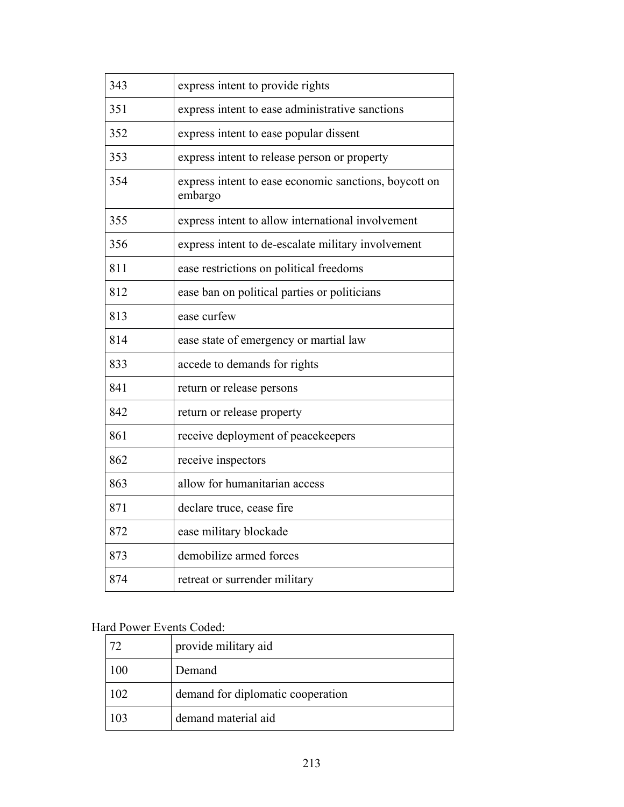| 343 | express intent to provide rights                                 |
|-----|------------------------------------------------------------------|
| 351 | express intent to ease administrative sanctions                  |
| 352 | express intent to ease popular dissent                           |
| 353 | express intent to release person or property                     |
| 354 | express intent to ease economic sanctions, boycott on<br>embargo |
| 355 | express intent to allow international involvement                |
| 356 | express intent to de-escalate military involvement               |
| 811 | ease restrictions on political freedoms                          |
| 812 | ease ban on political parties or politicians                     |
| 813 | ease curfew                                                      |
| 814 | ease state of emergency or martial law                           |
| 833 | accede to demands for rights                                     |
| 841 | return or release persons                                        |
| 842 | return or release property                                       |
| 861 | receive deployment of peacekeepers                               |
| 862 | receive inspectors                                               |
| 863 | allow for humanitarian access                                    |
| 871 | declare truce, cease fire                                        |
| 872 | ease military blockade                                           |
| 873 | demobilize armed forces                                          |
| 874 | retreat or surrender military                                    |

Hard Power Events Coded:

| 72  | provide military aid              |
|-----|-----------------------------------|
| 100 | Demand                            |
| 102 | demand for diplomatic cooperation |
| 103 | demand material aid               |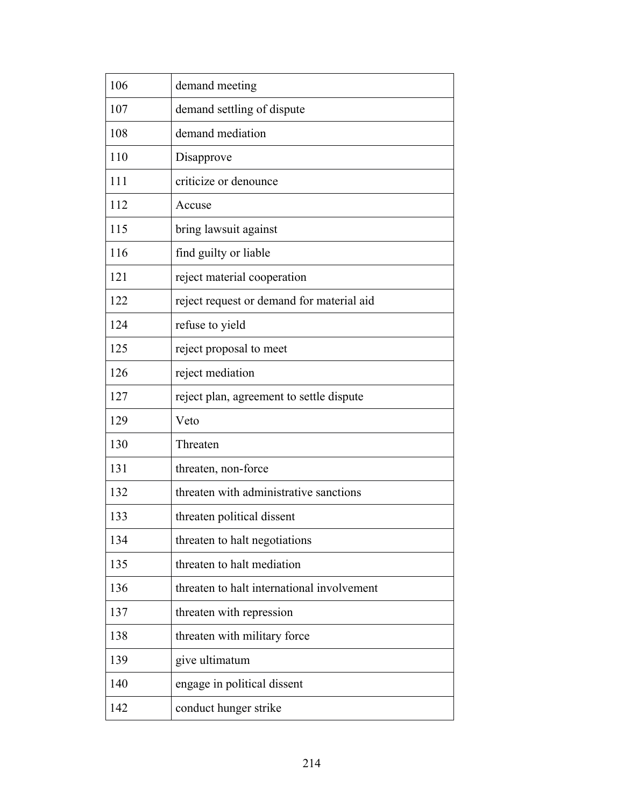| 106 | demand meeting                             |
|-----|--------------------------------------------|
| 107 | demand settling of dispute                 |
| 108 | demand mediation                           |
| 110 | Disapprove                                 |
| 111 | criticize or denounce                      |
| 112 | Accuse                                     |
| 115 | bring lawsuit against                      |
| 116 | find guilty or liable                      |
| 121 | reject material cooperation                |
| 122 | reject request or demand for material aid  |
| 124 | refuse to yield                            |
| 125 | reject proposal to meet                    |
| 126 | reject mediation                           |
| 127 | reject plan, agreement to settle dispute   |
| 129 | Veto                                       |
| 130 | Threaten                                   |
| 131 | threaten, non-force                        |
| 132 | threaten with administrative sanctions     |
| 133 | threaten political dissent                 |
| 134 | threaten to halt negotiations              |
| 135 | threaten to halt mediation                 |
| 136 | threaten to halt international involvement |
| 137 | threaten with repression                   |
| 138 | threaten with military force               |
| 139 | give ultimatum                             |
| 140 | engage in political dissent                |
| 142 | conduct hunger strike                      |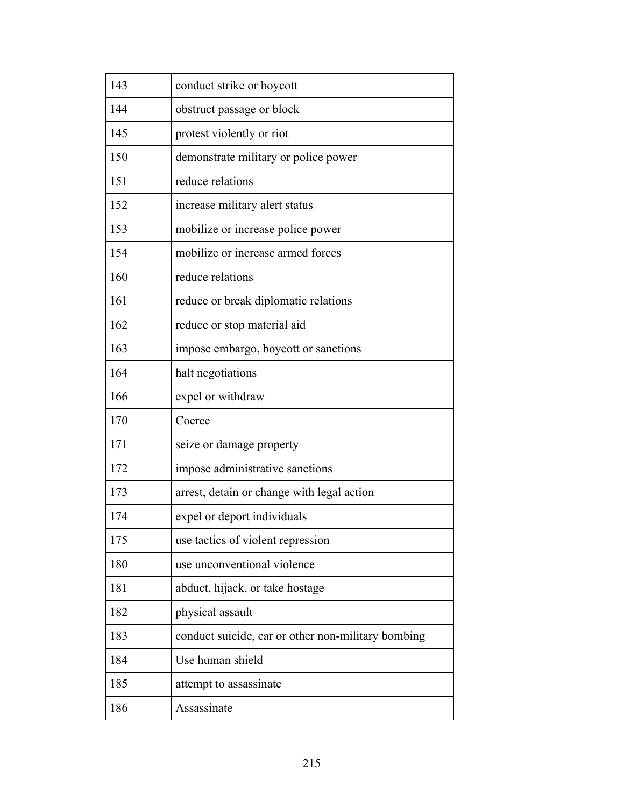| 143 | conduct strike or boycott                          |
|-----|----------------------------------------------------|
| 144 | obstruct passage or block                          |
| 145 | protest violently or riot                          |
| 150 | demonstrate military or police power               |
| 151 | reduce relations                                   |
| 152 | increase military alert status                     |
| 153 | mobilize or increase police power                  |
| 154 | mobilize or increase armed forces                  |
| 160 | reduce relations                                   |
| 161 | reduce or break diplomatic relations               |
| 162 | reduce or stop material aid                        |
| 163 | impose embargo, boycott or sanctions               |
| 164 | halt negotiations                                  |
| 166 | expel or withdraw                                  |
| 170 | Coerce                                             |
| 171 | seize or damage property                           |
| 172 | impose administrative sanctions                    |
| 173 | arrest, detain or change with legal action         |
| 174 | expel or deport individuals                        |
| 175 | use tactics of violent repression                  |
| 180 | use unconventional violence                        |
| 181 | abduct, hijack, or take hostage                    |
| 182 | physical assault                                   |
| 183 | conduct suicide, car or other non-military bombing |
| 184 | Use human shield                                   |
| 185 | attempt to assassinate                             |
| 186 | Assassinate                                        |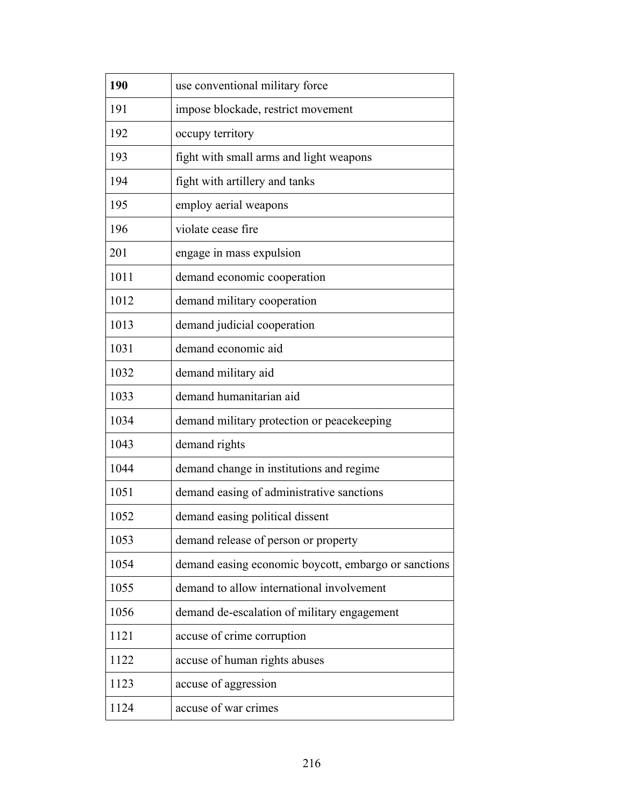| 190  | use conventional military force                      |
|------|------------------------------------------------------|
| 191  | impose blockade, restrict movement                   |
| 192  | occupy territory                                     |
| 193  | fight with small arms and light weapons              |
| 194  | fight with artillery and tanks                       |
| 195  | employ aerial weapons                                |
| 196  | violate cease fire                                   |
| 201  | engage in mass expulsion                             |
| 1011 | demand economic cooperation                          |
| 1012 | demand military cooperation                          |
| 1013 | demand judicial cooperation                          |
| 1031 | demand economic aid                                  |
| 1032 | demand military aid                                  |
| 1033 | demand humanitarian aid                              |
| 1034 | demand military protection or peacekeeping           |
| 1043 | demand rights                                        |
| 1044 | demand change in institutions and regime             |
| 1051 | demand easing of administrative sanctions            |
| 1052 | demand easing political dissent                      |
| 1053 | demand release of person or property                 |
| 1054 | demand easing economic boycott, embargo or sanctions |
| 1055 | demand to allow international involvement            |
| 1056 | demand de-escalation of military engagement          |
| 1121 | accuse of crime corruption                           |
| 1122 | accuse of human rights abuses                        |
| 1123 | accuse of aggression                                 |
| 1124 | accuse of war crimes                                 |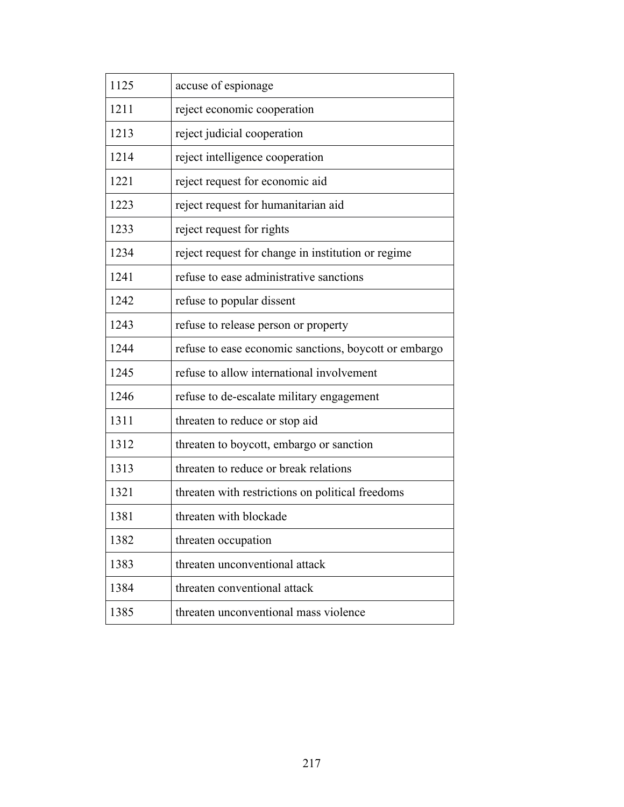| 1125 | accuse of espionage                                   |
|------|-------------------------------------------------------|
| 1211 | reject economic cooperation                           |
| 1213 | reject judicial cooperation                           |
| 1214 | reject intelligence cooperation                       |
| 1221 | reject request for economic aid                       |
| 1223 | reject request for humanitarian aid                   |
| 1233 | reject request for rights                             |
| 1234 | reject request for change in institution or regime    |
| 1241 | refuse to ease administrative sanctions               |
| 1242 | refuse to popular dissent                             |
| 1243 | refuse to release person or property                  |
| 1244 | refuse to ease economic sanctions, boycott or embargo |
| 1245 | refuse to allow international involvement             |
| 1246 | refuse to de-escalate military engagement             |
| 1311 | threaten to reduce or stop aid                        |
| 1312 | threaten to boycott, embargo or sanction              |
| 1313 | threaten to reduce or break relations                 |
| 1321 | threaten with restrictions on political freedoms      |
| 1381 | threaten with blockade                                |
| 1382 | threaten occupation                                   |
| 1383 | threaten unconventional attack                        |
| 1384 | threaten conventional attack                          |
| 1385 | threaten unconventional mass violence                 |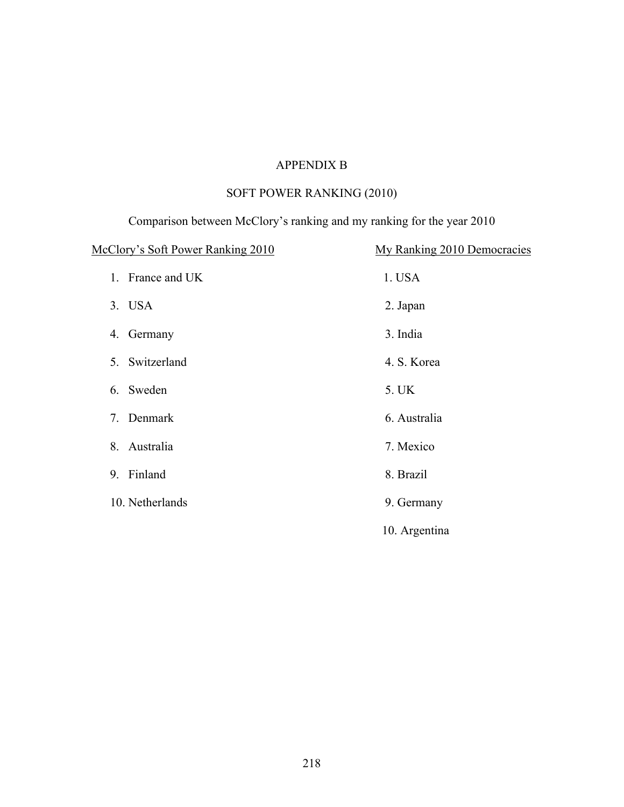# APPENDIX B

# SOFT POWER RANKING (2010)

# Comparison between McClory's ranking and my ranking for the year 2010

| McClory's Soft Power Ranking 2010 | My Ranking 2010 Democracies |
|-----------------------------------|-----------------------------|
| 1. France and UK                  | 1. USA                      |
| 3. USA                            | 2. Japan                    |
| 4. Germany                        | 3. India                    |
| 5. Switzerland                    | 4. S. Korea                 |
| 6. Sweden                         | 5. UK                       |
| 7. Denmark                        | 6. Australia                |
| 8. Australia                      | 7. Mexico                   |
| 9. Finland                        | 8. Brazil                   |
| 10. Netherlands                   | 9. Germany                  |
|                                   | 10. Argentina               |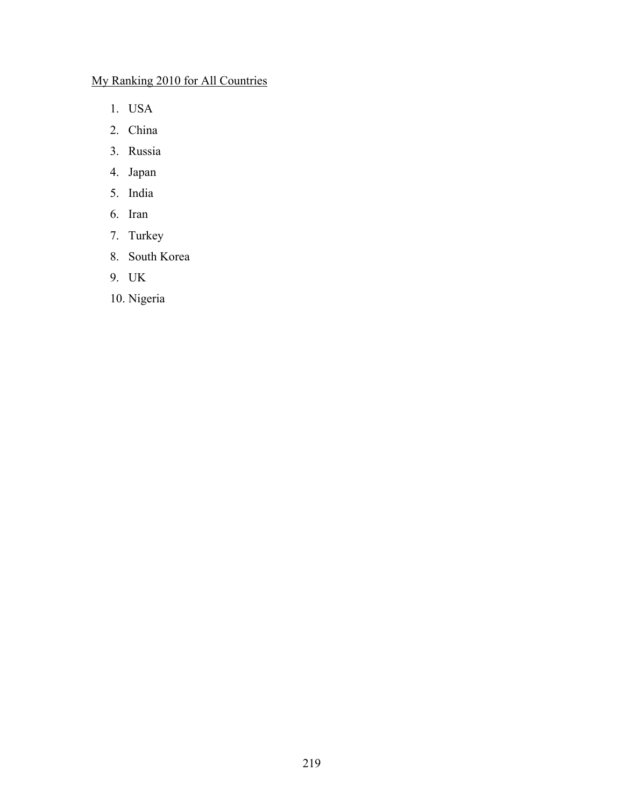# My Ranking 2010 for All Countries

- 1. USA
- 2. China
- 3. Russia
- 4. Japan
- 5. India
- 6. Iran
- 7. Turkey
- 8. South Korea
- 9. UK
- 10. Nigeria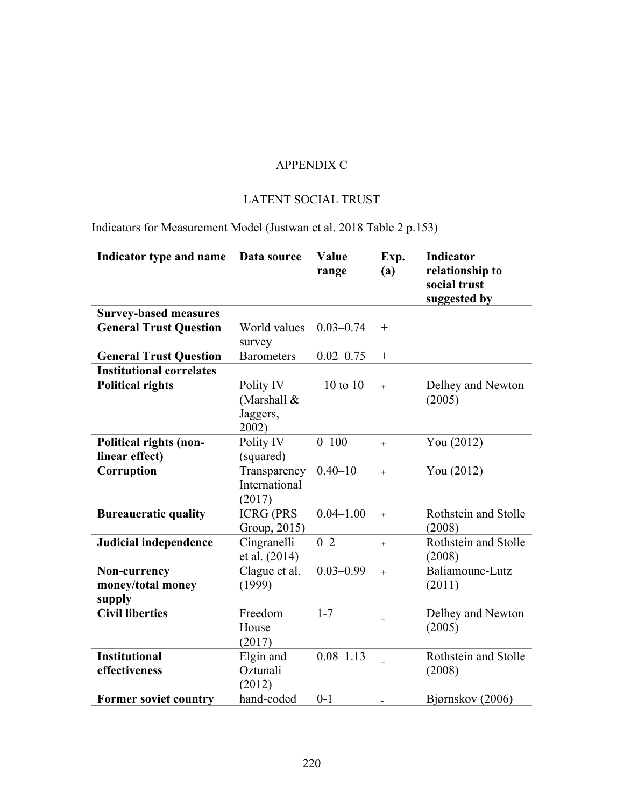# APPENDIX C

# LATENT SOCIAL TRUST

Indicators for Measurement Model (Justwan et al. 2018 Table 2 p.153)

| Indicator type and name                         | Data source                                   | Value<br>range | Exp.<br>(a) | <b>Indicator</b><br>relationship to<br>social trust<br>suggested by |
|-------------------------------------------------|-----------------------------------------------|----------------|-------------|---------------------------------------------------------------------|
| <b>Survey-based measures</b>                    |                                               |                |             |                                                                     |
| <b>General Trust Question</b>                   | World values<br>survey                        | $0.03 - 0.74$  | $+$         |                                                                     |
| <b>General Trust Question</b>                   | <b>Barometers</b>                             | $0.02 - 0.75$  | $+$         |                                                                     |
| <b>Institutional correlates</b>                 |                                               |                |             |                                                                     |
| <b>Political rights</b>                         | Polity IV<br>(Marshall &<br>Jaggers,<br>2002) | $-10$ to 10    | $+$         | Delhey and Newton<br>(2005)                                         |
| <b>Political rights (non-</b><br>linear effect) | Polity IV<br>(squared)                        | $0 - 100$      | $+$         | You (2012)                                                          |
| Corruption                                      | Transparency<br>International<br>(2017)       | $0.40 - 10$    | $+$         | You (2012)                                                          |
| <b>Bureaucratic quality</b>                     | <b>ICRG (PRS</b><br>Group, 2015)              | $0.04 - 1.00$  | $\ddot{}$   | Rothstein and Stolle<br>(2008)                                      |
| Judicial independence                           | Cingranelli<br>et al. (2014)                  | $0 - 2$        | $+$         | Rothstein and Stolle<br>(2008)                                      |
| Non-currency<br>money/total money<br>supply     | Clague et al.<br>(1999)                       | $0.03 - 0.99$  | $\ddot{}$   | Baliamoune-Lutz<br>(2011)                                           |
| <b>Civil liberties</b>                          | Freedom<br>House<br>(2017)                    | $1 - 7$        |             | Delhey and Newton<br>(2005)                                         |
| <b>Institutional</b><br>effectiveness           | Elgin and<br>Oztunali<br>(2012)               | $0.08 - 1.13$  |             | Rothstein and Stolle<br>(2008)                                      |
| <b>Former soviet country</b>                    | hand-coded                                    | $0 - 1$        |             | Bjørnskov (2006)                                                    |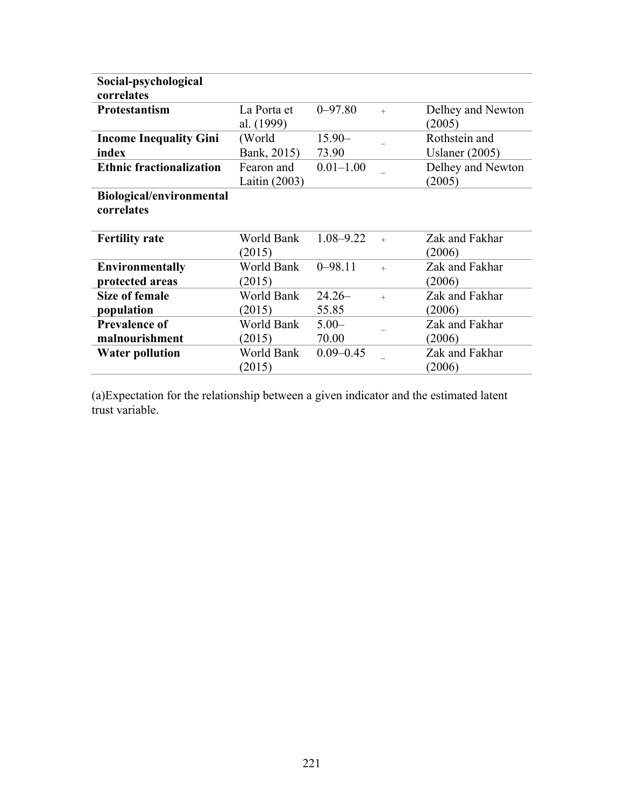| Social-psychological<br>correlates            |                               |                   |            |                                   |
|-----------------------------------------------|-------------------------------|-------------------|------------|-----------------------------------|
| <b>Protestantism</b>                          | La Porta et<br>al. (1999)     | $0 - 97.80$       | $+$        | Delhey and Newton<br>(2005)       |
| <b>Income Inequality Gini</b><br>index        | (World<br>Bank, 2015)         | $15.90-$<br>73.90 |            | Rothstein and<br>Uslaner $(2005)$ |
| <b>Ethnic fractionalization</b>               | Fearon and<br>Laitin $(2003)$ | $0.01 - 1.00$     |            | Delhey and Newton<br>(2005)       |
| <b>Biological/environmental</b><br>correlates |                               |                   |            |                                   |
| <b>Fertility rate</b>                         | World Bank<br>(2015)          | $1.08 - 9.22$     | $\ddot{+}$ | Zak and Fakhar<br>(2006)          |
| <b>Environmentally</b><br>protected areas     | World Bank<br>(2015)          | $0 - 98.11$       | $\ddot{}$  | Zak and Fakhar<br>(2006)          |
| <b>Size of female</b><br>population           | World Bank<br>(2015)          | $24.26-$<br>55.85 | $\ddot{}$  | Zak and Fakhar<br>(2006)          |
| <b>Prevalence of</b><br>malnourishment        | World Bank<br>(2015)          | $5.00-$<br>70.00  |            | Zak and Fakhar<br>(2006)          |
| <b>Water pollution</b>                        | World Bank<br>(2015)          | $0.09 - 0.45$     |            | Zak and Fakhar<br>(2006)          |
|                                               |                               |                   |            |                                   |

(a)Expectation for the relationship between a given indicator and the estimated latent trust variable.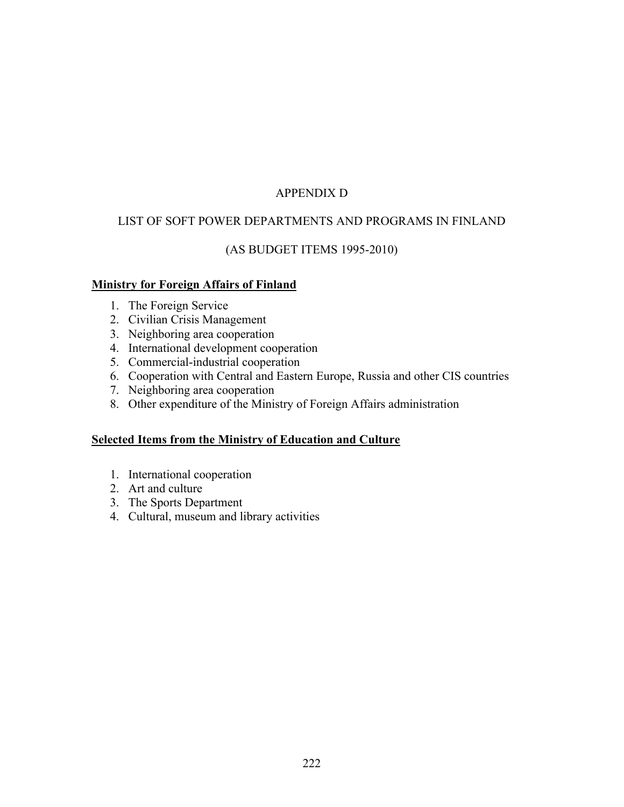## APPENDIX D

### LIST OF SOFT POWER DEPARTMENTS AND PROGRAMS IN FINLAND

### (AS BUDGET ITEMS 1995-2010)

### **Ministry for Foreign Affairs of Finland**

- 1. The Foreign Service
- 2. Civilian Crisis Management
- 3. Neighboring area cooperation
- 4. International development cooperation
- 5. Commercial-industrial cooperation
- 6. Cooperation with Central and Eastern Europe, Russia and other CIS countries
- 7. Neighboring area cooperation
- 8. Other expenditure of the Ministry of Foreign Affairs administration

# **Selected Items from the Ministry of Education and Culture**

- 1. International cooperation
- 2. Art and culture
- 3. The Sports Department
- 4. Cultural, museum and library activities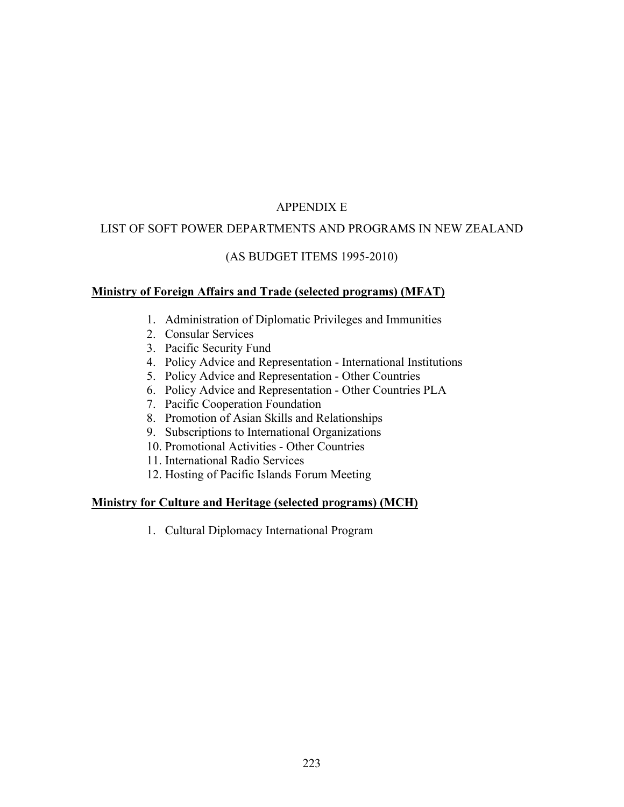### APPENDIX E

#### LIST OF SOFT POWER DEPARTMENTS AND PROGRAMS IN NEW ZEALAND

#### (AS BUDGET ITEMS 1995-2010)

#### **Ministry of Foreign Affairs and Trade (selected programs) (MFAT)**

- 1. Administration of Diplomatic Privileges and Immunities
- 2. Consular Services
- 3. Pacific Security Fund
- 4. Policy Advice and Representation International Institutions
- 5. Policy Advice and Representation Other Countries
- 6. Policy Advice and Representation Other Countries PLA
- 7. Pacific Cooperation Foundation
- 8. Promotion of Asian Skills and Relationships
- 9. Subscriptions to International Organizations
- 10. Promotional Activities Other Countries
- 11. International Radio Services
- 12. Hosting of Pacific Islands Forum Meeting

#### **Ministry for Culture and Heritage (selected programs) (MCH)**

1. Cultural Diplomacy International Program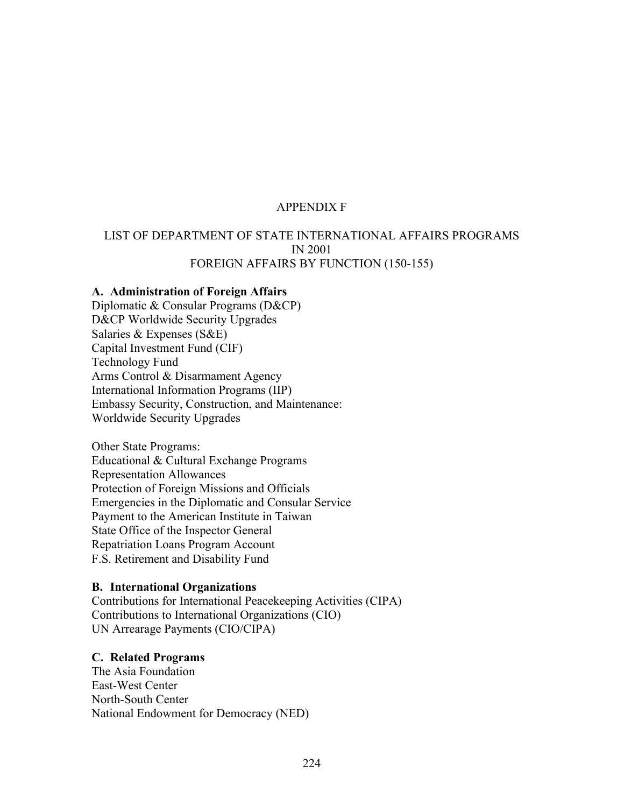### APPENDIX F

### LIST OF DEPARTMENT OF STATE INTERNATIONAL AFFAIRS PROGRAMS IN 2001 FOREIGN AFFAIRS BY FUNCTION (150-155)

#### **A. Administration of Foreign Affairs**

Diplomatic & Consular Programs (D&CP) D&CP Worldwide Security Upgrades Salaries & Expenses (S&E) Capital Investment Fund (CIF) Technology Fund Arms Control & Disarmament Agency International Information Programs (IIP) Embassy Security, Construction, and Maintenance: Worldwide Security Upgrades

Other State Programs: Educational & Cultural Exchange Programs Representation Allowances Protection of Foreign Missions and Officials Emergencies in the Diplomatic and Consular Service Payment to the American Institute in Taiwan State Office of the Inspector General Repatriation Loans Program Account F.S. Retirement and Disability Fund

#### **B. International Organizations**

Contributions for International Peacekeeping Activities (CIPA) Contributions to International Organizations (CIO) UN Arrearage Payments (CIO/CIPA)

#### **C. Related Programs**

The Asia Foundation East-West Center North-South Center National Endowment for Democracy (NED)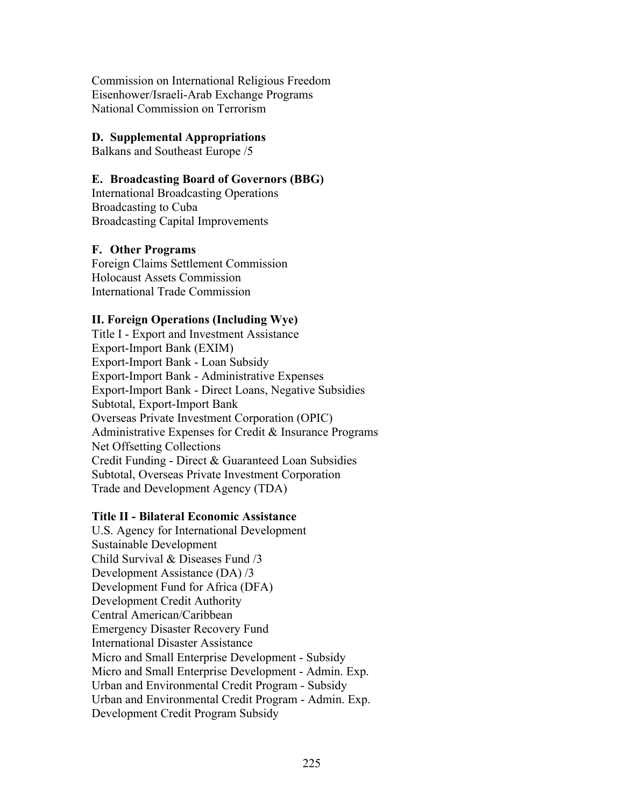Commission on International Religious Freedom Eisenhower/Israeli-Arab Exchange Programs National Commission on Terrorism

#### **D. Supplemental Appropriations**

Balkans and Southeast Europe /5

### **E. Broadcasting Board of Governors (BBG)**

International Broadcasting Operations Broadcasting to Cuba Broadcasting Capital Improvements

### **F. Other Programs**

Foreign Claims Settlement Commission Holocaust Assets Commission International Trade Commission

### **II. Foreign Operations (Including Wye)**

Title I - Export and Investment Assistance Export-Import Bank (EXIM) Export-Import Bank - Loan Subsidy Export-Import Bank - Administrative Expenses Export-Import Bank - Direct Loans, Negative Subsidies Subtotal, Export-Import Bank Overseas Private Investment Corporation (OPIC) Administrative Expenses for Credit & Insurance Programs Net Offsetting Collections Credit Funding - Direct & Guaranteed Loan Subsidies Subtotal, Overseas Private Investment Corporation Trade and Development Agency (TDA)

#### **Title II - Bilateral Economic Assistance**

U.S. Agency for International Development Sustainable Development Child Survival & Diseases Fund /3 Development Assistance (DA) /3 Development Fund for Africa (DFA) Development Credit Authority Central American/Caribbean Emergency Disaster Recovery Fund International Disaster Assistance Micro and Small Enterprise Development - Subsidy Micro and Small Enterprise Development - Admin. Exp. Urban and Environmental Credit Program - Subsidy Urban and Environmental Credit Program - Admin. Exp. Development Credit Program Subsidy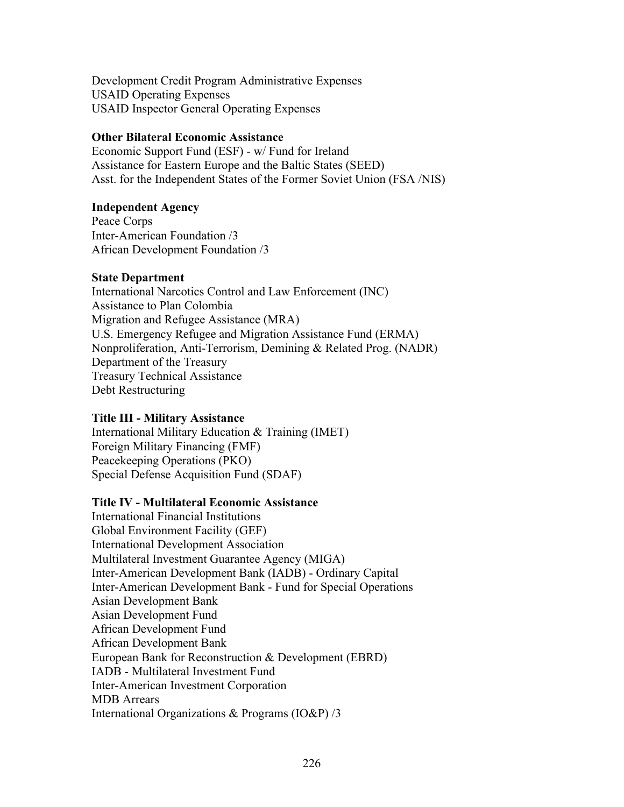Development Credit Program Administrative Expenses USAID Operating Expenses USAID Inspector General Operating Expenses

#### **Other Bilateral Economic Assistance**

Economic Support Fund (ESF) - w/ Fund for Ireland Assistance for Eastern Europe and the Baltic States (SEED) Asst. for the Independent States of the Former Soviet Union (FSA /NIS)

### **Independent Agency**

Peace Corps Inter-American Foundation /3 African Development Foundation /3

### **State Department**

International Narcotics Control and Law Enforcement (INC) Assistance to Plan Colombia Migration and Refugee Assistance (MRA) U.S. Emergency Refugee and Migration Assistance Fund (ERMA) Nonproliferation, Anti-Terrorism, Demining & Related Prog. (NADR) Department of the Treasury Treasury Technical Assistance Debt Restructuring

### **Title III - Military Assistance**

International Military Education & Training (IMET) Foreign Military Financing (FMF) Peacekeeping Operations (PKO) Special Defense Acquisition Fund (SDAF)

#### **Title IV - Multilateral Economic Assistance**

International Financial Institutions Global Environment Facility (GEF) International Development Association Multilateral Investment Guarantee Agency (MIGA) Inter-American Development Bank (IADB) - Ordinary Capital Inter-American Development Bank - Fund for Special Operations Asian Development Bank Asian Development Fund African Development Fund African Development Bank European Bank for Reconstruction & Development (EBRD) IADB - Multilateral Investment Fund Inter-American Investment Corporation MDB Arrears International Organizations & Programs (IO&P) /3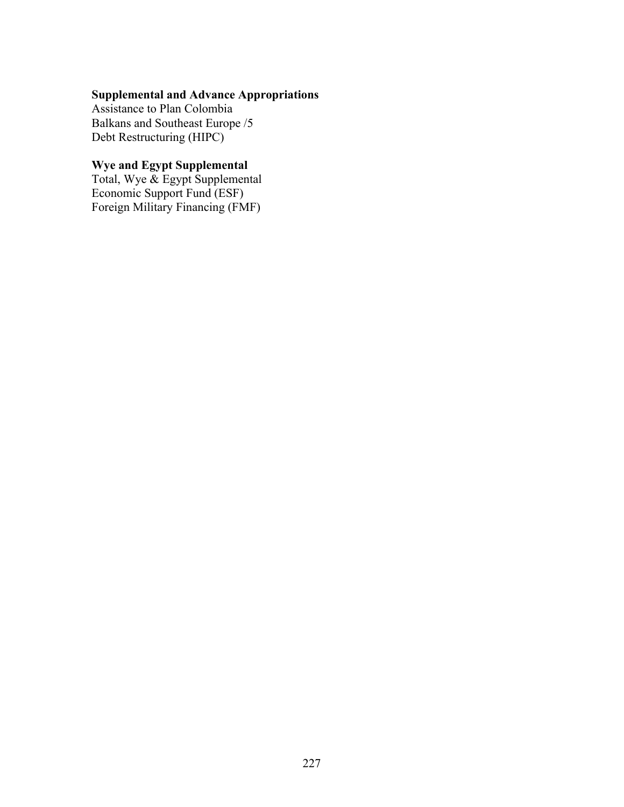### **Supplemental and Advance Appropriations**

Assistance to Plan Colombia Balkans and Southeast Europe /5 Debt Restructuring (HIPC)

# **Wye and Egypt Supplemental**

Total, Wye & Egypt Supplemental Economic Support Fund (ESF) Foreign Military Financing (FMF)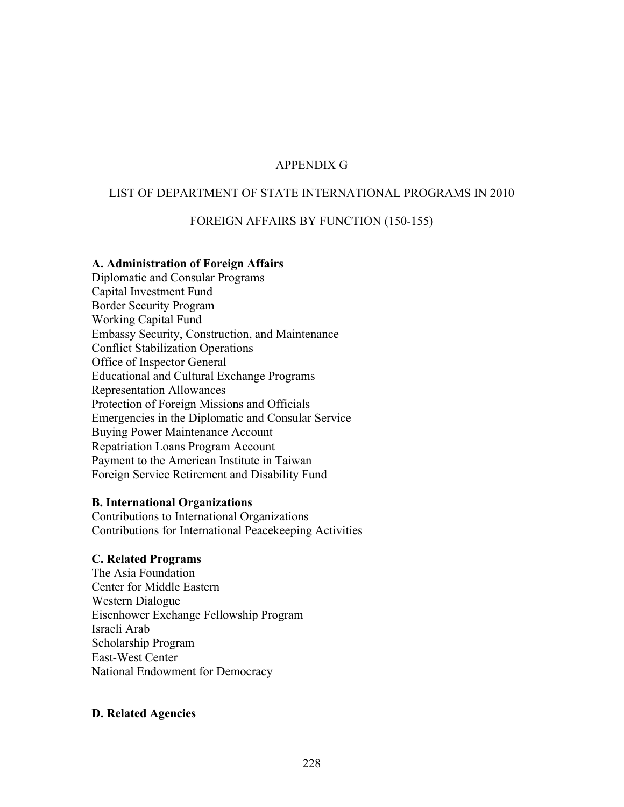### APPENDIX G

#### LIST OF DEPARTMENT OF STATE INTERNATIONAL PROGRAMS IN 2010

#### FOREIGN AFFAIRS BY FUNCTION (150-155)

#### **A. Administration of Foreign Affairs**

Diplomatic and Consular Programs Capital Investment Fund Border Security Program Working Capital Fund Embassy Security, Construction, and Maintenance Conflict Stabilization Operations Office of Inspector General Educational and Cultural Exchange Programs Representation Allowances Protection of Foreign Missions and Officials Emergencies in the Diplomatic and Consular Service Buying Power Maintenance Account Repatriation Loans Program Account Payment to the American Institute in Taiwan Foreign Service Retirement and Disability Fund

#### **B. International Organizations**

Contributions to International Organizations Contributions for International Peacekeeping Activities

#### **C. Related Programs**

The Asia Foundation Center for Middle Eastern Western Dialogue Eisenhower Exchange Fellowship Program Israeli Arab Scholarship Program East-West Center National Endowment for Democracy

#### **D. Related Agencies**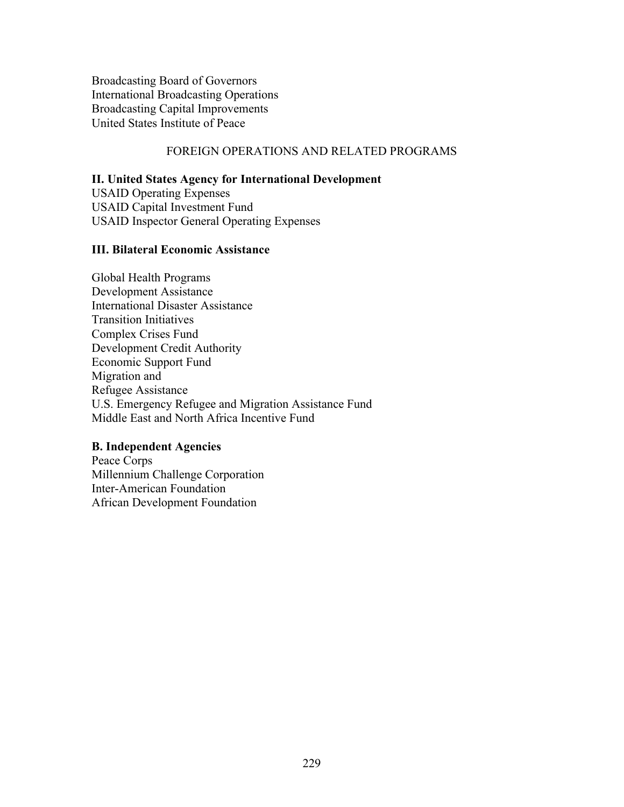Broadcasting Board of Governors International Broadcasting Operations Broadcasting Capital Improvements United States Institute of Peace

#### FOREIGN OPERATIONS AND RELATED PROGRAMS

#### **II. United States Agency for International Development**

USAID Operating Expenses USAID Capital Investment Fund USAID Inspector General Operating Expenses

#### **III. Bilateral Economic Assistance**

Global Health Programs Development Assistance International Disaster Assistance Transition Initiatives Complex Crises Fund Development Credit Authority Economic Support Fund Migration and Refugee Assistance U.S. Emergency Refugee and Migration Assistance Fund Middle East and North Africa Incentive Fund

#### **B. Independent Agencies**

Peace Corps Millennium Challenge Corporation Inter-American Foundation African Development Foundation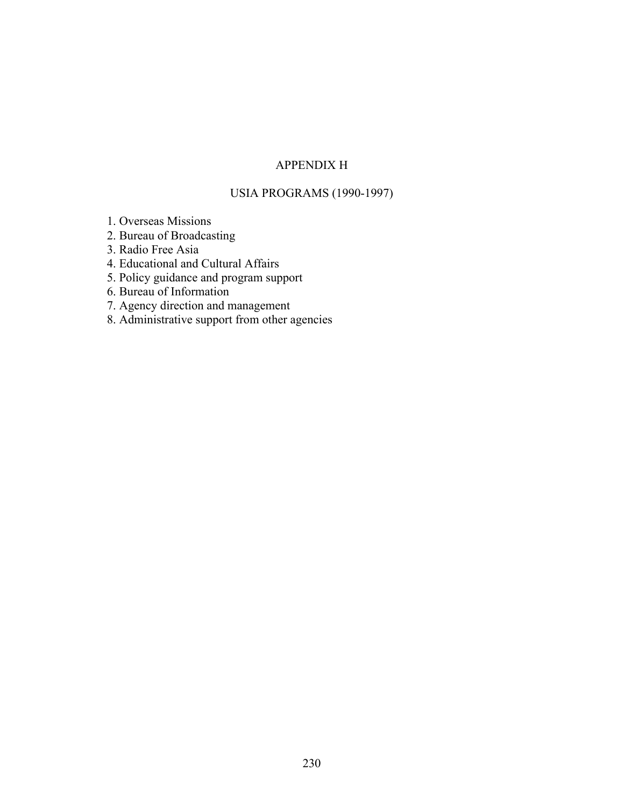# APPENDIX H

# USIA PROGRAMS (1990-1997)

- 1. Overseas Missions
- 2. Bureau of Broadcasting
- 3. Radio Free Asia
- 4. Educational and Cultural Affairs
- 5. Policy guidance and program support
- 6. Bureau of Information
- 7. Agency direction and management
- 8. Administrative support from other agencies